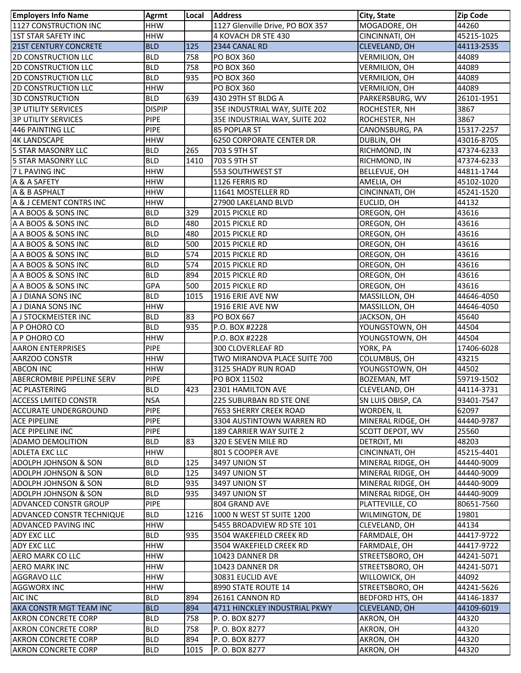| <b>Employers Info Name</b>        | Agrmt                    | Local      | <b>Address</b>                                   | City, State          | <b>Zip Code</b>          |
|-----------------------------------|--------------------------|------------|--------------------------------------------------|----------------------|--------------------------|
| 1127 CONSTRUCTION INC             | <b>HHW</b>               |            | 1127 Glenville Drive, PO BOX 357                 | MOGADORE, OH         | 44260                    |
| <b>1ST STAR SAFETY INC</b>        | <b>HHW</b>               |            | 4 KOVACH DR STE 430                              | CINCINNATI, OH       | 45215-1025               |
| <b>21ST CENTURY CONCRETE</b>      | <b>BLD</b>               | 125        | 2344 CANAL RD                                    | CLEVELAND, OH        | 44113-2535               |
| <b>2D CONSTRUCTION LLC</b>        | <b>BLD</b>               | 758        | <b>PO BOX 360</b>                                | <b>VERMILION, OH</b> | 44089                    |
| <b>2D CONSTRUCTION LLC</b>        | <b>BLD</b>               | 758        | <b>PO BOX 360</b>                                | <b>VERMILION, OH</b> | 44089                    |
| <b>2D CONSTRUCTION LLC</b>        | <b>BLD</b>               | 935        | <b>PO BOX 360</b>                                | VERMILION, OH        | 44089                    |
| <b>2D CONSTRUCTION LLC</b>        | <b>HHW</b>               |            | <b>PO BOX 360</b>                                | <b>VERMILION, OH</b> | 44089                    |
| <b>3D CONSTRUCTION</b>            | <b>BLD</b>               | 639        | 430 29TH ST BLDG A                               | PARKERSBURG, WV      | 26101-1951               |
| <b>3P UTILITY SERVICES</b>        | <b>DISPIP</b>            |            | 35E INDUSTRIAL WAY, SUITE 202                    | ROCHESTER, NH        | 3867                     |
| <b>3P UTILITY SERVICES</b>        | <b>PIPE</b>              |            | 35E INDUSTRIAL WAY, SUITE 202                    | ROCHESTER, NH        | 3867                     |
| 446 PAINTING LLC                  | <b>PIPE</b>              |            | <b>85 POPLAR ST</b>                              | CANONSBURG, PA       | 15317-2257               |
| <b>4K LANDSCAPE</b>               | <b>HHW</b>               |            | <b>6250 CORPORATE CENTER DR</b>                  | DUBLIN, OH           | 43016-8705               |
| <b>5 STAR MASONRY LLC</b>         | <b>BLD</b>               | 265        | 703 S 9TH ST                                     | RICHMOND, IN         | 47374-6233               |
| <b>5 STAR MASONRY LLC</b>         | <b>BLD</b>               | 1410       | 703 S 9TH ST                                     | RICHMOND, IN         | 47374-6233               |
| 7 L PAVING INC                    | <b>HHW</b>               |            | 553 SOUTHWEST ST                                 | BELLEVUE, OH         | 44811-1744               |
| A & A SAFETY                      | <b>HHW</b>               |            | 1126 FERRIS RD                                   | AMELIA, OH           | 45102-1020               |
| A & B ASPHALT                     | <b>HHW</b>               |            | 11641 MOSTELLER RD                               | CINCINNATI, OH       | 45241-1520               |
| A & J CEMENT CONTRS INC           | <b>HHW</b>               |            | 27900 LAKELAND BLVD                              | EUCLID, OH           | 44132                    |
| A A BOOS & SONS INC               | <b>BLD</b>               | 329        | 2015 PICKLE RD                                   | OREGON, OH           | 43616                    |
| A A BOOS & SONS INC               | <b>BLD</b>               | 480        | 2015 PICKLE RD                                   | OREGON, OH           | 43616                    |
| A A BOOS & SONS INC               | <b>BLD</b>               | 480        | 2015 PICKLE RD                                   | OREGON, OH           | 43616                    |
| A A BOOS & SONS INC               | <b>BLD</b>               | 500        | 2015 PICKLE RD                                   | OREGON, OH           | 43616                    |
| A A BOOS & SONS INC               | <b>BLD</b>               | 574        | 2015 PICKLE RD                                   | OREGON, OH           | 43616                    |
| A A BOOS & SONS INC               | <b>BLD</b>               | 574        | 2015 PICKLE RD                                   | OREGON, OH           | 43616                    |
| A A BOOS & SONS INC               | <b>BLD</b>               | 894        | 2015 PICKLE RD                                   | OREGON, OH           | 43616                    |
| A A BOOS & SONS INC               | GPA                      | 500        | 2015 PICKLE RD                                   | OREGON, OH           | 43616                    |
| A J DIANA SONS INC                | <b>BLD</b>               | 1015       | 1916 ERIE AVE NW                                 | MASSILLON, OH        | 44646-4050               |
| A J DIANA SONS INC                | <b>HHW</b>               |            | 1916 ERIE AVE NW                                 | MASSILLON, OH        | 44646-4050               |
| A J STOCKMEISTER INC              | <b>BLD</b>               | 83         | PO BOX 667                                       | JACKSON, OH          | 45640                    |
| A P OHORO CO                      | <b>BLD</b>               | 935        | P.O. BOX #2228                                   | YOUNGSTOWN, OH       | 44504                    |
| A P OHORO CO                      | <b>HHW</b>               |            | P.O. BOX #2228                                   | YOUNGSTOWN, OH       | 44504                    |
| <b>AARON ENTERPRISES</b>          | <b>PIPE</b>              |            | <b>300 CLOVERLEAF RD</b>                         | YORK, PA             | 17406-6028               |
| AARZOO CONSTR                     | <b>HHW</b>               |            | TWO MIRANOVA PLACE SUITE 700                     | COLUMBUS, OH         | 43215                    |
| <b>ABCON INC</b>                  | <b>HHW</b>               |            | 3125 SHADY RUN ROAD                              | YOUNGSTOWN, OH       | 44502                    |
| <b>ABERCROMBIE PIPELINE SERV</b>  | <b>PIPE</b>              |            | PO BOX 11502                                     | BOZEMAN, MT          | 59719-1502               |
| <b>AC PLASTERING</b>              | <b>BLD</b>               | 423        | 2301 HAMILTON AVE                                | CLEVELAND, OH        | 44114-3731               |
| <b>ACCESS LMITED CONSTR</b>       | <b>NSA</b>               |            | <b>225 SUBURBAN RD STE ONE</b>                   | SN LUIS OBISP, CA    | 93401-7547               |
| <b>ACCURATE UNDERGROUND</b>       | <b>PIPE</b>              |            | 7653 SHERRY CREEK ROAD                           | WORDEN, IL           | 62097                    |
| <b>ACE PIPELINE</b>               | <b>PIPE</b>              |            | 3304 AUSTINTOWN WARREN RD                        | MINERAL RIDGE, OH    | 44440-9787               |
| ACE PIPELINE INC                  | <b>PIPE</b>              |            | 189 CARRIER WAY SUITE 2                          | SCOTT DEPOT, WV      | 25560                    |
| <b>ADAMO DEMOLITION</b>           | <b>BLD</b>               | 83         | 320 E SEVEN MILE RD                              | DETROIT, MI          | 48203                    |
| ADLETA EXC LLC                    | <b>HHW</b>               |            | 801 S COOPER AVE                                 | CINCINNATI, OH       | 45215-4401               |
| <b>ADOLPH JOHNSON &amp; SON</b>   | <b>BLD</b>               | 125        | 3497 UNION ST                                    | MINERAL RIDGE, OH    | 44440-9009               |
| <b>ADOLPH JOHNSON &amp; SON</b>   | <b>BLD</b>               | 125        | 3497 UNION ST                                    | MINERAL RIDGE, OH    | 44440-9009               |
| <b>ADOLPH JOHNSON &amp; SON</b>   | <b>BLD</b>               | 935        | 3497 UNION ST                                    | MINERAL RIDGE, OH    | 44440-9009               |
| ADOLPH JOHNSON & SON              | <b>BLD</b>               | 935        | 3497 UNION ST                                    | MINERAL RIDGE, OH    | 44440-9009               |
| <b>ADVANCED CONSTR GROUP</b>      | <b>PIPE</b>              |            | 804 GRAND AVE                                    | PLATTEVILLE, CO      | 80651-7560               |
| ADVANCED CONSTR TECHNIQUE         | <b>BLD</b>               | 1216       | 1000 N WEST ST SUITE 1200                        | WILMINGTON, DE       | 19801                    |
| <b>ADVANCED PAVING INC</b>        | <b>HHW</b>               |            | 5455 BROADVIEW RD STE 101                        | CLEVELAND, OH        | 44134                    |
| ADY EXC LLC                       | <b>BLD</b>               | 935        | 3504 WAKEFIELD CREEK RD                          | FARMDALE, OH         | 44417-9722               |
| ADY EXC LLC                       | <b>HHW</b>               |            | 3504 WAKEFIELD CREEK RD                          | FARMDALE, OH         | 44417-9722               |
| AERO MARK CO LLC                  | <b>HHW</b>               |            | 10423 DANNER DR                                  | STREETSBORO, OH      | 44241-5071               |
| <b>AERO MARK INC</b>              | <b>HHW</b>               |            | 10423 DANNER DR                                  | STREETSBORO, OH      | 44241-5071               |
|                                   | <b>HHW</b>               |            |                                                  |                      | 44092                    |
| AGGRAVO LLC<br><b>AGGWORX INC</b> | <b>HHW</b>               |            | 30831 EUCLID AVE<br>8990 STATE ROUTE 14          | WILLOWICK, OH        | 44241-5626               |
|                                   |                          |            |                                                  | STREETSBORO, OH      |                          |
| AIC INC                           | <b>BLD</b><br><b>BLD</b> | 894<br>894 | 26161 CANNON RD<br>4711 HINCKLEY INDUSTRIAL PKWY | BEDFORD HTS, OH      | 44146-1837<br>44109-6019 |
| AKA CONSTR MGT TEAM INC           |                          |            |                                                  | CLEVELAND, OH        |                          |
| <b>AKRON CONCRETE CORP</b>        | <b>BLD</b>               | 758        | P. O. BOX 8277                                   | AKRON, OH            | 44320                    |
| AKRON CONCRETE CORP               | <b>BLD</b>               | 758        | P.O. BOX 8277                                    | AKRON, OH            | 44320                    |
| <b>AKRON CONCRETE CORP</b>        | <b>BLD</b>               | 894        | P.O. BOX 8277                                    | AKRON, OH            | 44320                    |
| <b>AKRON CONCRETE CORP</b>        | <b>BLD</b>               | 1015       | P. O. BOX 8277                                   | AKRON, OH            | 44320                    |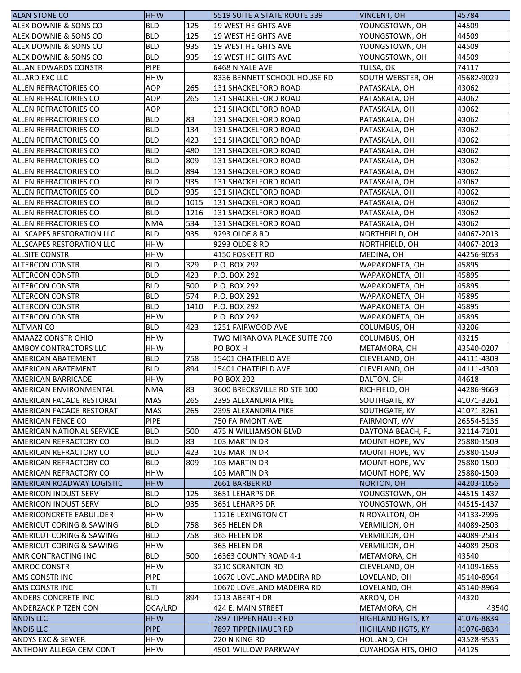| <b>ALAN STONE CO</b>                | <b>HHW</b>  |      | 5519 SUITE A STATE ROUTE 339 | VINCENT, OH               | 45784                    |
|-------------------------------------|-------------|------|------------------------------|---------------------------|--------------------------|
| ALEX DOWNIE & SONS CO               | <b>BLD</b>  | 125  | <b>19 WEST HEIGHTS AVE</b>   | YOUNGSTOWN, OH            | 44509                    |
| ALEX DOWNIE & SONS CO               | <b>BLD</b>  | 125  | 19 WEST HEIGHTS AVE          | YOUNGSTOWN, OH            | 44509                    |
| ALEX DOWNIE & SONS CO               | <b>BLD</b>  | 935  | 19 WEST HEIGHTS AVE          | YOUNGSTOWN, OH            | 44509                    |
| ALEX DOWNIE & SONS CO               | <b>BLD</b>  | 935  | <b>19 WEST HEIGHTS AVE</b>   | YOUNGSTOWN, OH            | 44509                    |
| <b>ALLAN EDWARDS CONSTR</b>         | <b>PIPE</b> |      | 6468 N YALE AVE              | TULSA, OK                 | 74117                    |
| <b>ALLARD EXC LLC</b>               | <b>HHW</b>  |      | 8336 BENNETT SCHOOL HOUSE RD | SOUTH WEBSTER, OH         | 45682-9029               |
| ALLEN REFRACTORIES CO               | <b>AOP</b>  | 265  | 131 SHACKELFORD ROAD         | PATASKALA, OH             | 43062                    |
| ALLEN REFRACTORIES CO               | <b>AOP</b>  | 265  | 131 SHACKELFORD ROAD         | PATASKALA, OH             | 43062                    |
| ALLEN REFRACTORIES CO               | <b>AOP</b>  |      | 131 SHACKELFORD ROAD         | PATASKALA, OH             | 43062                    |
| ALLEN REFRACTORIES CO               | <b>BLD</b>  | 83   | 131 SHACKELFORD ROAD         | PATASKALA, OH             | 43062                    |
| ALLEN REFRACTORIES CO               | <b>BLD</b>  | 134  | 131 SHACKELFORD ROAD         | PATASKALA, OH             | 43062                    |
| ALLEN REFRACTORIES CO               | <b>BLD</b>  | 423  | 131 SHACKELFORD ROAD         | PATASKALA, OH             | 43062                    |
| ALLEN REFRACTORIES CO               | <b>BLD</b>  | 480  | 131 SHACKELFORD ROAD         | PATASKALA, OH             | 43062                    |
| ALLEN REFRACTORIES CO               | <b>BLD</b>  | 809  | 131 SHACKELFORD ROAD         | PATASKALA, OH             | 43062                    |
| ALLEN REFRACTORIES CO               | <b>BLD</b>  | 894  | 131 SHACKELFORD ROAD         | PATASKALA, OH             | 43062                    |
| ALLEN REFRACTORIES CO               | <b>BLD</b>  | 935  | 131 SHACKELFORD ROAD         | PATASKALA, OH             | 43062                    |
| ALLEN REFRACTORIES CO               | <b>BLD</b>  | 935  | 131 SHACKELFORD ROAD         | PATASKALA, OH             | 43062                    |
| <b>ALLEN REFRACTORIES CO</b>        | <b>BLD</b>  | 1015 | <b>131 SHACKELFORD ROAD</b>  | PATASKALA, OH             | 43062                    |
| ALLEN REFRACTORIES CO               | <b>BLD</b>  | 1216 | 131 SHACKELFORD ROAD         | PATASKALA, OH             | 43062                    |
| <b>ALLEN REFRACTORIES CO</b>        | <b>NMA</b>  | 534  | <b>131 SHACKELFORD ROAD</b>  | PATASKALA, OH             | 43062                    |
| ALLSCAPES RESTORATION LLC           | <b>BLD</b>  | 935  | 9293 OLDE 8 RD               | NORTHFIELD, OH            | 44067-2013               |
| <b>ALLSCAPES RESTORATION LLC</b>    | <b>HHW</b>  |      | 9293 OLDE 8 RD               | NORTHFIELD, OH            | 44067-2013               |
| <b>ALLSITE CONSTR</b>               | <b>HHW</b>  |      | 4150 FOSKETT RD              | MEDINA, OH                | 44256-9053               |
| <b>ALTERCON CONSTR</b>              | <b>BLD</b>  | 329  | P.O. BOX 292                 | WAPAKONETA, OH            | 45895                    |
| <b>ALTERCON CONSTR</b>              | <b>BLD</b>  | 423  | P.O. BOX 292                 | WAPAKONETA, OH            | 45895                    |
| <b>ALTERCON CONSTR</b>              | <b>BLD</b>  | 500  | P.O. BOX 292                 | WAPAKONETA, OH            | 45895                    |
| <b>ALTERCON CONSTR</b>              | <b>BLD</b>  | 574  | P.O. BOX 292                 | WAPAKONETA, OH            | 45895                    |
| <b>ALTERCON CONSTR</b>              | <b>BLD</b>  | 1410 | P.O. BOX 292                 | WAPAKONETA, OH            | 45895                    |
| <b>ALTERCON CONSTR</b>              | <b>HHW</b>  |      | P.O. BOX 292                 | WAPAKONETA, OH            | 45895                    |
| <b>ALTMAN CO</b>                    | <b>BLD</b>  | 423  | 1251 FAIRWOOD AVE            | COLUMBUS, OH              | 43206                    |
| AMAAZZ CONSTR OHIO                  | <b>HHW</b>  |      | TWO MIRANOVA PLACE SUITE 700 | COLUMBUS, OH              | 43215                    |
| <b>AMBOY CONTRACTORS LLC</b>        | <b>HHW</b>  |      | PO BOX H                     | METAMORA, OH              | 43540-0207               |
| AMERICAN ABATEMENT                  | <b>BLD</b>  | 758  | 15401 CHATFIELD AVE          | CLEVELAND, OH             | 44111-4309               |
| <b>AMERICAN ABATEMENT</b>           | <b>BLD</b>  | 894  | 15401 CHATFIELD AVE          | CLEVELAND, OH             | 44111-4309               |
| <b>AMERICAN BARRICADE</b>           | <b>HHW</b>  |      | <b>PO BOX 202</b>            | DALTON, OH                | 44618                    |
| AMERICAN ENVIRONMENTAL              | <b>NMA</b>  | 83   | 3600 BRECKSVILLE RD STE 100  | RICHFIELD, OH             | 44286-9669               |
| AMERICAN FACADE RESTORATI           | <b>MAS</b>  | 265  | 2395 ALEXANDRIA PIKE         | SOUTHGATE, KY             | 41071-3261               |
| AMERICAN FACADE RESTORATI           | <b>MAS</b>  | 265  | 2395 ALEXANDRIA PIKE         | SOUTHGATE, KY             | 41071-3261               |
| AMERICAN FENCE CO                   | <b>PIPE</b> |      | 750 FAIRMONT AVE             | FAIRMONT, WV              | 26554-5136               |
| <b>AMERICAN NATIONAL SERVICE</b>    | <b>BLD</b>  | 500  | 475 N WILLIAMSON BLVD        | DAYTONA BEACH, FL         | 32114-7101               |
| AMERICAN REFRACTORY CO              | <b>BLD</b>  | 83   | 103 MARTIN DR                | MOUNT HOPE, WV            | 25880-1509               |
| AMERICAN REFRACTORY CO              | <b>BLD</b>  | 423  | 103 MARTIN DR                | MOUNT HOPE, WV            | 25880-1509               |
| <b>AMERICAN REFRACTORY CO</b>       | <b>BLD</b>  | 809  | 103 MARTIN DR                | MOUNT HOPE, WV            | 25880-1509               |
| <b>AMERICAN REFRACTORY CO</b>       | <b>HHW</b>  |      | 103 MARTIN DR                | MOUNT HOPE, WV            | 25880-1509               |
| AMERICAN ROADWAY LOGISTIC           | <b>HHW</b>  |      | 2661 BARBER RD               | NORTON, OH                | 44203-1056               |
| AMERICON INDUST SERV                | <b>BLD</b>  | 125  | 3651 LEHARPS DR              | YOUNGSTOWN, OH            | 44515-1437               |
| AMERICON INDUST SERV                | <b>BLD</b>  | 935  | 3651 LEHARPS DR              | YOUNGSTOWN, OH            | 44515-1437               |
| AMERICONCRETE EABUILDER             | <b>HHW</b>  |      | 11216 LEXINGTON CT           | N ROYALTON, OH            | 44133-2996               |
| AMERICUT CORING & SAWING            | BLD         | 758  | 365 HELEN DR                 | <b>VERMILION, OH</b>      | 44089-2503               |
| <b>AMERICUT CORING &amp; SAWING</b> | <b>BLD</b>  | 758  | 365 HELEN DR                 | VERMILION, OH             | 44089-2503               |
| AMERICUT CORING & SAWING            | <b>HHW</b>  |      | 365 HELEN DR                 | VERMILION, OH             | 44089-2503               |
| AMR CONTRACTING INC                 | <b>BLD</b>  | 500  | 16363 COUNTY ROAD 4-1        | METAMORA, OH              | 43540                    |
| <b>AMROC CONSTR</b>                 | <b>HHW</b>  |      | 3210 SCRANTON RD             | CLEVELAND, OH             | 44109-1656               |
| AMS CONSTR INC                      | <b>PIPE</b> |      | 10670 LOVELAND MADEIRA RD    | LOVELAND, OH              | 45140-8964               |
| <b>AMS CONSTR INC</b>               | UTI         |      | 10670 LOVELAND MADEIRA RD    | LOVELAND, OH              | 45140-8964               |
| ANDERS CONCRETE INC                 | <b>BLD</b>  | 894  | 1213 ABERTH DR               | AKRON, OH                 | 44320                    |
| <b>ANDERZACK PITZEN CON</b>         | OCA/LRD     |      | 424 E. MAIN STREET           | METAMORA, OH              | 43540                    |
| <b>ANDIS LLC</b>                    | <b>HHW</b>  |      | 7897 TIPPENHAUER RD          | <b>HIGHLAND HGTS, KY</b>  | 41076-8834               |
| <b>ANDIS LLC</b>                    | <b>PIPE</b> |      | 7897 TIPPENHAUER RD          | <b>HIGHLAND HGTS, KY</b>  |                          |
| <b>ANDYS EXC &amp; SEWER</b>        | <b>HHW</b>  |      | 220 N KING RD                | HOLLAND, OH               | 41076-8834<br>43528-9535 |
| ANTHONY ALLEGA CEM CONT             |             |      | 4501 WILLOW PARKWAY          |                           |                          |
|                                     | <b>HHW</b>  |      |                              | <b>CUYAHOGA HTS, OHIO</b> | 44125                    |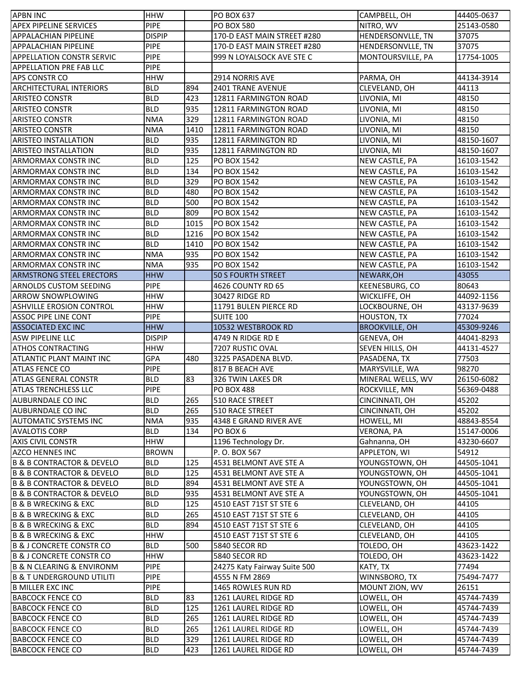| <b>APBN INC</b>                          | <b>HHW</b>                 |      | <b>PO BOX 637</b>            | CAMPBELL, OH          | 44405-0637 |
|------------------------------------------|----------------------------|------|------------------------------|-----------------------|------------|
| <b>APEX PIPELINE SERVICES</b>            | <b>PIPE</b>                |      | <b>PO BOX 580</b>            | NITRO, WV             | 25143-0580 |
| <b>APPALACHIAN PIPELINE</b>              | <b>DISPIP</b>              |      | 170-D EAST MAIN STREET #280  | HENDERSONVLLE, TN     | 37075      |
| <b>APPALACHIAN PIPELINE</b>              | <b>PIPE</b>                |      | 170-D EAST MAIN STREET #280  | HENDERSONVLLE, TN     | 37075      |
| <b>APPELLATION CONSTR SERVIC</b>         | <b>PIPE</b>                |      | 999 N LOYALSOCK AVE STE C    | MONTOURSVILLE, PA     | 17754-1005 |
| <b>APPELLATION PRE FAB LLC</b>           | <b>PIPE</b>                |      |                              |                       |            |
| <b>APS CONSTR CO</b>                     | <b>HHW</b>                 |      | 2914 NORRIS AVE              | PARMA, OH             | 44134-3914 |
| <b>ARCHITECTURAL INTERIORS</b>           | <b>BLD</b>                 | 894  | <b>2401 TRANE AVENUE</b>     | CLEVELAND, OH         | 44113      |
| <b>ARISTEO CONSTR</b>                    | <b>BLD</b>                 | 423  | 12811 FARMINGTON ROAD        | LIVONIA, MI           | 48150      |
| <b>ARISTEO CONSTR</b>                    | <b>BLD</b>                 | 935  | 12811 FARMINGTON ROAD        | LIVONIA, MI           | 48150      |
| <b>ARISTEO CONSTR</b>                    | <b>NMA</b>                 | 329  | 12811 FARMINGTON ROAD        | LIVONIA, MI           | 48150      |
| <b>ARISTEO CONSTR</b>                    | <b>NMA</b>                 | 1410 | 12811 FARMINGTON ROAD        | LIVONIA, MI           | 48150      |
| <b>ARISTEO INSTALLATION</b>              | <b>BLD</b>                 | 935  | 12811 FARMINGTON RD          | LIVONIA, MI           | 48150-1607 |
| <b>ARISTEO INSTALLATION</b>              | <b>BLD</b>                 | 935  | 12811 FARMINGTON RD          | LIVONIA, MI           | 48150-1607 |
| <b>ARMORMAX CONSTR INC</b>               | <b>BLD</b>                 | 125  | <b>PO BOX 1542</b>           | NEW CASTLE, PA        | 16103-1542 |
| <b>ARMORMAX CONSTR INC</b>               | <b>BLD</b>                 | 134  | <b>PO BOX 1542</b>           | NEW CASTLE, PA        | 16103-1542 |
| <b>ARMORMAX CONSTR INC</b>               | <b>BLD</b>                 | 329  | <b>PO BOX 1542</b>           | NEW CASTLE, PA        | 16103-1542 |
| <b>ARMORMAX CONSTR INC</b>               | <b>BLD</b>                 | 480  | <b>PO BOX 1542</b>           | NEW CASTLE, PA        | 16103-1542 |
| <b>ARMORMAX CONSTRINC</b>                | <b>BLD</b>                 | 500  | <b>PO BOX 1542</b>           | NEW CASTLE, PA        | 16103-1542 |
| <b>ARMORMAX CONSTR INC</b>               | <b>BLD</b>                 | 809  | PO BOX 1542                  | NEW CASTLE, PA        | 16103-1542 |
| <b>ARMORMAX CONSTRINC</b>                | <b>BLD</b>                 | 1015 | PO BOX 1542                  | NEW CASTLE, PA        | 16103-1542 |
| <b>ARMORMAX CONSTR INC</b>               | <b>BLD</b>                 | 1216 | <b>PO BOX 1542</b>           | NEW CASTLE, PA        | 16103-1542 |
| ARMORMAX CONSTR INC                      | <b>BLD</b>                 | 1410 | <b>PO BOX 1542</b>           | NEW CASTLE, PA        | 16103-1542 |
| <b>ARMORMAX CONSTR INC</b>               | <b>NMA</b>                 | 935  | PO BOX 1542                  | NEW CASTLE, PA        | 16103-1542 |
| <b>ARMORMAX CONSTR INC</b>               | <b>NMA</b>                 | 935  | <b>PO BOX 1542</b>           | NEW CASTLE, PA        | 16103-1542 |
| <b>ARMSTRONG STEEL ERECTORS</b>          | <b>HHW</b>                 |      | <b>50 S FOURTH STREET</b>    | NEWARK, OH            | 43055      |
| <b>ARNOLDS CUSTOM SEEDING</b>            | <b>PIPE</b>                |      | 4626 COUNTY RD 65            | KEENESBURG, CO        | 80643      |
| <b>ARROW SNOWPLOWING</b>                 | <b>HHW</b>                 |      | 30427 RIDGE RD               | WICKLIFFE, OH         | 44092-1156 |
| <b>ASHVILLE EROSION CONTROL</b>          | <b>HHW</b>                 |      | 11791 BULEN PIERCE RD        | LOCKBOURNE, OH        | 43137-9639 |
| <b>ASSOC PIPE LINE CONT</b>              | <b>PIPE</b>                |      | <b>SUITE 100</b>             | <b>HOUSTON, TX</b>    | 77024      |
| <b>ASSOCIATED EXC INC</b>                | <b>HHW</b>                 |      | 10532 WESTBROOK RD           | <b>BROOKVILLE, OH</b> | 45309-9246 |
| <b>ASW PIPELINE LLC</b>                  | <b>DISPIP</b>              |      | 4749 N RIDGE RD E            | GENEVA, OH            | 44041-8293 |
| <b>ATHOS CONTRACTING</b>                 | <b>HHW</b>                 |      | 7207 RUSTIC OVAL             | SEVEN HILLS, OH       | 44131-4527 |
| <b>ATLANTIC PLANT MAINT INC</b>          | GPA                        | 480  | 3225 PASADENA BLVD.          | PASADENA, TX          | 77503      |
| <b>ATLAS FENCE CO</b>                    | PIPE                       |      | 817 B BEACH AVE              | MARYSVILLE, WA        | 98270      |
| <b>ATLAS GENERAL CONSTR</b>              | <b>BLD</b>                 | 83   | 326 TWIN LAKES DR            | MINERAL WELLS, WV     | 26150-6082 |
| ATLAS TRENCHLESS LLC                     | PIPE                       |      | <b>PO BOX 488</b>            | ROCKVILLE, MN         | 56369-0488 |
| AUBURNDALE CO INC                        | <b>BLD</b>                 | 265  | 510 RACE STREET              | CINCINNATI, OH        | 45202      |
| AUBURNDALE CO INC                        | <b>BLD</b>                 | 265  | 510 RACE STREET              | CINCINNATI, OH        | 45202      |
| AUTOMATIC SYSTEMS INC                    | <b>NMA</b>                 | 935  | 4348 E GRAND RIVER AVE       | HOWELL, MI            | 48843-8554 |
| <b>AVALOTIS CORP</b>                     | <b>BLD</b>                 | 134  | PO BOX 6                     | VERONA, PA            | 15147-0006 |
| <b>AXIS CIVIL CONSTR</b>                 | <b>HHW</b>                 |      | 1196 Technology Dr.          | Gahnanna, OH          | 43230-6607 |
| <b>AZCO HENNES INC</b>                   | <b>BROWN</b>               |      | P. O. BOX 567                | APPLETON, WI          | 54912      |
| <b>B &amp; B CONTRACTOR &amp; DEVELO</b> | <b>BLD</b>                 | 125  | 4531 BELMONT AVE STE A       | YOUNGSTOWN, OH        | 44505-1041 |
| B & B CONTRACTOR & DEVELO                | <b>BLD</b>                 | 125  | 4531 BELMONT AVE STE A       | YOUNGSTOWN, OH        | 44505-1041 |
| <b>B &amp; B CONTRACTOR &amp; DEVELO</b> | <b>BLD</b>                 | 894  | 4531 BELMONT AVE STE A       | YOUNGSTOWN, OH        | 44505-1041 |
| <b>B &amp; B CONTRACTOR &amp; DEVELO</b> | <b>BLD</b>                 | 935  | 4531 BELMONT AVE STE A       | YOUNGSTOWN, OH        | 44505-1041 |
| B & B WRECKING & EXC                     | <b>BLD</b>                 | 125  | 4510 EAST 71ST ST STE 6      | CLEVELAND, OH         | 44105      |
| B & B WRECKING & EXC                     | <b>BLD</b>                 | 265  | 4510 EAST 71ST ST STE 6      | CLEVELAND, OH         | 44105      |
| B & B WRECKING & EXC                     | <b>BLD</b>                 | 894  | 4510 EAST 71ST ST STE 6      | CLEVELAND, OH         | 44105      |
| B & B WRECKING & EXC                     | <b>HHW</b>                 |      | 4510 EAST 71ST ST STE 6      |                       | 44105      |
|                                          | <b>BLD</b>                 | 500  |                              | CLEVELAND, OH         | 43623-1422 |
| <b>B &amp; J CONCRETE CONSTR CO</b>      |                            |      | 5840 SECOR RD                | TOLEDO, OH            |            |
| <b>B &amp; J CONCRETE CONSTR CO</b>      | <b>HHW</b>                 |      | 5840 SECOR RD                | TOLEDO, OH            | 43623-1422 |
| <b>B &amp; N CLEARING &amp; ENVIRONM</b> | <b>PIPE</b><br><b>PIPE</b> |      | 24275 Katy Fairway Suite 500 | KATY, TX              | 77494      |
| IB & T UNDERGROUND UTILITI               |                            |      | 4555 N FM 2869               | WINNSBORO, TX         | 75494-7477 |
| <b>B MILLER EXC INC</b>                  | <b>PIPE</b>                |      | 1465 ROWLES RUN RD           | MOUNT ZION, WV        | 26151      |
| <b>BABCOCK FENCE CO</b>                  | <b>BLD</b>                 | 83   | 1261 LAUREL RIDGE RD         | LOWELL, OH            | 45744-7439 |
| <b>BABCOCK FENCE CO</b>                  | <b>BLD</b>                 | 125  | 1261 LAUREL RIDGE RD         | LOWELL, OH            | 45744-7439 |
| <b>BABCOCK FENCE CO</b>                  | <b>BLD</b>                 | 265  | 1261 LAUREL RIDGE RD         | LOWELL, OH            | 45744-7439 |
| <b>BABCOCK FENCE CO</b>                  | <b>BLD</b>                 | 265  | 1261 LAUREL RIDGE RD         | LOWELL, OH            | 45744-7439 |
| <b>BABCOCK FENCE CO</b>                  | <b>BLD</b>                 | 329  | 1261 LAUREL RIDGE RD         | LOWELL, OH            | 45744-7439 |
| <b>BABCOCK FENCE CO</b>                  | <b>BLD</b>                 | 423  | 1261 LAUREL RIDGE RD         | LOWELL, OH            | 45744-7439 |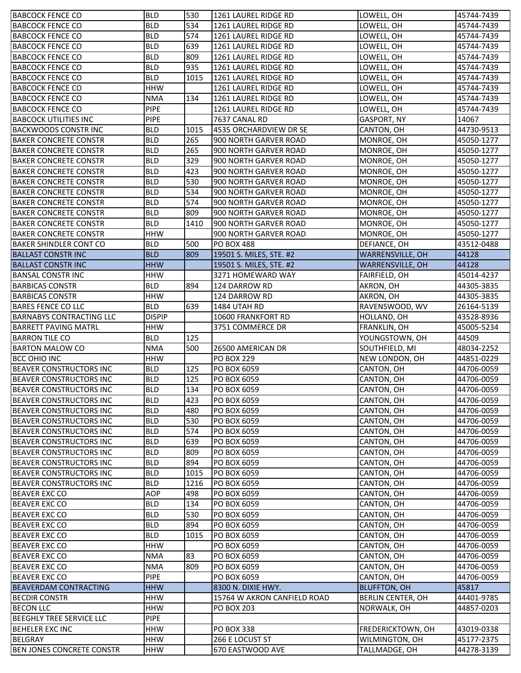| <b>BABCOCK FENCE CO</b>                                          | <b>BLD</b>               | 530         | 1261 LAUREL RIDGE RD                              | LOWELL, OH                          | 45744-7439               |
|------------------------------------------------------------------|--------------------------|-------------|---------------------------------------------------|-------------------------------------|--------------------------|
| <b>BABCOCK FENCE CO</b>                                          | <b>BLD</b>               | 534         | 1261 LAUREL RIDGE RD                              | LOWELL, OH                          | 45744-7439               |
| <b>BABCOCK FENCE CO</b>                                          | <b>BLD</b>               | 574         | 1261 LAUREL RIDGE RD                              | LOWELL, OH                          | 45744-7439               |
| <b>BABCOCK FENCE CO</b>                                          | <b>BLD</b>               | 639         | 1261 LAUREL RIDGE RD                              | LOWELL, OH                          | 45744-7439               |
| <b>BABCOCK FENCE CO</b>                                          | <b>BLD</b>               | 809         | 1261 LAUREL RIDGE RD                              | LOWELL, OH                          | 45744-7439               |
| <b>BABCOCK FENCE CO</b>                                          | <b>BLD</b>               | 935         | 1261 LAUREL RIDGE RD                              | LOWELL, OH                          | 45744-7439               |
| <b>BABCOCK FENCE CO</b>                                          | <b>BLD</b>               | 1015        | 1261 LAUREL RIDGE RD                              | LOWELL, OH                          | 45744-7439               |
| <b>BABCOCK FENCE CO</b>                                          | <b>HHW</b>               |             | 1261 LAUREL RIDGE RD                              | LOWELL, OH                          | 45744-7439               |
| <b>BABCOCK FENCE CO</b>                                          | <b>NMA</b>               | 134         | 1261 LAUREL RIDGE RD                              | LOWELL, OH                          | 45744-7439               |
| <b>BABCOCK FENCE CO</b>                                          | PIPE                     |             | 1261 LAUREL RIDGE RD                              | LOWELL, OH                          | 45744-7439               |
| <b>BABCOCK UTILITIES INC</b>                                     | <b>PIPE</b>              |             | 7637 CANAL RD                                     | <b>GASPORT, NY</b>                  | 14067                    |
| <b>BACKWOODS CONSTR INC</b>                                      | <b>BLD</b>               | 1015        | 4535 ORCHARDVIEW DR SE                            | CANTON, OH                          | 44730-9513               |
| <b>BAKER CONCRETE CONSTR</b>                                     | <b>BLD</b>               | 265         | 900 NORTH GARVER ROAD                             | MONROE, OH                          | 45050-1277               |
| <b>BAKER CONCRETE CONSTR</b>                                     | <b>BLD</b>               | 265         | 900 NORTH GARVER ROAD                             | MONROE, OH                          | 45050-1277               |
| <b>BAKER CONCRETE CONSTR</b>                                     | <b>BLD</b>               | 329         | 900 NORTH GARVER ROAD                             | MONROE, OH                          | 45050-1277               |
| <b>BAKER CONCRETE CONSTR</b>                                     | <b>BLD</b>               | 423         | 900 NORTH GARVER ROAD                             | MONROE, OH                          | 45050-1277               |
| <b>BAKER CONCRETE CONSTR</b>                                     | <b>BLD</b>               | 530         | 900 NORTH GARVER ROAD                             | MONROE, OH                          | 45050-1277               |
| <b>BAKER CONCRETE CONSTR</b>                                     | <b>BLD</b>               | 534         | 900 NORTH GARVER ROAD                             | MONROE, OH                          | 45050-1277               |
| <b>BAKER CONCRETE CONSTR</b>                                     | <b>BLD</b>               | 574         | 900 NORTH GARVER ROAD                             | MONROE, OH                          | 45050-1277               |
| <b>BAKER CONCRETE CONSTR</b>                                     | <b>BLD</b>               | 809         | 900 NORTH GARVER ROAD                             | MONROE, OH                          | 45050-1277               |
| <b>BAKER CONCRETE CONSTR</b>                                     | <b>BLD</b>               | 1410        | 900 NORTH GARVER ROAD                             | MONROE, OH                          | 45050-1277               |
| <b>BAKER CONCRETE CONSTR</b>                                     | <b>HHW</b>               |             | 900 NORTH GARVER ROAD                             | MONROE, OH                          | 45050-1277               |
| <b>BAKER SHINDLER CONT CO</b>                                    | <b>BLD</b>               | 500         | <b>PO BOX 488</b>                                 | DEFIANCE, OH                        | 43512-0488               |
| <b>BALLAST CONSTR INC</b>                                        | <b>BLD</b>               | 809         | 19501 S. MILES, STE. #2                           | WARRENSVILLE, OH                    | 44128                    |
| <b>BALLAST CONSTR INC</b>                                        | <b>HHW</b>               |             | 19501 S. MILES, STE. #2                           | WARRENSVILLE, OH                    | 44128                    |
| <b>BANSAL CONSTR INC</b>                                         | <b>HHW</b>               |             | 3271 HOMEWARD WAY                                 | FAIRFIELD, OH                       | 45014-4237               |
| <b>BARBICAS CONSTR</b>                                           | <b>BLD</b>               | 894         | 124 DARROW RD                                     | AKRON, OH                           | 44305-3835               |
| <b>BARBICAS CONSTR</b>                                           | <b>HHW</b>               |             | 124 DARROW RD                                     | AKRON, OH                           | 44305-3835               |
| <b>BARES FENCE CO LLC</b>                                        | <b>BLD</b>               | 639         | 1484 UTAH RD                                      | RAVENSWOOD, WV                      | 26164-5139               |
| <b>BARNABYS CONTRACTING LLC</b>                                  | <b>DISPIP</b>            |             | 10600 FRANKFORT RD                                | HOLLAND, OH                         | 43528-8936               |
| <b>BARRETT PAVING MATRL</b>                                      | <b>HHW</b>               |             | 3751 COMMERCE DR                                  | FRANKLIN, OH                        | 45005-5234               |
|                                                                  |                          |             |                                                   |                                     |                          |
| <b>BARRON TILE CO</b>                                            | BLD.                     | 125         |                                                   |                                     | 44509                    |
|                                                                  | <b>NMA</b>               |             |                                                   | YOUNGSTOWN, OH                      |                          |
| <b>BARTON MALOW CO</b>                                           |                          | 500         | 26500 AMERICAN DR                                 | SOUTHFIELD, MI                      | 48034-2252               |
| <b>BCC OHIO INC</b>                                              | <b>HHW</b><br><b>BLD</b> | 125         | <b>PO BOX 229</b><br>PO BOX 6059                  | NEW LONDON, OH                      | 44851-0229<br>44706-0059 |
| <b>BEAVER CONSTRUCTORS INC</b>                                   | <b>BLD</b>               | 125         |                                                   | CANTON, OH                          | 44706-0059               |
| <b>BEAVER CONSTRUCTORS INC</b>                                   |                          |             | PO BOX 6059                                       | CANTON, OH                          |                          |
| BEAVER CONSTRUCTORS INC                                          | <b>BLD</b><br><b>BLD</b> | 134         | PO BOX 6059                                       | CANTON, OH                          | 44706-0059<br>44706-0059 |
| <b>BEAVER CONSTRUCTORS INC</b>                                   |                          | 423         | PO BOX 6059                                       | CANTON, OH                          |                          |
| <b>BEAVER CONSTRUCTORS INC</b>                                   | <b>BLD</b>               | 480         | PO BOX 6059                                       | CANTON, OH                          | 44706-0059               |
| <b>BEAVER CONSTRUCTORS INC</b>                                   | <b>BLD</b>               | 530         | PO BOX 6059                                       | CANTON, OH                          | 44706-0059               |
| <b>BEAVER CONSTRUCTORS INC</b>                                   | <b>BLD</b>               | 574         | PO BOX 6059                                       | CANTON, OH                          | 44706-0059               |
| <b>BEAVER CONSTRUCTORS INC</b><br><b>BEAVER CONSTRUCTORS INC</b> | <b>BLD</b>               | 639         | PO BOX 6059<br>PO BOX 6059                        | CANTON, OH                          | 44706-0059               |
|                                                                  | <b>BLD</b>               | 809         | PO BOX 6059                                       | CANTON, OH                          | 44706-0059               |
| <b>BEAVER CONSTRUCTORS INC</b><br><b>BEAVER CONSTRUCTORS INC</b> | <b>BLD</b><br><b>BLD</b> | 894<br>1015 | PO BOX 6059                                       | CANTON, OH                          | 44706-0059               |
| <b>BEAVER CONSTRUCTORS INC</b>                                   | <b>BLD</b>               | 1216        | PO BOX 6059                                       | CANTON, OH<br>CANTON, OH            | 44706-0059<br>44706-0059 |
|                                                                  | <b>AOP</b>               | 498         | PO BOX 6059                                       | CANTON, OH                          | 44706-0059               |
| <b>BEAVER EXC CO</b>                                             |                          |             |                                                   |                                     |                          |
| <b>BEAVER EXC CO</b><br><b>BEAVER EXC CO</b>                     | <b>BLD</b><br><b>BLD</b> | 134<br>530  | PO BOX 6059<br>PO BOX 6059                        | CANTON, OH<br>CANTON, OH            | 44706-0059<br>44706-0059 |
|                                                                  |                          |             |                                                   |                                     |                          |
| <b>BEAVER EXC CO</b>                                             | <b>BLD</b>               | 894<br>1015 | PO BOX 6059                                       | CANTON, OH                          | 44706-0059               |
| <b>BEAVER EXC CO</b><br><b>BEAVER EXC CO</b>                     | <b>BLD</b><br><b>HHW</b> |             | PO BOX 6059<br>PO BOX 6059                        | CANTON, OH<br>CANTON, OH            | 44706-0059<br>44706-0059 |
|                                                                  | <b>NMA</b>               | 83          | PO BOX 6059                                       | CANTON, OH                          | 44706-0059               |
| <b>BEAVER EXC CO</b><br><b>BEAVER EXC CO</b>                     | <b>NMA</b>               | 809         | PO BOX 6059                                       |                                     | 44706-0059               |
| <b>BEAVER EXC CO</b>                                             | <b>PIPE</b>              |             | PO BOX 6059                                       | CANTON, OH                          | 44706-0059               |
|                                                                  |                          |             |                                                   | CANTON, OH                          |                          |
| <b>BEAVERDAM CONTRACTING</b><br><b>BECDIR CONSTR</b>             | <b>HHW</b><br><b>HHW</b> |             | 8300 N. DIXIE HWY.<br>15764 W AKRON CANFIELD ROAD | <b>BLUFFTON, OH</b>                 | 45817<br>44401-9785      |
| <b>BECON LLC</b>                                                 | <b>HHW</b>               |             | <b>PO BOX 203</b>                                 | BERLIN CENTER, OH                   | 44857-0203               |
|                                                                  |                          |             |                                                   | NORWALK, OH                         |                          |
| <b>BEEGHLY TREE SERVICE LLC</b>                                  | <b>PIPE</b>              |             |                                                   |                                     |                          |
| <b>BEHELER EXC INC</b><br><b>BELGRAY</b>                         | <b>HHW</b><br><b>HHW</b> |             | <b>PO BOX 338</b><br>266 E LOCUST ST              | FREDERICKTOWN, OH<br>WILMINGTON, OH | 43019-0338<br>45177-2375 |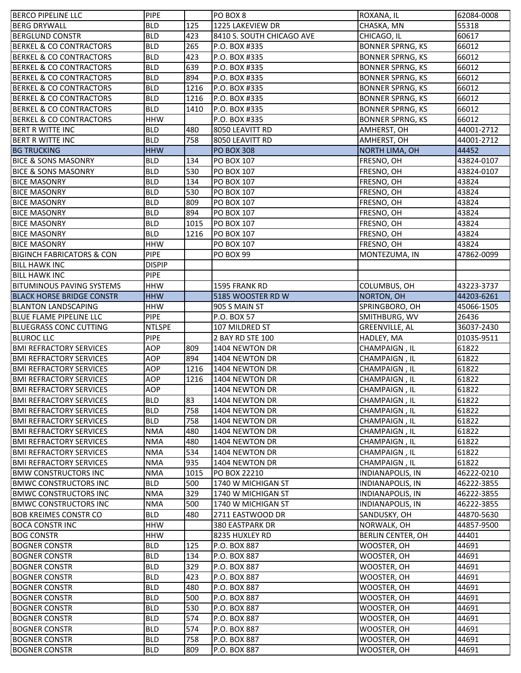| <b>BERCO PIPELINE LLC</b>                    | <b>PIPE</b>              |            | PO BOX 8                     | ROXANA, IL                 | 62084-0008     |
|----------------------------------------------|--------------------------|------------|------------------------------|----------------------------|----------------|
| <b>BERG DRYWALL</b>                          | <b>BLD</b>               | 125        | 1225 LAKEVIEW DR             | CHASKA, MN                 | 55318          |
| <b>BERGLUND CONSTR</b>                       | <b>BLD</b>               | 423        | 8410 S. SOUTH CHICAGO AVE    | CHICAGO, IL                | 60617          |
| <b>BERKEL &amp; CO CONTRACTORS</b>           | <b>BLD</b>               | 265        | P.O. BOX #335                | <b>BONNER SPRNG, KS</b>    | 66012          |
| <b>BERKEL &amp; CO CONTRACTORS</b>           | <b>BLD</b>               | 423        | P.O. BOX #335                | <b>BONNER SPRNG, KS</b>    | 66012          |
| <b>BERKEL &amp; CO CONTRACTORS</b>           | <b>BLD</b>               | 639        | P.O. BOX #335                | <b>BONNER SPRNG, KS</b>    | 66012          |
| <b>BERKEL &amp; CO CONTRACTORS</b>           | <b>BLD</b>               | 894        | P.O. BOX #335                | <b>BONNER SPRNG, KS</b>    | 66012          |
| <b>BERKEL &amp; CO CONTRACTORS</b>           | <b>BLD</b>               | 1216       | P.O. BOX #335                | <b>BONNER SPRNG, KS</b>    | 66012          |
| <b>BERKEL &amp; CO CONTRACTORS</b>           | <b>BLD</b>               | 1216       | P.O. BOX #335                | <b>BONNER SPRNG, KS</b>    | 66012          |
| <b>BERKEL &amp; CO CONTRACTORS</b>           | <b>BLD</b>               | 1410       | P.O. BOX #335                | <b>BONNER SPRNG, KS</b>    | 66012          |
| <b>BERKEL &amp; CO CONTRACTORS</b>           | <b>HHW</b>               |            | P.O. BOX #335                | <b>BONNER SPRNG, KS</b>    | 66012          |
| <b>BERT R WITTE INC</b>                      | <b>BLD</b>               | 480        | 8050 LEAVITT RD              | AMHERST, OH                | 44001-2712     |
| <b>BERT R WITTE INC</b>                      | <b>BLD</b>               | 758        | 8050 LEAVITT RD              | AMHERST, OH                | 44001-2712     |
| <b>BG TRUCKING</b>                           | <b>HHW</b>               |            | <b>PO BOX 308</b>            | <b>NORTH LIMA, OH</b>      | 44452          |
| <b>BICE &amp; SONS MASONRY</b>               | <b>BLD</b>               | 134        | <b>PO BOX 107</b>            | FRESNO, OH                 | 43824-0107     |
| <b>BICE &amp; SONS MASONRY</b>               | <b>BLD</b>               | 530        | <b>PO BOX 107</b>            | FRESNO, OH                 | 43824-0107     |
| <b>BICE MASONRY</b>                          | <b>BLD</b>               | 134        | PO BOX 107                   | FRESNO, OH                 | 43824          |
| <b>BICE MASONRY</b>                          | <b>BLD</b>               | 530        | PO BOX 107                   | FRESNO, OH                 | 43824          |
| <b>BICE MASONRY</b>                          | <b>BLD</b>               | 809        | <b>PO BOX 107</b>            | FRESNO, OH                 | 43824          |
| <b>BICE MASONRY</b>                          | <b>BLD</b>               | 894        | PO BOX 107                   | FRESNO, OH                 | 43824          |
| <b>BICE MASONRY</b>                          | <b>BLD</b>               | 1015       | <b>PO BOX 107</b>            | FRESNO, OH                 | 43824          |
| <b>BICE MASONRY</b>                          | <b>BLD</b>               | 1216       | <b>PO BOX 107</b>            | FRESNO, OH                 | 43824          |
| <b>BICE MASONRY</b>                          | <b>HHW</b>               |            | <b>PO BOX 107</b>            | FRESNO, OH                 | 43824          |
| <b>BIGINCH FABRICATORS &amp; CON</b>         | <b>PIPE</b>              |            | <b>PO BOX 99</b>             | MONTEZUMA, IN              | 47862-0099     |
| <b>BILL HAWK INC</b>                         | <b>DISPIP</b>            |            |                              |                            |                |
| <b>BILL HAWK INC</b>                         | <b>PIPE</b>              |            |                              |                            |                |
| <b>BITUMINOUS PAVING SYSTEMS</b>             | <b>HHW</b>               |            | 1595 FRANK RD                | COLUMBUS, OH               | 43223-3737     |
| <b>BLACK HORSE BRIDGE CONSTR</b>             | <b>HHW</b>               |            | 5185 WOOSTER RD W            | NORTON, OH                 | 44203-6261     |
| <b>BLANTON LANDSCAPING</b>                   | <b>HHW</b>               |            | 905 S MAIN ST                | SPRINGBORO, OH             | 45066-1505     |
| <b>BLUE FLAME PIPELINE LLC</b>               | <b>PIPE</b>              |            | P.O. BOX 57                  | SMITHBURG, WV              | 26436          |
| <b>BLUEGRASS CONC CUTTING</b>                | <b>NTLSPE</b>            |            | 107 MILDRED ST               | GREENVILLE, AL             | 36037-2430     |
|                                              |                          |            |                              |                            |                |
|                                              |                          |            |                              |                            |                |
| <b>BLUROC LLC</b>                            | <b>PIPE</b>              |            | 2 BAY RD STE 100             | HADLEY, MA                 | 01035-9511     |
| <b>BMI REFRACTORY SERVICES</b>               | AOP                      | 809        | 1404 NEWTON DR               | CHAMPAIGN, IL              | 61822          |
| <b>BMI REFRACTORY SERVICES</b>               | AOP                      | 894        | 1404 NEWTON DR               | CHAMPAIGN, IL              | 61822          |
| <b>BMI REFRACTORY SERVICES</b>               | AOP                      | 1216       | 1404 NEWTON DR               | CHAMPAIGN, IL              | 61822          |
| <b>BMI REFRACTORY SERVICES</b>               | AOP                      | 1216       | 1404 NEWTON DR               | CHAMPAIGN, IL              | 61822          |
| <b>BMI REFRACTORY SERVICES</b>               | AOP                      |            | 1404 NEWTON DR               | CHAMPAIGN, IL              | 61822          |
| <b>BMI REFRACTORY SERVICES</b>               | <b>BLD</b>               | 83         | 1404 NEWTON DR               | CHAMPAIGN, IL              | 61822          |
| <b>BMI REFRACTORY SERVICES</b>               | <b>BLD</b>               | 758        | 1404 NEWTON DR               | CHAMPAIGN, IL              | 61822          |
| <b>BMI REFRACTORY SERVICES</b>               | <b>BLD</b>               | 758        | 1404 NEWTON DR               | CHAMPAIGN, IL              | 61822          |
| <b>BMI REFRACTORY SERVICES</b>               | <b>NMA</b>               | 480        | 1404 NEWTON DR               | CHAMPAIGN, IL              | 61822          |
| <b>BMI REFRACTORY SERVICES</b>               | <b>NMA</b>               | 480        | 1404 NEWTON DR               | CHAMPAIGN, IL              | 61822          |
| <b>BMI REFRACTORY SERVICES</b>               | <b>NMA</b>               | 534        | 1404 NEWTON DR               | CHAMPAIGN, IL              | 61822          |
| <b>BMI REFRACTORY SERVICES</b>               | <b>NMA</b>               | 935        | 1404 NEWTON DR               | CHAMPAIGN, IL              | 61822          |
| <b>BMW CONSTRUCTORS INC</b>                  | <b>NMA</b>               | 1015       | PO BOX 22210                 | <b>INDIANAPOLIS, IN</b>    | 46222-0210     |
| <b>BMWC CONSTRUCTORS INC</b>                 | <b>BLD</b>               | 500        | 1740 W MICHIGAN ST           | <b>INDIANAPOLIS, IN</b>    | 46222-3855     |
| <b>BMWC CONSTRUCTORS INC</b>                 | <b>NMA</b>               | 329        | 1740 W MICHIGAN ST           | <b>INDIANAPOLIS, IN</b>    | 46222-3855     |
| <b>BMWC CONSTRUCTORS INC</b>                 | <b>NMA</b>               | 500        | 1740 W MICHIGAN ST           | <b>INDIANAPOLIS, IN</b>    | 46222-3855     |
| <b>BOB KREIMES CONSTR CO</b>                 | <b>BLD</b>               | 480        | 2711 EASTWOOD DR             | SANDUSKY, OH               | 44870-5630     |
| <b>BOCA CONSTR INC</b>                       | <b>HHW</b>               |            | 380 EASTPARK DR              | NORWALK, OH                | 44857-9500     |
| <b>BOG CONSTR</b>                            | <b>HHW</b>               |            | 8235 HUXLEY RD               | BERLIN CENTER, OH          | 44401          |
| <b>BOGNER CONSTR</b>                         | <b>BLD</b>               | 125        | P.O. BOX 887                 | WOOSTER, OH                | 44691          |
| <b>BOGNER CONSTR</b>                         | <b>BLD</b>               | 134        | P.O. BOX 887                 | WOOSTER, OH                | 44691          |
| <b>BOGNER CONSTR</b>                         | <b>BLD</b>               | 329        | P.O. BOX 887                 | WOOSTER, OH                | 44691          |
| <b>BOGNER CONSTR</b>                         | <b>BLD</b>               | 423        | P.O. BOX 887                 | WOOSTER, OH                | 44691          |
| <b>BOGNER CONSTR</b>                         | <b>BLD</b>               | 480        | P.O. BOX 887                 | WOOSTER, OH                | 44691          |
| <b>BOGNER CONSTR</b>                         | <b>BLD</b>               | 500        | P.O. BOX 887                 | WOOSTER, OH                | 44691          |
| <b>BOGNER CONSTR</b>                         | <b>BLD</b>               | 530        | P.O. BOX 887                 | WOOSTER, OH                | 44691          |
| <b>BOGNER CONSTR</b>                         | <b>BLD</b>               | 574        | P.O. BOX 887                 | WOOSTER, OH                | 44691          |
| <b>BOGNER CONSTR</b>                         | <b>BLD</b>               | 574        | P.O. BOX 887                 | WOOSTER, OH                | 44691          |
| <b>BOGNER CONSTR</b><br><b>BOGNER CONSTR</b> | <b>BLD</b><br><b>BLD</b> | 758<br>809 | P.O. BOX 887<br>P.O. BOX 887 | WOOSTER, OH<br>WOOSTER, OH | 44691<br>44691 |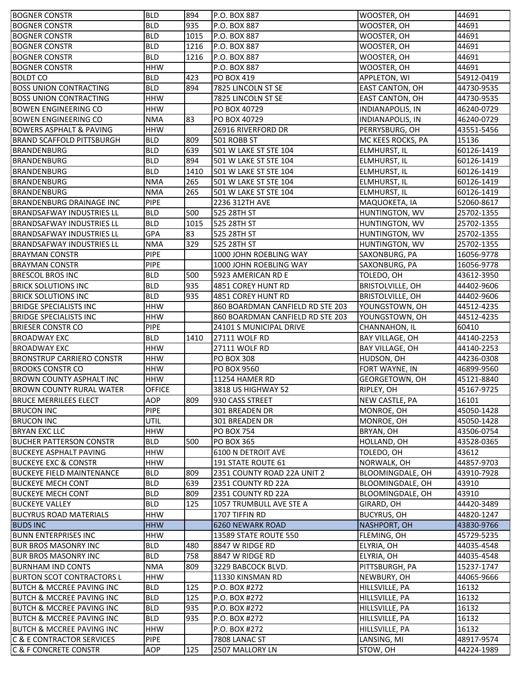| <b>BOGNER CONSTR</b>                 | <b>BLD</b>    | 894  | P.O. BOX 887                     | WOOSTER, OH             | 44691               |
|--------------------------------------|---------------|------|----------------------------------|-------------------------|---------------------|
| <b>BOGNER CONSTR</b>                 | <b>BLD</b>    | 935  | P.O. BOX 887                     | WOOSTER, OH             | 44691               |
| <b>BOGNER CONSTR</b>                 | <b>BLD</b>    | 1015 | P.O. BOX 887                     | WOOSTER, OH             | 44691               |
| <b>BOGNER CONSTR</b>                 | <b>BLD</b>    | 1216 | P.O. BOX 887                     | WOOSTER, OH             | 44691               |
| <b>BOGNER CONSTR</b>                 | <b>BLD</b>    | 1216 | P.O. BOX 887                     | WOOSTER, OH             | 44691               |
| <b>BOGNER CONSTR</b>                 | <b>HHW</b>    |      | P.O. BOX 887                     | WOOSTER, OH             | 44691               |
| <b>BOLDT CO</b>                      | <b>BLD</b>    | 423  | PO BOX 419                       | APPLETON, WI            | 54912-0419          |
| <b>BOSS UNION CONTRACTING</b>        | <b>BLD</b>    | 894  | 7825 LINCOLN ST SE               | EAST CANTON, OH         | 44730-9535          |
| <b>BOSS UNION CONTRACTING</b>        | <b>HHW</b>    |      | 7825 LINCOLN ST SE               | EAST CANTON, OH         | 44730-9535          |
| <b>BOWEN ENGINEERING CO</b>          | <b>HHW</b>    |      | PO BOX 40729                     | <b>INDIANAPOLIS, IN</b> | 46240-0729          |
| <b>BOWEN ENGINEERING CO</b>          | <b>NMA</b>    | 83   | PO BOX 40729                     | <b>INDIANAPOLIS, IN</b> | 46240-0729          |
| <b>BOWERS ASPHALT &amp; PAVING</b>   | <b>HHW</b>    |      | 26916 RIVERFORD DR               | PERRYSBURG, OH          | 43551-5456          |
| <b>BRAND SCAFFOLD PITTSBURGH</b>     | <b>BLD</b>    | 809  | 501 ROBB ST                      | MC KEES ROCKS, PA       | 15136               |
| <b>BRANDENBURG</b>                   | <b>BLD</b>    | 639  | 501 W LAKE ST STE 104            | ELMHURST, IL            | 60126-1419          |
| <b>BRANDENBURG</b>                   | <b>BLD</b>    | 894  | 501 W LAKE ST STE 104            | ELMHURST, IL            | 60126-1419          |
| <b>BRANDENBURG</b>                   | <b>BLD</b>    | 1410 | 501 W LAKE ST STE 104            | ELMHURST, IL            | 60126-1419          |
| BRANDENBURG                          | <b>NMA</b>    | 265  | 501 W LAKE ST STE 104            | ELMHURST, IL            | 60126-1419          |
| <b>BRANDENBURG</b>                   | <b>NMA</b>    | 265  | 501 W LAKE ST STE 104            | ELMHURST, IL            | 60126-1419          |
| BRANDENBURG DRAINAGE INC             | <b>PIPE</b>   |      | 2236 312TH AVE                   | MAQUOKETA, IA           | 52060-8617          |
| <b>BRANDSAFWAY INDUSTRIES LL</b>     | <b>BLD</b>    | 500  | 525 28TH ST                      | HUNTINGTON, WV          | 25702-1355          |
| <b>BRANDSAFWAY INDUSTRIES LL</b>     | <b>BLD</b>    | 1015 | 525 28TH ST                      | HUNTINGTON, WV          | 25702-1355          |
| <b>BRANDSAFWAY INDUSTRIES LL</b>     | <b>GPA</b>    | 83   | 525 28TH ST                      | HUNTINGTON, WV          | 25702-1355          |
| <b>BRANDSAFWAY INDUSTRIES LL</b>     | <b>NMA</b>    | 329  | 525 28TH ST                      | HUNTINGTON, WV          | 25702-1355          |
| <b>BRAYMAN CONSTR</b>                | <b>PIPE</b>   |      |                                  |                         |                     |
|                                      | PIPE          |      | 1000 JOHN ROEBLING WAY           | SAXONBURG, PA           | 16056-9778          |
| <b>BRAYMAN CONSTR</b>                |               |      | 1000 JOHN ROEBLING WAY           | SAXONBURG, PA           | 16056-9778          |
| <b>BRESCOL BROS INC</b>              | <b>BLD</b>    | 500  | 5923 AMERICAN RD E               | TOLEDO, OH              | 43612-3950          |
| <b>BRICK SOLUTIONS INC</b>           | <b>BLD</b>    | 935  | 4851 COREY HUNT RD               | <b>BRISTOLVILLE, OH</b> | 44402-9606          |
| <b>BRICK SOLUTIONS INC</b>           | <b>BLD</b>    | 935  | 4851 COREY HUNT RD               | <b>BRISTOLVILLE, OH</b> | 44402-9606          |
| <b>BRIDGE SPECIALISTS INC</b>        | <b>HHW</b>    |      | 860 BOARDMAN CANFIELD RD STE 203 | YOUNGSTOWN, OH          | 44512-4235          |
| <b>BRIDGE SPECIALISTS INC</b>        | <b>HHW</b>    |      | 860 BOARDMAN CANFIELD RD STE 203 | YOUNGSTOWN, OH          | 44512-4235<br>60410 |
| <b>BRIESER CONSTR CO</b>             | <b>PIPE</b>   |      | 24101 S MUNICIPAL DRIVE          |                         |                     |
|                                      |               |      |                                  | CHANNAHON, IL           |                     |
| <b>BROADWAY EXC</b>                  | <b>BLD</b>    | 1410 | 27111 WOLF RD                    | BAY VILLAGE, OH         | 44140-2253          |
| <b>BROADWAY EXC</b>                  | <b>HHW</b>    |      | 27111 WOLF RD                    | BAY VILLAGE, OH         | 44140-2253          |
| <b>BRONSTRUP CARRIERO CONSTR</b>     | <b>HHW</b>    |      | <b>PO BOX 308</b>                | HUDSON, OH              | 44236-0308          |
| <b>BROOKS CONSTR CO</b>              | <b>HHW</b>    |      | <b>PO BOX 9560</b>               | FORT WAYNE, IN          | 46899-9560          |
| <b>BROWN COUNTY ASPHALT INC</b>      | <b>HHW</b>    |      | 11254 HAMER RD                   | GEORGETOWN, OH          | 45121-8840          |
| <b>BROWN COUNTY RURAL WATER</b>      | <b>OFFICE</b> |      | 3818 US HIGHWAY 52               | RIPLEY, OH              | 45167-9725          |
| <b>BRUCE MERRILEES ELECT</b>         | <b>AOP</b>    | 809  | 930 CASS STREET                  | NEW CASTLE, PA          | 16101               |
| <b>BRUCON INC</b>                    | <b>PIPE</b>   |      | <b>301 BREADEN DR</b>            | MONROE, OH              | 45050-1428          |
| <b>BRUCON INC</b>                    | <b>UTIL</b>   |      | 301 BREADEN DR                   | MONROE, OH              | 45050-1428          |
| <b>BRYAN EXC LLC</b>                 | <b>HHW</b>    |      | <b>PO BOX 754</b>                | BRYAN, OH               | 43506-0754          |
| <b>BUCHER PATTERSON CONSTR</b>       | <b>BLD</b>    | 500  | <b>PO BOX 365</b>                | HOLLAND, OH             | 43528-0365          |
| <b>BUCKEYE ASPHALT PAVING</b>        | <b>HHW</b>    |      | 6100 N DETROIT AVE               | TOLEDO, OH              | 43612               |
| <b>BUCKEYE EXC &amp; CONSTR</b>      | <b>HHW</b>    |      | 191 STATE ROUTE 61               | NORWALK, OH             | 44857-9703          |
| <b>BUCKEYE FIELD MAINTENANCE</b>     | <b>BLD</b>    | 809  | 2351 COUNTY ROAD 22A UNIT 2      | BLOOMINGDALE, OH        | 43910-7928          |
| <b>BUCKEYE MECH CONT</b>             | <b>BLD</b>    | 639  | 2351 COUNTY RD 22A               | BLOOMINGDALE, OH        | 43910               |
| <b>BUCKEYE MECH CONT</b>             | <b>BLD</b>    | 809  | 2351 COUNTY RD 22A               | BLOOMINGDALE, OH        | 43910               |
| <b>BUCKEYE VALLEY</b>                | <b>BLD</b>    | 125  | 1057 TRUMBULL AVE STE A          | GIRARD, OH              | 44420-3489          |
| <b>BUCYRUS ROAD MATERIALS</b>        | <b>HHW</b>    |      | 1707 TIFFIN RD                   | <b>BUCYRUS, OH</b>      | 44820-1247          |
| <b>BUDS INC</b>                      | <b>HHW</b>    |      | 6260 NEWARK ROAD                 | NASHPORT, OH            | 43830-9766          |
| <b>BUNN ENTERPRISES INC</b>          | <b>HHW</b>    |      | 13589 STATE ROUTE 550            | FLEMING, OH             | 45729-5235          |
| BUR BROS MASONRY INC                 | <b>BLD</b>    | 480  | 8847 W RIDGE RD                  | ELYRIA, OH              | 44035-4548          |
| <b>BUR BROS MASONRY INC</b>          | <b>BLD</b>    | 758  | 8847 W RIDGE RD                  | ELYRIA, OH              | 44035-4548          |
| <b>BURNHAM IND CONTS</b>             | <b>NMA</b>    | 809  | 3229 BABCOCK BLVD.               | PITTSBURGH, PA          | 15237-1747          |
| <b>BURTON SCOT CONTRACTORS L</b>     | <b>HHW</b>    |      | 11330 KINSMAN RD                 | NEWBURY, OH             | 44065-9666          |
| <b>BUTCH &amp; MCCREE PAVING INC</b> | <b>BLD</b>    | 125  | P.O. BOX #272                    | HILLSVILLE, PA          | 16132               |
| <b>BUTCH &amp; MCCREE PAVING INC</b> | <b>BLD</b>    | 125  | P.O. BOX #272                    | HILLSVILLE, PA          | 16132               |
| <b>BUTCH &amp; MCCREE PAVING INC</b> | <b>BLD</b>    | 935  | P.O. BOX #272                    | HILLSVILLE, PA          | 16132               |
| <b>BUTCH &amp; MCCREE PAVING INC</b> | <b>BLD</b>    | 935  | P.O. BOX #272                    | HILLSVILLE, PA          | 16132               |
| BUTCH & MCCREE PAVING INC            | <b>HHW</b>    |      | P.O. BOX #272                    | HILLSVILLE, PA          | 16132               |
| <b>C &amp; E CONTRACTOR SERVICES</b> | <b>PIPE</b>   |      | 7808 LANAC ST                    | LANSING, MI             | 48917-9574          |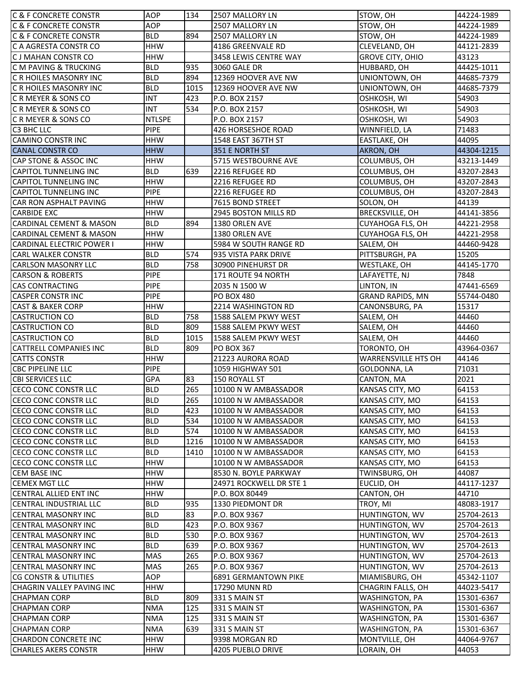| <b>C &amp; F CONCRETE CONSTR</b>                    | AOP               | 134  | 2507 MALLORY LN                     | STOW, OH                    | 44224-1989          |
|-----------------------------------------------------|-------------------|------|-------------------------------------|-----------------------------|---------------------|
| <b>C &amp; F CONCRETE CONSTR</b>                    | AOP               |      | 2507 MALLORY LN                     | STOW, OH                    | 44224-1989          |
| <b>C &amp; F CONCRETE CONSTR</b>                    | <b>BLD</b>        | 894  | 2507 MALLORY LN                     | STOW, OH                    | 44224-1989          |
| C A AGRESTA CONSTR CO                               | <b>HHW</b>        |      | 4186 GREENVALE RD                   | CLEVELAND, OH               | 44121-2839          |
| C J MAHAN CONSTR CO                                 | <b>HHW</b>        |      | 3458 LEWIS CENTRE WAY               | <b>GROVE CITY, OHIO</b>     | 43123               |
| C M PAVING & TRUCKING                               | <b>BLD</b>        | 935  | 3060 GALE DR                        | HUBBARD, OH                 | 44425-1011          |
| C R HOILES MASONRY INC                              | <b>BLD</b>        | 894  | 12369 HOOVER AVE NW                 | UNIONTOWN, OH               | 44685-7379          |
| C R HOILES MASONRY INC                              | <b>BLD</b>        | 1015 | 12369 HOOVER AVE NW                 | UNIONTOWN, OH               | 44685-7379          |
| C R MEYER & SONS CO                                 | <b>INT</b>        | 423  | P.O. BOX 2157                       | OSHKOSH, WI                 | 54903               |
| C R MEYER & SONS CO                                 | <b>INT</b>        | 534  | P.O. BOX 2157                       | OSHKOSH, WI                 | 54903               |
| C R MEYER & SONS CO                                 | <b>NTLSPE</b>     |      | P.O. BOX 2157                       | OSHKOSH, WI                 | 54903               |
| C3 BHC LLC                                          | <b>PIPE</b>       |      | 426 HORSESHOE ROAD                  | WINNFIELD, LA               | 71483               |
| <b>CAMINO CONSTRINC</b>                             | <b>HHW</b>        |      | 1548 EAST 367TH ST                  | EASTLAKE, OH                | 44095               |
| <b>CANAL CONSTR CO</b>                              | <b>HHW</b>        |      | 351 E NORTH ST                      | AKRON, OH                   | 44304-1215          |
| CAP STONE & ASSOC INC                               | <b>HHW</b>        |      | 5715 WESTBOURNE AVE                 | COLUMBUS, OH                | 43213-1449          |
| <b>CAPITOL TUNNELING INC</b>                        | <b>BLD</b>        | 639  | 2216 REFUGEE RD                     | COLUMBUS, OH                | 43207-2843          |
| <b>CAPITOL TUNNELING INC</b>                        | <b>HHW</b>        |      | 2216 REFUGEE RD                     | COLUMBUS, OH                | 43207-2843          |
| <b>CAPITOL TUNNELING INC</b>                        | <b>PIPE</b>       |      | 2216 REFUGEE RD                     | COLUMBUS, OH                | 43207-2843          |
| CAR RON ASPHALT PAVING                              | <b>HHW</b>        |      | 7615 BOND STREET                    | SOLON, OH                   | 44139               |
| <b>CARBIDE EXC</b>                                  | <b>HHW</b>        |      | 2945 BOSTON MILLS RD                | BRECKSVILLE, OH             | 44141-3856          |
| <b>CARDINAL CEMENT &amp; MASON</b>                  | <b>BLD</b>        | 894  | 1380 ORLEN AVE                      | CUYAHOGA FLS, OH            | 44221-2958          |
| <b>CARDINAL CEMENT &amp; MASON</b>                  | <b>HHW</b>        |      | 1380 ORLEN AVE                      | <b>CUYAHOGA FLS, OH</b>     | 44221-2958          |
| <b>CARDINAL ELECTRIC POWER I</b>                    | <b>HHW</b>        |      | 5984 W SOUTH RANGE RD               | SALEM, OH                   | 44460-9428          |
| <b>CARL WALKER CONSTR</b>                           | <b>BLD</b>        | 574  | 935 VISTA PARK DRIVE                | PITTSBURGH, PA              | 15205               |
| <b>CARLSON MASONRY LLC</b>                          | <b>BLD</b>        | 758  | 30900 PINEHURST DR                  | WESTLAKE, OH                | 44145-1770          |
| <b>CARSON &amp; ROBERTS</b>                         | PIPE              |      | 171 ROUTE 94 NORTH                  | LAFAYETTE, NJ               | 7848                |
| <b>CAS CONTRACTING</b>                              | <b>PIPE</b>       |      | 2035 N 1500 W                       | LINTON, IN                  | 47441-6569          |
| <b>CASPER CONSTR INC</b>                            | <b>PIPE</b>       |      | <b>PO BOX 480</b>                   | <b>GRAND RAPIDS, MN</b>     | 55744-0480          |
| <b>CAST &amp; BAKER CORP</b>                        | <b>HHW</b>        |      | 2214 WASHINGTON RD                  | CANONSBURG, PA              | 15317               |
| <b>CASTRUCTION CO</b>                               | <b>BLD</b>        | 758  | 1588 SALEM PKWY WEST                | SALEM, OH                   | 44460               |
| <b>CASTRUCTION CO</b>                               | <b>BLD</b>        | 809  | 1588 SALEM PKWY WEST                | SALEM, OH                   | 44460               |
| <b>CASTRUCTION CO</b>                               | <b>BLD</b>        | 1015 | 1588 SALEM PKWY WEST                | SALEM, OH                   | 44460               |
| <b>CATTRELL COMPANIES INC</b>                       | <b>BLD</b>        | 809  | <b>PO BOX 367</b>                   | TORONTO, OH                 | 43964-0367          |
| <b>CATTS CONSTR</b>                                 | <b>HHW</b>        |      | 21223 AURORA ROAD                   | <b>WARRENSVILLE HTS OH</b>  | 44146               |
| <b>CBC PIPELINE LLC</b>                             | <b>PIPE</b>       |      | 1059 HIGHWAY 501                    | GOLDONNA, LA                | 71031               |
| <b>CBI SERVICES LLC</b>                             | <b>GPA</b>        | 83   | 150 ROYALL ST                       | CANTON, MA                  | 2021                |
| CECO CONC CONSTR LLC                                | <b>BLD</b>        | 265  | 10100 N W AMBASSADOR                | KANSAS CITY, MO             | 64153               |
| CECO CONC CONSTR LLC                                | <b>BLD</b>        | 265  | 10100 N W AMBASSADOR                | KANSAS CITY, MO             | 64153               |
| CECO CONC CONSTR LLC                                | <b>BLD</b>        | 423  | 10100 N W AMBASSADOR                | KANSAS CITY, MO             | 64153               |
| CECO CONC CONSTR LLC                                | <b>BLD</b>        | 534  | 10100 N W AMBASSADOR                | KANSAS CITY, MO             | 64153               |
| CECO CONC CONSTR LLC                                | <b>BLD</b>        | 574  | 10100 N W AMBASSADOR                | KANSAS CITY, MO             | 64153               |
| CECO CONC CONSTR LLC                                | <b>BLD</b>        | 1216 | 10100 N W AMBASSADOR                | KANSAS CITY, MO             | 64153               |
| CECO CONC CONSTR LLC                                | <b>BLD</b>        | 1410 | 10100 N W AMBASSADOR                | KANSAS CITY, MO             | 64153               |
| CECO CONC CONSTR LLC                                | <b>HHW</b>        |      | 10100 N W AMBASSADOR                | KANSAS CITY, MO             | 64153               |
| <b>CEM BASE INC</b>                                 | <b>HHW</b>        |      | 8530 N. BOYLE PARKWAY               | TWINSBURG, OH               | 44087               |
| <b>CEMEX MGT LLC</b>                                | <b>HHW</b>        |      | 24971 ROCKWELL DR STE 1             | EUCLID, OH                  | 44117-1237          |
| CENTRAL ALLIED ENT INC                              | <b>HHW</b>        |      | P.O. BOX 80449                      | CANTON, OH                  | 44710               |
| CENTRAL INDUSTRIAL LLC                              | <b>BLD</b>        | 935  | 1330 PIEDMONT DR                    | TROY, MI                    | 48083-1917          |
| <b>CENTRAL MASONRY INC</b>                          | <b>BLD</b>        | 83   | P.O. BOX 9367                       | HUNTINGTON, WV              | 25704-2613          |
| <b>CENTRAL MASONRY INC</b>                          | <b>BLD</b>        | 423  | P.O. BOX 9367                       | HUNTINGTON, WV              | 25704-2613          |
| <b>CENTRAL MASONRY INC</b>                          | <b>BLD</b>        | 530  | P.O. BOX 9367                       | HUNTINGTON, WV              | 25704-2613          |
| <b>CENTRAL MASONRY INC</b>                          | <b>BLD</b>        | 639  | P.O. BOX 9367                       | HUNTINGTON, WV              | 25704-2613          |
| <b>CENTRAL MASONRY INC</b>                          | <b>MAS</b>        | 265  | P.O. BOX 9367                       | HUNTINGTON, WV              | 25704-2613          |
| <b>CENTRAL MASONRY INC</b>                          | <b>MAS</b>        | 265  | P.O. BOX 9367                       | HUNTINGTON, WV              | 25704-2613          |
| CG CONSTR & UTILITIES                               | AOP               |      | 6891 GERMANTOWN PIKE                | MIAMISBURG, OH              | 45342-1107          |
| CHAGRIN VALLEY PAVING INC                           | <b>HHW</b>        |      | 17290 MUNN RD                       | CHAGRIN FALLS, OH           | 44023-5417          |
| <b>CHAPMAN CORP</b>                                 |                   | 809  | 331 S MAIN ST                       | WASHINGTON, PA              | 15301-6367          |
| <b>CHAPMAN CORP</b>                                 |                   |      |                                     |                             |                     |
|                                                     | <b>BLD</b>        |      |                                     |                             |                     |
|                                                     | <b>NMA</b>        | 125  | 331 S MAIN ST                       | WASHINGTON, PA              | 15301-6367          |
| <b>CHAPMAN CORP</b>                                 | <b>NMA</b>        | 125  | 331 S MAIN ST                       | WASHINGTON, PA              | 15301-6367          |
| <b>CHAPMAN CORP</b>                                 | <b>NMA</b>        | 639  | 331 S MAIN ST                       | WASHINGTON, PA              | 15301-6367          |
| CHARDON CONCRETE INC<br><b>CHARLES AKERS CONSTR</b> | <b>HHW</b><br>HHW |      | 9398 MORGAN RD<br>4205 PUEBLO DRIVE | MONTVILLE, OH<br>LORAIN, OH | 44064-9767<br>44053 |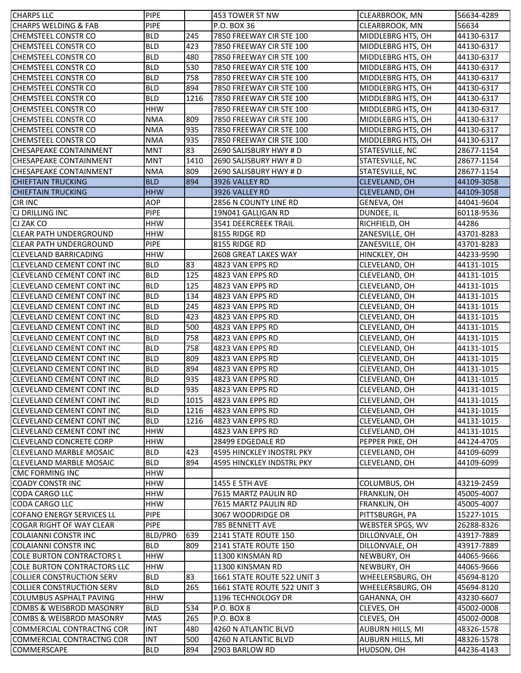| <b>CHARPS LLC</b>                   | <b>PIPE</b> |      | 453 TOWER ST NW             | CLEARBROOK, MN    | 56634-4289 |
|-------------------------------------|-------------|------|-----------------------------|-------------------|------------|
| <b>CHARPS WELDING &amp; FAB</b>     | <b>PIPE</b> |      | P.O. BOX 36                 | CLEARBROOK, MN    | 56634      |
| <b>CHEMSTEEL CONSTR CO</b>          | <b>BLD</b>  | 245  | 7850 FREEWAY CIR STE 100    | MIDDLEBRG HTS, OH | 44130-6317 |
| ICHEMSTEEL CONSTR CO                | <b>BLD</b>  | 423  | 7850 FREEWAY CIR STE 100    | MIDDLEBRG HTS, OH | 44130-6317 |
| <b>CHEMSTEEL CONSTR CO</b>          | <b>BLD</b>  | 480  | 7850 FREEWAY CIR STE 100    | MIDDLEBRG HTS, OH | 44130-6317 |
| <b>CHEMSTEEL CONSTR CO</b>          | <b>BLD</b>  | 530  | 7850 FREEWAY CIR STE 100    | MIDDLEBRG HTS, OH | 44130-6317 |
| <b>CHEMSTEEL CONSTR CO</b>          | <b>BLD</b>  | 758  | 7850 FREEWAY CIR STE 100    | MIDDLEBRG HTS, OH | 44130-6317 |
| <b>CHEMSTEEL CONSTR CO</b>          | <b>BLD</b>  | 894  | 7850 FREEWAY CIR STE 100    | MIDDLEBRG HTS, OH | 44130-6317 |
| <b>CHEMSTEEL CONSTR CO</b>          | <b>BLD</b>  | 1216 | 7850 FREEWAY CIR STE 100    | MIDDLEBRG HTS, OH | 44130-6317 |
| <b>CHEMSTEEL CONSTR CO</b>          | <b>HHW</b>  |      | 7850 FREEWAY CIR STE 100    | MIDDLEBRG HTS, OH | 44130-6317 |
| <b>CHEMSTEEL CONSTR CO</b>          | <b>NMA</b>  | 809  | 7850 FREEWAY CIR STE 100    | MIDDLEBRG HTS, OH | 44130-6317 |
| <b>CHEMSTEEL CONSTR CO</b>          | <b>NMA</b>  | 935  | 7850 FREEWAY CIR STE 100    | MIDDLEBRG HTS, OH | 44130-6317 |
| CHEMSTEEL CONSTR CO                 | <b>NMA</b>  | 935  | 7850 FREEWAY CIR STE 100    | MIDDLEBRG HTS, OH | 44130-6317 |
| <b>CHESAPEAKE CONTAINMENT</b>       | <b>MNT</b>  | 83   | 2690 SALISBURY HWY # D      | STATESVILLE, NC   | 28677-1154 |
| <b>CHESAPEAKE CONTAINMENT</b>       | <b>MNT</b>  | 1410 | 2690 SALISBURY HWY # D      | STATESVILLE, NC   | 28677-1154 |
| <b>CHESAPEAKE CONTAINMENT</b>       | <b>NMA</b>  | 809  | 2690 SALISBURY HWY # D      | STATESVILLE, NC   | 28677-1154 |
| <b>CHIEFTAIN TRUCKING</b>           | <b>BLD</b>  | 894  | 3926 VALLEY RD              | CLEVELAND, OH     | 44109-3058 |
| <b>CHIEFTAIN TRUCKING</b>           | <b>HHW</b>  |      | 3926 VALLEY RD              | CLEVELAND, OH     | 44109-3058 |
| <b>CIR INC</b>                      | <b>AOP</b>  |      | 2856 N COUNTY LINE RD       | GENEVA, OH        | 44041-9604 |
| <b>CJ DRILLING INC</b>              | <b>PIPE</b> |      | 19N041 GALLIGAN RD          | DUNDEE, IL        | 60118-9536 |
| CJ ZAK CO                           | <b>HHW</b>  |      | 3541 DEERCREEK TRAIL        | RICHFIELD, OH     | 44286      |
| ICLEAR PATH UNDERGROUND             | <b>HHW</b>  |      | 8155 RIDGE RD               | ZANESVILLE, OH    | 43701-8283 |
| ICLEAR PATH UNDERGROUND             | <b>PIPE</b> |      | 8155 RIDGE RD               | ZANESVILLE, OH    | 43701-8283 |
| <b>CLEVELAND BARRICADING</b>        | <b>HHW</b>  |      | 2608 GREAT LAKES WAY        | HINCKLEY, OH      | 44233-9590 |
| <b>CLEVELAND CEMENT CONT INC</b>    | <b>BLD</b>  | 83   | 4823 VAN EPPS RD            | CLEVELAND, OH     | 44131-1015 |
| <b>CLEVELAND CEMENT CONT INC</b>    | <b>BLD</b>  | 125  | 4823 VAN EPPS RD            | CLEVELAND, OH     | 44131-1015 |
| <b>CLEVELAND CEMENT CONT INC</b>    | <b>BLD</b>  | 125  | 4823 VAN EPPS RD            | CLEVELAND, OH     | 44131-1015 |
| <b>CLEVELAND CEMENT CONT INC</b>    | <b>BLD</b>  | 134  | 4823 VAN EPPS RD            | CLEVELAND, OH     | 44131-1015 |
| <b>CLEVELAND CEMENT CONT INC</b>    | <b>BLD</b>  | 245  | 4823 VAN EPPS RD            | CLEVELAND, OH     | 44131-1015 |
| <b>CLEVELAND CEMENT CONT INC</b>    | <b>BLD</b>  | 423  | 4823 VAN EPPS RD            | CLEVELAND, OH     | 44131-1015 |
| <b>CLEVELAND CEMENT CONT INC</b>    | <b>BLD</b>  | 500  | 4823 VAN EPPS RD            | CLEVELAND, OH     | 44131-1015 |
| <b>CLEVELAND CEMENT CONT INC</b>    | <b>BLD</b>  | 758  | 4823 VAN EPPS RD            | CLEVELAND, OH     | 44131-1015 |
| <b>CLEVELAND CEMENT CONT INC</b>    | <b>BLD</b>  | 758  | 4823 VAN EPPS RD            | CLEVELAND, OH     | 44131-1015 |
| <b>CLEVELAND CEMENT CONT INC</b>    | <b>BLD</b>  | 809  | 4823 VAN EPPS RD            | CLEVELAND, OH     | 44131-1015 |
| <b>CLEVELAND CEMENT CONT INC</b>    | <b>BLD</b>  | 894  | 4823 VAN EPPS RD            | CLEVELAND, OH     | 44131-1015 |
| <b>CLEVELAND CEMENT CONT INC</b>    | <b>BLD</b>  | 935  | 4823 VAN EPPS RD            | CLEVELAND, OH     | 44131-1015 |
| <b>CLEVELAND CEMENT CONT INC</b>    | <b>BLD</b>  | 935  | 4823 VAN EPPS RD            | CLEVELAND, OH     | 44131-1015 |
| CLEVELAND CEMENT CONT INC           | <b>BLD</b>  | 1015 | 4823 VAN EPPS RD            | CLEVELAND, OH     | 44131-1015 |
| <b>CLEVELAND CEMENT CONT INC</b>    | <b>BLD</b>  | 1216 | 4823 VAN EPPS RD            | CLEVELAND, OH     | 44131-1015 |
| <b>CLEVELAND CEMENT CONT INC</b>    | <b>BLD</b>  | 1216 | 4823 VAN EPPS RD            | CLEVELAND, OH     | 44131-1015 |
| <b>CLEVELAND CEMENT CONT INC</b>    | <b>HHW</b>  |      | 4823 VAN EPPS RD            | CLEVELAND, OH     | 44131-1015 |
| <b>CLEVELAND CONCRETE CORP</b>      | <b>HHW</b>  |      | 28499 EDGEDALE RD           | PEPPER PIKE, OH   | 44124-4705 |
| <b>CLEVELAND MARBLE MOSAIC</b>      | <b>BLD</b>  | 423  | 4595 HINCKLEY INDSTRL PKY   | CLEVELAND, OH     | 44109-6099 |
| <b>CLEVELAND MARBLE MOSAIC</b>      | <b>BLD</b>  | 894  | 4595 HINCKLEY INDSTRL PKY   | CLEVELAND, OH     | 44109-6099 |
| <b>CMC FORMING INC</b>              | <b>HHW</b>  |      |                             |                   |            |
| <b>COADY CONSTRING</b>              | <b>HHW</b>  |      | 1455 E 5TH AVE              | COLUMBUS, OH      | 43219-2459 |
| <b>CODA CARGO LLC</b>               | <b>HHW</b>  |      | 7615 MARTZ PAULIN RD        | FRANKLIN, OH      | 45005-4007 |
| <b>CODA CARGO LLC</b>               | <b>HHW</b>  |      | 7615 MARTZ PAULIN RD        | FRANKLIN, OH      | 45005-4007 |
| <b>COFANO ENERGY SERVICES LL</b>    | PIPE        |      | 3067 WOODRIDGE DR           | PITTSBURGH, PA    | 15227-1015 |
| <b>COGAR RIGHT OF WAY CLEAR</b>     | <b>PIPE</b> |      | 785 BENNETT AVE             | WEBSTER SPGS, WV  | 26288-8326 |
| <b>COLAIANNI CONSTR INC</b>         | BLD/PRO     | 639  | 2141 STATE ROUTE 150        | DILLONVALE, OH    | 43917-7889 |
| <b>COLAIANNI CONSTR INC</b>         | <b>BLD</b>  | 809  | 2141 STATE ROUTE 150        | DILLONVALE, OH    | 43917-7889 |
| <b>COLE BURTON CONTRACTORS L</b>    | <b>HHW</b>  |      | 11300 KINSMAN RD            | NEWBURY, OH       | 44065-9666 |
| <b>COLE BURTON CONTRACTORS LLC</b>  | <b>HHW</b>  |      | 11300 KINSMAN RD            | NEWBURY, OH       | 44065-9666 |
| <b>COLLIER CONSTRUCTION SERV</b>    | <b>BLD</b>  | 83   | 1661 STATE ROUTE 522 UNIT 3 | WHEELERSBURG, OH  | 45694-8120 |
| <b>COLLIER CONSTRUCTION SERV</b>    | <b>BLD</b>  | 265  | 1661 STATE ROUTE 522 UNIT 3 | WHEELERSBURG, OH  | 45694-8120 |
| <b>COLUMBUS ASPHALT PAVING</b>      | <b>HHW</b>  |      | 1196 TECHNOLOGY DR          | GAHANNA, OH       | 43230-6607 |
| <b>COMBS &amp; WEISBROD MASONRY</b> | <b>BLD</b>  | 534  | <b>P.O. BOX 8</b>           | CLEVES, OH        | 45002-0008 |
| <b>COMBS &amp; WEISBROD MASONRY</b> | <b>MAS</b>  | 265  | P.O. BOX 8                  | CLEVES, OH        | 45002-0008 |
| <b>COMMERCIAL CONTRACTNG COR</b>    | <b>INT</b>  | 480  | 4260 N ATLANTIC BLVD        | AUBURN HILLS, MI  |            |
| <b>COMMERCIAL CONTRACTNG COR</b>    | <b>INT</b>  | 500  | 4260 N ATLANTIC BLVD        | AUBURN HILLS, MI  | 48326-1578 |
|                                     |             | 894  |                             |                   | 48326-1578 |
| COMMERSCAPE                         | <b>BLD</b>  |      | 2903 BARLOW RD              | HUDSON, OH        | 44236-4143 |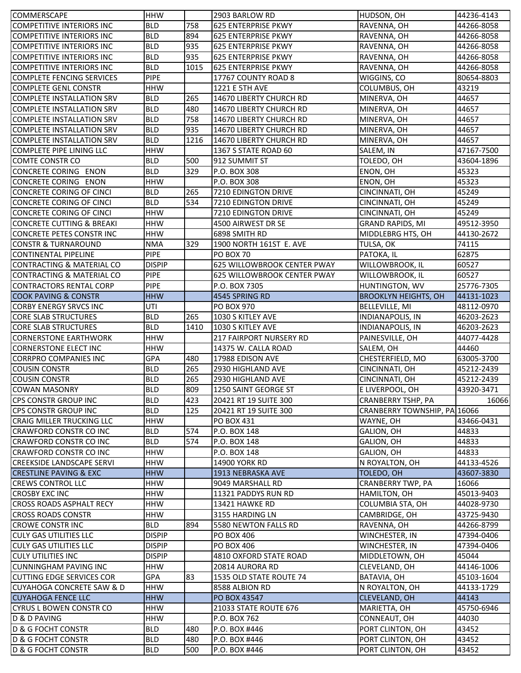| <b>COMMERSCAPE</b>                                               | <b>HHW</b>        |      | 2903 BARLOW RD                 | HUDSON, OH                   | 44236-4143               |
|------------------------------------------------------------------|-------------------|------|--------------------------------|------------------------------|--------------------------|
| <b>COMPETITIVE INTERIORS INC</b>                                 | <b>BLD</b>        | 758  | 625 ENTERPRISE PKWY            | RAVENNA, OH                  | 44266-8058               |
| <b>COMPETITIVE INTERIORS INC</b>                                 | <b>BLD</b>        | 894  | 625 ENTERPRISE PKWY            | RAVENNA, OH                  | 44266-8058               |
| <b>COMPETITIVE INTERIORS INC</b>                                 | <b>BLD</b>        | 935  | 625 ENTERPRISE PKWY            | RAVENNA, OH                  | 44266-8058               |
| <b>COMPETITIVE INTERIORS INC</b>                                 | <b>BLD</b>        | 935  | <b>625 ENTERPRISE PKWY</b>     | RAVENNA, OH                  | 44266-8058               |
| <b>COMPETITIVE INTERIORS INC</b>                                 | <b>BLD</b>        | 1015 | 625 ENTERPRISE PKWY            | RAVENNA, OH                  | 44266-8058               |
| <b>COMPLETE FENCING SERVICES</b>                                 | <b>PIPE</b>       |      | 17767 COUNTY ROAD 8            | WIGGINS, CO                  | 80654-8803               |
| <b>COMPLETE GENL CONSTR</b>                                      | <b>HHW</b>        |      | 1221 E 5TH AVE                 | COLUMBUS, OH                 | 43219                    |
| <b>COMPLETE INSTALLATION SRV</b>                                 | <b>BLD</b>        | 265  | 14670 LIBERTY CHURCH RD        | MINERVA, OH                  | 44657                    |
| <b>COMPLETE INSTALLATION SRV</b>                                 | <b>BLD</b>        | 480  | 14670 LIBERTY CHURCH RD        | MINERVA, OH                  | 44657                    |
| <b>COMPLETE INSTALLATION SRV</b>                                 | <b>BLD</b>        | 758  | 14670 LIBERTY CHURCH RD        | MINERVA, OH                  | 44657                    |
| <b>COMPLETE INSTALLATION SRV</b>                                 | <b>BLD</b>        | 935  | 14670 LIBERTY CHURCH RD        | MINERVA, OH                  | 44657                    |
| <b>COMPLETE INSTALLATION SRV</b>                                 | <b>BLD</b>        | 1216 | 14670 LIBERTY CHURCH RD        | MINERVA, OH                  | 44657                    |
| COMPLETE PIPE LINING LLC                                         | <b>HHW</b>        |      | 1367 S STATE ROAD 60           | SALEM, IN                    | 47167-7500               |
| <b>COMTE CONSTR CO</b>                                           | <b>BLD</b>        | 500  | 912 SUMMIT ST                  | TOLEDO, OH                   | 43604-1896               |
| CONCRETE CORING ENON                                             | <b>BLD</b>        | 329  | P.O. BOX 308                   | ENON, OH                     | 45323                    |
| <b>CONCRETE CORING ENON</b>                                      | <b>HHW</b>        |      | P.O. BOX 308                   | ENON, OH                     | 45323                    |
| <b>CONCRETE CORING OF CINCI</b>                                  | <b>BLD</b>        | 265  | 7210 EDINGTON DRIVE            | CINCINNATI, OH               | 45249                    |
| <b>CONCRETE CORING OF CINCI</b>                                  | <b>BLD</b>        | 534  | 7210 EDINGTON DRIVE            | CINCINNATI, OH               | 45249                    |
| <b>CONCRETE CORING OF CINCI</b>                                  | <b>HHW</b>        |      | 7210 EDINGTON DRIVE            | CINCINNATI, OH               | 45249                    |
| <b>CONCRETE CUTTING &amp; BREAKI</b>                             | <b>HHW</b>        |      | 4500 AIRWEST DR SE             | <b>GRAND RAPIDS, MI</b>      | 49512-3950               |
| CONCRETE PETES CONSTR INC                                        | <b>HHW</b>        |      | 6898 SMITH RD                  | MIDDLEBRG HTS, OH            | 44130-2672               |
| <b>CONSTR &amp; TURNAROUND</b>                                   | <b>NMA</b>        | 329  | 1900 NORTH 161ST E. AVE        | TULSA, OK                    | 74115                    |
| <b>CONTINENTAL PIPELINE</b>                                      | <b>PIPE</b>       |      | PO BOX 70                      | PATOKA, IL                   | 62875                    |
| CONTRACTING & MATERIAL CO                                        | <b>DISPIP</b>     |      | 625 WILLOWBROOK CENTER PWAY    | WILLOWBROOK, IL              | 60527                    |
| CONTRACTING & MATERIAL CO                                        | <b>PIPE</b>       |      | 625 WILLOWBROOK CENTER PWAY    | WILLOWBROOK, IL              | 60527                    |
| <b>CONTRACTORS RENTAL CORP</b>                                   | <b>PIPE</b>       |      | P.O. BOX 7305                  |                              | 25776-7305               |
|                                                                  |                   |      |                                | HUNTINGTON, WV               |                          |
| <b>COOK PAVING &amp; CONSTR</b><br><b>CORBY ENERGY SRVCS INC</b> | <b>HHW</b><br>UTI |      | 4545 SPRING RD                 | <b>BROOKLYN HEIGHTS, OH</b>  | 44131-1023<br>48112-0970 |
|                                                                  |                   | 265  | PO BOX 970                     | BELLEVILLE, MI               |                          |
| <b>CORE SLAB STRUCTURES</b>                                      | <b>BLD</b>        |      | 1030 S KITLEY AVE              | <b>INDIANAPOLIS, IN</b>      | 46203-2623               |
| <b>CORE SLAB STRUCTURES</b>                                      | <b>BLD</b>        | 1410 | 1030 S KITLEY AVE              | <b>INDIANAPOLIS, IN</b>      | 46203-2623               |
| <b>CORNERSTONE EARTHWORK</b>                                     | <b>HHW</b>        |      | <b>217 FAIRPORT NURSERY RD</b> | PAINESVILLE, OH              | 44077-4428               |
| <b>CORNERSTONE ELECT INC</b>                                     | <b>HHW</b>        |      | 14375 W. CALLA ROAD            | SALEM, OH                    | 44460                    |
| <b>CORRPRO COMPANIES INC</b>                                     | GPA               | 480  | 17988 EDISON AVE               | CHESTERFIELD, MO             | 63005-3700               |
| <b>COUSIN CONSTR</b>                                             | <b>BLD</b>        | 265  | 2930 HIGHLAND AVE              | CINCINNATI, OH               | 45212-2439               |
| <b>COUSIN CONSTR</b>                                             | <b>BLD</b>        | 265  | 2930 HIGHLAND AVE              | CINCINNATI, OH               | 45212-2439               |
| <b>COWAN MASONRY</b>                                             | <b>BLD</b>        | 809  | 1250 SAINT GEORGE ST           | E LIVERPOOL, OH              | 43920-3471               |
| CPS CONSTR GROUP INC                                             | <b>BLD</b>        | 423  | 20421 RT 19 SUITE 300          | <b>CRANBERRY TSHP, PA</b>    | 16066                    |
| CPS CONSTR GROUP INC                                             | <b>BLD</b>        | 125  | 20421 RT 19 SUITE 300          | CRANBERRY TOWNSHIP, PA 16066 |                          |
| <b>CRAIG MILLER TRUCKING LLC</b>                                 | <b>HHW</b>        |      | <b>PO BOX 431</b>              | WAYNE, OH                    | 43466-0431               |
| <b>CRAWFORD CONSTR CO INC</b>                                    | <b>BLD</b>        | 574  | P.O. BOX 148                   | GALION, OH                   | 44833                    |
| <b>CRAWFORD CONSTR CO INC</b>                                    | <b>BLD</b>        | 574  | P.O. BOX 148                   | GALION, OH                   | 44833                    |
| CRAWFORD CONSTR CO INC                                           | <b>HHW</b>        |      | P.O. BOX 148                   | GALION, OH                   | 44833                    |
| <b>CREEKSIDE LANDSCAPE SERVI</b>                                 | <b>HHW</b>        |      | <b>14900 YORK RD</b>           | N ROYALTON, OH               | 44133-4526               |
| <b>CRESTLINE PAVING &amp; EXC</b>                                | <b>HHW</b>        |      | 1913 NEBRASKA AVE              | TOLEDO, OH                   | 43607-3830               |
| <b>CREWS CONTROL LLC</b>                                         | <b>HHW</b>        |      | 9049 MARSHALL RD               | CRANBERRY TWP, PA            | 16066                    |
| <b>CROSBY EXC INC</b>                                            | <b>HHW</b>        |      | 11321 PADDYS RUN RD            | HAMILTON, OH                 | 45013-9403               |
| <b>CROSS ROADS ASPHALT RECY</b>                                  | <b>HHW</b>        |      | <b>13421 HAWKE RD</b>          | COLUMBIA STA, OH             | 44028-9730               |
| <b>CROSS ROADS CONSTR</b>                                        | <b>HHW</b>        |      | 3155 HARDING LN                | CAMBRIDGE, OH                | 43725-9430               |
| <b>CROWE CONSTR INC</b>                                          | <b>BLD</b>        | 894  | 5580 NEWTON FALLS RD           | RAVENNA, OH                  | 44266-8799               |
| <b>CULY GAS UTILITIES LLC</b>                                    | <b>DISPIP</b>     |      | <b>PO BOX 406</b>              | WINCHESTER, IN               | 47394-0406               |
| <b>CULY GAS UTILITIES LLC</b>                                    | <b>DISPIP</b>     |      | <b>PO BOX 406</b>              | WINCHESTER, IN               | 47394-0406               |
| <b>CULY UTILITIES INC</b>                                        | <b>DISPIP</b>     |      | 4810 OXFORD STATE ROAD         | MIDDLETOWN, OH               | 45044                    |
| <b>CUNNINGHAM PAVING INC</b>                                     | <b>HHW</b>        |      | 20814 AURORA RD                | CLEVELAND, OH                | 44146-1006               |
| <b>CUTTING EDGE SERVICES COR</b>                                 | <b>GPA</b>        | 83   | 1535 OLD STATE ROUTE 74        | BATAVIA, OH                  | 45103-1604               |
| <b>CUYAHOGA CONCRETE SAW &amp; D</b>                             | <b>HHW</b>        |      | 8588 ALBION RD                 | N ROYALTON, OH               | 44133-1729               |
| <b>CUYAHOGA FENCE LLC</b>                                        | <b>HHW</b>        |      | PO BOX 43547                   | <b>CLEVELAND, OH</b>         | 44143                    |
| CYRUS L BOWEN CONSTR CO                                          | <b>HHW</b>        |      | 21033 STATE ROUTE 676          | MARIETTA, OH                 | 45750-6946               |
| D & D PAVING                                                     | <b>HHW</b>        |      | P.O. BOX 762                   | CONNEAUT, OH                 | 44030                    |
| <b>D &amp; G FOCHT CONSTR</b>                                    | <b>BLD</b>        | 480  | P.O. BOX #446                  | PORT CLINTON, OH             | 43452                    |
| D & G FOCHT CONSTR                                               | <b>BLD</b>        | 480  | P.O. BOX #446                  | PORT CLINTON, OH             | 43452                    |
| <b>D &amp; G FOCHT CONSTR</b>                                    | <b>BLD</b>        | 500  | P.O. BOX #446                  | PORT CLINTON, OH             | 43452                    |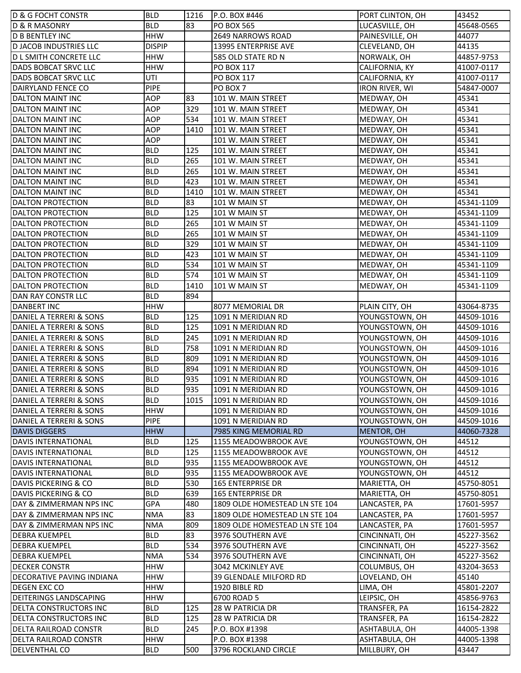| 83<br><b>BLD</b><br>LUCASVILLE, OH<br>45648-0565<br><b>D &amp; R MASONRY</b><br><b>PO BOX 565</b><br><b>HHW</b><br>44077<br><b>D B BENTLEY INC</b><br>2649 NARROWS ROAD<br>PAINESVILLE, OH<br><b>DISPIP</b><br><b>D JACOB INDUSTRIES LLC</b><br>13995 ENTERPRISE AVE<br>CLEVELAND, OH<br>44135<br>44857-9753<br><b>D L SMITH CONCRETE LLC</b><br><b>HHW</b><br>585 OLD STATE RD N<br>NORWALK, OH<br><b>HHW</b><br>DADS BOBCAT SRVC LLC<br><b>PO BOX 117</b><br>41007-0117<br>CALIFORNIA, KY<br>UTI<br>DADS BOBCAT SRVC LLC<br><b>PO BOX 117</b><br>41007-0117<br>CALIFORNIA, KY<br><b>PIPE</b><br>DAIRYLAND FENCE CO<br>PO BOX 7<br>54847-0007<br>IRON RIVER, WI<br><b>AOP</b><br><b>DALTON MAINT INC</b><br>83<br>101 W. MAIN STREET<br>45341<br>MEDWAY, OH<br><b>AOP</b><br>329<br>45341<br><b>DALTON MAINT INC</b><br>101 W. MAIN STREET<br>MEDWAY, OH<br><b>AOP</b><br>534<br>45341<br><b>DALTON MAINT INC</b><br>101 W. MAIN STREET<br>MEDWAY, OH<br><b>AOP</b><br>1410<br>45341<br><b>DALTON MAINT INC</b><br>101 W. MAIN STREET<br>MEDWAY, OH<br><b>AOP</b><br>45341<br><b>DALTON MAINT INC</b><br>101 W. MAIN STREET<br>MEDWAY, OH<br><b>BLD</b><br>125<br><b>DALTON MAINT INC</b><br>45341<br>101 W. MAIN STREET<br>MEDWAY, OH<br><b>BLD</b><br>265<br>45341<br><b>DALTON MAINT INC</b><br>101 W. MAIN STREET<br>MEDWAY, OH<br>265<br><b>BLD</b><br>45341<br><b>DALTON MAINT INC</b><br>101 W. MAIN STREET<br>MEDWAY, OH<br>423<br><b>BLD</b><br>45341<br><b>DALTON MAINT INC</b><br>101 W. MAIN STREET<br>MEDWAY, OH<br><b>BLD</b><br>1410<br>45341<br><b>DALTON MAINT INC</b><br>101 W. MAIN STREET<br>MEDWAY, OH<br>83<br><b>BLD</b><br>45341-1109<br><b>DALTON PROTECTION</b><br>101 W MAIN ST<br>MEDWAY, OH<br>125<br><b>BLD</b><br><b>DALTON PROTECTION</b><br>101 W MAIN ST<br>MEDWAY, OH<br>45341-1109<br>265<br><b>BLD</b><br><b>DALTON PROTECTION</b><br>101 W MAIN ST<br>MEDWAY, OH<br>45341-1109<br>265<br><b>BLD</b><br><b>DALTON PROTECTION</b><br>101 W MAIN ST<br>MEDWAY, OH<br>45341-1109<br>329<br><b>BLD</b><br><b>DALTON PROTECTION</b><br>101 W MAIN ST<br>MEDWAY, OH<br>45341-1109<br>423<br><b>BLD</b><br><b>DALTON PROTECTION</b><br>101 W MAIN ST<br>MEDWAY, OH<br>45341-1109<br>534<br><b>BLD</b><br><b>DALTON PROTECTION</b><br>101 W MAIN ST<br>MEDWAY, OH<br>45341-1109<br>574<br><b>BLD</b><br><b>DALTON PROTECTION</b><br>101 W MAIN ST<br>MEDWAY, OH<br>45341-1109<br><b>BLD</b><br>1410<br>101 W MAIN ST<br><b>DALTON PROTECTION</b><br>MEDWAY, OH<br>45341-1109<br>894<br><b>BLD</b><br>DAN RAY CONSTR LLC<br><b>HHW</b><br><b>DANBERT INC</b><br>8077 MEMORIAL DR<br>PLAIN CITY, OH<br>43064-8735<br><b>BLD</b><br>125<br>DANIEL A TERRERI & SONS<br>1091 N MERIDIAN RD<br>YOUNGSTOWN, OH<br>44509-1016<br><b>BLD</b><br>125<br>DANIEL A TERRERI & SONS<br>1091 N MERIDIAN RD<br>YOUNGSTOWN, OH<br>44509-1016<br><b>BLD</b><br>245<br>YOUNGSTOWN, OH<br>44509-1016<br>DANIEL A TERRERI & SONS<br>1091 N MERIDIAN RD<br><b>BLD</b><br>758<br>DANIEL A TERRERI & SONS<br>1091 N MERIDIAN RD<br>YOUNGSTOWN, OH<br>44509-1016<br><b>BLD</b><br>809<br>YOUNGSTOWN, OH<br>DANIEL A TERRERI & SONS<br>1091 N MERIDIAN RD<br>44509-1016<br><b>BLD</b><br>894<br>DANIEL A TERRERI & SONS<br>1091 N MERIDIAN RD<br>YOUNGSTOWN, OH<br>44509-1016<br>935<br>DANIEL A TERRERI & SONS<br><b>BLD</b><br>1091 N MERIDIAN RD<br>YOUNGSTOWN, OH<br>44509-1016<br>935<br><b>BLD</b><br>DANIEL A TERRERI & SONS<br>1091 N MERIDIAN RD<br>YOUNGSTOWN, OH<br>44509-1016<br><b>BLD</b><br>1015<br>1091 N MERIDIAN RD<br>YOUNGSTOWN, OH<br>DANIEL A TERRERI & SONS<br>44509-1016<br>DANIEL A TERRERI & SONS<br><b>HHW</b><br>1091 N MERIDIAN RD<br>YOUNGSTOWN, OH<br>44509-1016<br>DANIEL A TERRERI & SONS<br><b>PIPE</b><br>44509-1016<br>1091 N MERIDIAN RD<br>YOUNGSTOWN, OH<br><b>HHW</b><br><b>DAVIS DIGGERS</b><br>7985 KING MEMORIAL RD<br>MENTOR, OH<br>44060-7328<br>125<br><b>DAVIS INTERNATIONAL</b><br><b>BLD</b><br>1155 MEADOWBROOK AVE<br>YOUNGSTOWN, OH<br>44512<br><b>BLD</b><br>125<br>44512<br>DAVIS INTERNATIONAL<br>1155 MEADOWBROOK AVE<br>YOUNGSTOWN, OH<br>935<br>44512<br><b>BLD</b><br>YOUNGSTOWN, OH<br>DAVIS INTERNATIONAL<br>1155 MEADOWBROOK AVE<br>935<br><b>DAVIS INTERNATIONAL</b><br><b>BLD</b><br>1155 MEADOWBROOK AVE<br>YOUNGSTOWN, OH<br>44512<br>530<br>DAVIS PICKERING & CO<br><b>BLD</b><br>165 ENTERPRISE DR<br>45750-8051<br>MARIETTA, OH<br>639<br><b>BLD</b><br><b>DAVIS PICKERING &amp; CO</b><br>165 ENTERPRISE DR<br>MARIETTA, OH<br>45750-8051<br><b>GPA</b><br>480<br>DAY & ZIMMERMAN NPS INC<br>1809 OLDE HOMESTEAD LN STE 104<br>LANCASTER, PA<br>17601-5957<br>83<br><b>NMA</b><br>DAY & ZIMMERMAN NPS INC<br>1809 OLDE HOMESTEAD LN STE 104<br>LANCASTER, PA<br>17601-5957<br>809<br><b>NMA</b><br>DAY & ZIMMERMAN NPS INC<br>1809 OLDE HOMESTEAD LN STE 104<br>LANCASTER, PA<br>17601-5957<br>83<br><b>BLD</b><br><b>DEBRA KUEMPEL</b><br>3976 SOUTHERN AVE<br>CINCINNATI, OH<br>45227-3562<br>534<br><b>BLD</b><br><b>DEBRA KUEMPEL</b><br>3976 SOUTHERN AVE<br>CINCINNATI, OH<br>45227-3562<br><b>NMA</b><br>534<br><b>DEBRA KUEMPEL</b><br>3976 SOUTHERN AVE<br>CINCINNATI, OH<br>45227-3562<br><b>HHW</b><br><b>DECKER CONSTR</b><br>3042 MCKINLEY AVE<br>COLUMBUS, OH<br>43204-3653<br>DECORATIVE PAVING INDIANA<br>HHW<br>39 GLENDALE MILFORD RD<br>45140<br>LOVELAND, OH<br><b>DEGEN EXC CO</b><br><b>HHW</b><br>1920 BIBLE RD<br>45801-2207<br>LIMA, OH<br><b>DEITERINGS LANDSCAPING</b><br><b>HHW</b><br>6700 ROAD 5<br>LEIPSIC, OH<br>45856-9763<br>125<br>DELTA CONSTRUCTORS INC<br><b>BLD</b><br>28 W PATRICIA DR<br>TRANSFER, PA<br>16154-2822<br>DELTA CONSTRUCTORS INC<br><b>BLD</b><br>125<br><b>28 W PATRICIA DR</b><br>TRANSFER, PA<br>16154-2822<br><b>BLD</b><br>44005-1398<br>DELTA RAILROAD CONSTR<br>245<br>P.O. BOX #1398<br>ASHTABULA, OH<br><b>HHW</b><br>DELTA RAILROAD CONSTR<br>P.O. BOX #1398<br>ASHTABULA, OH<br>44005-1398 | <b>D &amp; G FOCHT CONSTR</b> | <b>BLD</b> | 1216 | P.O. BOX #446        | PORT CLINTON, OH | 43452 |
|---------------------------------------------------------------------------------------------------------------------------------------------------------------------------------------------------------------------------------------------------------------------------------------------------------------------------------------------------------------------------------------------------------------------------------------------------------------------------------------------------------------------------------------------------------------------------------------------------------------------------------------------------------------------------------------------------------------------------------------------------------------------------------------------------------------------------------------------------------------------------------------------------------------------------------------------------------------------------------------------------------------------------------------------------------------------------------------------------------------------------------------------------------------------------------------------------------------------------------------------------------------------------------------------------------------------------------------------------------------------------------------------------------------------------------------------------------------------------------------------------------------------------------------------------------------------------------------------------------------------------------------------------------------------------------------------------------------------------------------------------------------------------------------------------------------------------------------------------------------------------------------------------------------------------------------------------------------------------------------------------------------------------------------------------------------------------------------------------------------------------------------------------------------------------------------------------------------------------------------------------------------------------------------------------------------------------------------------------------------------------------------------------------------------------------------------------------------------------------------------------------------------------------------------------------------------------------------------------------------------------------------------------------------------------------------------------------------------------------------------------------------------------------------------------------------------------------------------------------------------------------------------------------------------------------------------------------------------------------------------------------------------------------------------------------------------------------------------------------------------------------------------------------------------------------------------------------------------------------------------------------------------------------------------------------------------------------------------------------------------------------------------------------------------------------------------------------------------------------------------------------------------------------------------------------------------------------------------------------------------------------------------------------------------------------------------------------------------------------------------------------------------------------------------------------------------------------------------------------------------------------------------------------------------------------------------------------------------------------------------------------------------------------------------------------------------------------------------------------------------------------------------------------------------------------------------------------------------------------------------------------------------------------------------------------------------------------------------------------------------------------------------------------------------------------------------------------------------------------------------------------------------------------------------------------------------------------------------------------------------------------------------------------------------------------------------------------------------------------------------------------------------------------------------------------------------------------------------------------------------------------------------------------------------------------------------------------------------------------------------------------------------------------------------------------------------------------------------------------------------------------------------------------------------------------------------------------------------------------------------------------------------------------------------------------------------------------------------------------------------------------------------------------------------------------------------------------------------------------------------------------------------------------------------------------------------------------------------------------------------------------------------------------------------------------------------------------------------------------------------------------------------------------------------------------------------------------------------------------------------------------------------------------------------------------------|-------------------------------|------------|------|----------------------|------------------|-------|
|                                                                                                                                                                                                                                                                                                                                                                                                                                                                                                                                                                                                                                                                                                                                                                                                                                                                                                                                                                                                                                                                                                                                                                                                                                                                                                                                                                                                                                                                                                                                                                                                                                                                                                                                                                                                                                                                                                                                                                                                                                                                                                                                                                                                                                                                                                                                                                                                                                                                                                                                                                                                                                                                                                                                                                                                                                                                                                                                                                                                                                                                                                                                                                                                                                                                                                                                                                                                                                                                                                                                                                                                                                                                                                                                                                                                                                                                                                                                                                                                                                                                                                                                                                                                                                                                                                                                                                                                                                                                                                                                                                                                                                                                                                                                                                                                                                                                                                                                                                                                                                                                                                                                                                                                                                                                                                                                                                                                                                                                                                                                                                                                                                                                                                                                                                                                                                                                                                                                       |                               |            |      |                      |                  |       |
|                                                                                                                                                                                                                                                                                                                                                                                                                                                                                                                                                                                                                                                                                                                                                                                                                                                                                                                                                                                                                                                                                                                                                                                                                                                                                                                                                                                                                                                                                                                                                                                                                                                                                                                                                                                                                                                                                                                                                                                                                                                                                                                                                                                                                                                                                                                                                                                                                                                                                                                                                                                                                                                                                                                                                                                                                                                                                                                                                                                                                                                                                                                                                                                                                                                                                                                                                                                                                                                                                                                                                                                                                                                                                                                                                                                                                                                                                                                                                                                                                                                                                                                                                                                                                                                                                                                                                                                                                                                                                                                                                                                                                                                                                                                                                                                                                                                                                                                                                                                                                                                                                                                                                                                                                                                                                                                                                                                                                                                                                                                                                                                                                                                                                                                                                                                                                                                                                                                                       |                               |            |      |                      |                  |       |
|                                                                                                                                                                                                                                                                                                                                                                                                                                                                                                                                                                                                                                                                                                                                                                                                                                                                                                                                                                                                                                                                                                                                                                                                                                                                                                                                                                                                                                                                                                                                                                                                                                                                                                                                                                                                                                                                                                                                                                                                                                                                                                                                                                                                                                                                                                                                                                                                                                                                                                                                                                                                                                                                                                                                                                                                                                                                                                                                                                                                                                                                                                                                                                                                                                                                                                                                                                                                                                                                                                                                                                                                                                                                                                                                                                                                                                                                                                                                                                                                                                                                                                                                                                                                                                                                                                                                                                                                                                                                                                                                                                                                                                                                                                                                                                                                                                                                                                                                                                                                                                                                                                                                                                                                                                                                                                                                                                                                                                                                                                                                                                                                                                                                                                                                                                                                                                                                                                                                       |                               |            |      |                      |                  |       |
|                                                                                                                                                                                                                                                                                                                                                                                                                                                                                                                                                                                                                                                                                                                                                                                                                                                                                                                                                                                                                                                                                                                                                                                                                                                                                                                                                                                                                                                                                                                                                                                                                                                                                                                                                                                                                                                                                                                                                                                                                                                                                                                                                                                                                                                                                                                                                                                                                                                                                                                                                                                                                                                                                                                                                                                                                                                                                                                                                                                                                                                                                                                                                                                                                                                                                                                                                                                                                                                                                                                                                                                                                                                                                                                                                                                                                                                                                                                                                                                                                                                                                                                                                                                                                                                                                                                                                                                                                                                                                                                                                                                                                                                                                                                                                                                                                                                                                                                                                                                                                                                                                                                                                                                                                                                                                                                                                                                                                                                                                                                                                                                                                                                                                                                                                                                                                                                                                                                                       |                               |            |      |                      |                  |       |
|                                                                                                                                                                                                                                                                                                                                                                                                                                                                                                                                                                                                                                                                                                                                                                                                                                                                                                                                                                                                                                                                                                                                                                                                                                                                                                                                                                                                                                                                                                                                                                                                                                                                                                                                                                                                                                                                                                                                                                                                                                                                                                                                                                                                                                                                                                                                                                                                                                                                                                                                                                                                                                                                                                                                                                                                                                                                                                                                                                                                                                                                                                                                                                                                                                                                                                                                                                                                                                                                                                                                                                                                                                                                                                                                                                                                                                                                                                                                                                                                                                                                                                                                                                                                                                                                                                                                                                                                                                                                                                                                                                                                                                                                                                                                                                                                                                                                                                                                                                                                                                                                                                                                                                                                                                                                                                                                                                                                                                                                                                                                                                                                                                                                                                                                                                                                                                                                                                                                       |                               |            |      |                      |                  |       |
|                                                                                                                                                                                                                                                                                                                                                                                                                                                                                                                                                                                                                                                                                                                                                                                                                                                                                                                                                                                                                                                                                                                                                                                                                                                                                                                                                                                                                                                                                                                                                                                                                                                                                                                                                                                                                                                                                                                                                                                                                                                                                                                                                                                                                                                                                                                                                                                                                                                                                                                                                                                                                                                                                                                                                                                                                                                                                                                                                                                                                                                                                                                                                                                                                                                                                                                                                                                                                                                                                                                                                                                                                                                                                                                                                                                                                                                                                                                                                                                                                                                                                                                                                                                                                                                                                                                                                                                                                                                                                                                                                                                                                                                                                                                                                                                                                                                                                                                                                                                                                                                                                                                                                                                                                                                                                                                                                                                                                                                                                                                                                                                                                                                                                                                                                                                                                                                                                                                                       |                               |            |      |                      |                  |       |
|                                                                                                                                                                                                                                                                                                                                                                                                                                                                                                                                                                                                                                                                                                                                                                                                                                                                                                                                                                                                                                                                                                                                                                                                                                                                                                                                                                                                                                                                                                                                                                                                                                                                                                                                                                                                                                                                                                                                                                                                                                                                                                                                                                                                                                                                                                                                                                                                                                                                                                                                                                                                                                                                                                                                                                                                                                                                                                                                                                                                                                                                                                                                                                                                                                                                                                                                                                                                                                                                                                                                                                                                                                                                                                                                                                                                                                                                                                                                                                                                                                                                                                                                                                                                                                                                                                                                                                                                                                                                                                                                                                                                                                                                                                                                                                                                                                                                                                                                                                                                                                                                                                                                                                                                                                                                                                                                                                                                                                                                                                                                                                                                                                                                                                                                                                                                                                                                                                                                       |                               |            |      |                      |                  |       |
|                                                                                                                                                                                                                                                                                                                                                                                                                                                                                                                                                                                                                                                                                                                                                                                                                                                                                                                                                                                                                                                                                                                                                                                                                                                                                                                                                                                                                                                                                                                                                                                                                                                                                                                                                                                                                                                                                                                                                                                                                                                                                                                                                                                                                                                                                                                                                                                                                                                                                                                                                                                                                                                                                                                                                                                                                                                                                                                                                                                                                                                                                                                                                                                                                                                                                                                                                                                                                                                                                                                                                                                                                                                                                                                                                                                                                                                                                                                                                                                                                                                                                                                                                                                                                                                                                                                                                                                                                                                                                                                                                                                                                                                                                                                                                                                                                                                                                                                                                                                                                                                                                                                                                                                                                                                                                                                                                                                                                                                                                                                                                                                                                                                                                                                                                                                                                                                                                                                                       |                               |            |      |                      |                  |       |
|                                                                                                                                                                                                                                                                                                                                                                                                                                                                                                                                                                                                                                                                                                                                                                                                                                                                                                                                                                                                                                                                                                                                                                                                                                                                                                                                                                                                                                                                                                                                                                                                                                                                                                                                                                                                                                                                                                                                                                                                                                                                                                                                                                                                                                                                                                                                                                                                                                                                                                                                                                                                                                                                                                                                                                                                                                                                                                                                                                                                                                                                                                                                                                                                                                                                                                                                                                                                                                                                                                                                                                                                                                                                                                                                                                                                                                                                                                                                                                                                                                                                                                                                                                                                                                                                                                                                                                                                                                                                                                                                                                                                                                                                                                                                                                                                                                                                                                                                                                                                                                                                                                                                                                                                                                                                                                                                                                                                                                                                                                                                                                                                                                                                                                                                                                                                                                                                                                                                       |                               |            |      |                      |                  |       |
|                                                                                                                                                                                                                                                                                                                                                                                                                                                                                                                                                                                                                                                                                                                                                                                                                                                                                                                                                                                                                                                                                                                                                                                                                                                                                                                                                                                                                                                                                                                                                                                                                                                                                                                                                                                                                                                                                                                                                                                                                                                                                                                                                                                                                                                                                                                                                                                                                                                                                                                                                                                                                                                                                                                                                                                                                                                                                                                                                                                                                                                                                                                                                                                                                                                                                                                                                                                                                                                                                                                                                                                                                                                                                                                                                                                                                                                                                                                                                                                                                                                                                                                                                                                                                                                                                                                                                                                                                                                                                                                                                                                                                                                                                                                                                                                                                                                                                                                                                                                                                                                                                                                                                                                                                                                                                                                                                                                                                                                                                                                                                                                                                                                                                                                                                                                                                                                                                                                                       |                               |            |      |                      |                  |       |
|                                                                                                                                                                                                                                                                                                                                                                                                                                                                                                                                                                                                                                                                                                                                                                                                                                                                                                                                                                                                                                                                                                                                                                                                                                                                                                                                                                                                                                                                                                                                                                                                                                                                                                                                                                                                                                                                                                                                                                                                                                                                                                                                                                                                                                                                                                                                                                                                                                                                                                                                                                                                                                                                                                                                                                                                                                                                                                                                                                                                                                                                                                                                                                                                                                                                                                                                                                                                                                                                                                                                                                                                                                                                                                                                                                                                                                                                                                                                                                                                                                                                                                                                                                                                                                                                                                                                                                                                                                                                                                                                                                                                                                                                                                                                                                                                                                                                                                                                                                                                                                                                                                                                                                                                                                                                                                                                                                                                                                                                                                                                                                                                                                                                                                                                                                                                                                                                                                                                       |                               |            |      |                      |                  |       |
|                                                                                                                                                                                                                                                                                                                                                                                                                                                                                                                                                                                                                                                                                                                                                                                                                                                                                                                                                                                                                                                                                                                                                                                                                                                                                                                                                                                                                                                                                                                                                                                                                                                                                                                                                                                                                                                                                                                                                                                                                                                                                                                                                                                                                                                                                                                                                                                                                                                                                                                                                                                                                                                                                                                                                                                                                                                                                                                                                                                                                                                                                                                                                                                                                                                                                                                                                                                                                                                                                                                                                                                                                                                                                                                                                                                                                                                                                                                                                                                                                                                                                                                                                                                                                                                                                                                                                                                                                                                                                                                                                                                                                                                                                                                                                                                                                                                                                                                                                                                                                                                                                                                                                                                                                                                                                                                                                                                                                                                                                                                                                                                                                                                                                                                                                                                                                                                                                                                                       |                               |            |      |                      |                  |       |
|                                                                                                                                                                                                                                                                                                                                                                                                                                                                                                                                                                                                                                                                                                                                                                                                                                                                                                                                                                                                                                                                                                                                                                                                                                                                                                                                                                                                                                                                                                                                                                                                                                                                                                                                                                                                                                                                                                                                                                                                                                                                                                                                                                                                                                                                                                                                                                                                                                                                                                                                                                                                                                                                                                                                                                                                                                                                                                                                                                                                                                                                                                                                                                                                                                                                                                                                                                                                                                                                                                                                                                                                                                                                                                                                                                                                                                                                                                                                                                                                                                                                                                                                                                                                                                                                                                                                                                                                                                                                                                                                                                                                                                                                                                                                                                                                                                                                                                                                                                                                                                                                                                                                                                                                                                                                                                                                                                                                                                                                                                                                                                                                                                                                                                                                                                                                                                                                                                                                       |                               |            |      |                      |                  |       |
|                                                                                                                                                                                                                                                                                                                                                                                                                                                                                                                                                                                                                                                                                                                                                                                                                                                                                                                                                                                                                                                                                                                                                                                                                                                                                                                                                                                                                                                                                                                                                                                                                                                                                                                                                                                                                                                                                                                                                                                                                                                                                                                                                                                                                                                                                                                                                                                                                                                                                                                                                                                                                                                                                                                                                                                                                                                                                                                                                                                                                                                                                                                                                                                                                                                                                                                                                                                                                                                                                                                                                                                                                                                                                                                                                                                                                                                                                                                                                                                                                                                                                                                                                                                                                                                                                                                                                                                                                                                                                                                                                                                                                                                                                                                                                                                                                                                                                                                                                                                                                                                                                                                                                                                                                                                                                                                                                                                                                                                                                                                                                                                                                                                                                                                                                                                                                                                                                                                                       |                               |            |      |                      |                  |       |
|                                                                                                                                                                                                                                                                                                                                                                                                                                                                                                                                                                                                                                                                                                                                                                                                                                                                                                                                                                                                                                                                                                                                                                                                                                                                                                                                                                                                                                                                                                                                                                                                                                                                                                                                                                                                                                                                                                                                                                                                                                                                                                                                                                                                                                                                                                                                                                                                                                                                                                                                                                                                                                                                                                                                                                                                                                                                                                                                                                                                                                                                                                                                                                                                                                                                                                                                                                                                                                                                                                                                                                                                                                                                                                                                                                                                                                                                                                                                                                                                                                                                                                                                                                                                                                                                                                                                                                                                                                                                                                                                                                                                                                                                                                                                                                                                                                                                                                                                                                                                                                                                                                                                                                                                                                                                                                                                                                                                                                                                                                                                                                                                                                                                                                                                                                                                                                                                                                                                       |                               |            |      |                      |                  |       |
|                                                                                                                                                                                                                                                                                                                                                                                                                                                                                                                                                                                                                                                                                                                                                                                                                                                                                                                                                                                                                                                                                                                                                                                                                                                                                                                                                                                                                                                                                                                                                                                                                                                                                                                                                                                                                                                                                                                                                                                                                                                                                                                                                                                                                                                                                                                                                                                                                                                                                                                                                                                                                                                                                                                                                                                                                                                                                                                                                                                                                                                                                                                                                                                                                                                                                                                                                                                                                                                                                                                                                                                                                                                                                                                                                                                                                                                                                                                                                                                                                                                                                                                                                                                                                                                                                                                                                                                                                                                                                                                                                                                                                                                                                                                                                                                                                                                                                                                                                                                                                                                                                                                                                                                                                                                                                                                                                                                                                                                                                                                                                                                                                                                                                                                                                                                                                                                                                                                                       |                               |            |      |                      |                  |       |
|                                                                                                                                                                                                                                                                                                                                                                                                                                                                                                                                                                                                                                                                                                                                                                                                                                                                                                                                                                                                                                                                                                                                                                                                                                                                                                                                                                                                                                                                                                                                                                                                                                                                                                                                                                                                                                                                                                                                                                                                                                                                                                                                                                                                                                                                                                                                                                                                                                                                                                                                                                                                                                                                                                                                                                                                                                                                                                                                                                                                                                                                                                                                                                                                                                                                                                                                                                                                                                                                                                                                                                                                                                                                                                                                                                                                                                                                                                                                                                                                                                                                                                                                                                                                                                                                                                                                                                                                                                                                                                                                                                                                                                                                                                                                                                                                                                                                                                                                                                                                                                                                                                                                                                                                                                                                                                                                                                                                                                                                                                                                                                                                                                                                                                                                                                                                                                                                                                                                       |                               |            |      |                      |                  |       |
|                                                                                                                                                                                                                                                                                                                                                                                                                                                                                                                                                                                                                                                                                                                                                                                                                                                                                                                                                                                                                                                                                                                                                                                                                                                                                                                                                                                                                                                                                                                                                                                                                                                                                                                                                                                                                                                                                                                                                                                                                                                                                                                                                                                                                                                                                                                                                                                                                                                                                                                                                                                                                                                                                                                                                                                                                                                                                                                                                                                                                                                                                                                                                                                                                                                                                                                                                                                                                                                                                                                                                                                                                                                                                                                                                                                                                                                                                                                                                                                                                                                                                                                                                                                                                                                                                                                                                                                                                                                                                                                                                                                                                                                                                                                                                                                                                                                                                                                                                                                                                                                                                                                                                                                                                                                                                                                                                                                                                                                                                                                                                                                                                                                                                                                                                                                                                                                                                                                                       |                               |            |      |                      |                  |       |
|                                                                                                                                                                                                                                                                                                                                                                                                                                                                                                                                                                                                                                                                                                                                                                                                                                                                                                                                                                                                                                                                                                                                                                                                                                                                                                                                                                                                                                                                                                                                                                                                                                                                                                                                                                                                                                                                                                                                                                                                                                                                                                                                                                                                                                                                                                                                                                                                                                                                                                                                                                                                                                                                                                                                                                                                                                                                                                                                                                                                                                                                                                                                                                                                                                                                                                                                                                                                                                                                                                                                                                                                                                                                                                                                                                                                                                                                                                                                                                                                                                                                                                                                                                                                                                                                                                                                                                                                                                                                                                                                                                                                                                                                                                                                                                                                                                                                                                                                                                                                                                                                                                                                                                                                                                                                                                                                                                                                                                                                                                                                                                                                                                                                                                                                                                                                                                                                                                                                       |                               |            |      |                      |                  |       |
|                                                                                                                                                                                                                                                                                                                                                                                                                                                                                                                                                                                                                                                                                                                                                                                                                                                                                                                                                                                                                                                                                                                                                                                                                                                                                                                                                                                                                                                                                                                                                                                                                                                                                                                                                                                                                                                                                                                                                                                                                                                                                                                                                                                                                                                                                                                                                                                                                                                                                                                                                                                                                                                                                                                                                                                                                                                                                                                                                                                                                                                                                                                                                                                                                                                                                                                                                                                                                                                                                                                                                                                                                                                                                                                                                                                                                                                                                                                                                                                                                                                                                                                                                                                                                                                                                                                                                                                                                                                                                                                                                                                                                                                                                                                                                                                                                                                                                                                                                                                                                                                                                                                                                                                                                                                                                                                                                                                                                                                                                                                                                                                                                                                                                                                                                                                                                                                                                                                                       |                               |            |      |                      |                  |       |
|                                                                                                                                                                                                                                                                                                                                                                                                                                                                                                                                                                                                                                                                                                                                                                                                                                                                                                                                                                                                                                                                                                                                                                                                                                                                                                                                                                                                                                                                                                                                                                                                                                                                                                                                                                                                                                                                                                                                                                                                                                                                                                                                                                                                                                                                                                                                                                                                                                                                                                                                                                                                                                                                                                                                                                                                                                                                                                                                                                                                                                                                                                                                                                                                                                                                                                                                                                                                                                                                                                                                                                                                                                                                                                                                                                                                                                                                                                                                                                                                                                                                                                                                                                                                                                                                                                                                                                                                                                                                                                                                                                                                                                                                                                                                                                                                                                                                                                                                                                                                                                                                                                                                                                                                                                                                                                                                                                                                                                                                                                                                                                                                                                                                                                                                                                                                                                                                                                                                       |                               |            |      |                      |                  |       |
|                                                                                                                                                                                                                                                                                                                                                                                                                                                                                                                                                                                                                                                                                                                                                                                                                                                                                                                                                                                                                                                                                                                                                                                                                                                                                                                                                                                                                                                                                                                                                                                                                                                                                                                                                                                                                                                                                                                                                                                                                                                                                                                                                                                                                                                                                                                                                                                                                                                                                                                                                                                                                                                                                                                                                                                                                                                                                                                                                                                                                                                                                                                                                                                                                                                                                                                                                                                                                                                                                                                                                                                                                                                                                                                                                                                                                                                                                                                                                                                                                                                                                                                                                                                                                                                                                                                                                                                                                                                                                                                                                                                                                                                                                                                                                                                                                                                                                                                                                                                                                                                                                                                                                                                                                                                                                                                                                                                                                                                                                                                                                                                                                                                                                                                                                                                                                                                                                                                                       |                               |            |      |                      |                  |       |
|                                                                                                                                                                                                                                                                                                                                                                                                                                                                                                                                                                                                                                                                                                                                                                                                                                                                                                                                                                                                                                                                                                                                                                                                                                                                                                                                                                                                                                                                                                                                                                                                                                                                                                                                                                                                                                                                                                                                                                                                                                                                                                                                                                                                                                                                                                                                                                                                                                                                                                                                                                                                                                                                                                                                                                                                                                                                                                                                                                                                                                                                                                                                                                                                                                                                                                                                                                                                                                                                                                                                                                                                                                                                                                                                                                                                                                                                                                                                                                                                                                                                                                                                                                                                                                                                                                                                                                                                                                                                                                                                                                                                                                                                                                                                                                                                                                                                                                                                                                                                                                                                                                                                                                                                                                                                                                                                                                                                                                                                                                                                                                                                                                                                                                                                                                                                                                                                                                                                       |                               |            |      |                      |                  |       |
|                                                                                                                                                                                                                                                                                                                                                                                                                                                                                                                                                                                                                                                                                                                                                                                                                                                                                                                                                                                                                                                                                                                                                                                                                                                                                                                                                                                                                                                                                                                                                                                                                                                                                                                                                                                                                                                                                                                                                                                                                                                                                                                                                                                                                                                                                                                                                                                                                                                                                                                                                                                                                                                                                                                                                                                                                                                                                                                                                                                                                                                                                                                                                                                                                                                                                                                                                                                                                                                                                                                                                                                                                                                                                                                                                                                                                                                                                                                                                                                                                                                                                                                                                                                                                                                                                                                                                                                                                                                                                                                                                                                                                                                                                                                                                                                                                                                                                                                                                                                                                                                                                                                                                                                                                                                                                                                                                                                                                                                                                                                                                                                                                                                                                                                                                                                                                                                                                                                                       |                               |            |      |                      |                  |       |
|                                                                                                                                                                                                                                                                                                                                                                                                                                                                                                                                                                                                                                                                                                                                                                                                                                                                                                                                                                                                                                                                                                                                                                                                                                                                                                                                                                                                                                                                                                                                                                                                                                                                                                                                                                                                                                                                                                                                                                                                                                                                                                                                                                                                                                                                                                                                                                                                                                                                                                                                                                                                                                                                                                                                                                                                                                                                                                                                                                                                                                                                                                                                                                                                                                                                                                                                                                                                                                                                                                                                                                                                                                                                                                                                                                                                                                                                                                                                                                                                                                                                                                                                                                                                                                                                                                                                                                                                                                                                                                                                                                                                                                                                                                                                                                                                                                                                                                                                                                                                                                                                                                                                                                                                                                                                                                                                                                                                                                                                                                                                                                                                                                                                                                                                                                                                                                                                                                                                       |                               |            |      |                      |                  |       |
|                                                                                                                                                                                                                                                                                                                                                                                                                                                                                                                                                                                                                                                                                                                                                                                                                                                                                                                                                                                                                                                                                                                                                                                                                                                                                                                                                                                                                                                                                                                                                                                                                                                                                                                                                                                                                                                                                                                                                                                                                                                                                                                                                                                                                                                                                                                                                                                                                                                                                                                                                                                                                                                                                                                                                                                                                                                                                                                                                                                                                                                                                                                                                                                                                                                                                                                                                                                                                                                                                                                                                                                                                                                                                                                                                                                                                                                                                                                                                                                                                                                                                                                                                                                                                                                                                                                                                                                                                                                                                                                                                                                                                                                                                                                                                                                                                                                                                                                                                                                                                                                                                                                                                                                                                                                                                                                                                                                                                                                                                                                                                                                                                                                                                                                                                                                                                                                                                                                                       |                               |            |      |                      |                  |       |
|                                                                                                                                                                                                                                                                                                                                                                                                                                                                                                                                                                                                                                                                                                                                                                                                                                                                                                                                                                                                                                                                                                                                                                                                                                                                                                                                                                                                                                                                                                                                                                                                                                                                                                                                                                                                                                                                                                                                                                                                                                                                                                                                                                                                                                                                                                                                                                                                                                                                                                                                                                                                                                                                                                                                                                                                                                                                                                                                                                                                                                                                                                                                                                                                                                                                                                                                                                                                                                                                                                                                                                                                                                                                                                                                                                                                                                                                                                                                                                                                                                                                                                                                                                                                                                                                                                                                                                                                                                                                                                                                                                                                                                                                                                                                                                                                                                                                                                                                                                                                                                                                                                                                                                                                                                                                                                                                                                                                                                                                                                                                                                                                                                                                                                                                                                                                                                                                                                                                       |                               |            |      |                      |                  |       |
|                                                                                                                                                                                                                                                                                                                                                                                                                                                                                                                                                                                                                                                                                                                                                                                                                                                                                                                                                                                                                                                                                                                                                                                                                                                                                                                                                                                                                                                                                                                                                                                                                                                                                                                                                                                                                                                                                                                                                                                                                                                                                                                                                                                                                                                                                                                                                                                                                                                                                                                                                                                                                                                                                                                                                                                                                                                                                                                                                                                                                                                                                                                                                                                                                                                                                                                                                                                                                                                                                                                                                                                                                                                                                                                                                                                                                                                                                                                                                                                                                                                                                                                                                                                                                                                                                                                                                                                                                                                                                                                                                                                                                                                                                                                                                                                                                                                                                                                                                                                                                                                                                                                                                                                                                                                                                                                                                                                                                                                                                                                                                                                                                                                                                                                                                                                                                                                                                                                                       |                               |            |      |                      |                  |       |
|                                                                                                                                                                                                                                                                                                                                                                                                                                                                                                                                                                                                                                                                                                                                                                                                                                                                                                                                                                                                                                                                                                                                                                                                                                                                                                                                                                                                                                                                                                                                                                                                                                                                                                                                                                                                                                                                                                                                                                                                                                                                                                                                                                                                                                                                                                                                                                                                                                                                                                                                                                                                                                                                                                                                                                                                                                                                                                                                                                                                                                                                                                                                                                                                                                                                                                                                                                                                                                                                                                                                                                                                                                                                                                                                                                                                                                                                                                                                                                                                                                                                                                                                                                                                                                                                                                                                                                                                                                                                                                                                                                                                                                                                                                                                                                                                                                                                                                                                                                                                                                                                                                                                                                                                                                                                                                                                                                                                                                                                                                                                                                                                                                                                                                                                                                                                                                                                                                                                       |                               |            |      |                      |                  |       |
|                                                                                                                                                                                                                                                                                                                                                                                                                                                                                                                                                                                                                                                                                                                                                                                                                                                                                                                                                                                                                                                                                                                                                                                                                                                                                                                                                                                                                                                                                                                                                                                                                                                                                                                                                                                                                                                                                                                                                                                                                                                                                                                                                                                                                                                                                                                                                                                                                                                                                                                                                                                                                                                                                                                                                                                                                                                                                                                                                                                                                                                                                                                                                                                                                                                                                                                                                                                                                                                                                                                                                                                                                                                                                                                                                                                                                                                                                                                                                                                                                                                                                                                                                                                                                                                                                                                                                                                                                                                                                                                                                                                                                                                                                                                                                                                                                                                                                                                                                                                                                                                                                                                                                                                                                                                                                                                                                                                                                                                                                                                                                                                                                                                                                                                                                                                                                                                                                                                                       |                               |            |      |                      |                  |       |
|                                                                                                                                                                                                                                                                                                                                                                                                                                                                                                                                                                                                                                                                                                                                                                                                                                                                                                                                                                                                                                                                                                                                                                                                                                                                                                                                                                                                                                                                                                                                                                                                                                                                                                                                                                                                                                                                                                                                                                                                                                                                                                                                                                                                                                                                                                                                                                                                                                                                                                                                                                                                                                                                                                                                                                                                                                                                                                                                                                                                                                                                                                                                                                                                                                                                                                                                                                                                                                                                                                                                                                                                                                                                                                                                                                                                                                                                                                                                                                                                                                                                                                                                                                                                                                                                                                                                                                                                                                                                                                                                                                                                                                                                                                                                                                                                                                                                                                                                                                                                                                                                                                                                                                                                                                                                                                                                                                                                                                                                                                                                                                                                                                                                                                                                                                                                                                                                                                                                       |                               |            |      |                      |                  |       |
|                                                                                                                                                                                                                                                                                                                                                                                                                                                                                                                                                                                                                                                                                                                                                                                                                                                                                                                                                                                                                                                                                                                                                                                                                                                                                                                                                                                                                                                                                                                                                                                                                                                                                                                                                                                                                                                                                                                                                                                                                                                                                                                                                                                                                                                                                                                                                                                                                                                                                                                                                                                                                                                                                                                                                                                                                                                                                                                                                                                                                                                                                                                                                                                                                                                                                                                                                                                                                                                                                                                                                                                                                                                                                                                                                                                                                                                                                                                                                                                                                                                                                                                                                                                                                                                                                                                                                                                                                                                                                                                                                                                                                                                                                                                                                                                                                                                                                                                                                                                                                                                                                                                                                                                                                                                                                                                                                                                                                                                                                                                                                                                                                                                                                                                                                                                                                                                                                                                                       |                               |            |      |                      |                  |       |
|                                                                                                                                                                                                                                                                                                                                                                                                                                                                                                                                                                                                                                                                                                                                                                                                                                                                                                                                                                                                                                                                                                                                                                                                                                                                                                                                                                                                                                                                                                                                                                                                                                                                                                                                                                                                                                                                                                                                                                                                                                                                                                                                                                                                                                                                                                                                                                                                                                                                                                                                                                                                                                                                                                                                                                                                                                                                                                                                                                                                                                                                                                                                                                                                                                                                                                                                                                                                                                                                                                                                                                                                                                                                                                                                                                                                                                                                                                                                                                                                                                                                                                                                                                                                                                                                                                                                                                                                                                                                                                                                                                                                                                                                                                                                                                                                                                                                                                                                                                                                                                                                                                                                                                                                                                                                                                                                                                                                                                                                                                                                                                                                                                                                                                                                                                                                                                                                                                                                       |                               |            |      |                      |                  |       |
|                                                                                                                                                                                                                                                                                                                                                                                                                                                                                                                                                                                                                                                                                                                                                                                                                                                                                                                                                                                                                                                                                                                                                                                                                                                                                                                                                                                                                                                                                                                                                                                                                                                                                                                                                                                                                                                                                                                                                                                                                                                                                                                                                                                                                                                                                                                                                                                                                                                                                                                                                                                                                                                                                                                                                                                                                                                                                                                                                                                                                                                                                                                                                                                                                                                                                                                                                                                                                                                                                                                                                                                                                                                                                                                                                                                                                                                                                                                                                                                                                                                                                                                                                                                                                                                                                                                                                                                                                                                                                                                                                                                                                                                                                                                                                                                                                                                                                                                                                                                                                                                                                                                                                                                                                                                                                                                                                                                                                                                                                                                                                                                                                                                                                                                                                                                                                                                                                                                                       |                               |            |      |                      |                  |       |
|                                                                                                                                                                                                                                                                                                                                                                                                                                                                                                                                                                                                                                                                                                                                                                                                                                                                                                                                                                                                                                                                                                                                                                                                                                                                                                                                                                                                                                                                                                                                                                                                                                                                                                                                                                                                                                                                                                                                                                                                                                                                                                                                                                                                                                                                                                                                                                                                                                                                                                                                                                                                                                                                                                                                                                                                                                                                                                                                                                                                                                                                                                                                                                                                                                                                                                                                                                                                                                                                                                                                                                                                                                                                                                                                                                                                                                                                                                                                                                                                                                                                                                                                                                                                                                                                                                                                                                                                                                                                                                                                                                                                                                                                                                                                                                                                                                                                                                                                                                                                                                                                                                                                                                                                                                                                                                                                                                                                                                                                                                                                                                                                                                                                                                                                                                                                                                                                                                                                       |                               |            |      |                      |                  |       |
|                                                                                                                                                                                                                                                                                                                                                                                                                                                                                                                                                                                                                                                                                                                                                                                                                                                                                                                                                                                                                                                                                                                                                                                                                                                                                                                                                                                                                                                                                                                                                                                                                                                                                                                                                                                                                                                                                                                                                                                                                                                                                                                                                                                                                                                                                                                                                                                                                                                                                                                                                                                                                                                                                                                                                                                                                                                                                                                                                                                                                                                                                                                                                                                                                                                                                                                                                                                                                                                                                                                                                                                                                                                                                                                                                                                                                                                                                                                                                                                                                                                                                                                                                                                                                                                                                                                                                                                                                                                                                                                                                                                                                                                                                                                                                                                                                                                                                                                                                                                                                                                                                                                                                                                                                                                                                                                                                                                                                                                                                                                                                                                                                                                                                                                                                                                                                                                                                                                                       |                               |            |      |                      |                  |       |
|                                                                                                                                                                                                                                                                                                                                                                                                                                                                                                                                                                                                                                                                                                                                                                                                                                                                                                                                                                                                                                                                                                                                                                                                                                                                                                                                                                                                                                                                                                                                                                                                                                                                                                                                                                                                                                                                                                                                                                                                                                                                                                                                                                                                                                                                                                                                                                                                                                                                                                                                                                                                                                                                                                                                                                                                                                                                                                                                                                                                                                                                                                                                                                                                                                                                                                                                                                                                                                                                                                                                                                                                                                                                                                                                                                                                                                                                                                                                                                                                                                                                                                                                                                                                                                                                                                                                                                                                                                                                                                                                                                                                                                                                                                                                                                                                                                                                                                                                                                                                                                                                                                                                                                                                                                                                                                                                                                                                                                                                                                                                                                                                                                                                                                                                                                                                                                                                                                                                       |                               |            |      |                      |                  |       |
|                                                                                                                                                                                                                                                                                                                                                                                                                                                                                                                                                                                                                                                                                                                                                                                                                                                                                                                                                                                                                                                                                                                                                                                                                                                                                                                                                                                                                                                                                                                                                                                                                                                                                                                                                                                                                                                                                                                                                                                                                                                                                                                                                                                                                                                                                                                                                                                                                                                                                                                                                                                                                                                                                                                                                                                                                                                                                                                                                                                                                                                                                                                                                                                                                                                                                                                                                                                                                                                                                                                                                                                                                                                                                                                                                                                                                                                                                                                                                                                                                                                                                                                                                                                                                                                                                                                                                                                                                                                                                                                                                                                                                                                                                                                                                                                                                                                                                                                                                                                                                                                                                                                                                                                                                                                                                                                                                                                                                                                                                                                                                                                                                                                                                                                                                                                                                                                                                                                                       |                               |            |      |                      |                  |       |
|                                                                                                                                                                                                                                                                                                                                                                                                                                                                                                                                                                                                                                                                                                                                                                                                                                                                                                                                                                                                                                                                                                                                                                                                                                                                                                                                                                                                                                                                                                                                                                                                                                                                                                                                                                                                                                                                                                                                                                                                                                                                                                                                                                                                                                                                                                                                                                                                                                                                                                                                                                                                                                                                                                                                                                                                                                                                                                                                                                                                                                                                                                                                                                                                                                                                                                                                                                                                                                                                                                                                                                                                                                                                                                                                                                                                                                                                                                                                                                                                                                                                                                                                                                                                                                                                                                                                                                                                                                                                                                                                                                                                                                                                                                                                                                                                                                                                                                                                                                                                                                                                                                                                                                                                                                                                                                                                                                                                                                                                                                                                                                                                                                                                                                                                                                                                                                                                                                                                       |                               |            |      |                      |                  |       |
|                                                                                                                                                                                                                                                                                                                                                                                                                                                                                                                                                                                                                                                                                                                                                                                                                                                                                                                                                                                                                                                                                                                                                                                                                                                                                                                                                                                                                                                                                                                                                                                                                                                                                                                                                                                                                                                                                                                                                                                                                                                                                                                                                                                                                                                                                                                                                                                                                                                                                                                                                                                                                                                                                                                                                                                                                                                                                                                                                                                                                                                                                                                                                                                                                                                                                                                                                                                                                                                                                                                                                                                                                                                                                                                                                                                                                                                                                                                                                                                                                                                                                                                                                                                                                                                                                                                                                                                                                                                                                                                                                                                                                                                                                                                                                                                                                                                                                                                                                                                                                                                                                                                                                                                                                                                                                                                                                                                                                                                                                                                                                                                                                                                                                                                                                                                                                                                                                                                                       |                               |            |      |                      |                  |       |
|                                                                                                                                                                                                                                                                                                                                                                                                                                                                                                                                                                                                                                                                                                                                                                                                                                                                                                                                                                                                                                                                                                                                                                                                                                                                                                                                                                                                                                                                                                                                                                                                                                                                                                                                                                                                                                                                                                                                                                                                                                                                                                                                                                                                                                                                                                                                                                                                                                                                                                                                                                                                                                                                                                                                                                                                                                                                                                                                                                                                                                                                                                                                                                                                                                                                                                                                                                                                                                                                                                                                                                                                                                                                                                                                                                                                                                                                                                                                                                                                                                                                                                                                                                                                                                                                                                                                                                                                                                                                                                                                                                                                                                                                                                                                                                                                                                                                                                                                                                                                                                                                                                                                                                                                                                                                                                                                                                                                                                                                                                                                                                                                                                                                                                                                                                                                                                                                                                                                       |                               |            |      |                      |                  |       |
|                                                                                                                                                                                                                                                                                                                                                                                                                                                                                                                                                                                                                                                                                                                                                                                                                                                                                                                                                                                                                                                                                                                                                                                                                                                                                                                                                                                                                                                                                                                                                                                                                                                                                                                                                                                                                                                                                                                                                                                                                                                                                                                                                                                                                                                                                                                                                                                                                                                                                                                                                                                                                                                                                                                                                                                                                                                                                                                                                                                                                                                                                                                                                                                                                                                                                                                                                                                                                                                                                                                                                                                                                                                                                                                                                                                                                                                                                                                                                                                                                                                                                                                                                                                                                                                                                                                                                                                                                                                                                                                                                                                                                                                                                                                                                                                                                                                                                                                                                                                                                                                                                                                                                                                                                                                                                                                                                                                                                                                                                                                                                                                                                                                                                                                                                                                                                                                                                                                                       |                               |            |      |                      |                  |       |
|                                                                                                                                                                                                                                                                                                                                                                                                                                                                                                                                                                                                                                                                                                                                                                                                                                                                                                                                                                                                                                                                                                                                                                                                                                                                                                                                                                                                                                                                                                                                                                                                                                                                                                                                                                                                                                                                                                                                                                                                                                                                                                                                                                                                                                                                                                                                                                                                                                                                                                                                                                                                                                                                                                                                                                                                                                                                                                                                                                                                                                                                                                                                                                                                                                                                                                                                                                                                                                                                                                                                                                                                                                                                                                                                                                                                                                                                                                                                                                                                                                                                                                                                                                                                                                                                                                                                                                                                                                                                                                                                                                                                                                                                                                                                                                                                                                                                                                                                                                                                                                                                                                                                                                                                                                                                                                                                                                                                                                                                                                                                                                                                                                                                                                                                                                                                                                                                                                                                       |                               |            |      |                      |                  |       |
|                                                                                                                                                                                                                                                                                                                                                                                                                                                                                                                                                                                                                                                                                                                                                                                                                                                                                                                                                                                                                                                                                                                                                                                                                                                                                                                                                                                                                                                                                                                                                                                                                                                                                                                                                                                                                                                                                                                                                                                                                                                                                                                                                                                                                                                                                                                                                                                                                                                                                                                                                                                                                                                                                                                                                                                                                                                                                                                                                                                                                                                                                                                                                                                                                                                                                                                                                                                                                                                                                                                                                                                                                                                                                                                                                                                                                                                                                                                                                                                                                                                                                                                                                                                                                                                                                                                                                                                                                                                                                                                                                                                                                                                                                                                                                                                                                                                                                                                                                                                                                                                                                                                                                                                                                                                                                                                                                                                                                                                                                                                                                                                                                                                                                                                                                                                                                                                                                                                                       |                               |            |      |                      |                  |       |
|                                                                                                                                                                                                                                                                                                                                                                                                                                                                                                                                                                                                                                                                                                                                                                                                                                                                                                                                                                                                                                                                                                                                                                                                                                                                                                                                                                                                                                                                                                                                                                                                                                                                                                                                                                                                                                                                                                                                                                                                                                                                                                                                                                                                                                                                                                                                                                                                                                                                                                                                                                                                                                                                                                                                                                                                                                                                                                                                                                                                                                                                                                                                                                                                                                                                                                                                                                                                                                                                                                                                                                                                                                                                                                                                                                                                                                                                                                                                                                                                                                                                                                                                                                                                                                                                                                                                                                                                                                                                                                                                                                                                                                                                                                                                                                                                                                                                                                                                                                                                                                                                                                                                                                                                                                                                                                                                                                                                                                                                                                                                                                                                                                                                                                                                                                                                                                                                                                                                       |                               |            |      |                      |                  |       |
|                                                                                                                                                                                                                                                                                                                                                                                                                                                                                                                                                                                                                                                                                                                                                                                                                                                                                                                                                                                                                                                                                                                                                                                                                                                                                                                                                                                                                                                                                                                                                                                                                                                                                                                                                                                                                                                                                                                                                                                                                                                                                                                                                                                                                                                                                                                                                                                                                                                                                                                                                                                                                                                                                                                                                                                                                                                                                                                                                                                                                                                                                                                                                                                                                                                                                                                                                                                                                                                                                                                                                                                                                                                                                                                                                                                                                                                                                                                                                                                                                                                                                                                                                                                                                                                                                                                                                                                                                                                                                                                                                                                                                                                                                                                                                                                                                                                                                                                                                                                                                                                                                                                                                                                                                                                                                                                                                                                                                                                                                                                                                                                                                                                                                                                                                                                                                                                                                                                                       |                               |            |      |                      |                  |       |
|                                                                                                                                                                                                                                                                                                                                                                                                                                                                                                                                                                                                                                                                                                                                                                                                                                                                                                                                                                                                                                                                                                                                                                                                                                                                                                                                                                                                                                                                                                                                                                                                                                                                                                                                                                                                                                                                                                                                                                                                                                                                                                                                                                                                                                                                                                                                                                                                                                                                                                                                                                                                                                                                                                                                                                                                                                                                                                                                                                                                                                                                                                                                                                                                                                                                                                                                                                                                                                                                                                                                                                                                                                                                                                                                                                                                                                                                                                                                                                                                                                                                                                                                                                                                                                                                                                                                                                                                                                                                                                                                                                                                                                                                                                                                                                                                                                                                                                                                                                                                                                                                                                                                                                                                                                                                                                                                                                                                                                                                                                                                                                                                                                                                                                                                                                                                                                                                                                                                       |                               |            |      |                      |                  |       |
|                                                                                                                                                                                                                                                                                                                                                                                                                                                                                                                                                                                                                                                                                                                                                                                                                                                                                                                                                                                                                                                                                                                                                                                                                                                                                                                                                                                                                                                                                                                                                                                                                                                                                                                                                                                                                                                                                                                                                                                                                                                                                                                                                                                                                                                                                                                                                                                                                                                                                                                                                                                                                                                                                                                                                                                                                                                                                                                                                                                                                                                                                                                                                                                                                                                                                                                                                                                                                                                                                                                                                                                                                                                                                                                                                                                                                                                                                                                                                                                                                                                                                                                                                                                                                                                                                                                                                                                                                                                                                                                                                                                                                                                                                                                                                                                                                                                                                                                                                                                                                                                                                                                                                                                                                                                                                                                                                                                                                                                                                                                                                                                                                                                                                                                                                                                                                                                                                                                                       |                               |            |      |                      |                  |       |
|                                                                                                                                                                                                                                                                                                                                                                                                                                                                                                                                                                                                                                                                                                                                                                                                                                                                                                                                                                                                                                                                                                                                                                                                                                                                                                                                                                                                                                                                                                                                                                                                                                                                                                                                                                                                                                                                                                                                                                                                                                                                                                                                                                                                                                                                                                                                                                                                                                                                                                                                                                                                                                                                                                                                                                                                                                                                                                                                                                                                                                                                                                                                                                                                                                                                                                                                                                                                                                                                                                                                                                                                                                                                                                                                                                                                                                                                                                                                                                                                                                                                                                                                                                                                                                                                                                                                                                                                                                                                                                                                                                                                                                                                                                                                                                                                                                                                                                                                                                                                                                                                                                                                                                                                                                                                                                                                                                                                                                                                                                                                                                                                                                                                                                                                                                                                                                                                                                                                       |                               |            |      |                      |                  |       |
|                                                                                                                                                                                                                                                                                                                                                                                                                                                                                                                                                                                                                                                                                                                                                                                                                                                                                                                                                                                                                                                                                                                                                                                                                                                                                                                                                                                                                                                                                                                                                                                                                                                                                                                                                                                                                                                                                                                                                                                                                                                                                                                                                                                                                                                                                                                                                                                                                                                                                                                                                                                                                                                                                                                                                                                                                                                                                                                                                                                                                                                                                                                                                                                                                                                                                                                                                                                                                                                                                                                                                                                                                                                                                                                                                                                                                                                                                                                                                                                                                                                                                                                                                                                                                                                                                                                                                                                                                                                                                                                                                                                                                                                                                                                                                                                                                                                                                                                                                                                                                                                                                                                                                                                                                                                                                                                                                                                                                                                                                                                                                                                                                                                                                                                                                                                                                                                                                                                                       |                               |            |      |                      |                  |       |
|                                                                                                                                                                                                                                                                                                                                                                                                                                                                                                                                                                                                                                                                                                                                                                                                                                                                                                                                                                                                                                                                                                                                                                                                                                                                                                                                                                                                                                                                                                                                                                                                                                                                                                                                                                                                                                                                                                                                                                                                                                                                                                                                                                                                                                                                                                                                                                                                                                                                                                                                                                                                                                                                                                                                                                                                                                                                                                                                                                                                                                                                                                                                                                                                                                                                                                                                                                                                                                                                                                                                                                                                                                                                                                                                                                                                                                                                                                                                                                                                                                                                                                                                                                                                                                                                                                                                                                                                                                                                                                                                                                                                                                                                                                                                                                                                                                                                                                                                                                                                                                                                                                                                                                                                                                                                                                                                                                                                                                                                                                                                                                                                                                                                                                                                                                                                                                                                                                                                       |                               |            |      |                      |                  |       |
|                                                                                                                                                                                                                                                                                                                                                                                                                                                                                                                                                                                                                                                                                                                                                                                                                                                                                                                                                                                                                                                                                                                                                                                                                                                                                                                                                                                                                                                                                                                                                                                                                                                                                                                                                                                                                                                                                                                                                                                                                                                                                                                                                                                                                                                                                                                                                                                                                                                                                                                                                                                                                                                                                                                                                                                                                                                                                                                                                                                                                                                                                                                                                                                                                                                                                                                                                                                                                                                                                                                                                                                                                                                                                                                                                                                                                                                                                                                                                                                                                                                                                                                                                                                                                                                                                                                                                                                                                                                                                                                                                                                                                                                                                                                                                                                                                                                                                                                                                                                                                                                                                                                                                                                                                                                                                                                                                                                                                                                                                                                                                                                                                                                                                                                                                                                                                                                                                                                                       |                               |            |      |                      |                  |       |
|                                                                                                                                                                                                                                                                                                                                                                                                                                                                                                                                                                                                                                                                                                                                                                                                                                                                                                                                                                                                                                                                                                                                                                                                                                                                                                                                                                                                                                                                                                                                                                                                                                                                                                                                                                                                                                                                                                                                                                                                                                                                                                                                                                                                                                                                                                                                                                                                                                                                                                                                                                                                                                                                                                                                                                                                                                                                                                                                                                                                                                                                                                                                                                                                                                                                                                                                                                                                                                                                                                                                                                                                                                                                                                                                                                                                                                                                                                                                                                                                                                                                                                                                                                                                                                                                                                                                                                                                                                                                                                                                                                                                                                                                                                                                                                                                                                                                                                                                                                                                                                                                                                                                                                                                                                                                                                                                                                                                                                                                                                                                                                                                                                                                                                                                                                                                                                                                                                                                       |                               |            |      |                      |                  |       |
|                                                                                                                                                                                                                                                                                                                                                                                                                                                                                                                                                                                                                                                                                                                                                                                                                                                                                                                                                                                                                                                                                                                                                                                                                                                                                                                                                                                                                                                                                                                                                                                                                                                                                                                                                                                                                                                                                                                                                                                                                                                                                                                                                                                                                                                                                                                                                                                                                                                                                                                                                                                                                                                                                                                                                                                                                                                                                                                                                                                                                                                                                                                                                                                                                                                                                                                                                                                                                                                                                                                                                                                                                                                                                                                                                                                                                                                                                                                                                                                                                                                                                                                                                                                                                                                                                                                                                                                                                                                                                                                                                                                                                                                                                                                                                                                                                                                                                                                                                                                                                                                                                                                                                                                                                                                                                                                                                                                                                                                                                                                                                                                                                                                                                                                                                                                                                                                                                                                                       |                               |            |      |                      |                  |       |
|                                                                                                                                                                                                                                                                                                                                                                                                                                                                                                                                                                                                                                                                                                                                                                                                                                                                                                                                                                                                                                                                                                                                                                                                                                                                                                                                                                                                                                                                                                                                                                                                                                                                                                                                                                                                                                                                                                                                                                                                                                                                                                                                                                                                                                                                                                                                                                                                                                                                                                                                                                                                                                                                                                                                                                                                                                                                                                                                                                                                                                                                                                                                                                                                                                                                                                                                                                                                                                                                                                                                                                                                                                                                                                                                                                                                                                                                                                                                                                                                                                                                                                                                                                                                                                                                                                                                                                                                                                                                                                                                                                                                                                                                                                                                                                                                                                                                                                                                                                                                                                                                                                                                                                                                                                                                                                                                                                                                                                                                                                                                                                                                                                                                                                                                                                                                                                                                                                                                       |                               |            |      |                      |                  |       |
|                                                                                                                                                                                                                                                                                                                                                                                                                                                                                                                                                                                                                                                                                                                                                                                                                                                                                                                                                                                                                                                                                                                                                                                                                                                                                                                                                                                                                                                                                                                                                                                                                                                                                                                                                                                                                                                                                                                                                                                                                                                                                                                                                                                                                                                                                                                                                                                                                                                                                                                                                                                                                                                                                                                                                                                                                                                                                                                                                                                                                                                                                                                                                                                                                                                                                                                                                                                                                                                                                                                                                                                                                                                                                                                                                                                                                                                                                                                                                                                                                                                                                                                                                                                                                                                                                                                                                                                                                                                                                                                                                                                                                                                                                                                                                                                                                                                                                                                                                                                                                                                                                                                                                                                                                                                                                                                                                                                                                                                                                                                                                                                                                                                                                                                                                                                                                                                                                                                                       |                               |            |      |                      |                  |       |
|                                                                                                                                                                                                                                                                                                                                                                                                                                                                                                                                                                                                                                                                                                                                                                                                                                                                                                                                                                                                                                                                                                                                                                                                                                                                                                                                                                                                                                                                                                                                                                                                                                                                                                                                                                                                                                                                                                                                                                                                                                                                                                                                                                                                                                                                                                                                                                                                                                                                                                                                                                                                                                                                                                                                                                                                                                                                                                                                                                                                                                                                                                                                                                                                                                                                                                                                                                                                                                                                                                                                                                                                                                                                                                                                                                                                                                                                                                                                                                                                                                                                                                                                                                                                                                                                                                                                                                                                                                                                                                                                                                                                                                                                                                                                                                                                                                                                                                                                                                                                                                                                                                                                                                                                                                                                                                                                                                                                                                                                                                                                                                                                                                                                                                                                                                                                                                                                                                                                       |                               |            |      |                      |                  |       |
|                                                                                                                                                                                                                                                                                                                                                                                                                                                                                                                                                                                                                                                                                                                                                                                                                                                                                                                                                                                                                                                                                                                                                                                                                                                                                                                                                                                                                                                                                                                                                                                                                                                                                                                                                                                                                                                                                                                                                                                                                                                                                                                                                                                                                                                                                                                                                                                                                                                                                                                                                                                                                                                                                                                                                                                                                                                                                                                                                                                                                                                                                                                                                                                                                                                                                                                                                                                                                                                                                                                                                                                                                                                                                                                                                                                                                                                                                                                                                                                                                                                                                                                                                                                                                                                                                                                                                                                                                                                                                                                                                                                                                                                                                                                                                                                                                                                                                                                                                                                                                                                                                                                                                                                                                                                                                                                                                                                                                                                                                                                                                                                                                                                                                                                                                                                                                                                                                                                                       |                               |            |      |                      |                  |       |
|                                                                                                                                                                                                                                                                                                                                                                                                                                                                                                                                                                                                                                                                                                                                                                                                                                                                                                                                                                                                                                                                                                                                                                                                                                                                                                                                                                                                                                                                                                                                                                                                                                                                                                                                                                                                                                                                                                                                                                                                                                                                                                                                                                                                                                                                                                                                                                                                                                                                                                                                                                                                                                                                                                                                                                                                                                                                                                                                                                                                                                                                                                                                                                                                                                                                                                                                                                                                                                                                                                                                                                                                                                                                                                                                                                                                                                                                                                                                                                                                                                                                                                                                                                                                                                                                                                                                                                                                                                                                                                                                                                                                                                                                                                                                                                                                                                                                                                                                                                                                                                                                                                                                                                                                                                                                                                                                                                                                                                                                                                                                                                                                                                                                                                                                                                                                                                                                                                                                       |                               |            |      |                      |                  |       |
|                                                                                                                                                                                                                                                                                                                                                                                                                                                                                                                                                                                                                                                                                                                                                                                                                                                                                                                                                                                                                                                                                                                                                                                                                                                                                                                                                                                                                                                                                                                                                                                                                                                                                                                                                                                                                                                                                                                                                                                                                                                                                                                                                                                                                                                                                                                                                                                                                                                                                                                                                                                                                                                                                                                                                                                                                                                                                                                                                                                                                                                                                                                                                                                                                                                                                                                                                                                                                                                                                                                                                                                                                                                                                                                                                                                                                                                                                                                                                                                                                                                                                                                                                                                                                                                                                                                                                                                                                                                                                                                                                                                                                                                                                                                                                                                                                                                                                                                                                                                                                                                                                                                                                                                                                                                                                                                                                                                                                                                                                                                                                                                                                                                                                                                                                                                                                                                                                                                                       |                               |            |      |                      |                  |       |
|                                                                                                                                                                                                                                                                                                                                                                                                                                                                                                                                                                                                                                                                                                                                                                                                                                                                                                                                                                                                                                                                                                                                                                                                                                                                                                                                                                                                                                                                                                                                                                                                                                                                                                                                                                                                                                                                                                                                                                                                                                                                                                                                                                                                                                                                                                                                                                                                                                                                                                                                                                                                                                                                                                                                                                                                                                                                                                                                                                                                                                                                                                                                                                                                                                                                                                                                                                                                                                                                                                                                                                                                                                                                                                                                                                                                                                                                                                                                                                                                                                                                                                                                                                                                                                                                                                                                                                                                                                                                                                                                                                                                                                                                                                                                                                                                                                                                                                                                                                                                                                                                                                                                                                                                                                                                                                                                                                                                                                                                                                                                                                                                                                                                                                                                                                                                                                                                                                                                       |                               |            |      |                      |                  |       |
|                                                                                                                                                                                                                                                                                                                                                                                                                                                                                                                                                                                                                                                                                                                                                                                                                                                                                                                                                                                                                                                                                                                                                                                                                                                                                                                                                                                                                                                                                                                                                                                                                                                                                                                                                                                                                                                                                                                                                                                                                                                                                                                                                                                                                                                                                                                                                                                                                                                                                                                                                                                                                                                                                                                                                                                                                                                                                                                                                                                                                                                                                                                                                                                                                                                                                                                                                                                                                                                                                                                                                                                                                                                                                                                                                                                                                                                                                                                                                                                                                                                                                                                                                                                                                                                                                                                                                                                                                                                                                                                                                                                                                                                                                                                                                                                                                                                                                                                                                                                                                                                                                                                                                                                                                                                                                                                                                                                                                                                                                                                                                                                                                                                                                                                                                                                                                                                                                                                                       | <b>DELVENTHAL CO</b>          | <b>BLD</b> | 500  | 3796 ROCKLAND CIRCLE | MILLBURY, OH     | 43447 |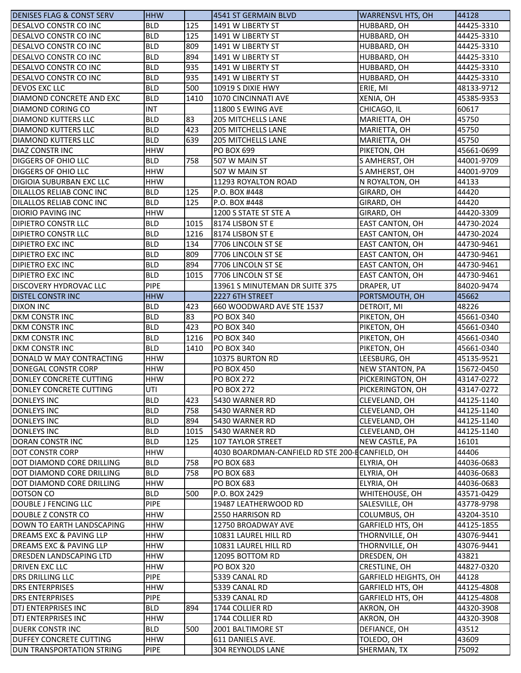| <b>DENISES FLAG &amp; CONST SERV</b> | <b>HHW</b>               |             | 4541 ST GERMAIN BLVD                            | <b>WARRENSVL HTS, OH</b>                  | 44128                    |
|--------------------------------------|--------------------------|-------------|-------------------------------------------------|-------------------------------------------|--------------------------|
| DESALVO CONSTR CO INC                | <b>BLD</b>               | 125         | 1491 W LIBERTY ST                               | HUBBARD, OH                               | 44425-3310               |
| DESALVO CONSTR CO INC                | <b>BLD</b>               | 125         | 1491 W LIBERTY ST                               | HUBBARD, OH                               | 44425-3310               |
| DESALVO CONSTR CO INC                | <b>BLD</b>               | 809         | 1491 W LIBERTY ST                               | HUBBARD, OH                               | 44425-3310               |
| IDESALVO CONSTR CO INC               | <b>BLD</b>               | 894         | 1491 W LIBERTY ST                               | HUBBARD, OH                               | 44425-3310               |
| DESALVO CONSTR CO INC                | <b>BLD</b>               | 935         | 1491 W LIBERTY ST                               | HUBBARD, OH                               | 44425-3310               |
| DESALVO CONSTR CO INC                | <b>BLD</b>               | 935         | 1491 W LIBERTY ST                               | HUBBARD, OH                               | 44425-3310               |
| <b>DEVOS EXC LLC</b>                 | <b>BLD</b>               | 500         | 10919 S DIXIE HWY                               | ERIE, MI                                  | 48133-9712               |
| DIAMOND CONCRETE AND EXC             | <b>BLD</b>               | 1410        | 1070 CINCINNATI AVE                             | XENIA, OH                                 | 45385-9353               |
| DIAMOND CORING CO                    | <b>INT</b>               |             | 11800 S EWING AVE                               | CHICAGO, IL                               | 60617                    |
| <b>DIAMOND KUTTERS LLC</b>           | <b>BLD</b>               | 83          | <b>205 MITCHELLS LANE</b>                       | MARIETTA, OH                              | 45750                    |
| <b>DIAMOND KUTTERS LLC</b>           | <b>BLD</b>               | 423         | <b>205 MITCHELLS LANE</b>                       | MARIETTA, OH                              | 45750                    |
| <b>DIAMOND KUTTERS LLC</b>           | <b>BLD</b>               | 639         | <b>205 MITCHELLS LANE</b>                       | MARIETTA, OH                              | 45750                    |
| <b>DIAZ CONSTR INC</b>               | <b>HHW</b>               |             | PO BOX 699                                      | PIKETON, OH                               | 45661-0699               |
| <b>DIGGERS OF OHIO LLC</b>           | <b>BLD</b>               | 758         | 507 W MAIN ST                                   | S AMHERST, OH                             | 44001-9709               |
| <b>DIGGERS OF OHIO LLC</b>           | <b>HHW</b>               |             | 507 W MAIN ST                                   | S AMHERST, OH                             | 44001-9709               |
| DIGIOIA SUBURBAN EXC LLC             | <b>HHW</b>               |             | 11293 ROYALTON ROAD                             | N ROYALTON, OH                            | 44133                    |
| DILALLOS RELIAB CONC INC             | <b>BLD</b>               | 125         | P.O. BOX #448                                   | GIRARD, OH                                | 44420                    |
| DILALLOS RELIAB CONC INC             | <b>BLD</b>               | 125         |                                                 |                                           | 44420                    |
| <b>DIORIO PAVING INC</b>             | <b>HHW</b>               |             | P.O. BOX #448<br>1200 S STATE ST STE A          | GIRARD, OH<br>GIRARD, OH                  | 44420-3309               |
| <b>DIPIETRO CONSTR LLC</b>           | <b>BLD</b>               | 1015        | 8174 LISBON ST E                                |                                           | 44730-2024               |
|                                      |                          |             |                                                 | <b>EAST CANTON, OH</b>                    |                          |
| <b>DIPIETRO CONSTR LLC</b>           | <b>BLD</b><br><b>BLD</b> | 1216<br>134 | 8174 LISBON ST E                                | EAST CANTON, OH<br><b>EAST CANTON, OH</b> | 44730-2024<br>44730-9461 |
| <b>DIPIETRO EXC INC</b>              |                          |             | 7706 LINCOLN ST SE                              |                                           |                          |
| <b>DIPIETRO EXC INC</b>              | <b>BLD</b>               | 809         | 7706 LINCOLN ST SE                              | EAST CANTON, OH                           | 44730-9461               |
| <b>DIPIETRO EXC INC</b>              | <b>BLD</b>               | 894         | 7706 LINCOLN ST SE                              | EAST CANTON, OH                           | 44730-9461               |
| <b>DIPIETRO EXC INC</b>              | <b>BLD</b>               | 1015        | 7706 LINCOLN ST SE                              | EAST CANTON, OH                           | 44730-9461               |
| <b>DISCOVERY HYDROVAC LLC</b>        | <b>PIPE</b>              |             | 13961 S MINUTEMAN DR SUITE 375                  | DRAPER, UT                                | 84020-9474               |
| <b>DISTEL CONSTRINC</b>              | <b>HHW</b>               |             | 2227 6TH STREET                                 | PORTSMOUTH, OH                            | 45662                    |
| <b>DIXON INC</b>                     | <b>BLD</b>               | 423         | 660 WOODWARD AVE STE 1537                       | DETROIT, MI                               | 48226                    |
| <b>DKM CONSTR INC</b>                | <b>BLD</b>               | 83          | <b>PO BOX 340</b>                               | PIKETON, OH                               | 45661-0340               |
| <b>DKM CONSTR INC</b>                | <b>BLD</b>               | 423         | <b>PO BOX 340</b>                               | PIKETON, OH                               | 45661-0340               |
| <b>DKM CONSTR INC</b>                | <b>BLD</b>               | 1216        | <b>PO BOX 340</b>                               | PIKETON, OH                               | 45661-0340               |
| <b>DKM CONSTR INC</b>                | <b>BLD</b>               | 1410        | <b>PO BOX 340</b>                               | PIKETON, OH                               | 45661-0340               |
| DONALD W MAY CONTRACTING             | <b>HHW</b>               |             | 10375 BURTON RD                                 | LEESBURG, OH                              | 45135-9521               |
| DONEGAL CONSTR CORP                  | <b>HHW</b>               |             | <b>PO BOX 450</b>                               | <b>NEW STANTON, PA</b>                    | 15672-0450               |
| DONLEY CONCRETE CUTTING              | <b>HHW</b>               |             | <b>PO BOX 272</b>                               | PICKERINGTON, OH                          | 43147-0272               |
| DONLEY CONCRETE CUTTING              | UTI                      |             | <b>PO BOX 272</b>                               | PICKERINGTON, OH                          | 43147-0272               |
| DONLEYS INC                          | <b>BLD</b>               | 423         | 5430 WARNER RD                                  | CLEVELAND, OH                             | 44125-1140               |
| DONLEYS INC                          | <b>BLD</b>               | 758         | 5430 WARNER RD                                  | CLEVELAND, OH                             | 44125-1140               |
| <b>DONLEYS INC</b>                   | <b>BLD</b>               | 894         | 5430 WARNER RD                                  | CLEVELAND, OH                             | 44125-1140               |
| <b>DONLEYS INC</b>                   | <b>BLD</b>               | 1015        | 5430 WARNER RD                                  | CLEVELAND, OH                             | 44125-1140               |
| <b>DORAN CONSTRINC</b>               | <b>BLD</b>               | 125         | 107 TAYLOR STREET                               | NEW CASTLE, PA                            | 16101                    |
| <b>DOT CONSTR CORP</b>               | <b>HHW</b>               |             | 4030 BOARDMAN-CANFIELD RD STE 200-ECANFIELD, OH |                                           | 44406                    |
| DOT DIAMOND CORE DRILLING            | <b>BLD</b>               | 758         | <b>PO BOX 683</b>                               | ELYRIA, OH                                | 44036-0683               |
| DOT DIAMOND CORE DRILLING            | <b>BLD</b>               | 758         | PO BOX 683                                      | ELYRIA, OH                                | 44036-0683               |
| DOT DIAMOND CORE DRILLING            | <b>HHW</b>               |             | PO BOX 683                                      | ELYRIA, OH                                | 44036-0683               |
| DOTSON CO                            | <b>BLD</b>               | 500         | P.O. BOX 2429                                   | WHITEHOUSE, OH                            | 43571-0429               |
| DOUBLE J FENCING LLC                 | <b>PIPE</b>              |             | 19487 LEATHERWOOD RD                            | SALESVILLE, OH                            | 43778-9798               |
| DOUBLE Z CONSTR CO                   | <b>HHW</b>               |             | 2550 HARRISON RD                                | COLUMBUS, OH                              | 43204-3510               |
| DOWN TO EARTH LANDSCAPING            | <b>HHW</b>               |             | 12750 BROADWAY AVE                              | GARFIELD HTS, OH                          | 44125-1855               |
| DREAMS EXC & PAVING LLP              | <b>HHW</b>               |             | 10831 LAUREL HILL RD                            | THORNVILLE, OH                            | 43076-9441               |
| DREAMS EXC & PAVING LLP              | HHW                      |             | 10831 LAUREL HILL RD                            | THORNVILLE, OH                            | 43076-9441               |
| IDRESDEN LANDSCAPING LTD             | <b>HHW</b>               |             | 12095 BOTTOM RD                                 | DRESDEN, OH                               | 43821                    |
| <b>DRIVEN EXC LLC</b>                | <b>HHW</b>               |             | <b>PO BOX 320</b>                               | CRESTLINE, OH                             | 44827-0320               |
| <b>DRS DRILLING LLC</b>              | <b>PIPE</b>              |             | 5339 CANAL RD                                   | GARFIELD HEIGHTS, OH                      | 44128                    |
| <b>DRS ENTERPRISES</b>               | <b>HHW</b>               |             | 5339 CANAL RD                                   | GARFIELD HTS, OH                          | 44125-4808               |
| <b>DRS ENTERPRISES</b>               | <b>PIPE</b>              |             | 5339 CANAL RD                                   | GARFIELD HTS, OH                          | 44125-4808               |
| DTJ ENTERPRISES INC                  | <b>BLD</b>               | 894         | 1744 COLLIER RD                                 | AKRON, OH                                 | 44320-3908               |
| DTJ ENTERPRISES INC                  | <b>HHW</b>               |             | 1744 COLLIER RD                                 | AKRON, OH                                 | 44320-3908               |
|                                      | <b>BLD</b>               | 500         |                                                 |                                           |                          |
| <b>DUERK CONSTRINC</b>               | <b>HHW</b>               |             | 2001 BALTIMORE ST                               | DEFIANCE, OH                              | 43512                    |
| <b>DUFFEY CONCRETE CUTTING</b>       |                          |             | 611 DANIELS AVE.                                | TOLEDO, OH                                | 43609                    |
| DUN TRANSPORTATION STRING            | <b>PIPE</b>              |             | 304 REYNOLDS LANE                               | SHERMAN, TX                               | 75092                    |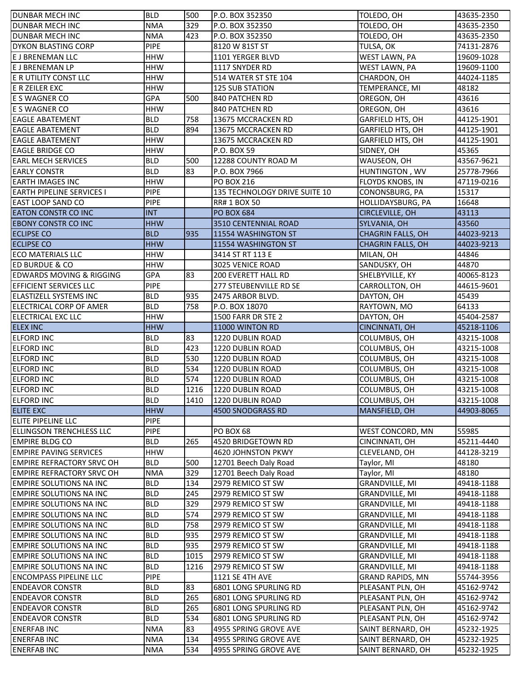| <b>DUNBAR MECH INC</b>              | <b>BLD</b>  | 500  | P.O. BOX 352350               | TOLEDO, OH               | 43635-2350 |
|-------------------------------------|-------------|------|-------------------------------|--------------------------|------------|
| <b>DUNBAR MECH INC</b>              | <b>NMA</b>  | 329  | P.O. BOX 352350               | TOLEDO, OH               | 43635-2350 |
| <b>DUNBAR MECH INC</b>              | <b>NMA</b>  | 423  | P.O. BOX 352350               | TOLEDO, OH               | 43635-2350 |
| <b>DYKON BLASTING CORP</b>          | <b>PIPE</b> |      | 8120 W 81ST ST                | TULSA, OK                | 74131-2876 |
| E J BRENEMAN LLC                    | <b>HHW</b>  |      | 1101 YERGER BLVD              | WEST LAWN, PA            | 19609-1028 |
| <b>E J BRENEMAN LP</b>              | <b>HHW</b>  |      | 1117 SNYDER RD                | WEST LAWN, PA            | 19609-1100 |
| <b>E R UTILITY CONST LLC</b>        | <b>HHW</b>  |      | 514 WATER ST STE 104          | CHARDON, OH              | 44024-1185 |
| E R ZEILER EXC                      | <b>HHW</b>  |      | <b>125 SUB STATION</b>        | TEMPERANCE, MI           | 48182      |
| E S WAGNER CO                       | <b>GPA</b>  | 500  | 840 PATCHEN RD                | OREGON, OH               | 43616      |
| E S WAGNER CO                       | <b>HHW</b>  |      | 840 PATCHEN RD                | OREGON, OH               | 43616      |
| <b>EAGLE ABATEMENT</b>              | <b>BLD</b>  | 758  | 13675 MCCRACKEN RD            | GARFIELD HTS, OH         | 44125-1901 |
| <b>EAGLE ABATEMENT</b>              | <b>BLD</b>  | 894  | 13675 MCCRACKEN RD            | <b>GARFIELD HTS, OH</b>  | 44125-1901 |
| <b>EAGLE ABATEMENT</b>              | <b>HHW</b>  |      | 13675 MCCRACKEN RD            | <b>GARFIELD HTS, OH</b>  | 44125-1901 |
| <b>EAGLE BRIDGE CO</b>              | <b>HHW</b>  |      | P.O. BOX 59                   | SIDNEY, OH               | 45365      |
| <b>EARL MECH SERVICES</b>           | <b>BLD</b>  | 500  | 12288 COUNTY ROAD M           | WAUSEON, OH              | 43567-9621 |
| <b>EARLY CONSTR</b>                 | <b>BLD</b>  | 83   | P.O. BOX 7966                 | HUNTINGTON, WV           | 25778-7966 |
| EARTH IMAGES INC                    | <b>HHW</b>  |      | <b>PO BOX 216</b>             | FLOYDS KNOBS, IN         | 47119-0216 |
| <b>EARTH PIPELINE SERVICES I</b>    | <b>PIPE</b> |      | 135 TECHNOLOGY DRIVE SUITE 10 | CONONSBURG, PA           | 15317      |
| <b>EAST LOOP SAND CO</b>            | <b>PIPE</b> |      | <b>RR# 1 BOX 50</b>           | HOLLIDAYSBURG, PA        | 16648      |
| <b>EATON CONSTR CO INC</b>          | <b>INT</b>  |      | <b>PO BOX 684</b>             | CIRCLEVILLE, OH          | 43113      |
| <b>EBONY CONSTR CO INC</b>          | <b>HHW</b>  |      | 3510 CENTENNIAL ROAD          | SYLVANIA, OH             | 43560      |
| <b>ECLIPSE CO</b>                   | <b>BLD</b>  | 935  | 11554 WASHINGTON ST           | <b>CHAGRIN FALLS, OH</b> | 44023-9213 |
| <b>ECLIPSE CO</b>                   | <b>HHW</b>  |      | 11554 WASHINGTON ST           | <b>CHAGRIN FALLS, OH</b> | 44023-9213 |
| <b>IECO MATERIALS LLC</b>           | <b>HHW</b>  |      | 3414 ST RT 113 E              | MILAN, OH                | 44846      |
| <b>ED BURDUE &amp; CO</b>           | <b>HHW</b>  |      | 3025 VENICE ROAD              | SANDUSKY, OH             | 44870      |
| <b>EDWARDS MOVING &amp; RIGGING</b> | GPA         | 83   | <b>200 EVERETT HALL RD</b>    | SHELBYVILLE, KY          | 40065-8123 |
| <b>EFFICIENT SERVICES LLC</b>       | <b>PIPE</b> |      | 277 STEUBENVILLE RD SE        | CARROLLTON, OH           | 44615-9601 |
| ELASTIZELL SYSTEMS INC              | <b>BLD</b>  | 935  | 2475 ARBOR BLVD.              | DAYTON, OH               | 45439      |
| ELECTRICAL CORP OF AMER             | <b>BLD</b>  | 758  | P.O. BOX 18070                | RAYTOWN, MO              | 64133      |
| ELECTRICAL EXC LLC                  | <b>HHW</b>  |      | 1500 FARR DR STE 2            | DAYTON, OH               | 45404-2587 |
| <b>ELEX INC</b>                     | <b>HHW</b>  |      | 11000 WINTON RD               | CINCINNATI, OH           | 45218-1106 |
| <b>ELFORD INC</b>                   | <b>BLD</b>  | 83   | 1220 DUBLIN ROAD              | COLUMBUS, OH             | 43215-1008 |
| <b>ELFORD INC</b>                   | <b>BLD</b>  | 423  | 1220 DUBLIN ROAD              | COLUMBUS, OH             | 43215-1008 |
| <b>ELFORD INC</b>                   | <b>BLD</b>  | 530  | 1220 DUBLIN ROAD              | COLUMBUS, OH             | 43215-1008 |
| <b>ELFORD INC</b>                   | <b>BLD</b>  | 534  | 1220 DUBLIN ROAD              | COLUMBUS, OH             | 43215-1008 |
| <b>ELFORD INC</b>                   | <b>BLD</b>  | 574  | 1220 DUBLIN ROAD              | COLUMBUS, OH             | 43215-1008 |
| <b>ELFORD INC</b>                   | <b>BLD</b>  | 1216 | 1220 DUBLIN ROAD              | COLUMBUS, OH             | 43215-1008 |
| <b>ELFORD INC</b>                   | <b>BLD</b>  | 1410 | 1220 DUBLIN ROAD              | COLUMBUS, OH             | 43215-1008 |
| <b>ELITE EXC</b>                    | <b>HHW</b>  |      | 4500 SNODGRASS RD             | MANSFIELD, OH            | 44903-8065 |
| ELITE PIPELINE LLC                  | <b>PIPE</b> |      |                               |                          |            |
| <b>ELLINGSON TRENCHLESS LLC</b>     | <b>PIPE</b> |      | PO BOX 68                     | WEST CONCORD, MN         | 55985      |
| <b>EMPIRE BLDG CO</b>               | <b>BLD</b>  | 265  | 4520 BRIDGETOWN RD            | CINCINNATI, OH           | 45211-4440 |
| <b>EMPIRE PAVING SERVICES</b>       | <b>HHW</b>  |      | 4620 JOHNSTON PKWY            | CLEVELAND, OH            | 44128-3219 |
| <b>EMPIRE REFRACTORY SRVC OH</b>    | <b>BLD</b>  | 500  | 12701 Beech Daly Road         | Taylor, MI               | 48180      |
| EMPIRE REFRACTORY SRVC OH           | <b>NMA</b>  | 329  | 12701 Beech Daly Road         | Taylor, MI               | 48180      |
| <b>EMPIRE SOLUTIONS NA INC</b>      | <b>BLD</b>  | 134  | 2979 REMICO ST SW             | GRANDVILLE, MI           | 49418-1188 |
| <b>EMPIRE SOLUTIONS NA INC</b>      | <b>BLD</b>  | 245  | 2979 REMICO ST SW             | <b>GRANDVILLE, MI</b>    | 49418-1188 |
| <b>EMPIRE SOLUTIONS NA INC</b>      | <b>BLD</b>  | 329  | 2979 REMICO ST SW             | <b>GRANDVILLE, MI</b>    | 49418-1188 |
| <b>EMPIRE SOLUTIONS NA INC</b>      | <b>BLD</b>  | 574  | 2979 REMICO ST SW             | <b>GRANDVILLE, MI</b>    | 49418-1188 |
| <b>EMPIRE SOLUTIONS NA INC</b>      | <b>BLD</b>  | 758  | 2979 REMICO ST SW             | <b>GRANDVILLE, MI</b>    | 49418-1188 |
| <b>EMPIRE SOLUTIONS NA INC</b>      | <b>BLD</b>  | 935  | 2979 REMICO ST SW             | <b>GRANDVILLE, MI</b>    | 49418-1188 |
| <b>EMPIRE SOLUTIONS NA INC</b>      | <b>BLD</b>  | 935  | 2979 REMICO ST SW             | GRANDVILLE, MI           | 49418-1188 |
| <b>EMPIRE SOLUTIONS NA INC</b>      | <b>BLD</b>  | 1015 | 2979 REMICO ST SW             | <b>GRANDVILLE, MI</b>    | 49418-1188 |
| <b>EMPIRE SOLUTIONS NA INC</b>      | <b>BLD</b>  | 1216 | 2979 REMICO ST SW             | <b>GRANDVILLE, MI</b>    | 49418-1188 |
| <b>ENCOMPASS PIPELINE LLC</b>       | <b>PIPE</b> |      | 1121 SE 4TH AVE               | <b>GRAND RAPIDS, MN</b>  | 55744-3956 |
| <b>ENDEAVOR CONSTR</b>              | <b>BLD</b>  | 83   | 6801 LONG SPURLING RD         | PLEASANT PLN, OH         | 45162-9742 |
| <b>ENDEAVOR CONSTR</b>              | <b>BLD</b>  | 265  | 6801 LONG SPURLING RD         | PLEASANT PLN, OH         | 45162-9742 |
| <b>ENDEAVOR CONSTR</b>              | <b>BLD</b>  | 265  | 6801 LONG SPURLING RD         | PLEASANT PLN, OH         | 45162-9742 |
| <b>ENDEAVOR CONSTR</b>              | <b>BLD</b>  | 534  | 6801 LONG SPURLING RD         | PLEASANT PLN, OH         | 45162-9742 |
| <b>ENERFAB INC</b>                  | <b>NMA</b>  | 83   | 4955 SPRING GROVE AVE         | SAINT BERNARD, OH        | 45232-1925 |
| <b>ENERFABINC</b>                   | <b>NMA</b>  | 134  | 4955 SPRING GROVE AVE         | SAINT BERNARD, OH        | 45232-1925 |
| <b>ENERFAB INC</b>                  | <b>NMA</b>  | 534  | 4955 SPRING GROVE AVE         | SAINT BERNARD, OH        | 45232-1925 |
|                                     |             |      |                               |                          |            |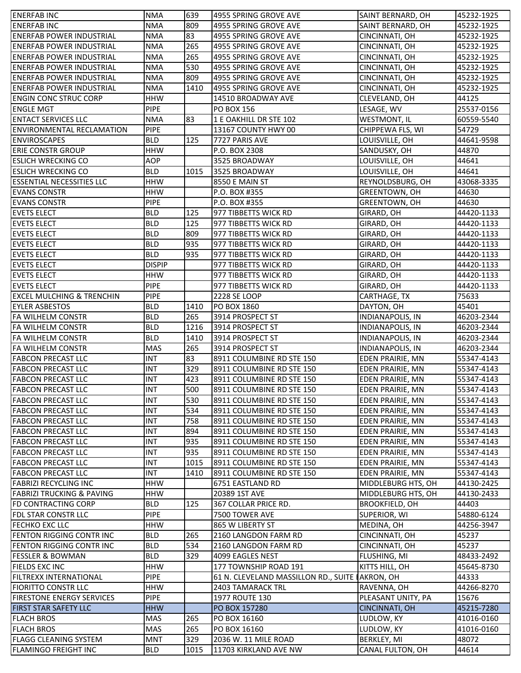| <b>ENERFABINC</b>                    | <b>NMA</b>               | 639  | 4955 SPRING GROVE AVE                           | SAINT BERNARD, OH     | 45232-1925               |
|--------------------------------------|--------------------------|------|-------------------------------------------------|-----------------------|--------------------------|
| <b>ENERFABINC</b>                    | <b>NMA</b>               | 809  | 4955 SPRING GROVE AVE                           | SAINT BERNARD, OH     | 45232-1925               |
| <b>ENERFAB POWER INDUSTRIAL</b>      | <b>NMA</b>               | 83   | 4955 SPRING GROVE AVE                           | CINCINNATI, OH        | 45232-1925               |
| ENERFAB POWER INDUSTRIAL             | <b>NMA</b>               | 265  | 4955 SPRING GROVE AVE                           | CINCINNATI, OH        | 45232-1925               |
| <b>IENERFAB POWER INDUSTRIAL</b>     | <b>NMA</b>               | 265  | 4955 SPRING GROVE AVE                           | CINCINNATI, OH        | 45232-1925               |
| <b>IENERFAB POWER INDUSTRIAL</b>     | <b>NMA</b>               | 530  | 4955 SPRING GROVE AVE                           | CINCINNATI, OH        | 45232-1925               |
| <b>ENERFAB POWER INDUSTRIAL</b>      | <b>NMA</b>               | 809  | 4955 SPRING GROVE AVE                           | CINCINNATI, OH        | 45232-1925               |
| <b>ENERFAB POWER INDUSTRIAL</b>      | <b>NMA</b>               | 1410 | 4955 SPRING GROVE AVE                           | CINCINNATI, OH        | 45232-1925               |
| <b>ENGIN CONC STRUC CORP</b>         | <b>HHW</b>               |      | 14510 BROADWAY AVE                              | CLEVELAND, OH         | 44125                    |
| <b>ENGLE MGT</b>                     | <b>PIPE</b>              |      | <b>PO BOX 156</b>                               | LESAGE, WV            | 25537-0156               |
| <b>ENTACT SERVICES LLC</b>           | <b>NMA</b>               | 83   | 1 E OAKHILL DR STE 102                          | <b>WESTMONT, IL</b>   | 60559-5540               |
| <b>ENVIRONMENTAL RECLAMATION</b>     | <b>PIPE</b>              |      | 13167 COUNTY HWY 00                             | CHIPPEWA FLS, WI      | 54729                    |
| <b>ENVIROSCAPES</b>                  | <b>BLD</b>               | 125  | 7727 PARIS AVE                                  | LOUISVILLE, OH        | 44641-9598               |
| <b>ERIE CONSTR GROUP</b>             | <b>HHW</b>               |      | P.O. BOX 2308                                   | SANDUSKY, OH          | 44870                    |
| <b>ESLICH WRECKING CO</b>            | <b>AOP</b>               |      | 3525 BROADWAY                                   | LOUISVILLE, OH        | 44641                    |
|                                      |                          |      |                                                 |                       |                          |
| <b>ESLICH WRECKING CO</b>            | <b>BLD</b>               | 1015 | 3525 BROADWAY                                   | LOUISVILLE, OH        | 44641                    |
| <b>ESSENTIAL NECESSITIES LLC</b>     | <b>HHW</b>               |      | 8550 E MAIN ST                                  | REYNOLDSBURG, OH      | 43068-3335               |
| <b>EVANS CONSTR</b>                  | <b>HHW</b>               |      | P.O. BOX #355                                   | GREENTOWN, OH         | 44630                    |
| <b>EVANS CONSTR</b>                  | <b>PIPE</b>              |      | P.O. BOX #355                                   | GREENTOWN, OH         | 44630                    |
| <b>EVETS ELECT</b>                   | <b>BLD</b>               | 125  | 977 TIBBETTS WICK RD                            | GIRARD, OH            | 44420-1133               |
| <b>EVETS ELECT</b>                   | <b>BLD</b>               | 125  | 977 TIBBETTS WICK RD                            | GIRARD, OH            | 44420-1133               |
| <b>EVETS ELECT</b>                   | <b>BLD</b>               | 809  | 977 TIBBETTS WICK RD                            | GIRARD, OH            | 44420-1133               |
| <b>EVETS ELECT</b>                   | <b>BLD</b>               | 935  | 977 TIBBETTS WICK RD                            | GIRARD, OH            | 44420-1133               |
| <b>EVETS ELECT</b>                   | <b>BLD</b>               | 935  | 977 TIBBETTS WICK RD                            | GIRARD, OH            | 44420-1133               |
| <b>EVETS ELECT</b>                   | <b>DISPIP</b>            |      | 977 TIBBETTS WICK RD                            | GIRARD, OH            | 44420-1133               |
| <b>EVETS ELECT</b>                   | <b>HHW</b>               |      | 977 TIBBETTS WICK RD                            | GIRARD, OH            | 44420-1133               |
| <b>EVETS ELECT</b>                   | <b>PIPE</b>              |      | 977 TIBBETTS WICK RD                            | GIRARD, OH            | 44420-1133               |
| <b>EXCEL MULCHING &amp; TRENCHIN</b> | PIPE                     |      | 2228 SE LOOP                                    | CARTHAGE, TX          | 75633                    |
| <b>EYLER ASBESTOS</b>                | <b>BLD</b>               | 1410 | PO BOX 1860                                     | DAYTON, OH            | 45401                    |
| <b>FA WILHELM CONSTR</b>             | <b>BLD</b>               | 265  | 3914 PROSPECT ST                                | INDIANAPOLIS, IN      | 46203-2344               |
| <b>FA WILHELM CONSTR</b>             | <b>BLD</b>               | 1216 | 3914 PROSPECT ST                                | INDIANAPOLIS, IN      | 46203-2344               |
| <b>FA WILHELM CONSTR</b>             | <b>BLD</b>               | 1410 | 3914 PROSPECT ST                                | INDIANAPOLIS, IN      | 46203-2344               |
| <b>FA WILHELM CONSTR</b>             | <b>MAS</b>               | 265  | 3914 PROSPECT ST                                | INDIANAPOLIS, IN      | 46203-2344               |
| <b>FABCON PRECAST LLC</b>            | <b>INT</b>               | 83   | 8911 COLUMBINE RD STE 150                       | EDEN PRAIRIE, MN      | 55347-4143               |
| <b>FABCON PRECAST LLC</b>            | <b>INT</b>               | 329  | 8911 COLUMBINE RD STE 150                       | EDEN PRAIRIE, MN      | 55347-4143               |
| <b>FABCON PRECAST LLC</b>            | <b>INT</b>               | 423  | 8911 COLUMBINE RD STE 150                       | EDEN PRAIRIE, MN      | 55347-4143               |
| <b>FABCON PRECAST LLC</b>            | INT                      | 500  | 8911 COLUMBINE RD STE 150                       | EDEN PRAIRIE, MN      | 55347-4143               |
| <b>FABCON PRECAST LLC</b>            | <b>INT</b>               | 530  | 8911 COLUMBINE RD STE 150                       | EDEN PRAIRIE, MN      | 55347-4143               |
| <b>FABCON PRECAST LLC</b>            | <b>INT</b>               | 534  | 8911 COLUMBINE RD STE 150                       | EDEN PRAIRIE, MN      | 55347-4143               |
| <b>FABCON PRECAST LLC</b>            | <b>INT</b>               | 758  | 8911 COLUMBINE RD STE 150                       | EDEN PRAIRIE, MN      | 55347-4143               |
| <b>FABCON PRECAST LLC</b>            | <b>INT</b>               | 894  | 8911 COLUMBINE RD STE 150                       | EDEN PRAIRIE, MN      | 55347-4143               |
| <b>FABCON PRECAST LLC</b>            | INT                      | 935  | 8911 COLUMBINE RD STE 150                       | EDEN PRAIRIE, MN      | 55347-4143               |
| <b>FABCON PRECAST LLC</b>            | <b>INT</b>               | 935  | 8911 COLUMBINE RD STE 150                       | EDEN PRAIRIE, MN      | 55347-4143               |
| <b>FABCON PRECAST LLC</b>            | INT                      | 1015 | 8911 COLUMBINE RD STE 150                       | EDEN PRAIRIE, MN      | 55347-4143               |
| <b>FABCON PRECAST LLC</b>            | <b>INT</b>               | 1410 | 8911 COLUMBINE RD STE 150                       | EDEN PRAIRIE, MN      | 55347-4143               |
| <b>FABRIZI RECYCLING INC</b>         |                          |      |                                                 |                       |                          |
| FABRIZI TRUCKING & PAVING            | <b>HHW</b><br><b>HHW</b> |      | 6751 EASTLAND RD                                | MIDDLEBURG HTS, OH    | 44130-2425<br>44130-2433 |
|                                      |                          |      | 20389 1ST AVE                                   | MIDDLEBURG HTS, OH    |                          |
| <b>FD CONTRACTING CORP</b>           | <b>BLD</b>               | 125  | 367 COLLAR PRICE RD.                            | <b>BROOKFIELD, OH</b> | 44403                    |
| <b>FDL STAR CONSTR LLC</b>           | <b>PIPE</b>              |      | 7500 TOWER AVE                                  | SUPERIOR, WI          | 54880-6124               |
| <b>FECHKO EXC LLC</b>                | <b>HHW</b>               |      | 865 W LIBERTY ST                                | MEDINA, OH            | 44256-3947               |
| FENTON RIGGING CONTR INC             | <b>BLD</b>               | 265  | 2160 LANGDON FARM RD                            | CINCINNATI, OH        | 45237                    |
| FENTON RIGGING CONTR INC             | <b>BLD</b>               | 534  | 2160 LANGDON FARM RD                            | CINCINNATI, OH        | 45237                    |
| <b>FESSLER &amp; BOWMAN</b>          | <b>BLD</b>               | 329  | 4099 EAGLES NEST                                | FLUSHING, MI          | 48433-2492               |
| <b>FIELDS EXC INC</b>                | <b>HHW</b>               |      | 177 TOWNSHIP ROAD 191                           | KITTS HILL, OH        | 45645-8730               |
| <b>FILTREXX INTERNATIONAL</b>        | <b>PIPE</b>              |      | 61 N. CLEVELAND MASSILLON RD., SUITE LAKRON, OH |                       | 44333                    |
| <b>FIORITTO CONSTR LLC</b>           | <b>HHW</b>               |      | 2403 TAMARACK TRL                               | RAVENNA, OH           | 44266-8270               |
| <b>FIRESTONE ENERGY SERVICES</b>     | <b>PIPE</b>              |      | <b>1977 ROUTE 130</b>                           | PLEASANT UNITY, PA    | 15676                    |
| <b>FIRST STAR SAFETY LLC</b>         | <b>HHW</b>               |      | PO BOX 157280                                   | CINCINNATI, OH        | 45215-7280               |
| <b>FLACH BROS</b>                    | <b>MAS</b>               | 265  | PO BOX 16160                                    | LUDLOW, KY            | 41016-0160               |
| <b>FLACH BROS</b>                    | MAS                      | 265  | PO BOX 16160                                    | LUDLOW, KY            | 41016-0160               |
| <b>FLAGG CLEANING SYSTEM</b>         | <b>MNT</b>               | 329  | 2036 W. 11 MILE ROAD                            | BERKLEY, MI           | 48072                    |
| <b>FLAMINGO FREIGHT INC</b>          | <b>BLD</b>               | 1015 | 11703 KIRKLAND AVE NW                           | CANAL FULTON, OH      | 44614                    |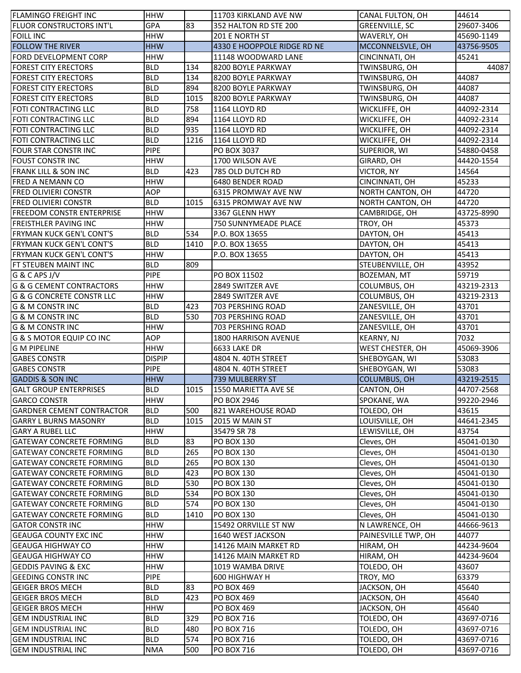| <b>FLAMINGO FREIGHT INC</b>          | <b>HHW</b>    |      | 11703 KIRKLAND AVE NW       | CANAL FULTON, OH      | 44614      |
|--------------------------------------|---------------|------|-----------------------------|-----------------------|------------|
| FLUOR CONSTRUCTORS INT'L             | GPA           | 83   | 352 HALTON RD STE 200       | <b>GREENVILLE, SC</b> | 29607-3406 |
| <b>FOILL INC</b>                     | <b>HHW</b>    |      | <b>201 E NORTH ST</b>       | WAVERLY, OH           | 45690-1149 |
| <b>FOLLOW THE RIVER</b>              | <b>HHW</b>    |      | 4330 E HOOPPOLE RIDGE RD NE | MCCONNELSVLE, OH      | 43756-9505 |
| FORD DEVELOPMENT CORP                | <b>HHW</b>    |      | 11148 WOODWARD LANE         | CINCINNATI, OH        | 45241      |
| <b>FOREST CITY ERECTORS</b>          | <b>BLD</b>    | 134  | 8200 BOYLE PARKWAY          | TWINSBURG, OH         | 44087      |
| <b>FOREST CITY ERECTORS</b>          | <b>BLD</b>    | 134  | 8200 BOYLE PARKWAY          | TWINSBURG, OH         | 44087      |
| <b>FOREST CITY ERECTORS</b>          | <b>BLD</b>    | 894  | 8200 BOYLE PARKWAY          | TWINSBURG, OH         | 44087      |
| <b>FOREST CITY ERECTORS</b>          | <b>BLD</b>    | 1015 | 8200 BOYLE PARKWAY          | TWINSBURG, OH         | 44087      |
| FOTI CONTRACTING LLC                 | <b>BLD</b>    | 758  | 1164 LLOYD RD               | WICKLIFFE, OH         | 44092-2314 |
| FOTI CONTRACTING LLC                 | <b>BLD</b>    | 894  | 1164 LLOYD RD               | WICKLIFFE, OH         | 44092-2314 |
| FOTI CONTRACTING LLC                 | <b>BLD</b>    | 935  | 1164 LLOYD RD               | WICKLIFFE, OH         | 44092-2314 |
| FOTI CONTRACTING LLC                 | <b>BLD</b>    | 1216 | 1164 LLOYD RD               | WICKLIFFE, OH         | 44092-2314 |
| FOUR STAR CONSTR INC                 | <b>PIPE</b>   |      | PO BOX 3037                 | SUPERIOR, WI          | 54880-0458 |
| <b>FOUST CONSTR INC</b>              | <b>HHW</b>    |      | 1700 WILSON AVE             | GIRARD, OH            | 44420-1554 |
| FRANK LILL & SON INC                 | <b>BLD</b>    | 423  | 785 OLD DUTCH RD            |                       | 14564      |
|                                      | <b>HHW</b>    |      |                             | VICTOR, NY            |            |
| FRED A NEMANN CO                     |               |      | 6480 BENDER ROAD            | CINCINNATI, OH        | 45233      |
| <b>FRED OLIVIERI CONSTR</b>          | <b>AOP</b>    |      | 6315 PROMWAY AVE NW         | NORTH CANTON, OH      | 44720      |
| <b>FRED OLIVIERI CONSTR</b>          | <b>BLD</b>    | 1015 | 6315 PROMWAY AVE NW         | NORTH CANTON, OH      | 44720      |
| <b>FREEDOM CONSTR ENTERPRISE</b>     | <b>HHW</b>    |      | 3367 GLENN HWY              | CAMBRIDGE, OH         | 43725-8990 |
| <b>FREISTHLER PAVING INC</b>         | <b>HHW</b>    |      | 750 SUNNYMEADE PLACE        | TROY, OH              | 45373      |
| <b>FRYMAN KUCK GEN'L CONT'S</b>      | <b>BLD</b>    | 534  | P.O. BOX 13655              | DAYTON, OH            | 45413      |
| <b>FRYMAN KUCK GEN'L CONT'S</b>      | <b>BLD</b>    | 1410 | P.O. BOX 13655              | DAYTON, OH            | 45413      |
| <b>FRYMAN KUCK GEN'L CONT'S</b>      | <b>HHW</b>    |      | P.O. BOX 13655              | DAYTON, OH            | 45413      |
| FT STEUBEN MAINT INC                 | <b>BLD</b>    | 809  |                             | STEUBENVILLE, OH      | 43952      |
| G & C APS J/V                        | <b>PIPE</b>   |      | PO BOX 11502                | BOZEMAN, MT           | 59719      |
| <b>G &amp; G CEMENT CONTRACTORS</b>  | <b>HHW</b>    |      | 2849 SWITZER AVE            | COLUMBUS, OH          | 43219-2313 |
| <b>G &amp; G CONCRETE CONSTR LLC</b> | <b>HHW</b>    |      | 2849 SWITZER AVE            | COLUMBUS, OH          | 43219-2313 |
| G & M CONSTR INC                     | <b>BLD</b>    | 423  | 703 PERSHING ROAD           | ZANESVILLE, OH        | 43701      |
| <b>G &amp; M CONSTR INC</b>          | <b>BLD</b>    | 530  | 703 PERSHING ROAD           | ZANESVILLE, OH        | 43701      |
| G & M CONSTR INC                     | <b>HHW</b>    |      | 703 PERSHING ROAD           | ZANESVILLE, OH        | 43701      |
| G & S MOTOR EQUIP CO INC             | <b>AOP</b>    |      | 1800 HARRISON AVENUE        | KEARNY, NJ            | 7032       |
| <b>G M PIPELINE</b>                  | HHW           |      | <b>6633 LAKE DR</b>         | WEST CHESTER, OH      | 45069-3906 |
| <b>GABES CONSTR</b>                  | <b>DISPIP</b> |      | 4804 N. 40TH STREET         | SHEBOYGAN, WI         | 53083      |
| <b>GABES CONSTR</b>                  | <b>PIPE</b>   |      | 4804 N. 40TH STREET         | SHEBOYGAN, WI         | 53083      |
| <b>GADDIS &amp; SON INC</b>          | <b>HHW</b>    |      | 739 MULBERRY ST             | <b>COLUMBUS, OH</b>   | 43219-2515 |
| <b>GALT GROUP ENTERPRISES</b>        | <b>BLD</b>    | 1015 | 1550 MARIETTA AVE SE        | CANTON, OH            | 44707-2568 |
| <b>GARCO CONSTR</b>                  | <b>HHW</b>    |      | PO BOX 2946                 | SPOKANE, WA           | 99220-2946 |
| <b>GARDNER CEMENT CONTRACTOR</b>     | <b>BLD</b>    | 500  | 821 WAREHOUSE ROAD          | TOLEDO, OH            | 43615      |
| <b>GARRY L BURNS MASONRY</b>         | <b>BLD</b>    | 1015 | 2015 W MAIN ST              | LOUISVILLE, OH        | 44641-2345 |
| <b>GARY A RUBEL LLC</b>              | <b>HHW</b>    |      | 35479 SR 78                 | LEWISVILLE, OH        | 43754      |
| <b>GATEWAY CONCRETE FORMING</b>      | <b>BLD</b>    | 83   | <b>PO BOX 130</b>           | Cleves, OH            | 45041-0130 |
| <b>GATEWAY CONCRETE FORMING</b>      | <b>BLD</b>    | 265  | <b>PO BOX 130</b>           | Cleves, OH            | 45041-0130 |
| <b>GATEWAY CONCRETE FORMING</b>      | <b>BLD</b>    | 265  | <b>PO BOX 130</b>           | Cleves, OH            | 45041-0130 |
| <b>GATEWAY CONCRETE FORMING</b>      | <b>BLD</b>    | 423  | <b>PO BOX 130</b>           | Cleves, OH            | 45041-0130 |
| <b>GATEWAY CONCRETE FORMING</b>      | <b>BLD</b>    | 530  | <b>PO BOX 130</b>           | Cleves, OH            | 45041-0130 |
| <b>GATEWAY CONCRETE FORMING</b>      | <b>BLD</b>    | 534  | <b>PO BOX 130</b>           | Cleves, OH            | 45041-0130 |
| <b>GATEWAY CONCRETE FORMING</b>      | <b>BLD</b>    | 574  | <b>PO BOX 130</b>           | Cleves, OH            |            |
|                                      |               |      |                             |                       | 45041-0130 |
| <b>GATEWAY CONCRETE FORMING</b>      | <b>BLD</b>    | 1410 | <b>PO BOX 130</b>           | Cleves, OH            | 45041-0130 |
| <b>GATOR CONSTR INC</b>              | <b>HHW</b>    |      | 15492 ORRVILLE ST NW        | N LAWRENCE, OH        | 44666-9613 |
| <b>GEAUGA COUNTY EXC INC</b>         | <b>HHW</b>    |      | 1640 WEST JACKSON           | PAINESVILLE TWP, OH   | 44077      |
| <b>GEAUGA HIGHWAY CO</b>             | <b>HHW</b>    |      | 14126 MAIN MARKET RD        | HIRAM, OH             | 44234-9604 |
| <b>GEAUGA HIGHWAY CO</b>             | <b>HHW</b>    |      | 14126 MAIN MARKET RD        | HIRAM, OH             | 44234-9604 |
| <b>GEDDIS PAVING &amp; EXC</b>       | <b>HHW</b>    |      | 1019 WAMBA DRIVE            | TOLEDO, OH            | 43607      |
| <b>GEEDING CONSTRING</b>             | <b>PIPE</b>   |      | 600 HIGHWAY H               | TROY, MO              | 63379      |
| <b>GEIGER BROS MECH</b>              | <b>BLD</b>    | 83   | <b>PO BOX 469</b>           | JACKSON, OH           | 45640      |
| <b>GEIGER BROS MECH</b>              | <b>BLD</b>    | 423  | <b>PO BOX 469</b>           | JACKSON, OH           | 45640      |
| <b>GEIGER BROS MECH</b>              | <b>HHW</b>    |      | <b>PO BOX 469</b>           | JACKSON, OH           | 45640      |
| <b>GEM INDUSTRIAL INC</b>            | <b>BLD</b>    | 329  | PO BOX 716                  | TOLEDO, OH            | 43697-0716 |
| <b>GEM INDUSTRIAL INC</b>            | <b>BLD</b>    | 480  | <b>PO BOX 716</b>           | TOLEDO, OH            | 43697-0716 |
| <b>GEM INDUSTRIAL INC</b>            | <b>BLD</b>    | 574  | <b>PO BOX 716</b>           | TOLEDO, OH            | 43697-0716 |
| <b>GEM INDUSTRIAL INC</b>            | <b>NMA</b>    | 500  | PO BOX 716                  | TOLEDO, OH            | 43697-0716 |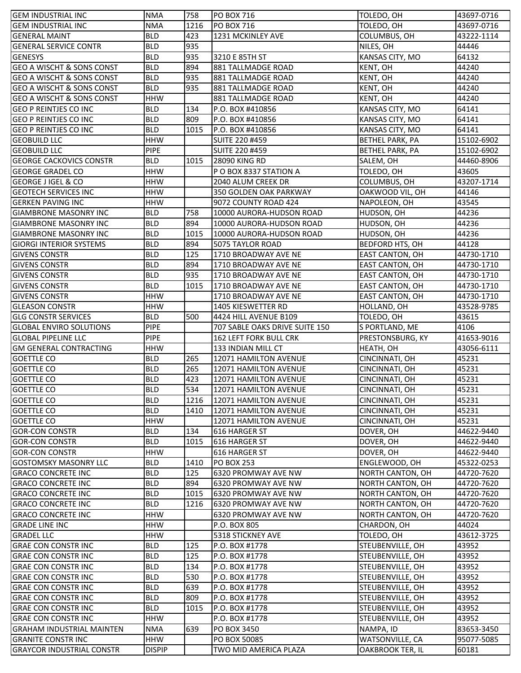| <b>GEM INDUSTRIAL INC</b>                                | <b>NMA</b>    | 758  | <b>PO BOX 716</b>                | TOLEDO, OH                           | 43697-0716 |
|----------------------------------------------------------|---------------|------|----------------------------------|--------------------------------------|------------|
| <b>GEM INDUSTRIAL INC</b>                                | <b>NMA</b>    | 1216 | <b>PO BOX 716</b>                | TOLEDO, OH                           | 43697-0716 |
| <b>GENERAL MAINT</b>                                     | <b>BLD</b>    | 423  | 1231 MCKINLEY AVE                | COLUMBUS, OH                         | 43222-1114 |
| <b>GENERAL SERVICE CONTR</b>                             | <b>BLD</b>    | 935  |                                  | NILES, OH                            | 44446      |
| <b>GENESYS</b>                                           | <b>BLD</b>    | 935  | 3210 E 85TH ST                   | KANSAS CITY, MO                      | 64132      |
| <b>GEO A WISCHT &amp; SONS CONST</b>                     | <b>BLD</b>    | 894  | 881 TALLMADGE ROAD               | KENT, OH                             | 44240      |
| <b>GEO A WISCHT &amp; SONS CONST</b>                     | <b>BLD</b>    | 935  | 881 TALLMADGE ROAD               | KENT, OH                             | 44240      |
| <b>GEO A WISCHT &amp; SONS CONST</b>                     | <b>BLD</b>    | 935  | 881 TALLMADGE ROAD               | KENT, OH                             | 44240      |
| <b>GEO A WISCHT &amp; SONS CONST</b>                     | <b>HHW</b>    |      | 881 TALLMADGE ROAD               | KENT, OH                             | 44240      |
| <b>GEO P REINTJES CO INC</b>                             | <b>BLD</b>    | 134  | P.O. BOX #410856                 | KANSAS CITY, MO                      | 64141      |
| <b>GEO P REINTJES CO INC</b>                             | <b>BLD</b>    | 809  | P.O. BOX #410856                 | KANSAS CITY, MO                      | 64141      |
| <b>GEO P REINTJES CO INC</b>                             | <b>BLD</b>    | 1015 | P.O. BOX #410856                 | KANSAS CITY, MO                      | 64141      |
| <b>GEOBUILD LLC</b>                                      | <b>HHW</b>    |      | <b>SUITE 220 #459</b>            | BETHEL PARK, PA                      | 15102-6902 |
| <b>GEOBUILD LLC</b>                                      | <b>PIPE</b>   |      | <b>SUITE 220 #459</b>            | BETHEL PARK, PA                      | 15102-6902 |
| <b>GEORGE CACKOVICS CONSTR</b>                           | <b>BLD</b>    | 1015 | 28090 KING RD                    | SALEM, OH                            | 44460-8906 |
| <b>GEORGE GRADEL CO</b>                                  | <b>HHW</b>    |      | P O BOX 8337 STATION A           | TOLEDO, OH                           | 43605      |
| GEORGE J IGEL & CO                                       | <b>HHW</b>    |      | 2040 ALUM CREEK DR               | COLUMBUS, OH                         | 43207-1714 |
| <b>GEOTECH SERVICES INC</b>                              | <b>HHW</b>    |      | 350 GOLDEN OAK PARKWAY           | OAKWOOD VIL, OH                      | 44146      |
| <b>GERKEN PAVING INC</b>                                 | <b>HHW</b>    |      | 9072 COUNTY ROAD 424             | NAPOLEON, OH                         | 43545      |
| <b>GIAMBRONE MASONRY INC</b>                             | <b>BLD</b>    | 758  | 10000 AURORA-HUDSON ROAD         | HUDSON, OH                           | 44236      |
| <b>GIAMBRONE MASONRY INC</b>                             | <b>BLD</b>    | 894  | 10000 AURORA-HUDSON ROAD         | HUDSON, OH                           | 44236      |
| <b>GIAMBRONE MASONRY INC</b>                             | <b>BLD</b>    | 1015 | 10000 AURORA-HUDSON ROAD         | HUDSON, OH                           | 44236      |
| <b>GIORGI INTERIOR SYSTEMS</b>                           | <b>BLD</b>    | 894  | 5075 TAYLOR ROAD                 | BEDFORD HTS, OH                      | 44128      |
| <b>GIVENS CONSTR</b>                                     | <b>BLD</b>    | 125  | 1710 BROADWAY AVE NE             | <b>EAST CANTON, OH</b>               | 44730-1710 |
| <b>GIVENS CONSTR</b>                                     | <b>BLD</b>    | 894  | 1710 BROADWAY AVE NE             | EAST CANTON, OH                      | 44730-1710 |
| <b>GIVENS CONSTR</b>                                     | <b>BLD</b>    | 935  | 1710 BROADWAY AVE NE             | EAST CANTON, OH                      | 44730-1710 |
| <b>GIVENS CONSTR</b>                                     | <b>BLD</b>    | 1015 | 1710 BROADWAY AVE NE             | EAST CANTON, OH                      | 44730-1710 |
| <b>GIVENS CONSTR</b>                                     | <b>HHW</b>    |      | 1710 BROADWAY AVE NE             | EAST CANTON, OH                      | 44730-1710 |
| <b>GLEASON CONSTR</b>                                    | <b>HHW</b>    |      | 1405 KIESWETTER RD               | HOLLAND, OH                          | 43528-9785 |
| <b>GLG CONSTR SERVICES</b>                               | <b>BLD</b>    | 500  | 4424 HILL AVENUE B109            | TOLEDO, OH                           | 43615      |
| <b>GLOBAL ENVIRO SOLUTIONS</b>                           | <b>PIPE</b>   |      | 707 SABLE OAKS DRIVE SUITE 150   | S PORTLAND, ME                       | 4106       |
| <b>GLOBAL PIPELINE LLC</b>                               | <b>PIPE</b>   |      | <b>162 LEFT FORK BULL CRK</b>    | PRESTONSBURG, KY                     | 41653-9016 |
| <b>GM GENERAL CONTRACTING</b>                            | <b>HHW</b>    |      | 133 INDIAN MILL CT               | HEATH, OH                            | 43056-6111 |
| <b>GOETTLE CO</b>                                        | <b>BLD</b>    | 265  | 12071 HAMILTON AVENUE            | CINCINNATI, OH                       | 45231      |
| <b>GOETTLE CO</b>                                        | <b>BLD</b>    | 265  | 12071 HAMILTON AVENUE            | CINCINNATI, OH                       | 45231      |
| <b>GOETTLE CO</b>                                        | <b>BLD</b>    | 423  | 12071 HAMILTON AVENUE            | CINCINNATI, OH                       | 45231      |
| <b>GOETTLE CO</b>                                        | <b>BLD</b>    | 534  | 12071 HAMILTON AVENUE            | CINCINNATI, OH                       | 45231      |
| <b>GOETTLE CO</b>                                        | <b>BLD</b>    | 1216 | 12071 HAMILTON AVENUE            | CINCINNATI, OH                       | 45231      |
| <b>GOETTLE CO</b>                                        | <b>BLD</b>    | 1410 | 12071 HAMILTON AVENUE            | CINCINNATI, OH                       | 45231      |
| <b>GOETTLE CO</b>                                        | <b>HHW</b>    |      | 12071 HAMILTON AVENUE            | CINCINNATI, OH                       | 45231      |
| <b>GOR-CON CONSTR</b>                                    | <b>BLD</b>    | 134  | 616 HARGER ST                    | DOVER, OH                            | 44622-9440 |
| <b>GOR-CON CONSTR</b>                                    | <b>BLD</b>    | 1015 | 616 HARGER ST                    | DOVER, OH                            | 44622-9440 |
| <b>GOR-CON CONSTR</b>                                    | <b>HHW</b>    |      | 616 HARGER ST                    | DOVER, OH                            | 44622-9440 |
| <b>GOSTOMSKY MASONRY LLC</b>                             | <b>BLD</b>    | 1410 | <b>PO BOX 253</b>                | ENGLEWOOD, OH                        | 45322-0253 |
| <b>GRACO CONCRETE INC</b>                                | <b>BLD</b>    | 125  | 6320 PROMWAY AVE NW              | NORTH CANTON, OH                     | 44720-7620 |
| <b>GRACO CONCRETE INC</b>                                | <b>BLD</b>    | 894  | 6320 PROMWAY AVE NW              | NORTH CANTON, OH                     | 44720-7620 |
| <b>GRACO CONCRETE INC</b>                                | <b>BLD</b>    | 1015 | 6320 PROMWAY AVE NW              | NORTH CANTON, OH                     | 44720-7620 |
| <b>GRACO CONCRETE INC</b>                                | <b>BLD</b>    | 1216 | 6320 PROMWAY AVE NW              | NORTH CANTON, OH                     | 44720-7620 |
| <b>GRACO CONCRETE INC</b>                                | <b>HHW</b>    |      | 6320 PROMWAY AVE NW              | NORTH CANTON, OH                     | 44720-7620 |
| <b>GRADE LINE INC</b>                                    | <b>HHW</b>    |      | P.O. BOX 805                     | CHARDON, OH                          | 44024      |
| <b>GRADEL LLC</b>                                        | <b>HHW</b>    |      | 5318 STICKNEY AVE                | TOLEDO, OH                           | 43612-3725 |
| <b>GRAE CON CONSTR INC</b>                               | <b>BLD</b>    | 125  | P.O. BOX #1778                   | STEUBENVILLE, OH                     | 43952      |
| <b>GRAE CON CONSTR INC</b>                               | <b>BLD</b>    | 125  | P.O. BOX #1778                   | STEUBENVILLE, OH                     | 43952      |
| <b>GRAE CON CONSTR INC</b>                               | <b>BLD</b>    | 134  | P.O. BOX #1778                   | STEUBENVILLE, OH                     | 43952      |
| <b>GRAE CON CONSTR INC</b>                               | <b>BLD</b>    | 530  | P.O. BOX #1778                   | STEUBENVILLE, OH                     | 43952      |
| <b>GRAE CON CONSTR INC</b>                               | <b>BLD</b>    | 639  | P.O. BOX #1778                   | STEUBENVILLE, OH                     | 43952      |
| <b>GRAE CON CONSTR INC</b>                               | <b>BLD</b>    | 809  | P.O. BOX #1778                   | STEUBENVILLE, OH                     | 43952      |
|                                                          | <b>BLD</b>    | 1015 |                                  |                                      | 43952      |
| <b>GRAE CON CONSTR INC</b><br><b>GRAE CON CONSTR INC</b> | <b>HHW</b>    |      | P.O. BOX #1778<br>P.O. BOX #1778 | STEUBENVILLE, OH<br>STEUBENVILLE, OH | 43952      |
|                                                          |               | 639  |                                  |                                      |            |
| <b>GRAHAM INDUSTRIAL MAINTEN</b>                         | <b>NMA</b>    |      | <b>PO BOX 3450</b>               | NAMPA, ID                            | 83653-3450 |
| <b>GRANITE CONSTR INC</b>                                | <b>HHW</b>    |      | PO BOX 50085                     | WATSONVILLE, CA                      | 95077-5085 |
| <b>GRAYCOR INDUSTRIAL CONSTR</b>                         | <b>DISPIP</b> |      | TWO MID AMERICA PLAZA            | <b>OAKBROOK TER, IL</b>              | 60181      |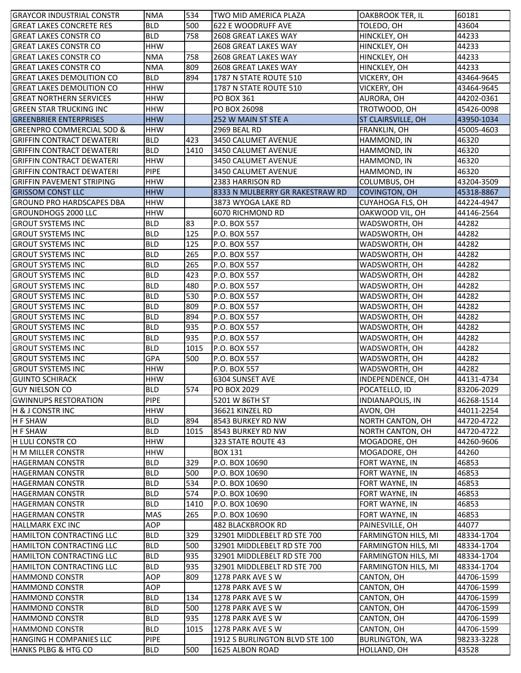| IGRAYCOR INDUSTRIAL CONSTR           | <b>NMA</b>               | 534        | TWO MID AMERICA PLAZA                           | OAKBROOK TER, IL          | 60181                    |
|--------------------------------------|--------------------------|------------|-------------------------------------------------|---------------------------|--------------------------|
| <b>GREAT LAKES CONCRETE RES</b>      | <b>BLD</b>               | 500        | 622 E WOODRUFF AVE                              | TOLEDO, OH                | 43604                    |
| <b>GREAT LAKES CONSTR CO</b>         | <b>BLD</b>               | 758        | 2608 GREAT LAKES WAY                            | HINCKLEY, OH              | 44233                    |
| <b>GREAT LAKES CONSTR CO</b>         | <b>HHW</b>               |            | 2608 GREAT LAKES WAY                            | HINCKLEY, OH              | 44233                    |
| <b>GREAT LAKES CONSTR CO</b>         | <b>NMA</b>               | 758        | 2608 GREAT LAKES WAY                            | HINCKLEY, OH              | 44233                    |
| <b>GREAT LAKES CONSTR CO</b>         | <b>NMA</b>               | 809        | 2608 GREAT LAKES WAY                            | HINCKLEY, OH              | 44233                    |
| <b>GREAT LAKES DEMOLITION CO</b>     | <b>BLD</b>               | 894        | 1787 N STATE ROUTE 510                          | VICKERY, OH               | 43464-9645               |
| <b>GREAT LAKES DEMOLITION CO</b>     | <b>HHW</b>               |            | 1787 N STATE ROUTE 510                          | VICKERY, OH               | 43464-9645               |
| <b>GREAT NORTHERN SERVICES</b>       | <b>HHW</b>               |            | <b>PO BOX 361</b>                               | AURORA, OH                | 44202-0361               |
| <b>GREEN STAR TRUCKING INC</b>       | <b>HHW</b>               |            | PO BOX 26098                                    | TROTWOOD, OH              | 45426-0098               |
| <b>GREENBRIER ENTERPRISES</b>        | <b>HHW</b>               |            | 252 W MAIN ST STE A                             | <b>ST CLAIRSVILLE, OH</b> | 43950-1034               |
| <b>GREENPRO COMMERCIAL SOD &amp;</b> | <b>HHW</b>               |            | 2969 BEAL RD                                    | FRANKLIN, OH              | 45005-4603               |
| <b>GRIFFIN CONTRACT DEWATERI</b>     | <b>BLD</b>               | 423        | 3450 CALUMET AVENUE                             | HAMMOND, IN               | 46320                    |
| <b>GRIFFIN CONTRACT DEWATERI</b>     | <b>BLD</b>               | 1410       | 3450 CALUMET AVENUE                             | HAMMOND, IN               | 46320                    |
| <b>GRIFFIN CONTRACT DEWATERI</b>     | <b>HHW</b>               |            | 3450 CALUMET AVENUE                             | HAMMOND, IN               | 46320                    |
| <b>GRIFFIN CONTRACT DEWATERI</b>     | <b>PIPE</b>              |            | 3450 CALUMET AVENUE                             | HAMMOND, IN               | 46320                    |
| <b>GRIFFIN PAVEMENT STRIPING</b>     | <b>HHW</b>               |            | 2383 HARRISON RD                                | COLUMBUS, OH              | 43204-3509               |
| <b>GRISSOM CONST LLC</b>             | <b>HHW</b>               |            | 8333 N MULBERRY GR RAKESTRAW RD                 | <b>COVINGTON, OH</b>      | 45318-8867               |
| <b>GROUND PRO HARDSCAPES DBA</b>     | <b>HHW</b>               |            | 3873 WYOGA LAKE RD                              | <b>CUYAHOGA FLS, OH</b>   | 44224-4947               |
| <b>GROUNDHOGS 2000 LLC</b>           | <b>HHW</b>               |            | 6070 RICHMOND RD                                | OAKWOOD VIL, OH           | 44146-2564               |
| <b>GROUT SYSTEMS INC</b>             | <b>BLD</b>               | 83         | P.O. BOX 557                                    | WADSWORTH, OH             | 44282                    |
| <b>GROUT SYSTEMS INC</b>             | <b>BLD</b>               | 125        | P.O. BOX 557                                    | WADSWORTH, OH             | 44282                    |
| <b>GROUT SYSTEMS INC</b>             | <b>BLD</b>               | 125        | P.O. BOX 557                                    | WADSWORTH, OH             | 44282                    |
| <b>GROUT SYSTEMS INC</b>             | <b>BLD</b>               | 265        | P.O. BOX 557                                    | WADSWORTH, OH             | 44282                    |
| <b>GROUT SYSTEMS INC</b>             | <b>BLD</b>               | 265        | P.O. BOX 557                                    | WADSWORTH, OH             | 44282                    |
| <b>GROUT SYSTEMS INC</b>             | <b>BLD</b>               | 423        | P.O. BOX 557                                    | WADSWORTH, OH             | 44282                    |
| <b>GROUT SYSTEMS INC</b>             | <b>BLD</b>               | 480        | P.O. BOX 557                                    | WADSWORTH, OH             | 44282                    |
| <b>GROUT SYSTEMS INC</b>             | <b>BLD</b>               | 530        | P.O. BOX 557                                    | WADSWORTH, OH             | 44282                    |
| <b>GROUT SYSTEMS INC</b>             | <b>BLD</b>               | 809        | P.O. BOX 557                                    | WADSWORTH, OH             | 44282                    |
| <b>GROUT SYSTEMS INC</b>             | <b>BLD</b>               | 894        | P.O. BOX 557                                    | WADSWORTH, OH             | 44282                    |
| <b>GROUT SYSTEMS INC</b>             | <b>BLD</b>               | 935        | P.O. BOX 557                                    | WADSWORTH, OH             | 44282                    |
| <b>GROUT SYSTEMS INC</b>             | <b>BLD</b>               | 935        | P.O. BOX 557                                    | WADSWORTH, OH             | 44282                    |
| <b>GROUT SYSTEMS INC</b>             | <b>BLD</b>               | 1015       | P.O. BOX 557                                    | WADSWORTH, OH             | 44282                    |
| <b>GROUT SYSTEMS INC</b>             | GPA                      | 500        | P.O. BOX 557                                    | WADSWORTH, OH             | 44282                    |
| <b>GROUT SYSTEMS INC</b>             | <b>HHW</b>               |            | P.O. BOX 557                                    | WADSWORTH, OH             | 44282                    |
| <b>GUINTO SCHIRACK</b>               | <b>HHW</b>               |            | 6304 SUNSET AVE                                 | INDEPENDENCE, OH          | 44131-4734               |
| <b>GUY NIELSON CO</b>                | <b>BLD</b>               | 574        | PO BOX 2029                                     | POCATELLO, ID             | 83206-2029               |
| <b>GWINNUPS RESTORATION</b>          | <b>PIPE</b>              |            | 5201 W 86TH ST                                  | <b>INDIANAPOLIS, IN</b>   | 46268-1514               |
| <b>H &amp; J CONSTR INC</b>          | <b>HHW</b>               |            | 36621 KINZEL RD                                 | AVON, OH                  | 44011-2254               |
| <b>H F SHAW</b>                      | <b>BLD</b>               | 894        | 8543 BURKEY RD NW                               | <b>NORTH CANTON, OH</b>   | 44720-4722               |
| <b>H F SHAW</b>                      | <b>BLD</b>               | 1015       | 8543 BURKEY RD NW                               | <b>NORTH CANTON, OH</b>   | 44720-4722               |
| H LULI CONSTR CO                     | <b>HHW</b>               |            | 323 STATE ROUTE 43                              | MOGADORE, OH              | 44260-9606               |
| H M MILLER CONSTR                    | <b>HHW</b>               |            | <b>BOX 131</b>                                  | MOGADORE, OH              | 44260                    |
| <b>HAGERMAN CONSTR</b>               | <b>BLD</b>               | 329        | P.O. BOX 10690                                  | FORT WAYNE, IN            | 46853                    |
| <b>HAGERMAN CONSTR</b>               | <b>BLD</b>               | 500        | P.O. BOX 10690                                  | FORT WAYNE, IN            | 46853                    |
| <b>HAGERMAN CONSTR</b>               | <b>BLD</b>               | 534        | P.O. BOX 10690                                  | FORT WAYNE, IN            | 46853                    |
| <b>HAGERMAN CONSTR</b>               | <b>BLD</b>               | 574        | P.O. BOX 10690                                  | FORT WAYNE, IN            | 46853                    |
| <b>HAGERMAN CONSTR</b>               | <b>BLD</b>               | 1410       | P.O. BOX 10690                                  | FORT WAYNE, IN            | 46853                    |
| <b>HAGERMAN CONSTR</b>               | MAS                      | 265        | P.O. BOX 10690                                  | FORT WAYNE, IN            | 46853                    |
| <b>HALLMARK EXC INC</b>              | <b>AOP</b>               |            | 482 BLACKBROOK RD                               | PAINESVILLE, OH           | 44077                    |
| <b>HAMILTON CONTRACTING LLC</b>      | <b>BLD</b>               | 329        | 32901 MIDDLEBELT RD STE 700                     | FARMINGTON HILS, MI       | 48334-1704               |
| HAMILTON CONTRACTING LLC             | <b>BLD</b>               | 500        | 32901 MIDDLEBELT RD STE 700                     | FARMINGTON HILS, MI       | 48334-1704               |
| HAMILTON CONTRACTING LLC             | <b>BLD</b>               | 935        | 32901 MIDDLEBELT RD STE 700                     | FARMINGTON HILS, MI       | 48334-1704               |
| <b>HAMILTON CONTRACTING LLC</b>      | <b>BLD</b>               | 935        |                                                 |                           |                          |
| <b>HAMMOND CONSTR</b>                | AOP                      | 809        | 32901 MIDDLEBELT RD STE 700<br>1278 PARK AVE SW | FARMINGTON HILS, MI       | 48334-1704<br>44706-1599 |
| <b>HAMMOND CONSTR</b>                | AOP                      |            |                                                 | CANTON, OH                |                          |
|                                      |                          |            | 1278 PARK AVE SW                                | CANTON, OH                | 44706-1599               |
| <b>HAMMOND CONSTR</b>                | <b>BLD</b><br><b>BLD</b> | 134<br>500 | 1278 PARK AVE SW                                | CANTON, OH                | 44706-1599               |
| <b>HAMMOND CONSTR</b>                |                          |            | 1278 PARK AVE SW                                | CANTON, OH                | 44706-1599               |
| <b>HAMMOND CONSTR</b>                | <b>BLD</b>               | 935        | 1278 PARK AVE SW                                | CANTON, OH                | 44706-1599               |
| <b>HAMMOND CONSTR</b>                | <b>BLD</b>               | 1015       | 1278 PARK AVE SW                                | CANTON, OH                | 44706-1599               |
| HANGING H COMPANIES LLC              | <b>PIPE</b>              |            | 1912 S BURLINGTON BLVD STE 100                  | <b>BURLINGTON, WA</b>     | 98233-3228               |
| HANKS PLBG & HTG CO                  | <b>BLD</b>               | 500        | 1625 ALBON ROAD                                 | HOLLAND, OH               | 43528                    |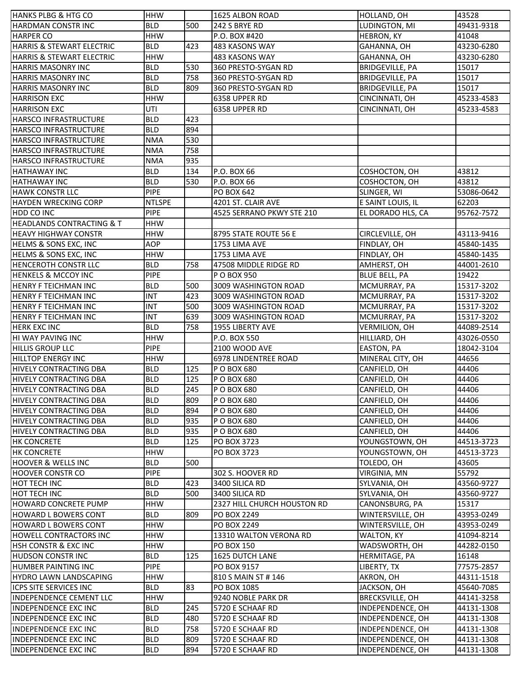| <b>HANKS PLBG &amp; HTG CO</b>       | <b>HHW</b>    |     | 1625 ALBON ROAD             | HOLLAND, OH            | 43528      |
|--------------------------------------|---------------|-----|-----------------------------|------------------------|------------|
| <b>HARDMAN CONSTR INC</b>            | <b>BLD</b>    | 500 | 242 S BRYE RD               | LUDINGTON, MI          | 49431-9318 |
| <b>HARPER CO</b>                     | <b>HHW</b>    |     | P.O. BOX #420               | <b>HEBRON, KY</b>      | 41048      |
| HARRIS & STEWART ELECTRIC            | <b>BLD</b>    | 423 | 483 KASONS WAY              | GAHANNA, OH            | 43230-6280 |
| <b>HARRIS &amp; STEWART ELECTRIC</b> | <b>HHW</b>    |     | 483 KASONS WAY              | GAHANNA, OH            | 43230-6280 |
| <b>HARRIS MASONRY INC</b>            | <b>BLD</b>    | 530 | 360 PRESTO-SYGAN RD         | <b>BRIDGEVILLE, PA</b> | 15017      |
| <b>HARRIS MASONRY INC</b>            | <b>BLD</b>    | 758 | 360 PRESTO-SYGAN RD         | BRIDGEVILLE, PA        | 15017      |
| <b>HARRIS MASONRY INC</b>            | <b>BLD</b>    | 809 | 360 PRESTO-SYGAN RD         | <b>BRIDGEVILLE, PA</b> | 15017      |
| <b>HARRISON EXC</b>                  | <b>HHW</b>    |     | 6358 UPPER RD               | CINCINNATI, OH         | 45233-4583 |
| <b>HARRISON EXC</b>                  | UTI           |     | 6358 UPPER RD               | CINCINNATI, OH         | 45233-4583 |
| HARSCO INFRASTRUCTURE                | <b>BLD</b>    | 423 |                             |                        |            |
| <b>HARSCO INFRASTRUCTURE</b>         | <b>BLD</b>    | 894 |                             |                        |            |
| <b>HARSCO INFRASTRUCTURE</b>         | <b>NMA</b>    | 530 |                             |                        |            |
| <b>HARSCO INFRASTRUCTURE</b>         | <b>NMA</b>    | 758 |                             |                        |            |
| <b>HARSCO INFRASTRUCTURE</b>         | <b>NMA</b>    | 935 |                             |                        |            |
|                                      |               | 134 |                             |                        |            |
| <b>HATHAWAY INC</b>                  | <b>BLD</b>    | 530 | P.O. BOX 66                 | COSHOCTON, OH          | 43812      |
| <b>HATHAWAY INC</b>                  | <b>BLD</b>    |     | P.O. BOX 66                 | COSHOCTON, OH          | 43812      |
| <b>HAWK CONSTR LLC</b>               | <b>PIPE</b>   |     | <b>PO BOX 642</b>           | SLINGER, WI            | 53086-0642 |
| <b>HAYDEN WRECKING CORP</b>          | <b>NTLSPE</b> |     | 4201 ST. CLAIR AVE          | E SAINT LOUIS, IL      | 62203      |
| HDD CO INC                           | <b>PIPE</b>   |     | 4525 SERRANO PKWY STE 210   | EL DORADO HLS, CA      | 95762-7572 |
| <b>HEADLANDS CONTRACTING &amp; T</b> | <b>HHW</b>    |     |                             |                        |            |
| <b>HEAVY HIGHWAY CONSTR</b>          | <b>HHW</b>    |     | 8795 STATE ROUTE 56 E       | CIRCLEVILLE, OH        | 43113-9416 |
| HELMS & SONS EXC, INC                | <b>AOP</b>    |     | 1753 LIMA AVE               | FINDLAY, OH            | 45840-1435 |
| <b>HELMS &amp; SONS EXC, INC</b>     | <b>HHW</b>    |     | 1753 LIMA AVE               | FINDLAY, OH            | 45840-1435 |
| <b>HENCEROTH CONSTR LLC</b>          | <b>BLD</b>    | 758 | 47508 MIDDLE RIDGE RD       | AMHERST, OH            | 44001-2610 |
| <b>HENKELS &amp; MCCOY INC</b>       | <b>PIPE</b>   |     | P O BOX 950                 | <b>BLUE BELL, PA</b>   | 19422      |
| <b>HENRY F TEICHMAN INC</b>          | <b>BLD</b>    | 500 | 3009 WASHINGTON ROAD        | MCMURRAY, PA           | 15317-3202 |
| HENRY F TEICHMAN INC                 | <b>INT</b>    | 423 | 3009 WASHINGTON ROAD        | MCMURRAY, PA           | 15317-3202 |
| HENRY F TEICHMAN INC                 | <b>INT</b>    | 500 | 3009 WASHINGTON ROAD        | MCMURRAY, PA           | 15317-3202 |
| HENRY F TEICHMAN INC                 | <b>INT</b>    | 639 | 3009 WASHINGTON ROAD        | MCMURRAY, PA           | 15317-3202 |
| <b>HERK EXC INC</b>                  | <b>BLD</b>    | 758 | 1955 LIBERTY AVE            | VERMILION, OH          | 44089-2514 |
| HI WAY PAVING INC                    | <b>HHW</b>    |     | P.O. BOX 550                | HILLIARD, OH           | 43026-0550 |
| <b>HILLIS GROUP LLC</b>              | <b>PIPE</b>   |     | 2100 WOOD AVE               | EASTON, PA             | 18042-3104 |
| HILLTOP ENERGY INC                   | <b>HHW</b>    |     | 6978 LINDENTREE ROAD        | MINERAL CITY, OH       | 44656      |
| HIVELY CONTRACTING DBA               | <b>BLD</b>    | 125 | P O BOX 680                 | CANFIELD, OH           | 44406      |
| HIVELY CONTRACTING DBA               | <b>BLD</b>    | 125 | P O BOX 680                 | CANFIELD, OH           | 44406      |
| HIVELY CONTRACTING DBA               | <b>BLD</b>    | 245 | P O BOX 680                 | CANFIELD, OH           | 44406      |
| <b>HIVELY CONTRACTING DBA</b>        | <b>BLD</b>    | 809 | P O BOX 680                 | CANFIELD, OH           | 44406      |
| HIVELY CONTRACTING DBA               | <b>BLD</b>    | 894 | P O BOX 680                 | CANFIELD, OH           | 44406      |
| HIVELY CONTRACTING DBA               | <b>BLD</b>    | 935 | P O BOX 680                 | CANFIELD, OH           | 44406      |
| HIVELY CONTRACTING DBA               | <b>BLD</b>    | 935 | P O BOX 680                 | CANFIELD, OH           | 44406      |
|                                      |               |     |                             |                        |            |
| <b>HK CONCRETE</b>                   | <b>BLD</b>    | 125 | PO BOX 3723                 | YOUNGSTOWN, OH         | 44513-3723 |
| <b>HK CONCRETE</b>                   | <b>HHW</b>    |     | PO BOX 3723                 | YOUNGSTOWN, OH         | 44513-3723 |
| <b>HOOVER &amp; WELLS INC</b>        | <b>BLD</b>    | 500 |                             | TOLEDO, OH             | 43605      |
| <b>HOOVER CONSTR CO</b>              | <b>PIPE</b>   |     | 302 S. HOOVER RD            | <b>VIRGINIA, MN</b>    | 55792      |
| HOT TECH INC                         | <b>BLD</b>    | 423 | 3400 SILICA RD              | SYLVANIA, OH           | 43560-9727 |
| HOT TECH INC                         | BLD           | 500 | 3400 SILICA RD              | SYLVANIA, OH           | 43560-9727 |
| HOWARD CONCRETE PUMP                 | <b>HHW</b>    |     | 2327 HILL CHURCH HOUSTON RD | CANONSBURG, PA         | 15317      |
| <b>HOWARD L BOWERS CONT</b>          | <b>BLD</b>    | 809 | PO BOX 2249                 | WINTERSVILLE, OH       | 43953-0249 |
| <b>HOWARD L BOWERS CONT</b>          | <b>HHW</b>    |     | PO BOX 2249                 | WINTERSVILLE, OH       | 43953-0249 |
| <b>HOWELL CONTRACTORS INC</b>        | <b>HHW</b>    |     | 13310 WALTON VERONA RD      | WALTON, KY             | 41094-8214 |
| HSH CONSTR & EXC INC                 | <b>HHW</b>    |     | <b>PO BOX 150</b>           | WADSWORTH, OH          | 44282-0150 |
| HUDSON CONSTRINC                     | <b>BLD</b>    | 125 | 1625 DUTCH LANE             | HERMITAGE, PA          | 16148      |
| HUMBER PAINTING INC                  | <b>PIPE</b>   |     | PO BOX 9157                 | LIBERTY, TX            | 77575-2857 |
| HYDRO LAWN LANDSCAPING               | <b>HHW</b>    |     | 810 S MAIN ST # 146         | AKRON, OH              | 44311-1518 |
| <b>ICPS SITE SERVICES INC</b>        | <b>BLD</b>    | 83  | PO BOX 1085                 | JACKSON, OH            | 45640-7085 |
| <b>INDEPENDENCE CEMENT LLC</b>       | <b>HHW</b>    |     | 9240 NOBLE PARK DR          | BRECKSVILLE, OH        | 44141-3258 |
| <b>INDEPENDENCE EXC INC</b>          | <b>BLD</b>    | 245 | 5720 E SCHAAF RD            | INDEPENDENCE, OH       | 44131-1308 |
| INDEPENDENCE EXC INC                 | <b>BLD</b>    | 480 | 5720 E SCHAAF RD            | INDEPENDENCE, OH       | 44131-1308 |
| <b>INDEPENDENCE EXC INC</b>          | <b>BLD</b>    | 758 | 5720 E SCHAAF RD            | INDEPENDENCE, OH       | 44131-1308 |
| <b>INDEPENDENCE EXC INC</b>          | <b>BLD</b>    | 809 | 5720 E SCHAAF RD            | INDEPENDENCE, OH       | 44131-1308 |
| <b>INDEPENDENCE EXC INC</b>          | <b>BLD</b>    | 894 | 5720 E SCHAAF RD            | INDEPENDENCE, OH       | 44131-1308 |
|                                      |               |     |                             |                        |            |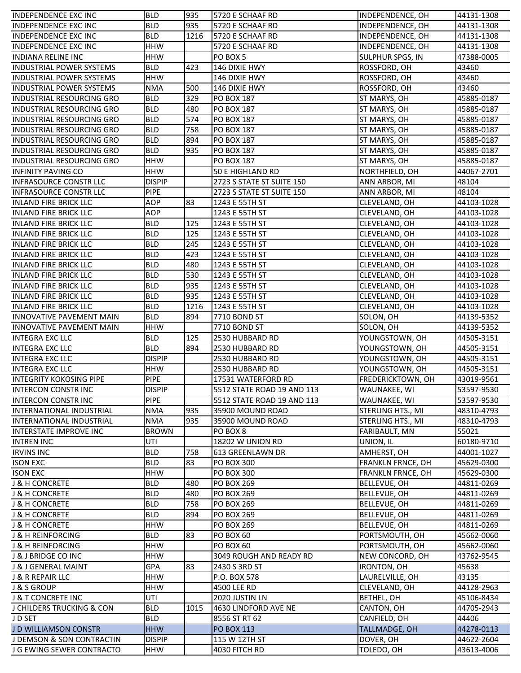| <b>INDEPENDENCE EXC INC</b>                            | <b>BLD</b>                   | 935  | 5720 E SCHAAF RD           | INDEPENDENCE, OH                    | 44131-1308 |
|--------------------------------------------------------|------------------------------|------|----------------------------|-------------------------------------|------------|
| <b>INDEPENDENCE EXC INC</b>                            | <b>BLD</b>                   | 935  | 5720 E SCHAAF RD           | INDEPENDENCE, OH                    | 44131-1308 |
| <b>INDEPENDENCE EXC INC</b>                            | <b>BLD</b>                   | 1216 | 5720 E SCHAAF RD           | INDEPENDENCE, OH                    | 44131-1308 |
| <b>INDEPENDENCE EXC INC</b>                            | <b>HHW</b>                   |      | 5720 E SCHAAF RD           | INDEPENDENCE, OH                    | 44131-1308 |
| <b>INDIANA RELINE INC</b>                              | <b>HHW</b>                   |      | PO BOX 5                   | SULPHUR SPGS, IN                    | 47388-0005 |
| <b>INDUSTRIAL POWER SYSTEMS</b>                        | <b>BLD</b>                   | 423  | 146 DIXIE HWY              | ROSSFORD, OH                        | 43460      |
| <b>INDUSTRIAL POWER SYSTEMS</b>                        | <b>HHW</b>                   |      | 146 DIXIE HWY              | ROSSFORD, OH                        | 43460      |
| <b>INDUSTRIAL POWER SYSTEMS</b>                        | <b>NMA</b>                   | 500  | 146 DIXIE HWY              | ROSSFORD, OH                        | 43460      |
| <b>INDUSTRIAL RESOURCING GRO</b>                       | <b>BLD</b>                   | 329  | <b>PO BOX 187</b>          | ST MARYS, OH                        | 45885-0187 |
| <b>INDUSTRIAL RESOURCING GRO</b>                       | <b>BLD</b>                   | 480  | <b>PO BOX 187</b>          | ST MARYS, OH                        | 45885-0187 |
| INDUSTRIAL RESOURCING GRO                              | <b>BLD</b>                   | 574  | <b>PO BOX 187</b>          | ST MARYS, OH                        | 45885-0187 |
| <b>INDUSTRIAL RESOURCING GRO</b>                       | <b>BLD</b>                   | 758  | <b>PO BOX 187</b>          | ST MARYS, OH                        | 45885-0187 |
| <b>INDUSTRIAL RESOURCING GRO</b>                       | <b>BLD</b>                   | 894  | <b>PO BOX 187</b>          | ST MARYS, OH                        | 45885-0187 |
|                                                        | <b>BLD</b>                   | 935  | <b>PO BOX 187</b>          |                                     | 45885-0187 |
| INDUSTRIAL RESOURCING GRO                              |                              |      |                            | ST MARYS, OH                        |            |
| <b>INDUSTRIAL RESOURCING GRO</b>                       | <b>HHW</b>                   |      | <b>PO BOX 187</b>          | ST MARYS, OH                        | 45885-0187 |
| <b>INFINITY PAVING CO</b>                              | <b>HHW</b>                   |      | 50 E HIGHLAND RD           | NORTHFIELD, OH                      | 44067-2701 |
| INFRASOURCE CONSTR LLC                                 | <b>DISPIP</b>                |      | 2723 S STATE ST SUITE 150  | ANN ARBOR, MI                       | 48104      |
| INFRASOURCE CONSTR LLC                                 | <b>PIPE</b>                  |      | 2723 S STATE ST SUITE 150  | ANN ARBOR, MI                       | 48104      |
| <b>INLAND FIRE BRICK LLC</b>                           | <b>AOP</b>                   | 83   | 1243 E 55TH ST             | CLEVELAND, OH                       | 44103-1028 |
| <b>INLAND FIRE BRICK LLC</b>                           | <b>AOP</b>                   |      | 1243 E 55TH ST             | CLEVELAND, OH                       | 44103-1028 |
| <b>INLAND FIRE BRICK LLC</b>                           | <b>BLD</b>                   | 125  | 1243 E 55TH ST             | CLEVELAND, OH                       | 44103-1028 |
| <b>INLAND FIRE BRICK LLC</b>                           | <b>BLD</b>                   | 125  | 1243 E 55TH ST             | CLEVELAND, OH                       | 44103-1028 |
| <b>INLAND FIRE BRICK LLC</b>                           | <b>BLD</b>                   | 245  | 1243 E 55TH ST             | CLEVELAND, OH                       | 44103-1028 |
| <b>INLAND FIRE BRICK LLC</b>                           | <b>BLD</b>                   | 423  | 1243 E 55TH ST             | CLEVELAND, OH                       | 44103-1028 |
| <b>INLAND FIRE BRICK LLC</b>                           | <b>BLD</b>                   | 480  | 1243 E 55TH ST             | CLEVELAND, OH                       | 44103-1028 |
| <b>INLAND FIRE BRICK LLC</b>                           | <b>BLD</b>                   | 530  | 1243 E 55TH ST             | CLEVELAND, OH                       | 44103-1028 |
| <b>INLAND FIRE BRICK LLC</b>                           | <b>BLD</b>                   | 935  | 1243 E 55TH ST             | CLEVELAND, OH                       | 44103-1028 |
| <b>INLAND FIRE BRICK LLC</b>                           | <b>BLD</b>                   | 935  | 1243 E 55TH ST             | CLEVELAND, OH                       | 44103-1028 |
| <b>INLAND FIRE BRICK LLC</b>                           | <b>BLD</b>                   | 1216 | 1243 E 55TH ST             | CLEVELAND, OH                       | 44103-1028 |
| <b>INNOVATIVE PAVEMENT MAIN</b>                        | <b>BLD</b>                   | 894  | 7710 BOND ST               | SOLON, OH                           | 44139-5352 |
| <b>INNOVATIVE PAVEMENT MAIN</b>                        | <b>HHW</b>                   |      | 7710 BOND ST               | SOLON, OH                           | 44139-5352 |
|                                                        |                              |      |                            |                                     |            |
| <b>INTEGRA EXC LLC</b>                                 | <b>BLD</b>                   | 125  | 2530 HUBBARD RD            | YOUNGSTOWN, OH                      | 44505-3151 |
| <b>INTEGRA EXC LLC</b>                                 | <b>BLD</b>                   | 894  | 2530 HUBBARD RD            | YOUNGSTOWN, OH                      | 44505-3151 |
|                                                        | <b>DISPIP</b>                |      | 2530 HUBBARD RD            | YOUNGSTOWN, OH                      | 44505-3151 |
| <b>INTEGRA EXC LLC</b><br><b>INTEGRA EXC LLC</b>       | <b>HHW</b>                   |      | 2530 HUBBARD RD            |                                     | 44505-3151 |
| <b>INTEGRITY KOKOSING PIPE</b>                         | <b>PIPE</b>                  |      | 17531 WATERFORD RD         | YOUNGSTOWN, OH<br>FREDERICKTOWN, OH | 43019-9561 |
|                                                        |                              |      |                            |                                     |            |
| INTERCON CONSTR INC                                    | <b>DISPIP</b><br><b>PIPE</b> |      | 5512 STATE ROAD 19 AND 113 | WAUNAKEE, WI                        | 53597-9530 |
| <b>INTERCON CONSTRINC</b><br>IINTERNATIONAL INDUSTRIAL |                              |      | 5512 STATE ROAD 19 AND 113 | WAUNAKEE, WI                        | 53597-9530 |
|                                                        | <b>NMA</b>                   | 935  | 35900 MOUND ROAD           | STERLING HTS., MI                   | 48310-4793 |
| INTERNATIONAL INDUSTRIAL                               | <b>NMA</b>                   | 935  | 35900 MOUND ROAD           | STERLING HTS., MI                   | 48310-4793 |
| INTERSTATE IMPROVE INC                                 | <b>BROWN</b>                 |      | PO BOX 8                   | FARIBAULT, MN                       | 55021      |
| <b>INTREN INC</b>                                      | UTI                          |      | 18202 W UNION RD           | UNION, IL                           | 60180-9710 |
| <b>IRVINS INC</b>                                      | <b>BLD</b>                   | 758  | 613 GREENLAWN DR           | AMHERST, OH                         | 44001-1027 |
| <b>ISON EXC</b>                                        | <b>BLD</b>                   | 83   | <b>PO BOX 300</b>          | FRANKLN FRNCE, OH                   | 45629-0300 |
| <b>ISON EXC</b>                                        | <b>HHW</b>                   |      | <b>PO BOX 300</b>          | FRANKLN FRNCE, OH                   | 45629-0300 |
| <b>J &amp; H CONCRETE</b>                              | <b>BLD</b>                   | 480  | <b>PO BOX 269</b>          | BELLEVUE, OH                        | 44811-0269 |
| J & H CONCRETE                                         | <b>BLD</b>                   | 480  | <b>PO BOX 269</b>          | BELLEVUE, OH                        | 44811-0269 |
| J & H CONCRETE                                         | <b>BLD</b>                   | 758  | <b>PO BOX 269</b>          | BELLEVUE, OH                        | 44811-0269 |
| J & H CONCRETE                                         | <b>BLD</b>                   | 894  | <b>PO BOX 269</b>          | BELLEVUE, OH                        | 44811-0269 |
| J & H CONCRETE                                         | <b>HHW</b>                   |      | <b>PO BOX 269</b>          | BELLEVUE, OH                        | 44811-0269 |
| J & H REINFORCING                                      | <b>BLD</b>                   | 83   | <b>PO BOX 60</b>           | PORTSMOUTH, OH                      | 45662-0060 |
| J & H REINFORCING                                      | <b>HHW</b>                   |      | <b>PO BOX 60</b>           | PORTSMOUTH, OH                      | 45662-0060 |
| J & J BRIDGE CO INC                                    | <b>HHW</b>                   |      | 3049 ROUGH AND READY RD    | NEW CONCORD, OH                     | 43762-9545 |
| J & J GENERAL MAINT                                    | <b>GPA</b>                   | 83   | 2430 S 3RD ST              | IRONTON, OH                         | 45638      |
| J & R REPAIR LLC                                       | <b>HHW</b>                   |      | P.O. BOX 578               | LAURELVILLE, OH                     | 43135      |
| J & S GROUP                                            | <b>HHW</b>                   |      | 4500 LEE RD                | CLEVELAND, OH                       | 44128-2963 |
| J & T CONCRETE INC                                     | UTI                          |      | 2020 JUSTIN LN             | BETHEL, OH                          | 45106-8434 |
| J CHILDERS TRUCKING & CON                              | <b>BLD</b>                   | 1015 | 4630 LINDFORD AVE NE       | CANTON, OH                          | 44705-2943 |
| J D SET                                                | <b>BLD</b>                   |      | 8556 ST RT 62              | CANFIELD, OH                        | 44406      |
| J D WILLIAMSON CONSTR                                  | <b>HHW</b>                   |      | <b>PO BOX 113</b>          | TALLMADGE, OH                       | 44278-0113 |
| J DEMSON & SON CONTRACTIN                              | <b>DISPIP</b><br>HHW         |      | 115 W 12TH ST              | DOVER, OH                           | 44622-2604 |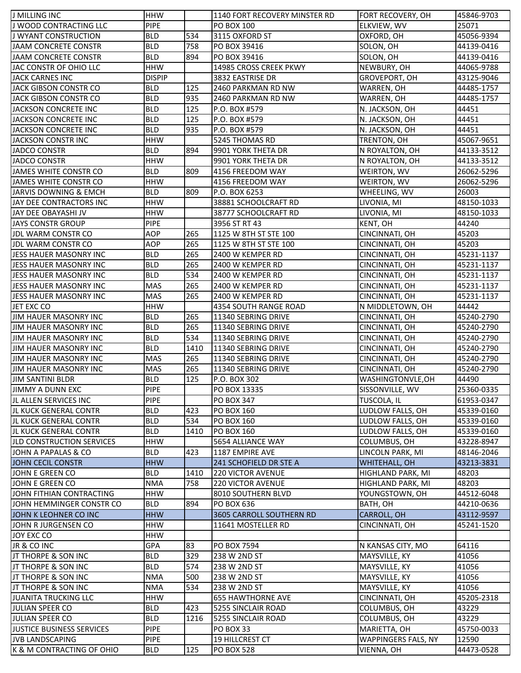| J MILLING INC                    | <b>HHW</b>    |      | 1140 FORT RECOVERY MINSTER RD                  | FORT RECOVERY, OH                | 45846-9703          |
|----------------------------------|---------------|------|------------------------------------------------|----------------------------------|---------------------|
| J WOOD CONTRACTING LLC           | <b>PIPE</b>   |      | PO BOX 100                                     | ELKVIEW, WV                      | 25071               |
| <b>J WYANT CONSTRUCTION</b>      | <b>BLD</b>    | 534  | 3115 OXFORD ST                                 | OXFORD, OH                       | 45056-9394          |
| <b>JAAM CONCRETE CONSTR</b>      | <b>BLD</b>    | 758  | PO BOX 39416                                   | SOLON, OH                        | 44139-0416          |
| JAAM CONCRETE CONSTR             | <b>BLD</b>    | 894  | PO BOX 39416                                   | SOLON, OH                        | 44139-0416          |
| JAC CONSTR OF OHIO LLC           | <b>HHW</b>    |      | 14985 CROSS CREEK PKWY                         | NEWBURY, OH                      | 44065-9788          |
| JACK CARNES INC                  | <b>DISPIP</b> |      | 3832 EASTRISE DR                               | GROVEPORT, OH                    | 43125-9046          |
| JACK GIBSON CONSTR CO            | <b>BLD</b>    | 125  | 2460 PARKMAN RD NW                             | WARREN, OH                       | 44485-1757          |
| JACK GIBSON CONSTR CO            | <b>BLD</b>    | 935  | 2460 PARKMAN RD NW                             | WARREN, OH                       | 44485-1757          |
| JACKSON CONCRETE INC             | <b>BLD</b>    | 125  | P.O. BOX #579                                  | N. JACKSON, OH                   | 44451               |
| JACKSON CONCRETE INC             | <b>BLD</b>    | 125  | P.O. BOX #579                                  | N. JACKSON, OH                   | 44451               |
| JACKSON CONCRETE INC             | <b>BLD</b>    | 935  | P.O. BOX #579                                  | N. JACKSON, OH                   | 44451               |
| JACKSON CONSTR INC               | <b>HHW</b>    |      | 5245 THOMAS RD                                 | TRENTON, OH                      | 45067-9651          |
| <b>JADCO CONSTR</b>              | <b>BLD</b>    | 894  | 9901 YORK THETA DR                             | N ROYALTON, OH                   | 44133-3512          |
| JADCO CONSTR                     | <b>HHW</b>    |      | 9901 YORK THETA DR                             | N ROYALTON, OH                   | 44133-3512          |
| JAMES WHITE CONSTR CO            | <b>BLD</b>    | 809  | 4156 FREEDOM WAY                               | WEIRTON, WV                      | 26062-5296          |
| JAMES WHITE CONSTR CO            | <b>HHW</b>    |      | 4156 FREEDOM WAY                               | WEIRTON, WV                      | 26062-5296          |
| JARVIS DOWNING & EMCH            | <b>BLD</b>    | 809  | P.O. BOX 6253                                  | WHEELING, WV                     | 26003               |
| JAY DEE CONTRACTORS INC          | <b>HHW</b>    |      | 38881 SCHOOLCRAFT RD                           | LIVONIA, MI                      | 48150-1033          |
| JAY DEE OBAYASHI JV              | <b>HHW</b>    |      | 38777 SCHOOLCRAFT RD                           | LIVONIA, MI                      | 48150-1033          |
| <b>JAYS CONSTR GROUP</b>         | <b>PIPE</b>   |      | 3956 ST RT 43                                  | KENT, OH                         | 44240               |
| JDL WARM CONSTR CO               | AOP           | 265  | 1125 W 8TH ST STE 100                          | CINCINNATI, OH                   | 45203               |
| JDL WARM CONSTR CO               | <b>AOP</b>    | 265  | 1125 W 8TH ST STE 100                          | CINCINNATI, OH                   | 45203               |
| JESS HAUER MASONRY INC           | <b>BLD</b>    | 265  | 2400 W KEMPER RD                               | CINCINNATI, OH                   | 45231-1137          |
| JESS HAUER MASONRY INC           | <b>BLD</b>    | 265  | 2400 W KEMPER RD                               | CINCINNATI, OH                   | 45231-1137          |
| JESS HAUER MASONRY INC           | <b>BLD</b>    | 534  | 2400 W KEMPER RD                               | CINCINNATI, OH                   | 45231-1137          |
| JESS HAUER MASONRY INC           | <b>MAS</b>    | 265  | 2400 W KEMPER RD                               | CINCINNATI, OH                   | 45231-1137          |
| JESS HAUER MASONRY INC           | <b>MAS</b>    | 265  | 2400 W KEMPER RD                               | CINCINNATI, OH                   | 45231-1137          |
| JET EXC CO                       | <b>HHW</b>    |      | 4354 SOUTH RANGE ROAD                          | N MIDDLETOWN, OH                 | 44442               |
| JIM HAUER MASONRY INC            | <b>BLD</b>    | 265  | 11340 SEBRING DRIVE                            | CINCINNATI, OH                   | 45240-2790          |
| <b>JIM HAUER MASONRY INC</b>     | <b>BLD</b>    | 265  | 11340 SEBRING DRIVE                            | CINCINNATI, OH                   | 45240-2790          |
| JIM HAUER MASONRY INC            | <b>BLD</b>    | 534  | 11340 SEBRING DRIVE                            | CINCINNATI, OH                   | 45240-2790          |
| JIM HAUER MASONRY INC            | <b>BLD</b>    | 1410 | 11340 SEBRING DRIVE                            | CINCINNATI, OH                   | 45240-2790          |
| JIM HAUER MASONRY INC            | <b>MAS</b>    | 265  | 11340 SEBRING DRIVE                            | CINCINNATI, OH                   | 45240-2790          |
| JIM HAUER MASONRY INC            | <b>MAS</b>    | 265  | 11340 SEBRING DRIVE                            | CINCINNATI, OH                   | 45240-2790          |
| <b>JIM SANTINI BLDR</b>          | <b>BLD</b>    | 125  | P.O. BOX 302                                   | WASHINGTONVLE, OH                | 44490               |
| JIMMY A DUNN EXC                 | <b>PIPE</b>   |      | PO BOX 13335                                   | SISSONVILLE, WV                  | 25360-0335          |
| JL ALLEN SERVICES INC            | <b>PIPE</b>   |      | <b>PO BOX 347</b>                              | <b>TUSCOLA, IL</b>               | 61953-0347          |
| JL KUCK GENERAL CONTR            | <b>BLD</b>    | 423  | <b>PO BOX 160</b>                              | LUDLOW FALLS, OH                 | 45339-0160          |
| JL KUCK GENERAL CONTR            | <b>BLD</b>    | 534  | <b>PO BOX 160</b>                              | LUDLOW FALLS, OH                 | 45339-0160          |
| IJL KUCK GENERAL CONTR           | <b>BLD</b>    | 1410 | <b>PO BOX 160</b>                              | LUDLOW FALLS, OH                 | 45339-0160          |
| <b>JLD CONSTRUCTION SERVICES</b> | <b>HHW</b>    |      | 5654 ALLIANCE WAY                              |                                  | 43228-8947          |
| JOHN A PAPALAS & CO              | <b>BLD</b>    | 423  | 1187 EMPIRE AVE                                | COLUMBUS, OH<br>LINCOLN PARK, MI | 48146-2046          |
| JOHN CECIL CONSTR                | <b>HHW</b>    |      | 241 SCHOFIELD DR STE A                         |                                  |                     |
| JOHN E GREEN CO                  | <b>BLD</b>    | 1410 | <b>220 VICTOR AVENUE</b>                       | WHITEHALL, OH                    | 43213-3831<br>48203 |
| JOHN E GREEN CO                  | <b>NMA</b>    | 758  |                                                | HIGHLAND PARK, MI                |                     |
|                                  | <b>HHW</b>    |      | <b>220 VICTOR AVENUE</b><br>8010 SOUTHERN BLVD | HIGHLAND PARK, MI                | 48203<br>44512-6048 |
| JOHN FITHIAN CONTRACTING         |               |      |                                                | YOUNGSTOWN, OH                   |                     |
| JOHN HEMMINGER CONSTR CO         | <b>BLD</b>    | 894  | <b>PO BOX 636</b>                              | BATH, OH                         | 44210-0636          |
| JOHN K LEOHNER CO INC            | <b>HHW</b>    |      | 3605 CARROLL SOUTHERN RD                       | CARROLL, OH                      | 43112-9597          |
| JOHN R JURGENSEN CO              | <b>HHW</b>    |      | 11641 MOSTELLER RD                             | CINCINNATI, OH                   | 45241-1520          |
| JOY EXC CO                       | <b>HHW</b>    |      |                                                |                                  |                     |
| JR & CO INC                      | GPA           | 83   | <b>PO BOX 7594</b>                             | N KANSAS CITY, MO                | 64116               |
| JT THORPE & SON INC              | <b>BLD</b>    | 329  | 238 W 2ND ST                                   | MAYSVILLE, KY                    | 41056               |
| JT THORPE & SON INC              | <b>BLD</b>    | 574  | 238 W 2ND ST                                   | MAYSVILLE, KY                    | 41056               |
| JT THORPE & SON INC              | <b>NMA</b>    | 500  | 238 W 2ND ST                                   | MAYSVILLE, KY                    | 41056               |
| JT THORPE & SON INC              | <b>NMA</b>    | 534  | 238 W 2ND ST                                   | MAYSVILLE, KY                    | 41056               |
| JUANITA TRUCKING LLC             | <b>HHW</b>    |      | <b>655 HAWTHORNE AVE</b>                       | CINCINNATI, OH                   | 45205-2318          |
| JULIAN SPEER CO                  | <b>BLD</b>    | 423  | 5255 SINCLAIR ROAD                             | COLUMBUS, OH                     | 43229               |
| JULIAN SPEER CO                  | <b>BLD</b>    | 1216 | 5255 SINCLAIR ROAD                             | COLUMBUS, OH                     | 43229               |
| JUSTICE BUSINESS SERVICES        | <b>PIPE</b>   |      | PO BOX 33                                      | MARIETTA, OH                     | 45750-0033          |
| <b>JVB LANDSCAPING</b>           | <b>PIPE</b>   |      | 19 HILLCREST CT                                | WAPPINGERS FALS, NY              | 12590               |
| K & M CONTRACTING OF OHIO        | <b>BLD</b>    | 125  | <b>PO BOX 528</b>                              | VIENNA, OH                       | 44473-0528          |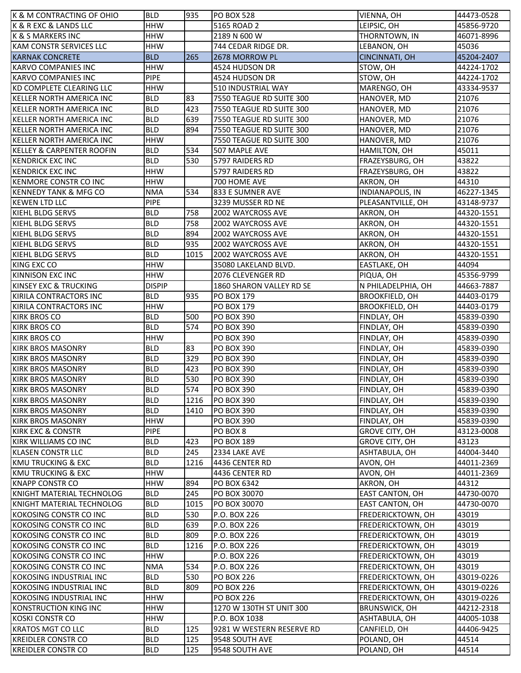| K & M CONTRACTING OF OHIO                            | <b>BLD</b>                | 935  | <b>PO BOX 528</b>         | VIENNA, OH                 | 44473-0528 |
|------------------------------------------------------|---------------------------|------|---------------------------|----------------------------|------------|
| K & R EXC & LANDS LLC                                | <b>HHW</b>                |      | 5165 ROAD 2               | LEIPSIC, OH                | 45856-9720 |
| <b>K &amp; S MARKERS INC</b>                         | <b>HHW</b>                |      | 2189 N 600 W              | THORNTOWN, IN              | 46071-8996 |
| KAM CONSTR SERVICES LLC                              | <b>HHW</b>                |      | 744 CEDAR RIDGE DR.       | LEBANON, OH                | 45036      |
| <b>KARNAK CONCRETE</b>                               | <b>BLD</b>                | 265  | 2678 MORROW PL            | CINCINNATI, OH             | 45204-2407 |
| KARVO COMPANIES INC                                  | <b>HHW</b>                |      | 4524 HUDSON DR            | STOW, OH                   | 44224-1702 |
| KARVO COMPANIES INC                                  | <b>PIPE</b>               |      | 4524 HUDSON DR            | STOW, OH                   | 44224-1702 |
| KD COMPLETE CLEARING LLC                             | <b>HHW</b>                |      | 510 INDUSTRIAL WAY        | MARENGO, OH                | 43334-9537 |
| KELLER NORTH AMERICA INC                             | <b>BLD</b>                | 83   | 7550 TEAGUE RD SUITE 300  | HANOVER, MD                | 21076      |
| KELLER NORTH AMERICA INC                             | <b>BLD</b>                | 423  | 7550 TEAGUE RD SUITE 300  | HANOVER, MD                | 21076      |
| KELLER NORTH AMERICA INC                             | <b>BLD</b>                | 639  | 7550 TEAGUE RD SUITE 300  | HANOVER, MD                | 21076      |
| KELLER NORTH AMERICA INC                             | <b>BLD</b>                | 894  | 7550 TEAGUE RD SUITE 300  | HANOVER, MD                | 21076      |
| KELLER NORTH AMERICA INC                             | <b>HHW</b>                |      | 7550 TEAGUE RD SUITE 300  | HANOVER, MD                | 21076      |
| <b>KELLEY &amp; CARPENTER ROOFIN</b>                 | <b>BLD</b>                | 534  | 507 MAPLE AVE             | HAMILTON, OH               | 45011      |
| <b>KENDRICK EXC INC</b>                              | <b>BLD</b>                | 530  | 5797 RAIDERS RD           | FRAZEYSBURG, OH            | 43822      |
| <b>KENDRICK EXC INC</b>                              | <b>HHW</b>                |      | 5797 RAIDERS RD           | FRAZEYSBURG, OH            | 43822      |
| KENMORE CONSTR CO INC                                | <b>HHW</b>                |      | 700 HOME AVE              | AKRON, OH                  | 44310      |
| <b>KENNEDY TANK &amp; MFG CO</b>                     | <b>NMA</b>                | 534  | 833 E SUMNER AVE          | <b>INDIANAPOLIS, IN</b>    | 46227-1345 |
| <b>KEWEN LTD LLC</b>                                 | <b>PIPE</b>               |      | 3239 MUSSER RD NE         | PLEASANTVILLE, OH          | 43148-9737 |
| KIEHL BLDG SERVS                                     | <b>BLD</b>                | 758  | 2002 WAYCROSS AVE         | AKRON, OH                  | 44320-1551 |
| <b>KIEHL BLDG SERVS</b>                              | <b>BLD</b>                | 758  | 2002 WAYCROSS AVE         | AKRON, OH                  | 44320-1551 |
| KIEHL BLDG SERVS                                     | <b>BLD</b>                | 894  | 2002 WAYCROSS AVE         | AKRON, OH                  | 44320-1551 |
| KIEHL BLDG SERVS                                     | <b>BLD</b>                | 935  | 2002 WAYCROSS AVE         | AKRON, OH                  | 44320-1551 |
| KIEHL BLDG SERVS                                     | <b>BLD</b>                | 1015 | 2002 WAYCROSS AVE         | AKRON, OH                  | 44320-1551 |
| <b>KING EXC CO</b>                                   | <b>HHW</b>                |      | 35080 LAKELAND BLVD.      | EASTLAKE, OH               | 44094      |
| KINNISON EXC INC                                     | <b>HHW</b>                |      | 2076 CLEVENGER RD         | PIQUA, OH                  | 45356-9799 |
| KINSEY EXC & TRUCKING                                | <b>DISPIP</b>             |      | 1860 SHARON VALLEY RD SE  | N PHILADELPHIA, OH         | 44663-7887 |
| KIRILA CONTRACTORS INC                               | <b>BLD</b>                | 935  | <b>PO BOX 179</b>         | <b>BROOKFIELD, OH</b>      | 44403-0179 |
| KIRILA CONTRACTORS INC                               | <b>HHW</b>                |      | <b>PO BOX 179</b>         | <b>BROOKFIELD, OH</b>      | 44403-0179 |
| <b>KIRK BROS CO</b>                                  | <b>BLD</b>                | 500  | <b>PO BOX 390</b>         | FINDLAY, OH                | 45839-0390 |
| <b>KIRK BROS CO</b>                                  | <b>BLD</b>                | 574  | <b>PO BOX 390</b>         | FINDLAY, OH                | 45839-0390 |
| <b>KIRK BROS CO</b>                                  | <b>HHW</b>                |      | <b>PO BOX 390</b>         | FINDLAY, OH                | 45839-0390 |
| <b>KIRK BROS MASONRY</b>                             | <b>BLD</b>                | 83   | <b>PO BOX 390</b>         |                            | 45839-0390 |
| <b>KIRK BROS MASONRY</b>                             | <b>BLD</b>                | 329  | <b>PO BOX 390</b>         | FINDLAY, OH<br>FINDLAY, OH | 45839-0390 |
| <b>KIRK BROS MASONRY</b>                             | <b>BLD</b>                | 423  | <b>PO BOX 390</b>         | FINDLAY, OH                | 45839-0390 |
|                                                      | <b>BLD</b>                | 530  | <b>PO BOX 390</b>         | FINDLAY, OH                | 45839-0390 |
| <b>KIRK BROS MASONRY</b>                             | <b>BLD</b>                | 574  | <b>PO BOX 390</b>         |                            | 45839-0390 |
| KIRK BROS MASONRY                                    | <b>BLD</b>                | 1216 | <b>PO BOX 390</b>         | FINDLAY, OH                | 45839-0390 |
| <b>KIRK BROS MASONRY</b><br><b>KIRK BROS MASONRY</b> | <b>BLD</b>                | 1410 | <b>PO BOX 390</b>         | FINDLAY, OH                |            |
|                                                      |                           |      |                           | FINDLAY, OH                | 45839-0390 |
| <b>KIRK BROS MASONRY</b>                             | <b>HHW</b><br><b>PIPE</b> |      | <b>PO BOX 390</b>         | FINDLAY, OH                | 45839-0390 |
| <b>KIRK EXC &amp; CONSTR</b>                         |                           |      | PO BOX 8                  | <b>GROVE CITY, OH</b>      | 43123-0008 |
| KIRK WILLIAMS CO INC                                 | <b>BLD</b>                | 423  | <b>PO BOX 189</b>         | <b>GROVE CITY, OH</b>      | 43123      |
| <b>KLASEN CONSTR LLC</b>                             | <b>BLD</b>                | 245  | 2334 LAKE AVE             | ASHTABULA, OH              | 44004-3440 |
| <b>KMU TRUCKING &amp; EXC</b>                        | <b>BLD</b>                | 1216 | 4436 CENTER RD            | AVON, OH                   | 44011-2369 |
| KMU TRUCKING & EXC                                   | <b>HHW</b>                |      | 4436 CENTER RD            | AVON, OH                   | 44011-2369 |
| <b>KNAPP CONSTR CO</b>                               | <b>HHW</b>                | 894  | PO BOX 6342               | AKRON, OH                  | 44312      |
| KNIGHT MATERIAL TECHNOLOG                            | <b>BLD</b>                | 245  | PO BOX 30070              | EAST CANTON, OH            | 44730-0070 |
| KNIGHT MATERIAL TECHNOLOG                            | <b>BLD</b>                | 1015 | PO BOX 30070              | EAST CANTON, OH            | 44730-0070 |
| KOKOSING CONSTR CO INC                               | <b>BLD</b>                | 530  | P.O. BOX 226              | FREDERICKTOWN, OH          | 43019      |
| KOKOSING CONSTR CO INC                               | <b>BLD</b>                | 639  | P.O. BOX 226              | FREDERICKTOWN, OH          | 43019      |
| KOKOSING CONSTR CO INC                               | <b>BLD</b>                | 809  | P.O. BOX 226              | FREDERICKTOWN, OH          | 43019      |
| KOKOSING CONSTR CO INC                               | <b>BLD</b>                | 1216 | P.O. BOX 226              | FREDERICKTOWN, OH          | 43019      |
| KOKOSING CONSTR CO INC                               | <b>HHW</b>                |      | P.O. BOX 226              | FREDERICKTOWN, OH          | 43019      |
| KOKOSING CONSTR CO INC                               | <b>NMA</b>                | 534  | P.O. BOX 226              | FREDERICKTOWN, OH          | 43019      |
| KOKOSING INDUSTRIAL INC                              | <b>BLD</b>                | 530  | <b>PO BOX 226</b>         | FREDERICKTOWN, OH          | 43019-0226 |
| KOKOSING INDUSTRIAL INC                              | <b>BLD</b>                | 809  | <b>PO BOX 226</b>         | FREDERICKTOWN, OH          | 43019-0226 |
| KOKOSING INDUSTRIAL INC                              | <b>HHW</b>                |      | <b>PO BOX 226</b>         | FREDERICKTOWN, OH          | 43019-0226 |
| KONSTRUCTION KING INC                                | <b>HHW</b>                |      | 1270 W 130TH ST UNIT 300  | <b>BRUNSWICK, OH</b>       | 44212-2318 |
| KOSKI CONSTR CO                                      | <b>HHW</b>                |      | P.O. BOX 1038             | ASHTABULA, OH              | 44005-1038 |
| <b>KRATOS MGT CO LLC</b>                             | <b>BLD</b>                | 125  | 9281 W WESTERN RESERVE RD | CANFIELD, OH               | 44406-9425 |
| <b>KREIDLER CONSTR CO</b>                            | <b>BLD</b>                | 125  | 9548 SOUTH AVE            | POLAND, OH                 | 44514      |
| <b>KREIDLER CONSTR CO</b>                            | <b>BLD</b>                | 125  | 9548 SOUTH AVE            | POLAND, OH                 | 44514      |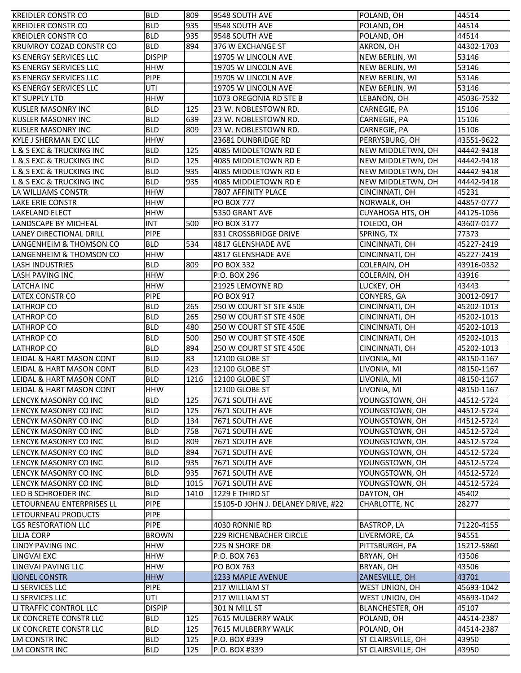| <b>BLD</b><br>935<br>44514<br>9548 SOUTH AVE<br>POLAND, OH<br><b>KREIDLER CONSTR CO</b><br>935<br><b>BLD</b><br>POLAND, OH<br>44514<br><b>KREIDLER CONSTR CO</b><br>9548 SOUTH AVE<br>894<br><b>BLD</b><br>44302-1703<br><b>KRUMROY COZAD CONSTR CO</b><br>376 W EXCHANGE ST<br>AKRON, OH<br><b>KS ENERGY SERVICES LLC</b><br><b>DISPIP</b><br>53146<br>19705 W LINCOLN AVE<br>NEW BERLIN, WI<br><b>HHW</b><br>53146<br><b>IKS ENERGY SERVICES LLC</b><br>19705 W LINCOLN AVE<br>NEW BERLIN, WI<br><b>PIPE</b><br><b>IKS ENERGY SERVICES LLC</b><br>19705 W LINCOLN AVE<br>53146<br>NEW BERLIN, WI<br>UTI<br><b>KS ENERGY SERVICES LLC</b><br>19705 W LINCOLN AVE<br>NEW BERLIN, WI<br>53146<br><b>HHW</b><br>45036-7532<br><b>KT SUPPLY LTD</b><br>1073 OREGONIA RD STE B<br>LEBANON, OH<br><b>BLD</b><br>125<br>15106<br><b>KUSLER MASONRY INC</b><br>23 W. NOBLESTOWN RD.<br>CARNEGIE, PA<br><b>KUSLER MASONRY INC</b><br><b>BLD</b><br>639<br>23 W. NOBLESTOWN RD.<br>CARNEGIE, PA<br>15106<br><b>KUSLER MASONRY INC</b><br><b>BLD</b><br>809<br>23 W. NOBLESTOWN RD.<br>15106<br>CARNEGIE, PA<br><b>HHW</b><br><b>KYLE J SHERMAN EXC LLC</b><br>23681 DUNBRIDGE RD<br>PERRYSBURG, OH<br>43551-9622<br>125<br><b>L &amp; S EXC &amp; TRUCKING INC</b><br><b>BLD</b><br>NEW MIDDLETWN, OH<br>44442-9418<br>4085 MIDDLETOWN RD E<br>125<br>L & S EXC & TRUCKING INC<br><b>BLD</b><br>NEW MIDDLETWN, OH<br>44442-9418<br>4085 MIDDLETOWN RD E<br>935<br>L & S EXC & TRUCKING INC<br><b>BLD</b><br>4085 MIDDLETOWN RD E<br>NEW MIDDLETWN, OH<br>44442-9418<br>935<br>L & S EXC & TRUCKING INC<br><b>BLD</b><br>4085 MIDDLETOWN RD E<br>NEW MIDDLETWN, OH<br>44442-9418<br><b>HHW</b><br>LA WILLIAMS CONSTR<br>7807 AFFINITY PLACE<br>CINCINNATI, OH<br>45231<br><b>HHW</b><br>44857-0777<br><b>LAKE ERIE CONSTR</b><br><b>PO BOX 777</b><br>NORWALK, OH<br><b>HHW</b><br>CUYAHOGA HTS, OH<br><b>LAKELAND ELECT</b><br>5350 GRANT AVE<br>44125-1036<br><b>INT</b><br>500<br><b>LANDSCAPE BY MICHEAL</b><br>PO BOX 3177<br>TOLEDO, OH<br>43607-0177<br><b>PIPE</b><br><b>LANEY DIRECTIONAL DRILL</b><br>831 CROSSBRIDGE DRIVE<br>SPRING, TX<br>77373<br>534<br>LANGENHEIM & THOMSON CO<br><b>BLD</b><br>4817 GLENSHADE AVE<br>CINCINNATI, OH<br>45227-2419<br><b>HHW</b><br>LANGENHEIM & THOMSON CO<br>4817 GLENSHADE AVE<br>CINCINNATI, OH<br>45227-2419<br>809<br><b>BLD</b><br><b>LASH INDUSTRIES</b><br><b>PO BOX 332</b><br>COLERAIN, OH<br>43916-0332<br><b>LASH PAVING INC</b><br><b>HHW</b><br>P.O. BOX 296<br>43916<br>COLERAIN, OH<br><b>HHW</b><br>21925 LEMOYNE RD<br><b>LATCHA INC</b><br>LUCKEY, OH<br>43443<br>LATEX CONSTR CO<br><b>PIPE</b><br>PO BOX 917<br>CONYERS, GA<br>30012-0917<br><b>LATHROP CO</b><br><b>BLD</b><br>265<br>250 W COURT ST STE 450E<br>CINCINNATI, OH<br>45202-1013<br><b>LATHROP CO</b><br><b>BLD</b><br>265<br>250 W COURT ST STE 450E<br>CINCINNATI, OH<br>45202-1013<br><b>BLD</b><br>480<br><b>LATHROP CO</b><br>250 W COURT ST STE 450E<br>45202-1013<br>CINCINNATI, OH<br><b>LATHROP CO</b><br><b>BLD</b><br>500<br>250 W COURT ST STE 450E<br>CINCINNATI, OH<br>45202-1013<br><b>BLD</b><br><b>LATHROP CO</b><br>894<br>250 W COURT ST STE 450E<br>CINCINNATI, OH<br>45202-1013<br>83<br>LEIDAL & HART MASON CONT<br><b>BLD</b><br>12100 GLOBE ST<br>LIVONIA, MI<br>48150-1167<br><b>BLD</b><br>423<br>LEIDAL & HART MASON CONT<br>12100 GLOBE ST<br>LIVONIA, MI<br>48150-1167<br><b>BLD</b><br>1216<br>LEIDAL & HART MASON CONT<br>12100 GLOBE ST<br>48150-1167<br>LIVONIA, MI<br><b>HHW</b><br>LEIDAL & HART MASON CONT<br>12100 GLOBE ST<br>LIVONIA, MI<br>48150-1167<br>125<br><b>BLD</b><br>LENCYK MASONRY CO INC<br>YOUNGSTOWN, OH<br>7671 SOUTH AVE<br>44512-5724<br><b>BLD</b><br>125<br>LENCYK MASONRY CO INC<br>7671 SOUTH AVE<br>YOUNGSTOWN, OH<br>44512-5724<br>134<br>LENCYK MASONRY CO INC<br><b>BLD</b><br>7671 SOUTH AVE<br>YOUNGSTOWN, OH<br>44512-5724<br>758<br>LENCYK MASONRY CO INC<br><b>BLD</b><br>7671 SOUTH AVE<br>YOUNGSTOWN, OH<br>44512-5724<br>LENCYK MASONRY CO INC<br><b>BLD</b><br>809<br>7671 SOUTH AVE<br>YOUNGSTOWN, OH<br>44512-5724<br><b>BLD</b><br>894<br>YOUNGSTOWN, OH<br>LENCYK MASONRY CO INC<br>7671 SOUTH AVE<br>44512-5724<br>935<br><b>BLD</b><br>LENCYK MASONRY CO INC<br>7671 SOUTH AVE<br>YOUNGSTOWN, OH<br>44512-5724<br>935<br><b>BLD</b><br>LENCYK MASONRY CO INC<br>7671 SOUTH AVE<br>YOUNGSTOWN, OH<br>44512-5724<br><b>BLD</b><br>1015<br>LENCYK MASONRY CO INC<br>7671 SOUTH AVE<br>YOUNGSTOWN, OH<br>44512-5724<br><b>BLD</b><br>1410<br>1229 E THIRD ST<br>LEO B SCHROEDER INC<br>DAYTON, OH<br>45402<br><b>PIPE</b><br>LETOURNEAU ENTERPRISES LL<br>CHARLOTTE, NC<br>28277<br>15105-D JOHN J. DELANEY DRIVE, #22<br><b>PIPE</b><br>LETOURNEAU PRODUCTS<br><b>PIPE</b><br>71220-4155<br><b>LGS RESTORATION LLC</b><br>4030 RONNIE RD<br><b>BASTROP, LA</b><br><b>BROWN</b><br><b>229 RICHENBACHER CIRCLE</b><br>LIVERMORE, CA<br>94551<br><b>LILJA CORP</b><br>LINDY PAVING INC<br><b>HHW</b><br>225 N SHORE DR<br>PITTSBURGH, PA<br>15212-5860<br><b>LINGVAI EXC</b><br><b>HHW</b><br>43506<br>P.O. BOX 763<br>BRYAN, OH<br><b>HHW</b><br>43506<br>LINGVAI PAVING LLC<br><b>PO BOX 763</b><br>BRYAN, OH<br><b>HHW</b><br><b>LIONEL CONSTR</b><br>1233 MAPLE AVENUE<br>ZANESVILLE, OH<br>43701<br><b>PIPE</b><br><b>LI SERVICES LLC</b><br>217 WILLIAM ST<br>WEST UNION, OH<br>45693-1042<br>UTI<br><b>LI SERVICES LLC</b><br>217 WILLIAM ST<br>WEST UNION, OH<br>45693-1042<br><b>DISPIP</b><br><b>LI TRAFFIC CONTROL LLC</b><br>301 N MILL ST<br>BLANCHESTER, OH<br>45107<br>125<br>LK CONCRETE CONSTR LLC<br><b>BLD</b><br>7615 MULBERRY WALK<br>POLAND, OH<br>44514-2387<br>125<br>LK CONCRETE CONSTR LLC<br><b>BLD</b><br>7615 MULBERRY WALK<br>POLAND, OH<br>44514-2387<br><b>LM CONSTR INC</b><br><b>BLD</b><br>125<br>P.O. BOX #339<br>ST CLAIRSVILLE, OH<br>43950 | <b>KREIDLER CONSTR CO</b> | <b>BLD</b> | 809 | 9548 SOUTH AVE | POLAND, OH         | 44514 |
|--------------------------------------------------------------------------------------------------------------------------------------------------------------------------------------------------------------------------------------------------------------------------------------------------------------------------------------------------------------------------------------------------------------------------------------------------------------------------------------------------------------------------------------------------------------------------------------------------------------------------------------------------------------------------------------------------------------------------------------------------------------------------------------------------------------------------------------------------------------------------------------------------------------------------------------------------------------------------------------------------------------------------------------------------------------------------------------------------------------------------------------------------------------------------------------------------------------------------------------------------------------------------------------------------------------------------------------------------------------------------------------------------------------------------------------------------------------------------------------------------------------------------------------------------------------------------------------------------------------------------------------------------------------------------------------------------------------------------------------------------------------------------------------------------------------------------------------------------------------------------------------------------------------------------------------------------------------------------------------------------------------------------------------------------------------------------------------------------------------------------------------------------------------------------------------------------------------------------------------------------------------------------------------------------------------------------------------------------------------------------------------------------------------------------------------------------------------------------------------------------------------------------------------------------------------------------------------------------------------------------------------------------------------------------------------------------------------------------------------------------------------------------------------------------------------------------------------------------------------------------------------------------------------------------------------------------------------------------------------------------------------------------------------------------------------------------------------------------------------------------------------------------------------------------------------------------------------------------------------------------------------------------------------------------------------------------------------------------------------------------------------------------------------------------------------------------------------------------------------------------------------------------------------------------------------------------------------------------------------------------------------------------------------------------------------------------------------------------------------------------------------------------------------------------------------------------------------------------------------------------------------------------------------------------------------------------------------------------------------------------------------------------------------------------------------------------------------------------------------------------------------------------------------------------------------------------------------------------------------------------------------------------------------------------------------------------------------------------------------------------------------------------------------------------------------------------------------------------------------------------------------------------------------------------------------------------------------------------------------------------------------------------------------------------------------------------------------------------------------------------------------------------------------------------------------------------------------------------------------------------------------------------------------------------------------------------------------------------------------------------------------------------------------------------------------------------------------------------------------------------------------------------------------------------------------------------------------------------------------------------------------------------------------------------------------------------------------------------------------------------------------------------------------------------------------------------------------------------------------------------------------------------------------------------------------------------------------------------------------------------------------------------------------------------------------------------------------------------------------------------------------------------------------------------------------------------------------------------------------------------------------|---------------------------|------------|-----|----------------|--------------------|-------|
|                                                                                                                                                                                                                                                                                                                                                                                                                                                                                                                                                                                                                                                                                                                                                                                                                                                                                                                                                                                                                                                                                                                                                                                                                                                                                                                                                                                                                                                                                                                                                                                                                                                                                                                                                                                                                                                                                                                                                                                                                                                                                                                                                                                                                                                                                                                                                                                                                                                                                                                                                                                                                                                                                                                                                                                                                                                                                                                                                                                                                                                                                                                                                                                                                                                                                                                                                                                                                                                                                                                                                                                                                                                                                                                                                                                                                                                                                                                                                                                                                                                                                                                                                                                                                                                                                                                                                                                                                                                                                                                                                                                                                                                                                                                                                                                                                                                                                                                                                                                                                                                                                                                                                                                                                                                                                                                                                                                                                                                                                                                                                                                                                                                                                                                                                                                                                                                                                      |                           |            |     |                |                    |       |
|                                                                                                                                                                                                                                                                                                                                                                                                                                                                                                                                                                                                                                                                                                                                                                                                                                                                                                                                                                                                                                                                                                                                                                                                                                                                                                                                                                                                                                                                                                                                                                                                                                                                                                                                                                                                                                                                                                                                                                                                                                                                                                                                                                                                                                                                                                                                                                                                                                                                                                                                                                                                                                                                                                                                                                                                                                                                                                                                                                                                                                                                                                                                                                                                                                                                                                                                                                                                                                                                                                                                                                                                                                                                                                                                                                                                                                                                                                                                                                                                                                                                                                                                                                                                                                                                                                                                                                                                                                                                                                                                                                                                                                                                                                                                                                                                                                                                                                                                                                                                                                                                                                                                                                                                                                                                                                                                                                                                                                                                                                                                                                                                                                                                                                                                                                                                                                                                                      |                           |            |     |                |                    |       |
|                                                                                                                                                                                                                                                                                                                                                                                                                                                                                                                                                                                                                                                                                                                                                                                                                                                                                                                                                                                                                                                                                                                                                                                                                                                                                                                                                                                                                                                                                                                                                                                                                                                                                                                                                                                                                                                                                                                                                                                                                                                                                                                                                                                                                                                                                                                                                                                                                                                                                                                                                                                                                                                                                                                                                                                                                                                                                                                                                                                                                                                                                                                                                                                                                                                                                                                                                                                                                                                                                                                                                                                                                                                                                                                                                                                                                                                                                                                                                                                                                                                                                                                                                                                                                                                                                                                                                                                                                                                                                                                                                                                                                                                                                                                                                                                                                                                                                                                                                                                                                                                                                                                                                                                                                                                                                                                                                                                                                                                                                                                                                                                                                                                                                                                                                                                                                                                                                      |                           |            |     |                |                    |       |
|                                                                                                                                                                                                                                                                                                                                                                                                                                                                                                                                                                                                                                                                                                                                                                                                                                                                                                                                                                                                                                                                                                                                                                                                                                                                                                                                                                                                                                                                                                                                                                                                                                                                                                                                                                                                                                                                                                                                                                                                                                                                                                                                                                                                                                                                                                                                                                                                                                                                                                                                                                                                                                                                                                                                                                                                                                                                                                                                                                                                                                                                                                                                                                                                                                                                                                                                                                                                                                                                                                                                                                                                                                                                                                                                                                                                                                                                                                                                                                                                                                                                                                                                                                                                                                                                                                                                                                                                                                                                                                                                                                                                                                                                                                                                                                                                                                                                                                                                                                                                                                                                                                                                                                                                                                                                                                                                                                                                                                                                                                                                                                                                                                                                                                                                                                                                                                                                                      |                           |            |     |                |                    |       |
|                                                                                                                                                                                                                                                                                                                                                                                                                                                                                                                                                                                                                                                                                                                                                                                                                                                                                                                                                                                                                                                                                                                                                                                                                                                                                                                                                                                                                                                                                                                                                                                                                                                                                                                                                                                                                                                                                                                                                                                                                                                                                                                                                                                                                                                                                                                                                                                                                                                                                                                                                                                                                                                                                                                                                                                                                                                                                                                                                                                                                                                                                                                                                                                                                                                                                                                                                                                                                                                                                                                                                                                                                                                                                                                                                                                                                                                                                                                                                                                                                                                                                                                                                                                                                                                                                                                                                                                                                                                                                                                                                                                                                                                                                                                                                                                                                                                                                                                                                                                                                                                                                                                                                                                                                                                                                                                                                                                                                                                                                                                                                                                                                                                                                                                                                                                                                                                                                      |                           |            |     |                |                    |       |
|                                                                                                                                                                                                                                                                                                                                                                                                                                                                                                                                                                                                                                                                                                                                                                                                                                                                                                                                                                                                                                                                                                                                                                                                                                                                                                                                                                                                                                                                                                                                                                                                                                                                                                                                                                                                                                                                                                                                                                                                                                                                                                                                                                                                                                                                                                                                                                                                                                                                                                                                                                                                                                                                                                                                                                                                                                                                                                                                                                                                                                                                                                                                                                                                                                                                                                                                                                                                                                                                                                                                                                                                                                                                                                                                                                                                                                                                                                                                                                                                                                                                                                                                                                                                                                                                                                                                                                                                                                                                                                                                                                                                                                                                                                                                                                                                                                                                                                                                                                                                                                                                                                                                                                                                                                                                                                                                                                                                                                                                                                                                                                                                                                                                                                                                                                                                                                                                                      |                           |            |     |                |                    |       |
|                                                                                                                                                                                                                                                                                                                                                                                                                                                                                                                                                                                                                                                                                                                                                                                                                                                                                                                                                                                                                                                                                                                                                                                                                                                                                                                                                                                                                                                                                                                                                                                                                                                                                                                                                                                                                                                                                                                                                                                                                                                                                                                                                                                                                                                                                                                                                                                                                                                                                                                                                                                                                                                                                                                                                                                                                                                                                                                                                                                                                                                                                                                                                                                                                                                                                                                                                                                                                                                                                                                                                                                                                                                                                                                                                                                                                                                                                                                                                                                                                                                                                                                                                                                                                                                                                                                                                                                                                                                                                                                                                                                                                                                                                                                                                                                                                                                                                                                                                                                                                                                                                                                                                                                                                                                                                                                                                                                                                                                                                                                                                                                                                                                                                                                                                                                                                                                                                      |                           |            |     |                |                    |       |
|                                                                                                                                                                                                                                                                                                                                                                                                                                                                                                                                                                                                                                                                                                                                                                                                                                                                                                                                                                                                                                                                                                                                                                                                                                                                                                                                                                                                                                                                                                                                                                                                                                                                                                                                                                                                                                                                                                                                                                                                                                                                                                                                                                                                                                                                                                                                                                                                                                                                                                                                                                                                                                                                                                                                                                                                                                                                                                                                                                                                                                                                                                                                                                                                                                                                                                                                                                                                                                                                                                                                                                                                                                                                                                                                                                                                                                                                                                                                                                                                                                                                                                                                                                                                                                                                                                                                                                                                                                                                                                                                                                                                                                                                                                                                                                                                                                                                                                                                                                                                                                                                                                                                                                                                                                                                                                                                                                                                                                                                                                                                                                                                                                                                                                                                                                                                                                                                                      |                           |            |     |                |                    |       |
|                                                                                                                                                                                                                                                                                                                                                                                                                                                                                                                                                                                                                                                                                                                                                                                                                                                                                                                                                                                                                                                                                                                                                                                                                                                                                                                                                                                                                                                                                                                                                                                                                                                                                                                                                                                                                                                                                                                                                                                                                                                                                                                                                                                                                                                                                                                                                                                                                                                                                                                                                                                                                                                                                                                                                                                                                                                                                                                                                                                                                                                                                                                                                                                                                                                                                                                                                                                                                                                                                                                                                                                                                                                                                                                                                                                                                                                                                                                                                                                                                                                                                                                                                                                                                                                                                                                                                                                                                                                                                                                                                                                                                                                                                                                                                                                                                                                                                                                                                                                                                                                                                                                                                                                                                                                                                                                                                                                                                                                                                                                                                                                                                                                                                                                                                                                                                                                                                      |                           |            |     |                |                    |       |
|                                                                                                                                                                                                                                                                                                                                                                                                                                                                                                                                                                                                                                                                                                                                                                                                                                                                                                                                                                                                                                                                                                                                                                                                                                                                                                                                                                                                                                                                                                                                                                                                                                                                                                                                                                                                                                                                                                                                                                                                                                                                                                                                                                                                                                                                                                                                                                                                                                                                                                                                                                                                                                                                                                                                                                                                                                                                                                                                                                                                                                                                                                                                                                                                                                                                                                                                                                                                                                                                                                                                                                                                                                                                                                                                                                                                                                                                                                                                                                                                                                                                                                                                                                                                                                                                                                                                                                                                                                                                                                                                                                                                                                                                                                                                                                                                                                                                                                                                                                                                                                                                                                                                                                                                                                                                                                                                                                                                                                                                                                                                                                                                                                                                                                                                                                                                                                                                                      |                           |            |     |                |                    |       |
|                                                                                                                                                                                                                                                                                                                                                                                                                                                                                                                                                                                                                                                                                                                                                                                                                                                                                                                                                                                                                                                                                                                                                                                                                                                                                                                                                                                                                                                                                                                                                                                                                                                                                                                                                                                                                                                                                                                                                                                                                                                                                                                                                                                                                                                                                                                                                                                                                                                                                                                                                                                                                                                                                                                                                                                                                                                                                                                                                                                                                                                                                                                                                                                                                                                                                                                                                                                                                                                                                                                                                                                                                                                                                                                                                                                                                                                                                                                                                                                                                                                                                                                                                                                                                                                                                                                                                                                                                                                                                                                                                                                                                                                                                                                                                                                                                                                                                                                                                                                                                                                                                                                                                                                                                                                                                                                                                                                                                                                                                                                                                                                                                                                                                                                                                                                                                                                                                      |                           |            |     |                |                    |       |
|                                                                                                                                                                                                                                                                                                                                                                                                                                                                                                                                                                                                                                                                                                                                                                                                                                                                                                                                                                                                                                                                                                                                                                                                                                                                                                                                                                                                                                                                                                                                                                                                                                                                                                                                                                                                                                                                                                                                                                                                                                                                                                                                                                                                                                                                                                                                                                                                                                                                                                                                                                                                                                                                                                                                                                                                                                                                                                                                                                                                                                                                                                                                                                                                                                                                                                                                                                                                                                                                                                                                                                                                                                                                                                                                                                                                                                                                                                                                                                                                                                                                                                                                                                                                                                                                                                                                                                                                                                                                                                                                                                                                                                                                                                                                                                                                                                                                                                                                                                                                                                                                                                                                                                                                                                                                                                                                                                                                                                                                                                                                                                                                                                                                                                                                                                                                                                                                                      |                           |            |     |                |                    |       |
|                                                                                                                                                                                                                                                                                                                                                                                                                                                                                                                                                                                                                                                                                                                                                                                                                                                                                                                                                                                                                                                                                                                                                                                                                                                                                                                                                                                                                                                                                                                                                                                                                                                                                                                                                                                                                                                                                                                                                                                                                                                                                                                                                                                                                                                                                                                                                                                                                                                                                                                                                                                                                                                                                                                                                                                                                                                                                                                                                                                                                                                                                                                                                                                                                                                                                                                                                                                                                                                                                                                                                                                                                                                                                                                                                                                                                                                                                                                                                                                                                                                                                                                                                                                                                                                                                                                                                                                                                                                                                                                                                                                                                                                                                                                                                                                                                                                                                                                                                                                                                                                                                                                                                                                                                                                                                                                                                                                                                                                                                                                                                                                                                                                                                                                                                                                                                                                                                      |                           |            |     |                |                    |       |
|                                                                                                                                                                                                                                                                                                                                                                                                                                                                                                                                                                                                                                                                                                                                                                                                                                                                                                                                                                                                                                                                                                                                                                                                                                                                                                                                                                                                                                                                                                                                                                                                                                                                                                                                                                                                                                                                                                                                                                                                                                                                                                                                                                                                                                                                                                                                                                                                                                                                                                                                                                                                                                                                                                                                                                                                                                                                                                                                                                                                                                                                                                                                                                                                                                                                                                                                                                                                                                                                                                                                                                                                                                                                                                                                                                                                                                                                                                                                                                                                                                                                                                                                                                                                                                                                                                                                                                                                                                                                                                                                                                                                                                                                                                                                                                                                                                                                                                                                                                                                                                                                                                                                                                                                                                                                                                                                                                                                                                                                                                                                                                                                                                                                                                                                                                                                                                                                                      |                           |            |     |                |                    |       |
|                                                                                                                                                                                                                                                                                                                                                                                                                                                                                                                                                                                                                                                                                                                                                                                                                                                                                                                                                                                                                                                                                                                                                                                                                                                                                                                                                                                                                                                                                                                                                                                                                                                                                                                                                                                                                                                                                                                                                                                                                                                                                                                                                                                                                                                                                                                                                                                                                                                                                                                                                                                                                                                                                                                                                                                                                                                                                                                                                                                                                                                                                                                                                                                                                                                                                                                                                                                                                                                                                                                                                                                                                                                                                                                                                                                                                                                                                                                                                                                                                                                                                                                                                                                                                                                                                                                                                                                                                                                                                                                                                                                                                                                                                                                                                                                                                                                                                                                                                                                                                                                                                                                                                                                                                                                                                                                                                                                                                                                                                                                                                                                                                                                                                                                                                                                                                                                                                      |                           |            |     |                |                    |       |
|                                                                                                                                                                                                                                                                                                                                                                                                                                                                                                                                                                                                                                                                                                                                                                                                                                                                                                                                                                                                                                                                                                                                                                                                                                                                                                                                                                                                                                                                                                                                                                                                                                                                                                                                                                                                                                                                                                                                                                                                                                                                                                                                                                                                                                                                                                                                                                                                                                                                                                                                                                                                                                                                                                                                                                                                                                                                                                                                                                                                                                                                                                                                                                                                                                                                                                                                                                                                                                                                                                                                                                                                                                                                                                                                                                                                                                                                                                                                                                                                                                                                                                                                                                                                                                                                                                                                                                                                                                                                                                                                                                                                                                                                                                                                                                                                                                                                                                                                                                                                                                                                                                                                                                                                                                                                                                                                                                                                                                                                                                                                                                                                                                                                                                                                                                                                                                                                                      |                           |            |     |                |                    |       |
|                                                                                                                                                                                                                                                                                                                                                                                                                                                                                                                                                                                                                                                                                                                                                                                                                                                                                                                                                                                                                                                                                                                                                                                                                                                                                                                                                                                                                                                                                                                                                                                                                                                                                                                                                                                                                                                                                                                                                                                                                                                                                                                                                                                                                                                                                                                                                                                                                                                                                                                                                                                                                                                                                                                                                                                                                                                                                                                                                                                                                                                                                                                                                                                                                                                                                                                                                                                                                                                                                                                                                                                                                                                                                                                                                                                                                                                                                                                                                                                                                                                                                                                                                                                                                                                                                                                                                                                                                                                                                                                                                                                                                                                                                                                                                                                                                                                                                                                                                                                                                                                                                                                                                                                                                                                                                                                                                                                                                                                                                                                                                                                                                                                                                                                                                                                                                                                                                      |                           |            |     |                |                    |       |
|                                                                                                                                                                                                                                                                                                                                                                                                                                                                                                                                                                                                                                                                                                                                                                                                                                                                                                                                                                                                                                                                                                                                                                                                                                                                                                                                                                                                                                                                                                                                                                                                                                                                                                                                                                                                                                                                                                                                                                                                                                                                                                                                                                                                                                                                                                                                                                                                                                                                                                                                                                                                                                                                                                                                                                                                                                                                                                                                                                                                                                                                                                                                                                                                                                                                                                                                                                                                                                                                                                                                                                                                                                                                                                                                                                                                                                                                                                                                                                                                                                                                                                                                                                                                                                                                                                                                                                                                                                                                                                                                                                                                                                                                                                                                                                                                                                                                                                                                                                                                                                                                                                                                                                                                                                                                                                                                                                                                                                                                                                                                                                                                                                                                                                                                                                                                                                                                                      |                           |            |     |                |                    |       |
|                                                                                                                                                                                                                                                                                                                                                                                                                                                                                                                                                                                                                                                                                                                                                                                                                                                                                                                                                                                                                                                                                                                                                                                                                                                                                                                                                                                                                                                                                                                                                                                                                                                                                                                                                                                                                                                                                                                                                                                                                                                                                                                                                                                                                                                                                                                                                                                                                                                                                                                                                                                                                                                                                                                                                                                                                                                                                                                                                                                                                                                                                                                                                                                                                                                                                                                                                                                                                                                                                                                                                                                                                                                                                                                                                                                                                                                                                                                                                                                                                                                                                                                                                                                                                                                                                                                                                                                                                                                                                                                                                                                                                                                                                                                                                                                                                                                                                                                                                                                                                                                                                                                                                                                                                                                                                                                                                                                                                                                                                                                                                                                                                                                                                                                                                                                                                                                                                      |                           |            |     |                |                    |       |
|                                                                                                                                                                                                                                                                                                                                                                                                                                                                                                                                                                                                                                                                                                                                                                                                                                                                                                                                                                                                                                                                                                                                                                                                                                                                                                                                                                                                                                                                                                                                                                                                                                                                                                                                                                                                                                                                                                                                                                                                                                                                                                                                                                                                                                                                                                                                                                                                                                                                                                                                                                                                                                                                                                                                                                                                                                                                                                                                                                                                                                                                                                                                                                                                                                                                                                                                                                                                                                                                                                                                                                                                                                                                                                                                                                                                                                                                                                                                                                                                                                                                                                                                                                                                                                                                                                                                                                                                                                                                                                                                                                                                                                                                                                                                                                                                                                                                                                                                                                                                                                                                                                                                                                                                                                                                                                                                                                                                                                                                                                                                                                                                                                                                                                                                                                                                                                                                                      |                           |            |     |                |                    |       |
|                                                                                                                                                                                                                                                                                                                                                                                                                                                                                                                                                                                                                                                                                                                                                                                                                                                                                                                                                                                                                                                                                                                                                                                                                                                                                                                                                                                                                                                                                                                                                                                                                                                                                                                                                                                                                                                                                                                                                                                                                                                                                                                                                                                                                                                                                                                                                                                                                                                                                                                                                                                                                                                                                                                                                                                                                                                                                                                                                                                                                                                                                                                                                                                                                                                                                                                                                                                                                                                                                                                                                                                                                                                                                                                                                                                                                                                                                                                                                                                                                                                                                                                                                                                                                                                                                                                                                                                                                                                                                                                                                                                                                                                                                                                                                                                                                                                                                                                                                                                                                                                                                                                                                                                                                                                                                                                                                                                                                                                                                                                                                                                                                                                                                                                                                                                                                                                                                      |                           |            |     |                |                    |       |
|                                                                                                                                                                                                                                                                                                                                                                                                                                                                                                                                                                                                                                                                                                                                                                                                                                                                                                                                                                                                                                                                                                                                                                                                                                                                                                                                                                                                                                                                                                                                                                                                                                                                                                                                                                                                                                                                                                                                                                                                                                                                                                                                                                                                                                                                                                                                                                                                                                                                                                                                                                                                                                                                                                                                                                                                                                                                                                                                                                                                                                                                                                                                                                                                                                                                                                                                                                                                                                                                                                                                                                                                                                                                                                                                                                                                                                                                                                                                                                                                                                                                                                                                                                                                                                                                                                                                                                                                                                                                                                                                                                                                                                                                                                                                                                                                                                                                                                                                                                                                                                                                                                                                                                                                                                                                                                                                                                                                                                                                                                                                                                                                                                                                                                                                                                                                                                                                                      |                           |            |     |                |                    |       |
|                                                                                                                                                                                                                                                                                                                                                                                                                                                                                                                                                                                                                                                                                                                                                                                                                                                                                                                                                                                                                                                                                                                                                                                                                                                                                                                                                                                                                                                                                                                                                                                                                                                                                                                                                                                                                                                                                                                                                                                                                                                                                                                                                                                                                                                                                                                                                                                                                                                                                                                                                                                                                                                                                                                                                                                                                                                                                                                                                                                                                                                                                                                                                                                                                                                                                                                                                                                                                                                                                                                                                                                                                                                                                                                                                                                                                                                                                                                                                                                                                                                                                                                                                                                                                                                                                                                                                                                                                                                                                                                                                                                                                                                                                                                                                                                                                                                                                                                                                                                                                                                                                                                                                                                                                                                                                                                                                                                                                                                                                                                                                                                                                                                                                                                                                                                                                                                                                      |                           |            |     |                |                    |       |
|                                                                                                                                                                                                                                                                                                                                                                                                                                                                                                                                                                                                                                                                                                                                                                                                                                                                                                                                                                                                                                                                                                                                                                                                                                                                                                                                                                                                                                                                                                                                                                                                                                                                                                                                                                                                                                                                                                                                                                                                                                                                                                                                                                                                                                                                                                                                                                                                                                                                                                                                                                                                                                                                                                                                                                                                                                                                                                                                                                                                                                                                                                                                                                                                                                                                                                                                                                                                                                                                                                                                                                                                                                                                                                                                                                                                                                                                                                                                                                                                                                                                                                                                                                                                                                                                                                                                                                                                                                                                                                                                                                                                                                                                                                                                                                                                                                                                                                                                                                                                                                                                                                                                                                                                                                                                                                                                                                                                                                                                                                                                                                                                                                                                                                                                                                                                                                                                                      |                           |            |     |                |                    |       |
|                                                                                                                                                                                                                                                                                                                                                                                                                                                                                                                                                                                                                                                                                                                                                                                                                                                                                                                                                                                                                                                                                                                                                                                                                                                                                                                                                                                                                                                                                                                                                                                                                                                                                                                                                                                                                                                                                                                                                                                                                                                                                                                                                                                                                                                                                                                                                                                                                                                                                                                                                                                                                                                                                                                                                                                                                                                                                                                                                                                                                                                                                                                                                                                                                                                                                                                                                                                                                                                                                                                                                                                                                                                                                                                                                                                                                                                                                                                                                                                                                                                                                                                                                                                                                                                                                                                                                                                                                                                                                                                                                                                                                                                                                                                                                                                                                                                                                                                                                                                                                                                                                                                                                                                                                                                                                                                                                                                                                                                                                                                                                                                                                                                                                                                                                                                                                                                                                      |                           |            |     |                |                    |       |
|                                                                                                                                                                                                                                                                                                                                                                                                                                                                                                                                                                                                                                                                                                                                                                                                                                                                                                                                                                                                                                                                                                                                                                                                                                                                                                                                                                                                                                                                                                                                                                                                                                                                                                                                                                                                                                                                                                                                                                                                                                                                                                                                                                                                                                                                                                                                                                                                                                                                                                                                                                                                                                                                                                                                                                                                                                                                                                                                                                                                                                                                                                                                                                                                                                                                                                                                                                                                                                                                                                                                                                                                                                                                                                                                                                                                                                                                                                                                                                                                                                                                                                                                                                                                                                                                                                                                                                                                                                                                                                                                                                                                                                                                                                                                                                                                                                                                                                                                                                                                                                                                                                                                                                                                                                                                                                                                                                                                                                                                                                                                                                                                                                                                                                                                                                                                                                                                                      |                           |            |     |                |                    |       |
|                                                                                                                                                                                                                                                                                                                                                                                                                                                                                                                                                                                                                                                                                                                                                                                                                                                                                                                                                                                                                                                                                                                                                                                                                                                                                                                                                                                                                                                                                                                                                                                                                                                                                                                                                                                                                                                                                                                                                                                                                                                                                                                                                                                                                                                                                                                                                                                                                                                                                                                                                                                                                                                                                                                                                                                                                                                                                                                                                                                                                                                                                                                                                                                                                                                                                                                                                                                                                                                                                                                                                                                                                                                                                                                                                                                                                                                                                                                                                                                                                                                                                                                                                                                                                                                                                                                                                                                                                                                                                                                                                                                                                                                                                                                                                                                                                                                                                                                                                                                                                                                                                                                                                                                                                                                                                                                                                                                                                                                                                                                                                                                                                                                                                                                                                                                                                                                                                      |                           |            |     |                |                    |       |
|                                                                                                                                                                                                                                                                                                                                                                                                                                                                                                                                                                                                                                                                                                                                                                                                                                                                                                                                                                                                                                                                                                                                                                                                                                                                                                                                                                                                                                                                                                                                                                                                                                                                                                                                                                                                                                                                                                                                                                                                                                                                                                                                                                                                                                                                                                                                                                                                                                                                                                                                                                                                                                                                                                                                                                                                                                                                                                                                                                                                                                                                                                                                                                                                                                                                                                                                                                                                                                                                                                                                                                                                                                                                                                                                                                                                                                                                                                                                                                                                                                                                                                                                                                                                                                                                                                                                                                                                                                                                                                                                                                                                                                                                                                                                                                                                                                                                                                                                                                                                                                                                                                                                                                                                                                                                                                                                                                                                                                                                                                                                                                                                                                                                                                                                                                                                                                                                                      |                           |            |     |                |                    |       |
|                                                                                                                                                                                                                                                                                                                                                                                                                                                                                                                                                                                                                                                                                                                                                                                                                                                                                                                                                                                                                                                                                                                                                                                                                                                                                                                                                                                                                                                                                                                                                                                                                                                                                                                                                                                                                                                                                                                                                                                                                                                                                                                                                                                                                                                                                                                                                                                                                                                                                                                                                                                                                                                                                                                                                                                                                                                                                                                                                                                                                                                                                                                                                                                                                                                                                                                                                                                                                                                                                                                                                                                                                                                                                                                                                                                                                                                                                                                                                                                                                                                                                                                                                                                                                                                                                                                                                                                                                                                                                                                                                                                                                                                                                                                                                                                                                                                                                                                                                                                                                                                                                                                                                                                                                                                                                                                                                                                                                                                                                                                                                                                                                                                                                                                                                                                                                                                                                      |                           |            |     |                |                    |       |
|                                                                                                                                                                                                                                                                                                                                                                                                                                                                                                                                                                                                                                                                                                                                                                                                                                                                                                                                                                                                                                                                                                                                                                                                                                                                                                                                                                                                                                                                                                                                                                                                                                                                                                                                                                                                                                                                                                                                                                                                                                                                                                                                                                                                                                                                                                                                                                                                                                                                                                                                                                                                                                                                                                                                                                                                                                                                                                                                                                                                                                                                                                                                                                                                                                                                                                                                                                                                                                                                                                                                                                                                                                                                                                                                                                                                                                                                                                                                                                                                                                                                                                                                                                                                                                                                                                                                                                                                                                                                                                                                                                                                                                                                                                                                                                                                                                                                                                                                                                                                                                                                                                                                                                                                                                                                                                                                                                                                                                                                                                                                                                                                                                                                                                                                                                                                                                                                                      |                           |            |     |                |                    |       |
|                                                                                                                                                                                                                                                                                                                                                                                                                                                                                                                                                                                                                                                                                                                                                                                                                                                                                                                                                                                                                                                                                                                                                                                                                                                                                                                                                                                                                                                                                                                                                                                                                                                                                                                                                                                                                                                                                                                                                                                                                                                                                                                                                                                                                                                                                                                                                                                                                                                                                                                                                                                                                                                                                                                                                                                                                                                                                                                                                                                                                                                                                                                                                                                                                                                                                                                                                                                                                                                                                                                                                                                                                                                                                                                                                                                                                                                                                                                                                                                                                                                                                                                                                                                                                                                                                                                                                                                                                                                                                                                                                                                                                                                                                                                                                                                                                                                                                                                                                                                                                                                                                                                                                                                                                                                                                                                                                                                                                                                                                                                                                                                                                                                                                                                                                                                                                                                                                      |                           |            |     |                |                    |       |
|                                                                                                                                                                                                                                                                                                                                                                                                                                                                                                                                                                                                                                                                                                                                                                                                                                                                                                                                                                                                                                                                                                                                                                                                                                                                                                                                                                                                                                                                                                                                                                                                                                                                                                                                                                                                                                                                                                                                                                                                                                                                                                                                                                                                                                                                                                                                                                                                                                                                                                                                                                                                                                                                                                                                                                                                                                                                                                                                                                                                                                                                                                                                                                                                                                                                                                                                                                                                                                                                                                                                                                                                                                                                                                                                                                                                                                                                                                                                                                                                                                                                                                                                                                                                                                                                                                                                                                                                                                                                                                                                                                                                                                                                                                                                                                                                                                                                                                                                                                                                                                                                                                                                                                                                                                                                                                                                                                                                                                                                                                                                                                                                                                                                                                                                                                                                                                                                                      |                           |            |     |                |                    |       |
|                                                                                                                                                                                                                                                                                                                                                                                                                                                                                                                                                                                                                                                                                                                                                                                                                                                                                                                                                                                                                                                                                                                                                                                                                                                                                                                                                                                                                                                                                                                                                                                                                                                                                                                                                                                                                                                                                                                                                                                                                                                                                                                                                                                                                                                                                                                                                                                                                                                                                                                                                                                                                                                                                                                                                                                                                                                                                                                                                                                                                                                                                                                                                                                                                                                                                                                                                                                                                                                                                                                                                                                                                                                                                                                                                                                                                                                                                                                                                                                                                                                                                                                                                                                                                                                                                                                                                                                                                                                                                                                                                                                                                                                                                                                                                                                                                                                                                                                                                                                                                                                                                                                                                                                                                                                                                                                                                                                                                                                                                                                                                                                                                                                                                                                                                                                                                                                                                      |                           |            |     |                |                    |       |
|                                                                                                                                                                                                                                                                                                                                                                                                                                                                                                                                                                                                                                                                                                                                                                                                                                                                                                                                                                                                                                                                                                                                                                                                                                                                                                                                                                                                                                                                                                                                                                                                                                                                                                                                                                                                                                                                                                                                                                                                                                                                                                                                                                                                                                                                                                                                                                                                                                                                                                                                                                                                                                                                                                                                                                                                                                                                                                                                                                                                                                                                                                                                                                                                                                                                                                                                                                                                                                                                                                                                                                                                                                                                                                                                                                                                                                                                                                                                                                                                                                                                                                                                                                                                                                                                                                                                                                                                                                                                                                                                                                                                                                                                                                                                                                                                                                                                                                                                                                                                                                                                                                                                                                                                                                                                                                                                                                                                                                                                                                                                                                                                                                                                                                                                                                                                                                                                                      |                           |            |     |                |                    |       |
|                                                                                                                                                                                                                                                                                                                                                                                                                                                                                                                                                                                                                                                                                                                                                                                                                                                                                                                                                                                                                                                                                                                                                                                                                                                                                                                                                                                                                                                                                                                                                                                                                                                                                                                                                                                                                                                                                                                                                                                                                                                                                                                                                                                                                                                                                                                                                                                                                                                                                                                                                                                                                                                                                                                                                                                                                                                                                                                                                                                                                                                                                                                                                                                                                                                                                                                                                                                                                                                                                                                                                                                                                                                                                                                                                                                                                                                                                                                                                                                                                                                                                                                                                                                                                                                                                                                                                                                                                                                                                                                                                                                                                                                                                                                                                                                                                                                                                                                                                                                                                                                                                                                                                                                                                                                                                                                                                                                                                                                                                                                                                                                                                                                                                                                                                                                                                                                                                      |                           |            |     |                |                    |       |
|                                                                                                                                                                                                                                                                                                                                                                                                                                                                                                                                                                                                                                                                                                                                                                                                                                                                                                                                                                                                                                                                                                                                                                                                                                                                                                                                                                                                                                                                                                                                                                                                                                                                                                                                                                                                                                                                                                                                                                                                                                                                                                                                                                                                                                                                                                                                                                                                                                                                                                                                                                                                                                                                                                                                                                                                                                                                                                                                                                                                                                                                                                                                                                                                                                                                                                                                                                                                                                                                                                                                                                                                                                                                                                                                                                                                                                                                                                                                                                                                                                                                                                                                                                                                                                                                                                                                                                                                                                                                                                                                                                                                                                                                                                                                                                                                                                                                                                                                                                                                                                                                                                                                                                                                                                                                                                                                                                                                                                                                                                                                                                                                                                                                                                                                                                                                                                                                                      |                           |            |     |                |                    |       |
|                                                                                                                                                                                                                                                                                                                                                                                                                                                                                                                                                                                                                                                                                                                                                                                                                                                                                                                                                                                                                                                                                                                                                                                                                                                                                                                                                                                                                                                                                                                                                                                                                                                                                                                                                                                                                                                                                                                                                                                                                                                                                                                                                                                                                                                                                                                                                                                                                                                                                                                                                                                                                                                                                                                                                                                                                                                                                                                                                                                                                                                                                                                                                                                                                                                                                                                                                                                                                                                                                                                                                                                                                                                                                                                                                                                                                                                                                                                                                                                                                                                                                                                                                                                                                                                                                                                                                                                                                                                                                                                                                                                                                                                                                                                                                                                                                                                                                                                                                                                                                                                                                                                                                                                                                                                                                                                                                                                                                                                                                                                                                                                                                                                                                                                                                                                                                                                                                      |                           |            |     |                |                    |       |
|                                                                                                                                                                                                                                                                                                                                                                                                                                                                                                                                                                                                                                                                                                                                                                                                                                                                                                                                                                                                                                                                                                                                                                                                                                                                                                                                                                                                                                                                                                                                                                                                                                                                                                                                                                                                                                                                                                                                                                                                                                                                                                                                                                                                                                                                                                                                                                                                                                                                                                                                                                                                                                                                                                                                                                                                                                                                                                                                                                                                                                                                                                                                                                                                                                                                                                                                                                                                                                                                                                                                                                                                                                                                                                                                                                                                                                                                                                                                                                                                                                                                                                                                                                                                                                                                                                                                                                                                                                                                                                                                                                                                                                                                                                                                                                                                                                                                                                                                                                                                                                                                                                                                                                                                                                                                                                                                                                                                                                                                                                                                                                                                                                                                                                                                                                                                                                                                                      |                           |            |     |                |                    |       |
|                                                                                                                                                                                                                                                                                                                                                                                                                                                                                                                                                                                                                                                                                                                                                                                                                                                                                                                                                                                                                                                                                                                                                                                                                                                                                                                                                                                                                                                                                                                                                                                                                                                                                                                                                                                                                                                                                                                                                                                                                                                                                                                                                                                                                                                                                                                                                                                                                                                                                                                                                                                                                                                                                                                                                                                                                                                                                                                                                                                                                                                                                                                                                                                                                                                                                                                                                                                                                                                                                                                                                                                                                                                                                                                                                                                                                                                                                                                                                                                                                                                                                                                                                                                                                                                                                                                                                                                                                                                                                                                                                                                                                                                                                                                                                                                                                                                                                                                                                                                                                                                                                                                                                                                                                                                                                                                                                                                                                                                                                                                                                                                                                                                                                                                                                                                                                                                                                      |                           |            |     |                |                    |       |
|                                                                                                                                                                                                                                                                                                                                                                                                                                                                                                                                                                                                                                                                                                                                                                                                                                                                                                                                                                                                                                                                                                                                                                                                                                                                                                                                                                                                                                                                                                                                                                                                                                                                                                                                                                                                                                                                                                                                                                                                                                                                                                                                                                                                                                                                                                                                                                                                                                                                                                                                                                                                                                                                                                                                                                                                                                                                                                                                                                                                                                                                                                                                                                                                                                                                                                                                                                                                                                                                                                                                                                                                                                                                                                                                                                                                                                                                                                                                                                                                                                                                                                                                                                                                                                                                                                                                                                                                                                                                                                                                                                                                                                                                                                                                                                                                                                                                                                                                                                                                                                                                                                                                                                                                                                                                                                                                                                                                                                                                                                                                                                                                                                                                                                                                                                                                                                                                                      |                           |            |     |                |                    |       |
|                                                                                                                                                                                                                                                                                                                                                                                                                                                                                                                                                                                                                                                                                                                                                                                                                                                                                                                                                                                                                                                                                                                                                                                                                                                                                                                                                                                                                                                                                                                                                                                                                                                                                                                                                                                                                                                                                                                                                                                                                                                                                                                                                                                                                                                                                                                                                                                                                                                                                                                                                                                                                                                                                                                                                                                                                                                                                                                                                                                                                                                                                                                                                                                                                                                                                                                                                                                                                                                                                                                                                                                                                                                                                                                                                                                                                                                                                                                                                                                                                                                                                                                                                                                                                                                                                                                                                                                                                                                                                                                                                                                                                                                                                                                                                                                                                                                                                                                                                                                                                                                                                                                                                                                                                                                                                                                                                                                                                                                                                                                                                                                                                                                                                                                                                                                                                                                                                      |                           |            |     |                |                    |       |
|                                                                                                                                                                                                                                                                                                                                                                                                                                                                                                                                                                                                                                                                                                                                                                                                                                                                                                                                                                                                                                                                                                                                                                                                                                                                                                                                                                                                                                                                                                                                                                                                                                                                                                                                                                                                                                                                                                                                                                                                                                                                                                                                                                                                                                                                                                                                                                                                                                                                                                                                                                                                                                                                                                                                                                                                                                                                                                                                                                                                                                                                                                                                                                                                                                                                                                                                                                                                                                                                                                                                                                                                                                                                                                                                                                                                                                                                                                                                                                                                                                                                                                                                                                                                                                                                                                                                                                                                                                                                                                                                                                                                                                                                                                                                                                                                                                                                                                                                                                                                                                                                                                                                                                                                                                                                                                                                                                                                                                                                                                                                                                                                                                                                                                                                                                                                                                                                                      |                           |            |     |                |                    |       |
|                                                                                                                                                                                                                                                                                                                                                                                                                                                                                                                                                                                                                                                                                                                                                                                                                                                                                                                                                                                                                                                                                                                                                                                                                                                                                                                                                                                                                                                                                                                                                                                                                                                                                                                                                                                                                                                                                                                                                                                                                                                                                                                                                                                                                                                                                                                                                                                                                                                                                                                                                                                                                                                                                                                                                                                                                                                                                                                                                                                                                                                                                                                                                                                                                                                                                                                                                                                                                                                                                                                                                                                                                                                                                                                                                                                                                                                                                                                                                                                                                                                                                                                                                                                                                                                                                                                                                                                                                                                                                                                                                                                                                                                                                                                                                                                                                                                                                                                                                                                                                                                                                                                                                                                                                                                                                                                                                                                                                                                                                                                                                                                                                                                                                                                                                                                                                                                                                      |                           |            |     |                |                    |       |
|                                                                                                                                                                                                                                                                                                                                                                                                                                                                                                                                                                                                                                                                                                                                                                                                                                                                                                                                                                                                                                                                                                                                                                                                                                                                                                                                                                                                                                                                                                                                                                                                                                                                                                                                                                                                                                                                                                                                                                                                                                                                                                                                                                                                                                                                                                                                                                                                                                                                                                                                                                                                                                                                                                                                                                                                                                                                                                                                                                                                                                                                                                                                                                                                                                                                                                                                                                                                                                                                                                                                                                                                                                                                                                                                                                                                                                                                                                                                                                                                                                                                                                                                                                                                                                                                                                                                                                                                                                                                                                                                                                                                                                                                                                                                                                                                                                                                                                                                                                                                                                                                                                                                                                                                                                                                                                                                                                                                                                                                                                                                                                                                                                                                                                                                                                                                                                                                                      |                           |            |     |                |                    |       |
|                                                                                                                                                                                                                                                                                                                                                                                                                                                                                                                                                                                                                                                                                                                                                                                                                                                                                                                                                                                                                                                                                                                                                                                                                                                                                                                                                                                                                                                                                                                                                                                                                                                                                                                                                                                                                                                                                                                                                                                                                                                                                                                                                                                                                                                                                                                                                                                                                                                                                                                                                                                                                                                                                                                                                                                                                                                                                                                                                                                                                                                                                                                                                                                                                                                                                                                                                                                                                                                                                                                                                                                                                                                                                                                                                                                                                                                                                                                                                                                                                                                                                                                                                                                                                                                                                                                                                                                                                                                                                                                                                                                                                                                                                                                                                                                                                                                                                                                                                                                                                                                                                                                                                                                                                                                                                                                                                                                                                                                                                                                                                                                                                                                                                                                                                                                                                                                                                      |                           |            |     |                |                    |       |
|                                                                                                                                                                                                                                                                                                                                                                                                                                                                                                                                                                                                                                                                                                                                                                                                                                                                                                                                                                                                                                                                                                                                                                                                                                                                                                                                                                                                                                                                                                                                                                                                                                                                                                                                                                                                                                                                                                                                                                                                                                                                                                                                                                                                                                                                                                                                                                                                                                                                                                                                                                                                                                                                                                                                                                                                                                                                                                                                                                                                                                                                                                                                                                                                                                                                                                                                                                                                                                                                                                                                                                                                                                                                                                                                                                                                                                                                                                                                                                                                                                                                                                                                                                                                                                                                                                                                                                                                                                                                                                                                                                                                                                                                                                                                                                                                                                                                                                                                                                                                                                                                                                                                                                                                                                                                                                                                                                                                                                                                                                                                                                                                                                                                                                                                                                                                                                                                                      |                           |            |     |                |                    |       |
|                                                                                                                                                                                                                                                                                                                                                                                                                                                                                                                                                                                                                                                                                                                                                                                                                                                                                                                                                                                                                                                                                                                                                                                                                                                                                                                                                                                                                                                                                                                                                                                                                                                                                                                                                                                                                                                                                                                                                                                                                                                                                                                                                                                                                                                                                                                                                                                                                                                                                                                                                                                                                                                                                                                                                                                                                                                                                                                                                                                                                                                                                                                                                                                                                                                                                                                                                                                                                                                                                                                                                                                                                                                                                                                                                                                                                                                                                                                                                                                                                                                                                                                                                                                                                                                                                                                                                                                                                                                                                                                                                                                                                                                                                                                                                                                                                                                                                                                                                                                                                                                                                                                                                                                                                                                                                                                                                                                                                                                                                                                                                                                                                                                                                                                                                                                                                                                                                      |                           |            |     |                |                    |       |
|                                                                                                                                                                                                                                                                                                                                                                                                                                                                                                                                                                                                                                                                                                                                                                                                                                                                                                                                                                                                                                                                                                                                                                                                                                                                                                                                                                                                                                                                                                                                                                                                                                                                                                                                                                                                                                                                                                                                                                                                                                                                                                                                                                                                                                                                                                                                                                                                                                                                                                                                                                                                                                                                                                                                                                                                                                                                                                                                                                                                                                                                                                                                                                                                                                                                                                                                                                                                                                                                                                                                                                                                                                                                                                                                                                                                                                                                                                                                                                                                                                                                                                                                                                                                                                                                                                                                                                                                                                                                                                                                                                                                                                                                                                                                                                                                                                                                                                                                                                                                                                                                                                                                                                                                                                                                                                                                                                                                                                                                                                                                                                                                                                                                                                                                                                                                                                                                                      |                           |            |     |                |                    |       |
|                                                                                                                                                                                                                                                                                                                                                                                                                                                                                                                                                                                                                                                                                                                                                                                                                                                                                                                                                                                                                                                                                                                                                                                                                                                                                                                                                                                                                                                                                                                                                                                                                                                                                                                                                                                                                                                                                                                                                                                                                                                                                                                                                                                                                                                                                                                                                                                                                                                                                                                                                                                                                                                                                                                                                                                                                                                                                                                                                                                                                                                                                                                                                                                                                                                                                                                                                                                                                                                                                                                                                                                                                                                                                                                                                                                                                                                                                                                                                                                                                                                                                                                                                                                                                                                                                                                                                                                                                                                                                                                                                                                                                                                                                                                                                                                                                                                                                                                                                                                                                                                                                                                                                                                                                                                                                                                                                                                                                                                                                                                                                                                                                                                                                                                                                                                                                                                                                      |                           |            |     |                |                    |       |
|                                                                                                                                                                                                                                                                                                                                                                                                                                                                                                                                                                                                                                                                                                                                                                                                                                                                                                                                                                                                                                                                                                                                                                                                                                                                                                                                                                                                                                                                                                                                                                                                                                                                                                                                                                                                                                                                                                                                                                                                                                                                                                                                                                                                                                                                                                                                                                                                                                                                                                                                                                                                                                                                                                                                                                                                                                                                                                                                                                                                                                                                                                                                                                                                                                                                                                                                                                                                                                                                                                                                                                                                                                                                                                                                                                                                                                                                                                                                                                                                                                                                                                                                                                                                                                                                                                                                                                                                                                                                                                                                                                                                                                                                                                                                                                                                                                                                                                                                                                                                                                                                                                                                                                                                                                                                                                                                                                                                                                                                                                                                                                                                                                                                                                                                                                                                                                                                                      |                           |            |     |                |                    |       |
|                                                                                                                                                                                                                                                                                                                                                                                                                                                                                                                                                                                                                                                                                                                                                                                                                                                                                                                                                                                                                                                                                                                                                                                                                                                                                                                                                                                                                                                                                                                                                                                                                                                                                                                                                                                                                                                                                                                                                                                                                                                                                                                                                                                                                                                                                                                                                                                                                                                                                                                                                                                                                                                                                                                                                                                                                                                                                                                                                                                                                                                                                                                                                                                                                                                                                                                                                                                                                                                                                                                                                                                                                                                                                                                                                                                                                                                                                                                                                                                                                                                                                                                                                                                                                                                                                                                                                                                                                                                                                                                                                                                                                                                                                                                                                                                                                                                                                                                                                                                                                                                                                                                                                                                                                                                                                                                                                                                                                                                                                                                                                                                                                                                                                                                                                                                                                                                                                      |                           |            |     |                |                    |       |
|                                                                                                                                                                                                                                                                                                                                                                                                                                                                                                                                                                                                                                                                                                                                                                                                                                                                                                                                                                                                                                                                                                                                                                                                                                                                                                                                                                                                                                                                                                                                                                                                                                                                                                                                                                                                                                                                                                                                                                                                                                                                                                                                                                                                                                                                                                                                                                                                                                                                                                                                                                                                                                                                                                                                                                                                                                                                                                                                                                                                                                                                                                                                                                                                                                                                                                                                                                                                                                                                                                                                                                                                                                                                                                                                                                                                                                                                                                                                                                                                                                                                                                                                                                                                                                                                                                                                                                                                                                                                                                                                                                                                                                                                                                                                                                                                                                                                                                                                                                                                                                                                                                                                                                                                                                                                                                                                                                                                                                                                                                                                                                                                                                                                                                                                                                                                                                                                                      |                           |            |     |                |                    |       |
|                                                                                                                                                                                                                                                                                                                                                                                                                                                                                                                                                                                                                                                                                                                                                                                                                                                                                                                                                                                                                                                                                                                                                                                                                                                                                                                                                                                                                                                                                                                                                                                                                                                                                                                                                                                                                                                                                                                                                                                                                                                                                                                                                                                                                                                                                                                                                                                                                                                                                                                                                                                                                                                                                                                                                                                                                                                                                                                                                                                                                                                                                                                                                                                                                                                                                                                                                                                                                                                                                                                                                                                                                                                                                                                                                                                                                                                                                                                                                                                                                                                                                                                                                                                                                                                                                                                                                                                                                                                                                                                                                                                                                                                                                                                                                                                                                                                                                                                                                                                                                                                                                                                                                                                                                                                                                                                                                                                                                                                                                                                                                                                                                                                                                                                                                                                                                                                                                      |                           |            |     |                |                    |       |
|                                                                                                                                                                                                                                                                                                                                                                                                                                                                                                                                                                                                                                                                                                                                                                                                                                                                                                                                                                                                                                                                                                                                                                                                                                                                                                                                                                                                                                                                                                                                                                                                                                                                                                                                                                                                                                                                                                                                                                                                                                                                                                                                                                                                                                                                                                                                                                                                                                                                                                                                                                                                                                                                                                                                                                                                                                                                                                                                                                                                                                                                                                                                                                                                                                                                                                                                                                                                                                                                                                                                                                                                                                                                                                                                                                                                                                                                                                                                                                                                                                                                                                                                                                                                                                                                                                                                                                                                                                                                                                                                                                                                                                                                                                                                                                                                                                                                                                                                                                                                                                                                                                                                                                                                                                                                                                                                                                                                                                                                                                                                                                                                                                                                                                                                                                                                                                                                                      |                           |            |     |                |                    |       |
|                                                                                                                                                                                                                                                                                                                                                                                                                                                                                                                                                                                                                                                                                                                                                                                                                                                                                                                                                                                                                                                                                                                                                                                                                                                                                                                                                                                                                                                                                                                                                                                                                                                                                                                                                                                                                                                                                                                                                                                                                                                                                                                                                                                                                                                                                                                                                                                                                                                                                                                                                                                                                                                                                                                                                                                                                                                                                                                                                                                                                                                                                                                                                                                                                                                                                                                                                                                                                                                                                                                                                                                                                                                                                                                                                                                                                                                                                                                                                                                                                                                                                                                                                                                                                                                                                                                                                                                                                                                                                                                                                                                                                                                                                                                                                                                                                                                                                                                                                                                                                                                                                                                                                                                                                                                                                                                                                                                                                                                                                                                                                                                                                                                                                                                                                                                                                                                                                      |                           |            |     |                |                    |       |
|                                                                                                                                                                                                                                                                                                                                                                                                                                                                                                                                                                                                                                                                                                                                                                                                                                                                                                                                                                                                                                                                                                                                                                                                                                                                                                                                                                                                                                                                                                                                                                                                                                                                                                                                                                                                                                                                                                                                                                                                                                                                                                                                                                                                                                                                                                                                                                                                                                                                                                                                                                                                                                                                                                                                                                                                                                                                                                                                                                                                                                                                                                                                                                                                                                                                                                                                                                                                                                                                                                                                                                                                                                                                                                                                                                                                                                                                                                                                                                                                                                                                                                                                                                                                                                                                                                                                                                                                                                                                                                                                                                                                                                                                                                                                                                                                                                                                                                                                                                                                                                                                                                                                                                                                                                                                                                                                                                                                                                                                                                                                                                                                                                                                                                                                                                                                                                                                                      |                           |            |     |                |                    |       |
|                                                                                                                                                                                                                                                                                                                                                                                                                                                                                                                                                                                                                                                                                                                                                                                                                                                                                                                                                                                                                                                                                                                                                                                                                                                                                                                                                                                                                                                                                                                                                                                                                                                                                                                                                                                                                                                                                                                                                                                                                                                                                                                                                                                                                                                                                                                                                                                                                                                                                                                                                                                                                                                                                                                                                                                                                                                                                                                                                                                                                                                                                                                                                                                                                                                                                                                                                                                                                                                                                                                                                                                                                                                                                                                                                                                                                                                                                                                                                                                                                                                                                                                                                                                                                                                                                                                                                                                                                                                                                                                                                                                                                                                                                                                                                                                                                                                                                                                                                                                                                                                                                                                                                                                                                                                                                                                                                                                                                                                                                                                                                                                                                                                                                                                                                                                                                                                                                      |                           |            |     |                |                    |       |
|                                                                                                                                                                                                                                                                                                                                                                                                                                                                                                                                                                                                                                                                                                                                                                                                                                                                                                                                                                                                                                                                                                                                                                                                                                                                                                                                                                                                                                                                                                                                                                                                                                                                                                                                                                                                                                                                                                                                                                                                                                                                                                                                                                                                                                                                                                                                                                                                                                                                                                                                                                                                                                                                                                                                                                                                                                                                                                                                                                                                                                                                                                                                                                                                                                                                                                                                                                                                                                                                                                                                                                                                                                                                                                                                                                                                                                                                                                                                                                                                                                                                                                                                                                                                                                                                                                                                                                                                                                                                                                                                                                                                                                                                                                                                                                                                                                                                                                                                                                                                                                                                                                                                                                                                                                                                                                                                                                                                                                                                                                                                                                                                                                                                                                                                                                                                                                                                                      |                           |            |     |                |                    |       |
|                                                                                                                                                                                                                                                                                                                                                                                                                                                                                                                                                                                                                                                                                                                                                                                                                                                                                                                                                                                                                                                                                                                                                                                                                                                                                                                                                                                                                                                                                                                                                                                                                                                                                                                                                                                                                                                                                                                                                                                                                                                                                                                                                                                                                                                                                                                                                                                                                                                                                                                                                                                                                                                                                                                                                                                                                                                                                                                                                                                                                                                                                                                                                                                                                                                                                                                                                                                                                                                                                                                                                                                                                                                                                                                                                                                                                                                                                                                                                                                                                                                                                                                                                                                                                                                                                                                                                                                                                                                                                                                                                                                                                                                                                                                                                                                                                                                                                                                                                                                                                                                                                                                                                                                                                                                                                                                                                                                                                                                                                                                                                                                                                                                                                                                                                                                                                                                                                      |                           |            |     |                |                    |       |
|                                                                                                                                                                                                                                                                                                                                                                                                                                                                                                                                                                                                                                                                                                                                                                                                                                                                                                                                                                                                                                                                                                                                                                                                                                                                                                                                                                                                                                                                                                                                                                                                                                                                                                                                                                                                                                                                                                                                                                                                                                                                                                                                                                                                                                                                                                                                                                                                                                                                                                                                                                                                                                                                                                                                                                                                                                                                                                                                                                                                                                                                                                                                                                                                                                                                                                                                                                                                                                                                                                                                                                                                                                                                                                                                                                                                                                                                                                                                                                                                                                                                                                                                                                                                                                                                                                                                                                                                                                                                                                                                                                                                                                                                                                                                                                                                                                                                                                                                                                                                                                                                                                                                                                                                                                                                                                                                                                                                                                                                                                                                                                                                                                                                                                                                                                                                                                                                                      |                           |            |     |                |                    |       |
|                                                                                                                                                                                                                                                                                                                                                                                                                                                                                                                                                                                                                                                                                                                                                                                                                                                                                                                                                                                                                                                                                                                                                                                                                                                                                                                                                                                                                                                                                                                                                                                                                                                                                                                                                                                                                                                                                                                                                                                                                                                                                                                                                                                                                                                                                                                                                                                                                                                                                                                                                                                                                                                                                                                                                                                                                                                                                                                                                                                                                                                                                                                                                                                                                                                                                                                                                                                                                                                                                                                                                                                                                                                                                                                                                                                                                                                                                                                                                                                                                                                                                                                                                                                                                                                                                                                                                                                                                                                                                                                                                                                                                                                                                                                                                                                                                                                                                                                                                                                                                                                                                                                                                                                                                                                                                                                                                                                                                                                                                                                                                                                                                                                                                                                                                                                                                                                                                      | <b>LM CONSTR INC</b>      | <b>BLD</b> | 125 | P.O. BOX #339  | ST CLAIRSVILLE, OH | 43950 |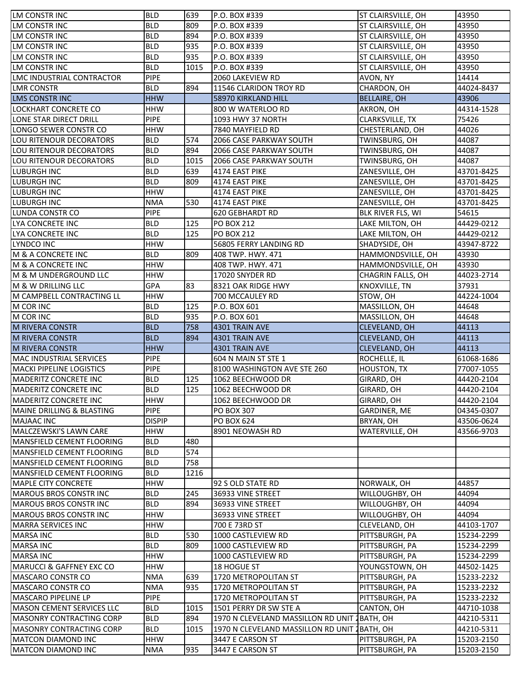| LM CONSTR INC                        | <b>BLD</b>    | 639  | P.O. BOX #339                                 | ST CLAIRSVILLE, OH     | 43950      |
|--------------------------------------|---------------|------|-----------------------------------------------|------------------------|------------|
| LM CONSTR INC                        | <b>BLD</b>    | 809  | P.O. BOX #339                                 | ST CLAIRSVILLE, OH     | 43950      |
| LM CONSTR INC                        | <b>BLD</b>    | 894  | P.O. BOX #339                                 | ST CLAIRSVILLE, OH     | 43950      |
| LM CONSTR INC                        | <b>BLD</b>    | 935  | P.O. BOX #339                                 | ST CLAIRSVILLE, OH     | 43950      |
| LM CONSTR INC                        | <b>BLD</b>    | 935  | P.O. BOX #339                                 | ST CLAIRSVILLE, OH     | 43950      |
| LM CONSTR INC                        | <b>BLD</b>    | 1015 | P.O. BOX #339                                 | ST CLAIRSVILLE, OH     | 43950      |
| LMC INDUSTRIAL CONTRACTOR            | <b>PIPE</b>   |      | 2060 LAKEVIEW RD                              | AVON, NY               | 14414      |
| <b>LMR CONSTR</b>                    | <b>BLD</b>    | 894  | 11546 CLARIDON TROY RD                        | CHARDON, OH            | 44024-8437 |
| <b>LMS CONSTR INC</b>                | <b>HHW</b>    |      | <b>58970 KIRKLAND HILL</b>                    | <b>BELLAIRE, OH</b>    | 43906      |
| LOCKHART CONCRETE CO                 | <b>HHW</b>    |      | 800 W WATERLOO RD                             | AKRON, OH              | 44314-1528 |
| LONE STAR DIRECT DRILL               | <b>PIPE</b>   |      | 1093 HWY 37 NORTH                             | <b>CLARKSVILLE, TX</b> | 75426      |
| LONGO SEWER CONSTR CO                | <b>HHW</b>    |      | 7840 MAYFIELD RD                              | CHESTERLAND, OH        | 44026      |
| LOU RITENOUR DECORATORS              | <b>BLD</b>    | 574  | 2066 CASE PARKWAY SOUTH                       | TWINSBURG, OH          | 44087      |
| LOU RITENOUR DECORATORS              | <b>BLD</b>    | 894  | 2066 CASE PARKWAY SOUTH                       | TWINSBURG, OH          | 44087      |
| LOU RITENOUR DECORATORS              | <b>BLD</b>    | 1015 | 2066 CASE PARKWAY SOUTH                       | TWINSBURG, OH          | 44087      |
| LUBURGH INC                          | <b>BLD</b>    | 639  | 4174 EAST PIKE                                | ZANESVILLE, OH         | 43701-8425 |
| LUBURGH INC                          | <b>BLD</b>    | 809  | 4174 EAST PIKE                                | ZANESVILLE, OH         | 43701-8425 |
| <b>LUBURGH INC</b>                   | <b>HHW</b>    |      | 4174 EAST PIKE                                | ZANESVILLE, OH         | 43701-8425 |
| <b>LUBURGH INC</b>                   | <b>NMA</b>    | 530  | 4174 EAST PIKE                                | ZANESVILLE, OH         | 43701-8425 |
| LUNDA CONSTR CO                      | <b>PIPE</b>   |      | 620 GEBHARDT RD                               | BLK RIVER FLS, WI      | 54615      |
| LYA CONCRETE INC                     | <b>BLD</b>    | 125  | <b>PO BOX 212</b>                             | LAKE MILTON, OH        | 44429-0212 |
| LYA CONCRETE INC                     | <b>BLD</b>    | 125  | <b>PO BOX 212</b>                             | LAKE MILTON, OH        | 44429-0212 |
| LYNDCO INC                           | <b>HHW</b>    |      | 56805 FERRY LANDING RD                        | SHADYSIDE, OH          | 43947-8722 |
| M & A CONCRETE INC                   | <b>BLD</b>    | 809  | 408 TWP. HWY. 471                             | HAMMONDSVILLE, OH      | 43930      |
| M & A CONCRETE INC                   | <b>HHW</b>    |      | 408 TWP. HWY. 471                             | HAMMONDSVILLE, OH      | 43930      |
| M & M UNDERGROUND LLC                | <b>HHW</b>    |      | 17020 SNYDER RD                               | CHAGRIN FALLS, OH      | 44023-2714 |
| M & W DRILLING LLC                   | GPA           | 83   | 8321 OAK RIDGE HWY                            | KNOXVILLE, TN          | 37931      |
| M CAMPBELL CONTRACTING LL            | <b>HHW</b>    |      | 700 MCCAULEY RD                               | STOW, OH               | 44224-1004 |
| <b>M COR INC</b>                     | <b>BLD</b>    | 125  | P.O. BOX 601                                  | MASSILLON, OH          | 44648      |
| M COR INC                            | <b>BLD</b>    | 935  | P.O. BOX 601                                  | MASSILLON, OH          | 44648      |
| <b>M RIVERA CONSTR</b>               | <b>BLD</b>    | 758  | 4301 TRAIN AVE                                | CLEVELAND, OH          | 44113      |
| <b>M RIVERA CONSTR</b>               | <b>BLD</b>    | 894  | 4301 TRAIN AVE                                | CLEVELAND, OH          | 44113      |
| <b>M RIVERA CONSTR</b>               | <b>HHW</b>    |      | 4301 TRAIN AVE                                | CLEVELAND, OH          | 44113      |
| MAC INDUSTRIAL SERVICES              | <b>PIPE</b>   |      | 604 N MAIN ST STE 1                           | ROCHELLE, IL           | 61068-1686 |
| <b>MACKI PIPELINE LOGISTICS</b>      | <b>PIPE</b>   |      | 8100 WASHINGTON AVE STE 260                   | <b>HOUSTON, TX</b>     | 77007-1055 |
| MADERITZ CONCRETE INC                | <b>BLD</b>    | 125  | 1062 BEECHWOOD DR                             | GIRARD, OH             | 44420-2104 |
| MADERITZ CONCRETE INC                | <b>BLD</b>    | 125  | 1062 BEECHWOOD DR                             | GIRARD, OH             | 44420-2104 |
| <b>MADERITZ CONCRETE INC</b>         | <b>HHW</b>    |      | 1062 BEECHWOOD DR                             | GIRARD, OH             | 44420-2104 |
| <b>MAINE DRILLING &amp; BLASTING</b> | <b>PIPE</b>   |      | <b>PO BOX 307</b>                             | <b>GARDINER, ME</b>    | 04345-0307 |
| <b>MAJAAC INC</b>                    | <b>DISPIP</b> |      | <b>PO BOX 624</b>                             | BRYAN, OH              | 43506-0624 |
| MALCZEWSKI'S LAWN CARE               | <b>HHW</b>    |      | 8901 NEOWASH RD                               | WATERVILLE, OH         | 43566-9703 |
| <b>MANSFIELD CEMENT FLOORING</b>     | <b>BLD</b>    | 480  |                                               |                        |            |
| <b>MANSFIELD CEMENT FLOORING</b>     | <b>BLD</b>    | 574  |                                               |                        |            |
| MANSFIELD CEMENT FLOORING            | <b>BLD</b>    | 758  |                                               |                        |            |
| MANSFIELD CEMENT FLOORING            | <b>BLD</b>    | 1216 |                                               |                        |            |
| <b>MAPLE CITY CONCRETE</b>           | <b>HHW</b>    |      | 92 S OLD STATE RD                             | NORWALK, OH            | 44857      |
| <b>MAROUS BROS CONSTR INC</b>        | <b>BLD</b>    | 245  | 36933 VINE STREET                             | WILLOUGHBY, OH         | 44094      |
| <b>MAROUS BROS CONSTR INC</b>        | <b>BLD</b>    | 894  | 36933 VINE STREET                             | WILLOUGHBY, OH         | 44094      |
| <b>MAROUS BROS CONSTR INC</b>        | <b>HHW</b>    |      | 36933 VINE STREET                             | WILLOUGHBY, OH         | 44094      |
| <b>MARRA SERVICES INC</b>            | <b>HHW</b>    |      | 700 E 73RD ST                                 | CLEVELAND, OH          | 44103-1707 |
| <b>MARSA INC</b>                     | <b>BLD</b>    | 530  | 1000 CASTLEVIEW RD                            | PITTSBURGH, PA         | 15234-2299 |
| <b>MARSA INC</b>                     | <b>BLD</b>    | 809  | 1000 CASTLEVIEW RD                            | PITTSBURGH, PA         | 15234-2299 |
| <b>MARSA INC</b>                     | <b>HHW</b>    |      | 1000 CASTLEVIEW RD                            | PITTSBURGH, PA         | 15234-2299 |
| <b>MARUCCI &amp; GAFFNEY EXC CO</b>  | <b>HHW</b>    |      | 18 HOGUE ST                                   | YOUNGSTOWN, OH         | 44502-1425 |
| <b>MASCARO CONSTR CO</b>             | <b>NMA</b>    | 639  | 1720 METROPOLITAN ST                          | PITTSBURGH, PA         | 15233-2232 |
| <b>MASCARO CONSTR CO</b>             | <b>NMA</b>    | 935  | 1720 METROPOLITAN ST                          | PITTSBURGH, PA         | 15233-2232 |
| <b>MASCARO PIPELINE LP</b>           | <b>PIPE</b>   |      | 1720 METROPOLITAN ST                          | PITTSBURGH, PA         | 15233-2232 |
| <b>MASON CEMENT SERVICES LLC</b>     | <b>BLD</b>    | 1015 | 1501 PERRY DR SW STE A                        | CANTON, OH             | 44710-1038 |
| MASONRY CONTRACTING CORP             | <b>BLD</b>    | 894  | 1970 N CLEVELAND MASSILLON RD UNIT            | <b>JBATH, OH</b>       | 44210-5311 |
| <b>MASONRY CONTRACTING CORP</b>      | <b>BLD</b>    | 1015 | 1970 N CLEVELAND MASSILLON RD UNIT 1 BATH, OH |                        | 44210-5311 |
| <b>MATCON DIAMOND INC</b>            | <b>HHW</b>    |      | 3447 E CARSON ST                              | PITTSBURGH, PA         | 15203-2150 |
| <b>MATCON DIAMOND INC</b>            | <b>NMA</b>    | 935  | 3447 E CARSON ST                              | PITTSBURGH, PA         | 15203-2150 |
|                                      |               |      |                                               |                        |            |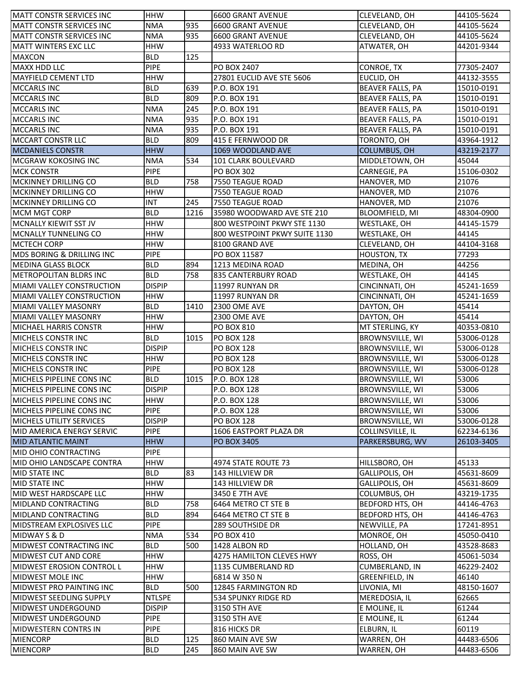| <b>MATT CONSTR SERVICES INC</b>                   | <b>HHW</b>    |      | <b>6600 GRANT AVENUE</b>      | CLEVELAND, OH           | 44105-5624 |
|---------------------------------------------------|---------------|------|-------------------------------|-------------------------|------------|
| <b>MATT CONSTR SERVICES INC</b>                   | <b>NMA</b>    | 935  | 6600 GRANT AVENUE             | CLEVELAND, OH           | 44105-5624 |
| <b>MATT CONSTR SERVICES INC</b>                   | <b>NMA</b>    | 935  | 6600 GRANT AVENUE             | CLEVELAND, OH           | 44105-5624 |
| <b>MATT WINTERS EXC LLC</b>                       | <b>HHW</b>    |      | 4933 WATERLOO RD              | ATWATER, OH             | 44201-9344 |
| <b>MAXCON</b>                                     | <b>BLD</b>    | 125  |                               |                         |            |
| <b>MAXX HDD LLC</b>                               | <b>PIPE</b>   |      | <b>PO BOX 2407</b>            | CONROE, TX              | 77305-2407 |
| <b>MAYFIELD CEMENT LTD</b>                        | <b>HHW</b>    |      | 27801 EUCLID AVE STE 5606     | EUCLID, OH              | 44132-3555 |
| <b>MCCARLS INC</b>                                | <b>BLD</b>    | 639  | P.O. BOX 191                  | <b>BEAVER FALLS, PA</b> | 15010-0191 |
| <b>MCCARLS INC</b>                                | <b>BLD</b>    | 809  | P.O. BOX 191                  | <b>BEAVER FALLS, PA</b> | 15010-0191 |
| <b>MCCARLS INC</b>                                | <b>NMA</b>    | 245  | P.O. BOX 191                  | <b>BEAVER FALLS, PA</b> | 15010-0191 |
| <b>MCCARLS INC</b>                                | <b>NMA</b>    | 935  | P.O. BOX 191                  | <b>BEAVER FALLS, PA</b> | 15010-0191 |
| <b>MCCARLS INC</b>                                | <b>NMA</b>    | 935  | P.O. BOX 191                  | BEAVER FALLS, PA        | 15010-0191 |
| MCCART CONSTR LLC                                 | <b>BLD</b>    | 809  | 415 E FERNWOOD DR             | TORONTO, OH             | 43964-1912 |
| <b>MCDANIELS CONSTR</b>                           | <b>HHW</b>    |      | 1069 WOODLAND AVE             | <b>COLUMBUS, OH</b>     | 43219-2177 |
| <b>MCGRAW KOKOSING INC</b>                        | <b>NMA</b>    | 534  | 101 CLARK BOULEVARD           | MIDDLETOWN, OH          | 45044      |
| <b>MCK CONSTR</b>                                 | PIPE          |      | <b>PO BOX 302</b>             | CARNEGIE, PA            | 15106-0302 |
| MCKINNEY DRILLING CO                              | <b>BLD</b>    | 758  | 7550 TEAGUE ROAD              | HANOVER, MD             | 21076      |
| <b>MCKINNEY DRILLING CO</b>                       | <b>HHW</b>    |      | 7550 TEAGUE ROAD              | HANOVER, MD             | 21076      |
| <b>IMCKINNEY DRILLING CO</b>                      | <b>INT</b>    | 245  | 7550 TEAGUE ROAD              | HANOVER, MD             | 21076      |
| <b>MCM MGT CORP</b>                               | <b>BLD</b>    | 1216 | 35980 WOODWARD AVE STE 210    | BLOOMFIELD, MI          | 48304-0900 |
| <b>MCNALLY KIEWIT SST JV</b>                      | <b>HHW</b>    |      | 800 WESTPOINT PKWY STE 1130   |                         |            |
|                                                   |               |      |                               | WESTLAKE, OH            | 44145-1579 |
| <b>MCNALLY TUNNELING CO</b><br><b>MCTECH CORP</b> | <b>HHW</b>    |      | 800 WESTPOINT PKWY SUITE 1130 | WESTLAKE, OH            | 44145      |
|                                                   | <b>HHW</b>    |      | 8100 GRAND AVE                | CLEVELAND, OH           | 44104-3168 |
| MDS BORING & DRILLING INC                         | <b>PIPE</b>   |      | PO BOX 11587                  | <b>HOUSTON, TX</b>      | 77293      |
| <b>MEDINA GLASS BLOCK</b>                         | <b>BLD</b>    | 894  | 1213 MEDINA ROAD              | MEDINA, OH              | 44256      |
| <b>METROPOLITAN BLDRS INC</b>                     | <b>BLD</b>    | 758  | 835 CANTERBURY ROAD           | WESTLAKE, OH            | 44145      |
| <b>MIAMI VALLEY CONSTRUCTION</b>                  | <b>DISPIP</b> |      | 11997 RUNYAN DR               | CINCINNATI, OH          | 45241-1659 |
| <b>MIAMI VALLEY CONSTRUCTION</b>                  | <b>HHW</b>    |      | 11997 RUNYAN DR               | CINCINNATI, OH          | 45241-1659 |
| MIAMI VALLEY MASONRY                              | <b>BLD</b>    | 1410 | <b>2300 OME AVE</b>           | DAYTON, OH              | 45414      |
| <b>MIAMI VALLEY MASONRY</b>                       | <b>HHW</b>    |      | 2300 OME AVE                  | DAYTON, OH              | 45414      |
| <b>MICHAEL HARRIS CONSTR</b>                      | <b>HHW</b>    |      | <b>PO BOX 810</b>             | MT STERLING, KY         | 40353-0810 |
| MICHELS CONSTRINC                                 | <b>BLD</b>    | 1015 | <b>PO BOX 128</b>             | BROWNSVILLE, WI         | 53006-0128 |
| MICHELS CONSTR INC                                | <b>DISPIP</b> |      | <b>PO BOX 128</b>             | BROWNSVILLE, WI         | 53006-0128 |
| MICHELS CONSTR INC                                | <b>HHW</b>    |      | <b>PO BOX 128</b>             | BROWNSVILLE, WI         | 53006-0128 |
| MICHELS CONSTRINC                                 | <b>PIPE</b>   |      | <b>PO BOX 128</b>             | BROWNSVILLE, WI         | 53006-0128 |
| MICHELS PIPELINE CONS INC                         | <b>BLD</b>    | 1015 | P.O. BOX 128                  | BROWNSVILLE, WI         | 53006      |
| MICHELS PIPELINE CONS INC                         | <b>DISPIP</b> |      | P.O. BOX 128                  | BROWNSVILLE, WI         | 53006      |
| MICHELS PIPELINE CONS INC                         | <b>HHW</b>    |      | P.O. BOX 128                  | BROWNSVILLE, WI         | 53006      |
| <b>MICHELS PIPELINE CONS INC</b>                  | <b>PIPE</b>   |      | P.O. BOX 128                  | BROWNSVILLE, WI         | 53006      |
| <b>MICHELS UTILITY SERVICES</b>                   | <b>DISPIP</b> |      | <b>PO BOX 128</b>             | BROWNSVILLE, WI         | 53006-0128 |
| MID AMERICA ENERGY SERVIC                         | <b>PIPE</b>   |      | 1606 EASTPORT PLAZA DR        | COLLINSVILLE, IL        | 62234-6136 |
| MID ATLANTIC MAINT                                | <b>HHW</b>    |      | <b>PO BOX 3405</b>            | PARKERSBURG, WV         | 26103-3405 |
| MID OHIO CONTRACTING                              | <b>PIPE</b>   |      |                               |                         |            |
| MID OHIO LANDSCAPE CONTRA                         | <b>HHW</b>    |      | 4974 STATE ROUTE 73           | HILLSBORO, OH           | 45133      |
| MID STATE INC                                     | <b>BLD</b>    | 83   | 143 HILLVIEW DR               | GALLIPOLIS, OH          | 45631-8609 |
| MID STATE INC                                     | <b>HHW</b>    |      | 143 HILLVIEW DR               | GALLIPOLIS, OH          | 45631-8609 |
| MID WEST HARDSCAPE LLC                            | <b>HHW</b>    |      | 3450 E 7TH AVE                | COLUMBUS, OH            | 43219-1735 |
| <b>MIDLAND CONTRACTING</b>                        | <b>BLD</b>    | 758  | 6464 METRO CT STE B           | BEDFORD HTS, OH         | 44146-4763 |
| MIDLAND CONTRACTING                               | <b>BLD</b>    | 894  | 6464 METRO CT STE B           | BEDFORD HTS, OH         | 44146-4763 |
| MIDSTREAM EXPLOSIVES LLC                          | <b>PIPE</b>   |      | 289 SOUTHSIDE DR              | NEWVILLE, PA            | 17241-8951 |
| MIDWAY S & D                                      | <b>NMA</b>    | 534  | <b>PO BOX 410</b>             | MONROE, OH              | 45050-0410 |
| <b>MIDWEST CONTRACTING INC</b>                    | <b>BLD</b>    | 500  | 1428 ALBON RD                 | HOLLAND, OH             | 43528-8683 |
| MIDWEST CUT AND CORE                              | <b>HHW</b>    |      | 4275 HAMILTON CLEVES HWY      | ROSS, OH                | 45061-5034 |
| MIDWEST EROSION CONTROL L                         | <b>HHW</b>    |      | 1135 CUMBERLAND RD            | <b>CUMBERLAND, IN</b>   | 46229-2402 |
| MIDWEST MOLE INC                                  | <b>HHW</b>    |      | 6814 W 350 N                  | <b>GREENFIELD, IN</b>   | 46140      |
| MIDWEST PRO PAINTING INC                          | <b>BLD</b>    | 500  | 12845 FARMINGTON RD           | LIVONIA, MI             | 48150-1607 |
| MIDWEST SEEDLING SUPPLY                           | <b>NTLSPE</b> |      | 534 SPUNKY RIDGE RD           | MEREDOSIA, IL           | 62665      |
| <b>MIDWEST UNDERGOUND</b>                         | <b>DISPIP</b> |      | 3150 5TH AVE                  | E MOLINE, IL            | 61244      |
| MIDWEST UNDERGOUND                                | <b>PIPE</b>   |      | 3150 5TH AVE                  | E MOLINE, IL            | 61244      |
| MIDWESTERN CONTRS IN                              | <b>PIPE</b>   |      | 816 HICKS DR                  | ELBURN, IL              | 60119      |
| <b>MIENCORP</b>                                   | <b>BLD</b>    | 125  | 860 MAIN AVE SW               | WARREN, OH              | 44483-6506 |
| <b>MIENCORP</b>                                   | <b>BLD</b>    | 245  | 860 MAIN AVE SW               | WARREN, OH              | 44483-6506 |
|                                                   |               |      |                               |                         |            |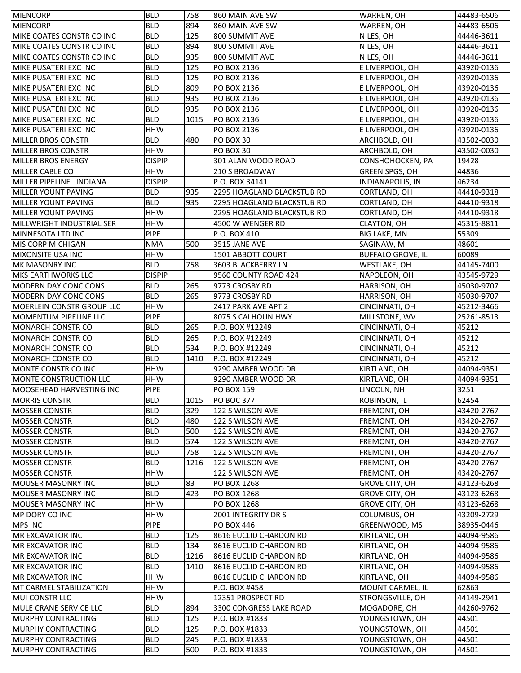| <b>MIENCORP</b>                                  | <b>BLD</b>                | 758  | 860 MAIN AVE SW            | WARREN, OH                           | 44483-6506    |
|--------------------------------------------------|---------------------------|------|----------------------------|--------------------------------------|---------------|
| <b>MIENCORP</b>                                  | <b>BLD</b>                | 894  | 860 MAIN AVE SW            | WARREN, OH                           | 44483-6506    |
| MIKE COATES CONSTR CO INC                        | <b>BLD</b>                | 125  | 800 SUMMIT AVE             | NILES, OH                            | 44446-3611    |
| MIKE COATES CONSTR CO INC                        | <b>BLD</b>                | 894  | 800 SUMMIT AVE             | NILES, OH                            | 44446-3611    |
| MIKE COATES CONSTR CO INC                        | <b>BLD</b>                | 935  | 800 SUMMIT AVE             | NILES, OH                            | 44446-3611    |
| MIKE PUSATERI EXC INC                            | <b>BLD</b>                | 125  | PO BOX 2136                | E LIVERPOOL, OH                      | 43920-0136    |
| MIKE PUSATERI EXC INC                            | <b>BLD</b>                | 125  | PO BOX 2136                | E LIVERPOOL, OH                      | 43920-0136    |
| MIKE PUSATERI EXC INC                            | <b>BLD</b>                | 809  | PO BOX 2136                | E LIVERPOOL, OH                      | 43920-0136    |
| MIKE PUSATERI EXC INC                            | <b>BLD</b>                | 935  | PO BOX 2136                | E LIVERPOOL, OH                      | 43920-0136    |
| MIKE PUSATERI EXC INC                            | <b>BLD</b>                | 935  | PO BOX 2136                | E LIVERPOOL, OH                      | 43920-0136    |
| MIKE PUSATERI EXC INC                            | <b>BLD</b>                | 1015 | PO BOX 2136                | E LIVERPOOL, OH                      | 43920-0136    |
| MIKE PUSATERI EXC INC                            | <b>HHW</b>                |      | PO BOX 2136                | E LIVERPOOL, OH                      | 43920-0136    |
| <b>MILLER BROS CONSTR</b>                        | <b>BLD</b>                | 480  | PO BOX 30                  | ARCHBOLD, OH                         | 43502-0030    |
| <b>MILLER BROS CONSTR</b>                        | <b>HHW</b>                |      | PO BOX 30                  | ARCHBOLD, OH                         | 43502-0030    |
| <b>MILLER BROS ENERGY</b>                        | <b>DISPIP</b>             |      | 301 ALAN WOOD ROAD         | CONSHOHOCKEN, PA                     | 19428         |
| MILLER CABLE CO                                  | <b>HHW</b>                |      | <b>210 S BROADWAY</b>      | GREEN SPGS, OH                       | 44836         |
| MILLER PIPELINE INDIANA                          | <b>DISPIP</b>             |      | P.O. BOX 34141             | <b>INDIANAPOLIS, IN</b>              | 46234         |
| <b>MILLER YOUNT PAVING</b>                       | <b>BLD</b>                | 935  | 2295 HOAGLAND BLACKSTUB RD | CORTLAND, OH                         | 44410-9318    |
| <b>MILLER YOUNT PAVING</b>                       | <b>BLD</b>                | 935  | 2295 HOAGLAND BLACKSTUB RD | CORTLAND, OH                         | 44410-9318    |
| MILLER YOUNT PAVING                              | <b>HHW</b>                |      | 2295 HOAGLAND BLACKSTUB RD | CORTLAND, OH                         | 44410-9318    |
| MILLWRIGHT INDUSTRIAL SER                        | <b>HHW</b>                |      | 4500 W WENGER RD           | CLAYTON, OH                          | 45315-8811    |
| MINNESOTA LTD INC                                | PIPE                      |      | P.O. BOX 410               | <b>BIG LAKE, MN</b>                  | 55309         |
| <b>MIS CORP MICHIGAN</b>                         | <b>NMA</b>                | 500  | 3515 JANE AVE              | SAGINAW, MI                          | 48601         |
| MIXONSITE USA INC                                | <b>HHW</b>                |      | 1501 ABBOTT COURT          | <b>BUFFALO GROVE, IL</b>             | 60089         |
| <b>MK MASONRY INC</b>                            | <b>BLD</b>                | 758  | 3603 BLACKBERRY LN         | WESTLAKE, OH                         | 44145-7400    |
| <b>MKS EARTHWORKS LLC</b>                        | <b>DISPIP</b>             |      | 9560 COUNTY ROAD 424       | NAPOLEON, OH                         | 43545-9729    |
| <b>MODERN DAY CONC CONS</b>                      | <b>BLD</b>                | 265  | 9773 CROSBY RD             | HARRISON, OH                         | 45030-9707    |
| <b>MODERN DAY CONC CONS</b>                      | <b>BLD</b>                | 265  | 9773 CROSBY RD             | HARRISON, OH                         | 45030-9707    |
| MOERLEIN CONSTR GROUP LLC                        | <b>HHW</b>                |      | 2417 PARK AVE APT 2        | CINCINNATI, OH                       | 45212-3466    |
| <b>MOMENTUM PIPELINE LLC</b>                     | <b>PIPE</b>               |      | 8075 S CALHOUN HWY         | MILLSTONE, WV                        | 25261-8513    |
| <b>MONARCH CONSTR CO</b>                         | <b>BLD</b>                | 265  | P.O. BOX #12249            | CINCINNATI, OH                       | 45212         |
|                                                  | <b>BLD</b>                |      |                            |                                      |               |
| <b>MONARCH CONSTR CO</b>                         |                           | 265  | P.O. BOX #12249            |                                      | 45212         |
| <b>MONARCH CONSTR CO</b>                         | <b>BLD</b>                | 534  | P.O. BOX #12249            | CINCINNATI, OH                       | 45212         |
| <b>MONARCH CONSTR CO</b>                         | <b>BLD</b>                | 1410 | P.O. BOX #12249            | CINCINNATI, OH<br>CINCINNATI, OH     | 45212         |
| MONTE CONSTR CO INC                              | <b>HHW</b>                |      | 9290 AMBER WOOD DR         | KIRTLAND, OH                         | 44094-9351    |
| MONTE CONSTRUCTION LLC                           | <b>HHW</b>                |      | 9290 AMBER WOOD DR         | KIRTLAND, OH                         | 44094-9351    |
|                                                  |                           |      | <b>PO BOX 159</b>          |                                      |               |
| MOOSEHEAD HARVESTING INC<br><b>MORRIS CONSTR</b> | <b>PIPE</b><br><b>BLD</b> | 1015 | PO BOC 377                 | LINCOLN, NH<br>ROBINSON, IL          | 3251<br>62454 |
| <b>MOSSER CONSTR</b>                             | <b>BLD</b>                | 329  | 122 S WILSON AVE           | FREMONT, OH                          | 43420-2767    |
| <b>MOSSER CONSTR</b>                             | <b>BLD</b>                | 480  | 122 S WILSON AVE           | FREMONT, OH                          | 43420-2767    |
| <b>MOSSER CONSTR</b>                             | <b>BLD</b>                | 500  | 122 S WILSON AVE           | FREMONT, OH                          | 43420-2767    |
| IMOSSER CONSTR                                   | <b>BLD</b>                | 574  | 122 S WILSON AVE           | FREMONT, OH                          | 43420-2767    |
| <b>MOSSER CONSTR</b>                             | <b>BLD</b>                | 758  | 122 S WILSON AVE           | FREMONT, OH                          | 43420-2767    |
| <b>MOSSER CONSTR</b>                             | <b>BLD</b>                | 1216 | 122 S WILSON AVE           | FREMONT, OH                          | 43420-2767    |
| <b>IMOSSER CONSTR</b>                            | <b>HHW</b>                |      | 122 S WILSON AVE           |                                      | 43420-2767    |
| <b>MOUSER MASONRY INC</b>                        | <b>BLD</b>                | 83   | PO BOX 1268                | FREMONT, OH<br><b>GROVE CITY, OH</b> | 43123-6268    |
| <b>MOUSER MASONRY INC</b>                        | <b>BLD</b>                | 423  | PO BOX 1268                | <b>GROVE CITY, OH</b>                | 43123-6268    |
| <b>MOUSER MASONRY INC</b>                        | <b>HHW</b>                |      | PO BOX 1268                | <b>GROVE CITY, OH</b>                | 43123-6268    |
| MP DORY CO INC                                   | <b>HHW</b>                |      | 2001 INTEGRITY DR S        | COLUMBUS, OH                         | 43209-2729    |
| <b>MPS INC</b>                                   | <b>PIPE</b>               |      | <b>PO BOX 446</b>          | GREENWOOD, MS                        | 38935-0446    |
| <b>MR EXCAVATOR INC</b>                          | <b>BLD</b>                | 125  | 8616 EUCLID CHARDON RD     | KIRTLAND, OH                         | 44094-9586    |
| <b>MR EXCAVATOR INC</b>                          | <b>BLD</b>                | 134  | 8616 EUCLID CHARDON RD     | KIRTLAND, OH                         | 44094-9586    |
| <b>MR EXCAVATOR INC</b>                          | <b>BLD</b>                | 1216 | 8616 EUCLID CHARDON RD     | KIRTLAND, OH                         | 44094-9586    |
| <b>MR EXCAVATOR INC</b>                          | <b>BLD</b>                | 1410 | 8616 EUCLID CHARDON RD     | KIRTLAND, OH                         | 44094-9586    |
| <b>MR EXCAVATOR INC</b>                          | <b>HHW</b>                |      | 8616 EUCLID CHARDON RD     | KIRTLAND, OH                         | 44094-9586    |
| MT CARMEL STABILIZATION                          | <b>HHW</b>                |      | P.O. BOX #458              | MOUNT CARMEL, IL                     | 62863         |
| <b>MUI CONSTR LLC</b>                            | <b>HHW</b>                |      | 12351 PROSPECT RD          | STRONGSVILLE, OH                     | 44149-2941    |
| MULE CRANE SERVICE LLC                           | <b>BLD</b>                | 894  | 3300 CONGRESS LAKE ROAD    | MOGADORE, OH                         | 44260-9762    |
| <b>MURPHY CONTRACTING</b>                        | <b>BLD</b>                | 125  | P.O. BOX #1833             | YOUNGSTOWN, OH                       | 44501         |
| MURPHY CONTRACTING                               | <b>BLD</b>                | 125  | P.O. BOX #1833             | YOUNGSTOWN, OH                       | 44501         |
| MURPHY CONTRACTING                               | <b>BLD</b>                | 245  | P.O. BOX #1833             | YOUNGSTOWN, OH                       | 44501         |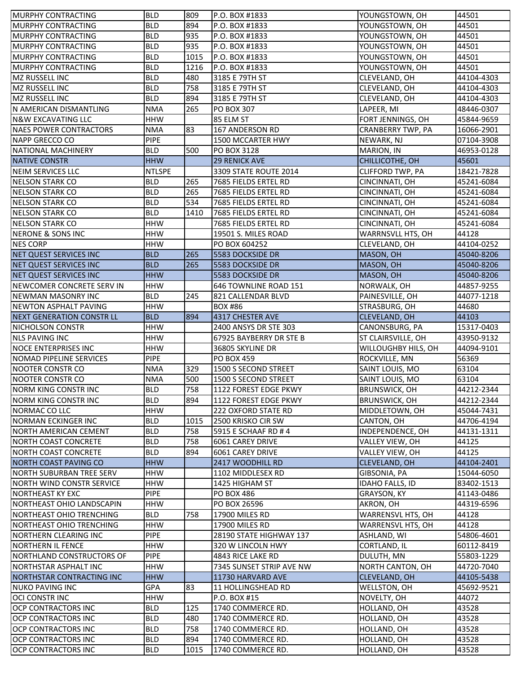| <b>MURPHY CONTRACTING</b>        | <b>BLD</b>    | 809  | P.O. BOX #1833           | YOUNGSTOWN, OH           | 44501      |
|----------------------------------|---------------|------|--------------------------|--------------------------|------------|
| <b>MURPHY CONTRACTING</b>        | <b>BLD</b>    | 894  | P.O. BOX #1833           | YOUNGSTOWN, OH           | 44501      |
| <b>MURPHY CONTRACTING</b>        | <b>BLD</b>    | 935  | P.O. BOX #1833           | YOUNGSTOWN, OH           | 44501      |
| <b>MURPHY CONTRACTING</b>        | <b>BLD</b>    | 935  | P.O. BOX #1833           | YOUNGSTOWN, OH           | 44501      |
| <b>MURPHY CONTRACTING</b>        | <b>BLD</b>    | 1015 | P.O. BOX #1833           | YOUNGSTOWN, OH           | 44501      |
| <b>MURPHY CONTRACTING</b>        | <b>BLD</b>    | 1216 | P.O. BOX #1833           | YOUNGSTOWN, OH           | 44501      |
| MZ RUSSELL INC                   | <b>BLD</b>    | 480  | 3185 E 79TH ST           | CLEVELAND, OH            | 44104-4303 |
| MZ RUSSELL INC                   | <b>BLD</b>    | 758  | 3185 E 79TH ST           | CLEVELAND, OH            | 44104-4303 |
| MZ RUSSELL INC                   | <b>BLD</b>    | 894  | 3185 E 79TH ST           | CLEVELAND, OH            | 44104-4303 |
| N AMERICAN DISMANTLING           | <b>NMA</b>    | 265  | <b>PO BOX 307</b>        | LAPEER, MI               | 48446-0307 |
| <b>N&amp;W EXCAVATING LLC</b>    | <b>HHW</b>    |      | 85 ELM ST                | FORT JENNINGS, OH        | 45844-9659 |
| <b>NAES POWER CONTRACTORS</b>    | <b>NMA</b>    | 83   | 167 ANDERSON RD          | <b>CRANBERRY TWP, PA</b> | 16066-2901 |
| <b>NAPP GRECCO CO</b>            | PIPE          |      | 1500 MCCARTER HWY        | NEWARK, NJ               | 07104-3908 |
| NATIONAL MACHINERY               | <b>BLD</b>    | 500  | PO BOX 3128              | MARION, IN               | 46953-0128 |
| <b>NATIVE CONSTR</b>             | <b>HHW</b>    |      | <b>29 RENICK AVE</b>     | CHILLICOTHE, OH          | 45601      |
| NEIM SERVICES LLC                | <b>NTLSPE</b> |      | 3309 STATE ROUTE 2014    | <b>CLIFFORD TWP, PA</b>  | 18421-7828 |
| <b>NELSON STARK CO</b>           | <b>BLD</b>    | 265  | 7685 FIELDS ERTEL RD     | CINCINNATI, OH           | 45241-6084 |
| <b>NELSON STARK CO</b>           | <b>BLD</b>    | 265  | 7685 FIELDS ERTEL RD     | CINCINNATI, OH           | 45241-6084 |
| <b>NELSON STARK CO</b>           | <b>BLD</b>    | 534  | 7685 FIELDS ERTEL RD     | CINCINNATI, OH           | 45241-6084 |
| <b>NELSON STARK CO</b>           | <b>BLD</b>    | 1410 | 7685 FIELDS ERTEL RD     | CINCINNATI, OH           | 45241-6084 |
| <b>NELSON STARK CO</b>           | <b>HHW</b>    |      | 7685 FIELDS ERTEL RD     | CINCINNATI, OH           | 45241-6084 |
| <b>NERONE &amp; SONS INC</b>     | <b>HHW</b>    |      | 19501 S. MILES ROAD      | WARRNSVLL HTS, OH        | 44128      |
| <b>NES CORP</b>                  | <b>HHW</b>    |      | PO BOX 604252            | CLEVELAND, OH            | 44104-0252 |
| NET QUEST SERVICES INC           | <b>BLD</b>    | 265  | 5583 DOCKSIDE DR         | MASON, OH                | 45040-8206 |
| <b>NET QUEST SERVICES INC</b>    | <b>BLD</b>    | 265  | 5583 DOCKSIDE DR         | MASON, OH                | 45040-8206 |
| <b>NET QUEST SERVICES INC</b>    | <b>HHW</b>    |      | 5583 DOCKSIDE DR         | MASON, OH                | 45040-8206 |
| NEWCOMER CONCRETE SERV IN        | <b>HHW</b>    |      | 646 TOWNLINE ROAD 151    | NORWALK, OH              | 44857-9255 |
| <b>NEWMAN MASONRY INC</b>        | <b>BLD</b>    | 245  | 821 CALLENDAR BLVD       | PAINESVILLE, OH          | 44077-1218 |
| <b>NEWTON ASPHALT PAVING</b>     | <b>HHW</b>    |      | <b>BOX #86</b>           | STRASBURG, OH            | 44680      |
| <b>NEXT GENERATION CONSTR LL</b> | <b>BLD</b>    | 894  | 4317 CHESTER AVE         | CLEVELAND, OH            | 44103      |
| NICHOLSON CONSTR                 | <b>HHW</b>    |      | 2400 ANSYS DR STE 303    | CANONSBURG, PA           | 15317-0403 |
| <b>NLS PAVING INC</b>            | <b>HHW</b>    |      | 67925 BAYBERRY DR STE B  | ST CLAIRSVILLE, OH       | 43950-9132 |
| <b>NOCE ENTERPRISES INC</b>      | <b>HHW</b>    |      | 36805 SKYLINE DR         | WILLOUGHBY HILS, OH      | 44094-9101 |
| <b>NOMAD PIPELINE SERVICES</b>   | <b>PIPE</b>   |      | <b>PO BOX 459</b>        | ROCKVILLE, MN            | 56369      |
| INOOTER CONSTR CO                | <b>NMA</b>    | 329  | 1500 S SECOND STREET     | SAINT LOUIS, MO          | 63104      |
| <b>NOOTER CONSTR CO</b>          | <b>NMA</b>    | 500  | 1500 S SECOND STREET     | SAINT LOUIS, MO          | 63104      |
| NORM KING CONSTR INC             | <b>BLD</b>    | 758  | 1122 FOREST EDGE PKWY    | <b>BRUNSWICK, OH</b>     | 44212-2344 |
| <b>NORM KING CONSTR INC</b>      | <b>BLD</b>    | 894  | 1122 FOREST EDGE PKWY    | <b>BRUNSWICK, OH</b>     | 44212-2344 |
| NORMAC CO LLC                    | <b>HHW</b>    |      | 222 OXFORD STATE RD      | MIDDLETOWN, OH           | 45044-7431 |
| NORMAN ECKINGER INC              | <b>BLD</b>    | 1015 | 2500 KRISKO CIR SW       | CANTON, OH               | 44706-4194 |
| NORTH AMERICAN CEMENT            | <b>BLD</b>    | 758  | 5915 E SCHAAF RD #4      | INDEPENDENCE, OH         | 44131-1311 |
| <b>NORTH COAST CONCRETE</b>      | <b>BLD</b>    | 758  | 6061 CAREY DRIVE         | VALLEY VIEW, OH          | 44125      |
| <b>NORTH COAST CONCRETE</b>      | <b>BLD</b>    | 894  | 6061 CAREY DRIVE         | VALLEY VIEW, OH          | 44125      |
| <b>NORTH COAST PAVING CO</b>     | <b>HHW</b>    |      | 2417 WOODHILL RD         | CLEVELAND, OH            | 44104-2401 |
| INORTH SUBURBAN TREE SERV        | <b>HHW</b>    |      | 1102 MIDDLESEX RD        | GIBSONIA, PA             | 15044-6050 |
| NORTH WIND CONSTR SERVICE        | <b>HHW</b>    |      | 1425 HIGHAM ST           | <b>IDAHO FALLS, ID</b>   | 83402-1513 |
| INORTHEAST KY EXC                | <b>PIPE</b>   |      | <b>PO BOX 486</b>        | <b>GRAYSON, KY</b>       | 41143-0486 |
| NORTHEAST OHIO LANDSCAPIN        | <b>HHW</b>    |      | PO BOX 26596             | AKRON, OH                | 44319-6596 |
| <b>NORTHEAST OHIO TRENCHING</b>  | <b>BLD</b>    | 758  | 17900 MILES RD           | WARRENSVL HTS, OH        | 44128      |
| <b>NORTHEAST OHIO TRENCHING</b>  | <b>HHW</b>    |      | 17900 MILES RD           | WARRENSVL HTS, OH        | 44128      |
| <b>NORTHERN CLEARING INC</b>     | <b>PIPE</b>   |      | 28190 STATE HIGHWAY 137  | ASHLAND, WI              | 54806-4601 |
| NORTHERN IL FENCE                | <b>HHW</b>    |      | 320 W LINCOLN HWY        | CORTLAND, IL             | 60112-8419 |
| NORTHLAND CONSTRUCTORS OF        | <b>PIPE</b>   |      | 4843 RICE LAKE RD        | DULUTH, MN               | 55803-1229 |
| <b>NORTHSTAR ASPHALT INC</b>     | <b>HHW</b>    |      | 7345 SUNSET STRIP AVE NW | NORTH CANTON, OH         | 44720-7040 |
| NORTHSTAR CONTRACTING INC        | <b>HHW</b>    |      | 11730 HARVARD AVE        | <b>CLEVELAND, OH</b>     | 44105-5438 |
| <b>NUKO PAVING INC</b>           | <b>GPA</b>    | 83   | 11 HOLLINGSHEAD RD       | WELLSTON, OH             | 45692-9521 |
| <b>OCI CONSTRINC</b>             | <b>HHW</b>    |      | P.O. BOX #15             | NOVELTY, OH              | 44072      |
| <b>OCP CONTRACTORS INC</b>       | <b>BLD</b>    | 125  | 1740 COMMERCE RD.        | HOLLAND, OH              | 43528      |
| <b>OCP CONTRACTORS INC</b>       | <b>BLD</b>    | 480  | 1740 COMMERCE RD.        | HOLLAND, OH              | 43528      |
| <b>OCP CONTRACTORS INC</b>       | <b>BLD</b>    | 758  | 1740 COMMERCE RD.        | HOLLAND, OH              | 43528      |
| <b>OCP CONTRACTORS INC</b>       | <b>BLD</b>    | 894  | 1740 COMMERCE RD.        | HOLLAND, OH              | 43528      |
|                                  |               |      |                          |                          |            |
| <b>OCP CONTRACTORS INC</b>       | <b>BLD</b>    | 1015 | 1740 COMMERCE RD.        | HOLLAND, OH              | 43528      |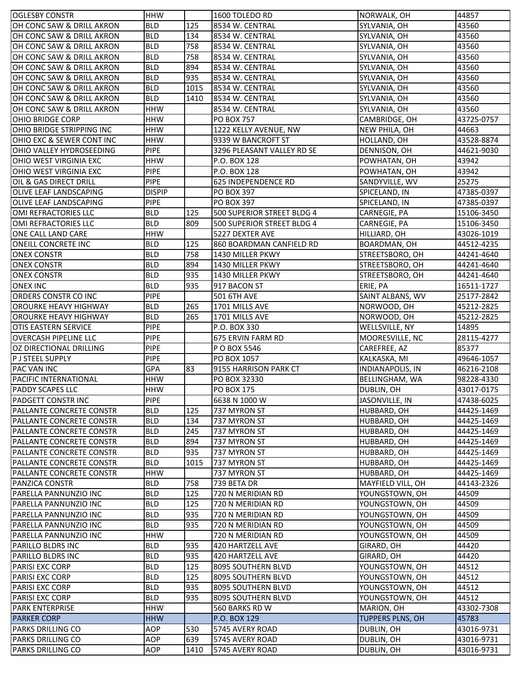| <b>OGLESBY CONSTR</b>           | <b>HHW</b>    |      | 1600 TOLEDO RD             | NORWALK, OH             | 44857      |
|---------------------------------|---------------|------|----------------------------|-------------------------|------------|
| OH CONC SAW & DRILL AKRON       | <b>BLD</b>    | 125  | 8534 W. CENTRAL            | SYLVANIA, OH            | 43560      |
| OH CONC SAW & DRILL AKRON       | <b>BLD</b>    | 134  | 8534 W. CENTRAL            | SYLVANIA, OH            | 43560      |
| OH CONC SAW & DRILL AKRON       | <b>BLD</b>    | 758  | 8534 W. CENTRAL            | SYLVANIA, OH            | 43560      |
| OH CONC SAW & DRILL AKRON       | <b>BLD</b>    | 758  | 8534 W. CENTRAL            | SYLVANIA, OH            | 43560      |
| OH CONC SAW & DRILL AKRON       | <b>BLD</b>    | 894  | 8534 W. CENTRAL            | SYLVANIA, OH            | 43560      |
| OH CONC SAW & DRILL AKRON       | <b>BLD</b>    | 935  | 8534 W. CENTRAL            | SYLVANIA, OH            | 43560      |
| OH CONC SAW & DRILL AKRON       | <b>BLD</b>    | 1015 | 8534 W. CENTRAL            | SYLVANIA, OH            | 43560      |
| OH CONC SAW & DRILL AKRON       | <b>BLD</b>    | 1410 | 8534 W. CENTRAL            | SYLVANIA, OH            | 43560      |
| OH CONC SAW & DRILL AKRON       | <b>HHW</b>    |      | 8534 W. CENTRAL            | SYLVANIA, OH            | 43560      |
| OHIO BRIDGE CORP                | <b>HHW</b>    |      | <b>PO BOX 757</b>          | CAMBRIDGE, OH           | 43725-0757 |
| OHIO BRIDGE STRIPPING INC       | <b>HHW</b>    |      | 1222 KELLY AVENUE, NW      | NEW PHILA, OH           | 44663      |
| OHIO EXC & SEWER CONT INC       | <b>HHW</b>    |      | 9339 W BANCROFT ST         | HOLLAND, OH             | 43528-8874 |
| OHIO VALLEY HYDROSEEDING        | <b>PIPE</b>   |      | 3296 PLEASANT VALLEY RD SE | DENNISON, OH            | 44621-9030 |
| OHIO WEST VIRGINIA EXC          | <b>HHW</b>    |      | P.O. BOX 128               | POWHATAN, OH            | 43942      |
| OHIO WEST VIRGINIA EXC          | <b>PIPE</b>   |      | P.O. BOX 128               | POWHATAN, OH            | 43942      |
| OIL & GAS DIRECT DRILL          | <b>PIPE</b>   |      | <b>625 INDEPENDENCE RD</b> | SANDYVILLE, WV          | 25275      |
| <b>OLIVE LEAF LANDSCAPING</b>   | <b>DISPIP</b> |      | <b>PO BOX 397</b>          | SPICELAND, IN           | 47385-0397 |
| <b>OLIVE LEAF LANDSCAPING</b>   | <b>PIPE</b>   |      | <b>PO BOX 397</b>          | SPICELAND, IN           | 47385-0397 |
| OMI REFRACTORIES LLC            | <b>BLD</b>    | 125  | 500 SUPERIOR STREET BLDG 4 | CARNEGIE, PA            | 15106-3450 |
| OMI REFRACTORIES LLC            | <b>BLD</b>    | 809  | 500 SUPERIOR STREET BLDG 4 | CARNEGIE, PA            | 15106-3450 |
| ONE CALL LAND CARE              | <b>HHW</b>    |      | 5227 DEXTER AVE            | HILLIARD, OH            | 43026-1019 |
| <b>ONEILL CONCRETE INC</b>      | <b>BLD</b>    | 125  | 860 BOARDMAN CANFIELD RD   | BOARDMAN, OH            | 44512-4235 |
| <b>ONEX CONSTR</b>              | <b>BLD</b>    | 758  | 1430 MILLER PKWY           | STREETSBORO, OH         | 44241-4640 |
| <b>ONEX CONSTR</b>              | <b>BLD</b>    | 894  | 1430 MILLER PKWY           | STREETSBORO, OH         | 44241-4640 |
| <b>ONEX CONSTR</b>              | <b>BLD</b>    | 935  | 1430 MILLER PKWY           | STREETSBORO, OH         | 44241-4640 |
| <b>ONEX INC</b>                 | <b>BLD</b>    | 935  | 917 BACON ST               | ERIE, PA                | 16511-1727 |
| ORDERS CONSTR CO INC            | <b>PIPE</b>   |      | <b>501 6TH AVE</b>         | SAINT ALBANS, WV        | 25177-2842 |
| OROURKE HEAVY HIGHWAY           | <b>BLD</b>    | 265  | 1701 MILLS AVE             | NORWOOD, OH             | 45212-2825 |
| <b>OROURKE HEAVY HIGHWAY</b>    | <b>BLD</b>    | 265  | 1701 MILLS AVE             | NORWOOD, OH             | 45212-2825 |
| <b>OTIS EASTERN SERVICE</b>     | <b>PIPE</b>   |      | P.O. BOX 330               | WELLSVILLE, NY          | 14895      |
| <b>OVERCASH PIPELINE LLC</b>    | <b>PIPE</b>   |      | 675 ERVIN FARM RD          | MOORESVILLE, NC         | 28115-4277 |
| OZ DIRECTIONAL DRILLING         | <b>PIPE</b>   |      | P O BOX 5546               | CAREFREE, AZ            | 85377      |
| P J STEEL SUPPLY                | <b>PIPE</b>   |      | PO BOX 1057                | KALKASKA, MI            | 49646-1057 |
| PAC VAN INC                     | <b>GPA</b>    | 83   | 9155 HARRISON PARK CT      | <b>INDIANAPOLIS, IN</b> | 46216-2108 |
| PACIFIC INTERNATIONAL           | <b>HHW</b>    |      | PO BOX 32330               | <b>BELLINGHAM, WA</b>   | 98228-4330 |
| PADDY SCAPES LLC                | <b>HHW</b>    |      | PO BOX 175                 | DUBLIN, OH              | 43017-0175 |
| PADGETT CONSTR INC              | <b>PIPE</b>   |      | 6638 N 1000 W              | JASONVILLE, IN          | 47438-6025 |
| PALLANTE CONCRETE CONSTR        | <b>BLD</b>    | 125  | 737 MYRON ST               | HUBBARD, OH             | 44425-1469 |
| PALLANTE CONCRETE CONSTR        | <b>BLD</b>    | 134  | 737 MYRON ST               | HUBBARD, OH             | 44425-1469 |
| PALLANTE CONCRETE CONSTR        | <b>BLD</b>    | 245  | 737 MYRON ST               | HUBBARD, OH             | 44425-1469 |
| PALLANTE CONCRETE CONSTR        | <b>BLD</b>    | 894  | 737 MYRON ST               | HUBBARD, OH             | 44425-1469 |
| <b>PALLANTE CONCRETE CONSTR</b> | <b>BLD</b>    | 935  | 737 MYRON ST               | HUBBARD, OH             | 44425-1469 |
| PALLANTE CONCRETE CONSTR        | <b>BLD</b>    | 1015 | 737 MYRON ST               | HUBBARD, OH             | 44425-1469 |
| PALLANTE CONCRETE CONSTR        | <b>HHW</b>    |      | 737 MYRON ST               | HUBBARD, OH             | 44425-1469 |
| <b>PANZICA CONSTR</b>           | <b>BLD</b>    | 758  | 739 BETA DR                | MAYFIELD VILL, OH       | 44143-2326 |
| PARELLA PANNUNZIO INC           | <b>BLD</b>    | 125  | 720 N MERIDIAN RD          | YOUNGSTOWN, OH          | 44509      |
| PARELLA PANNUNZIO INC           | <b>BLD</b>    | 125  | 720 N MERIDIAN RD          | YOUNGSTOWN, OH          | 44509      |
| PARELLA PANNUNZIO INC           | <b>BLD</b>    | 935  | 720 N MERIDIAN RD          | YOUNGSTOWN, OH          | 44509      |
| PARELLA PANNUNZIO INC           | <b>BLD</b>    | 935  | 720 N MERIDIAN RD          | YOUNGSTOWN, OH          | 44509      |
| PARELLA PANNUNZIO INC           | <b>HHW</b>    |      | 720 N MERIDIAN RD          | YOUNGSTOWN, OH          | 44509      |
| PARILLO BLDRS INC               | <b>BLD</b>    | 935  | 420 HARTZELL AVE           | GIRARD, OH              | 44420      |
| PARILLO BLDRS INC               | <b>BLD</b>    | 935  | 420 HARTZELL AVE           | GIRARD, OH              | 44420      |
| <b>PARISI EXC CORP</b>          | <b>BLD</b>    | 125  | 8095 SOUTHERN BLVD         | YOUNGSTOWN, OH          | 44512      |
| PARISI EXC CORP                 | <b>BLD</b>    | 125  | 8095 SOUTHERN BLVD         | YOUNGSTOWN, OH          | 44512      |
| PARISI EXC CORP                 | <b>BLD</b>    | 935  | 8095 SOUTHERN BLVD         | YOUNGSTOWN, OH          | 44512      |
| PARISI EXC CORP                 | <b>BLD</b>    | 935  | 8095 SOUTHERN BLVD         | YOUNGSTOWN, OH          | 44512      |
| <b>PARK ENTERPRISE</b>          | <b>HHW</b>    |      | 560 BARKS RD W             | MARION, OH              | 43302-7308 |
| <b>PARKER CORP</b>              | <b>HHW</b>    |      | P.O. BOX 129               | TUPPERS PLNS, OH        | 45783      |
| <b>PARKS DRILLING CO</b>        | <b>AOP</b>    | 530  | 5745 AVERY ROAD            | DUBLIN, OH              | 43016-9731 |
| PARKS DRILLING CO               | AOP           | 639  | 5745 AVERY ROAD            | DUBLIN, OH              | 43016-9731 |
| <b>PARKS DRILLING CO</b>        | AOP           | 1410 | 5745 AVERY ROAD            | DUBLIN, OH              | 43016-9731 |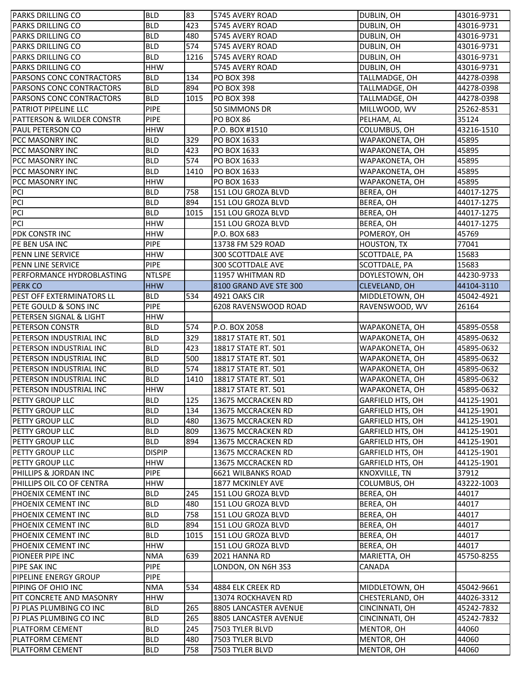| <b>PARKS DRILLING CO</b>             | <b>BLD</b>    | 83   | 5745 AVERY ROAD          | DUBLIN, OH              | 43016-9731 |
|--------------------------------------|---------------|------|--------------------------|-------------------------|------------|
| <b>PARKS DRILLING CO</b>             | <b>BLD</b>    | 423  | 5745 AVERY ROAD          | DUBLIN, OH              | 43016-9731 |
| <b>PARKS DRILLING CO</b>             | <b>BLD</b>    | 480  | 5745 AVERY ROAD          | DUBLIN, OH              | 43016-9731 |
| <b>PARKS DRILLING CO</b>             | <b>BLD</b>    | 574  | 5745 AVERY ROAD          | DUBLIN, OH              | 43016-9731 |
| <b>PARKS DRILLING CO</b>             | <b>BLD</b>    | 1216 | 5745 AVERY ROAD          | DUBLIN, OH              | 43016-9731 |
| <b>PARKS DRILLING CO</b>             | <b>HHW</b>    |      | 5745 AVERY ROAD          | DUBLIN, OH              | 43016-9731 |
| <b>PARSONS CONC CONTRACTORS</b>      | <b>BLD</b>    | 134  | <b>PO BOX 398</b>        | TALLMADGE, OH           | 44278-0398 |
| PARSONS CONC CONTRACTORS             | <b>BLD</b>    | 894  | <b>PO BOX 398</b>        | TALLMADGE, OH           | 44278-0398 |
| PARSONS CONC CONTRACTORS             | <b>BLD</b>    | 1015 | <b>PO BOX 398</b>        | TALLMADGE, OH           | 44278-0398 |
| PATRIOT PIPELINE LLC                 | PIPE          |      | 50 SIMMONS DR            | MILLWOOD, WV            | 25262-8531 |
| <b>PATTERSON &amp; WILDER CONSTR</b> | <b>PIPE</b>   |      | PO BOX 86                | PELHAM, AL              | 35124      |
| PAUL PETERSON CO                     | <b>HHW</b>    |      | P.O. BOX #1510           | COLUMBUS, OH            | 43216-1510 |
| PCC MASONRY INC                      | <b>BLD</b>    | 329  | PO BOX 1633              | WAPAKONETA, OH          | 45895      |
| PCC MASONRY INC                      | <b>BLD</b>    | 423  | PO BOX 1633              | WAPAKONETA, OH          | 45895      |
| PCC MASONRY INC                      | <b>BLD</b>    | 574  | PO BOX 1633              | WAPAKONETA, OH          | 45895      |
| PCC MASONRY INC                      | <b>BLD</b>    | 1410 | PO BOX 1633              | WAPAKONETA, OH          | 45895      |
| <b>PCC MASONRY INC</b>               | <b>HHW</b>    |      | PO BOX 1633              | WAPAKONETA, OH          | 45895      |
| PCI                                  | <b>BLD</b>    | 758  | 151 LOU GROZA BLVD       | BEREA, OH               | 44017-1275 |
| PCI                                  | <b>BLD</b>    | 894  | 151 LOU GROZA BLVD       | BEREA, OH               | 44017-1275 |
| PCI                                  | <b>BLD</b>    | 1015 | 151 LOU GROZA BLVD       | BEREA, OH               | 44017-1275 |
| PCI                                  | <b>HHW</b>    |      | 151 LOU GROZA BLVD       | BEREA, OH               | 44017-1275 |
| PDK CONSTR INC                       | <b>HHW</b>    |      | P.O. BOX 683             | POMEROY, OH             | 45769      |
| PE BEN USA INC                       | <b>PIPE</b>   |      | 13738 FM 529 ROAD        | <b>HOUSTON, TX</b>      | 77041      |
| PENN LINE SERVICE                    | <b>HHW</b>    |      | <b>300 SCOTTDALE AVE</b> | SCOTTDALE, PA           | 15683      |
| PENN LINE SERVICE                    | PIPE          |      | 300 SCOTTDALE AVE        | SCOTTDALE, PA           | 15683      |
| PERFORMANCE HYDROBLASTING            | <b>NTLSPE</b> |      | 11957 WHITMAN RD         | DOYLESTOWN, OH          | 44230-9733 |
| <b>PERK CO</b>                       | <b>HHW</b>    |      | 8100 GRAND AVE STE 300   | CLEVELAND, OH           | 44104-3110 |
| <b>PEST OFF EXTERMINATORS LL</b>     | <b>BLD</b>    | 534  | 4921 OAKS CIR            | MIDDLETOWN, OH          | 45042-4921 |
| PETE GOULD & SONS INC                | PIPE          |      | 6208 RAVENSWOOD ROAD     | RAVENSWOOD, WV          | 26164      |
| PETERSEN SIGNAL & LIGHT              | <b>HHW</b>    |      |                          |                         |            |
| <b>PETERSON CONSTR</b>               | <b>BLD</b>    | 574  | P.O. BOX 2058            | WAPAKONETA, OH          | 45895-0558 |
| PETERSON INDUSTRIAL INC              | <b>BLD</b>    | 329  | 18817 STATE RT. 501      | WAPAKONETA, OH          | 45895-0632 |
| PETERSON INDUSTRIAL INC              | <b>BLD</b>    | 423  | 18817 STATE RT. 501      | WAPAKONETA, OH          | 45895-0632 |
| PETERSON INDUSTRIAL INC              | <b>BLD</b>    | 500  | 18817 STATE RT. 501      | WAPAKONETA, OH          | 45895-0632 |
| PETERSON INDUSTRIAL INC              | <b>BLD</b>    | 574  | 18817 STATE RT. 501      | WAPAKONETA, OH          | 45895-0632 |
| PETERSON INDUSTRIAL INC              | <b>BLD</b>    | 1410 | 18817 STATE RT. 501      | WAPAKONETA, OH          | 45895-0632 |
| PETERSON INDUSTRIAL INC              | <b>HHW</b>    |      | 18817 STATE RT. 501      | WAPAKONETA, OH          | 45895-0632 |
| PETTY GROUP LLC                      | <b>BLD</b>    | 125  | 13675 MCCRACKEN RD       | GARFIELD HTS, OH        | 44125-1901 |
| PETTY GROUP LLC                      | <b>BLD</b>    | 134  | 13675 MCCRACKEN RD       | GARFIELD HTS, OH        | 44125-1901 |
| PETTY GROUP LLC                      | <b>BLD</b>    | 480  | 13675 MCCRACKEN RD       | GARFIELD HTS, OH        | 44125-1901 |
| PETTY GROUP LLC                      | <b>BLD</b>    | 809  | 13675 MCCRACKEN RD       | GARFIELD HTS, OH        | 44125-1901 |
| PETTY GROUP LLC                      | <b>BLD</b>    | 894  | 13675 MCCRACKEN RD       | GARFIELD HTS, OH        | 44125-1901 |
| <b>PETTY GROUP LLC</b>               | <b>DISPIP</b> |      | 13675 MCCRACKEN RD       | <b>GARFIELD HTS, OH</b> | 44125-1901 |
| PETTY GROUP LLC                      | <b>HHW</b>    |      | 13675 MCCRACKEN RD       | GARFIELD HTS, OH        | 44125-1901 |
| PHILLIPS & JORDAN INC                | <b>PIPE</b>   |      | 6621 WILBANKS ROAD       | KNOXVILLE, TN           | 37912      |
| PHILLIPS OIL CO OF CENTRA            | <b>HHW</b>    |      | 1877 MCKINLEY AVE        | COLUMBUS, OH            | 43222-1003 |
| PHOENIX CEMENT INC                   | <b>BLD</b>    | 245  | 151 LOU GROZA BLVD       | BEREA, OH               | 44017      |
| <b>PHOENIX CEMENT INC</b>            | <b>BLD</b>    | 480  | 151 LOU GROZA BLVD       | BEREA, OH               | 44017      |
| PHOENIX CEMENT INC                   | <b>BLD</b>    | 758  | 151 LOU GROZA BLVD       | BEREA, OH               | 44017      |
| PHOENIX CEMENT INC                   | <b>BLD</b>    | 894  | 151 LOU GROZA BLVD       | BEREA, OH               | 44017      |
| PHOENIX CEMENT INC                   | <b>BLD</b>    | 1015 | 151 LOU GROZA BLVD       | BEREA, OH               | 44017      |
| PHOENIX CEMENT INC                   | <b>HHW</b>    |      | 151 LOU GROZA BLVD       | BEREA, OH               | 44017      |
| PIONEER PIPE INC                     | <b>NMA</b>    | 639  | 2021 HANNA RD            | MARIETTA, OH            | 45750-8255 |
| <b>PIPE SAK INC</b>                  | <b>PIPE</b>   |      | LONDON, ON N6H 3S3       | CANADA                  |            |
| <b>PIPELINE ENERGY GROUP</b>         | <b>PIPE</b>   |      |                          |                         |            |
| PIPING OF OHIO INC                   | <b>NMA</b>    | 534  | 4884 ELK CREEK RD        | MIDDLETOWN, OH          | 45042-9661 |
| PIT CONCRETE AND MASONRY             | <b>HHW</b>    |      | 13074 ROCKHAVEN RD       | CHESTERLAND, OH         | 44026-3312 |
| PJ PLAS PLUMBING CO INC              | <b>BLD</b>    | 265  | 8805 LANCASTER AVENUE    | CINCINNATI, OH          | 45242-7832 |
| PJ PLAS PLUMBING CO INC              | <b>BLD</b>    | 265  | 8805 LANCASTER AVENUE    | CINCINNATI, OH          | 45242-7832 |
| PLATFORM CEMENT                      | <b>BLD</b>    | 245  | 7503 TYLER BLVD          | MENTOR, OH              | 44060      |
| PLATFORM CEMENT                      | <b>BLD</b>    | 480  | 7503 TYLER BLVD          | MENTOR, OH              | 44060      |
| PLATFORM CEMENT                      | <b>BLD</b>    | 758  | 7503 TYLER BLVD          | MENTOR, OH              | 44060      |
|                                      |               |      |                          |                         |            |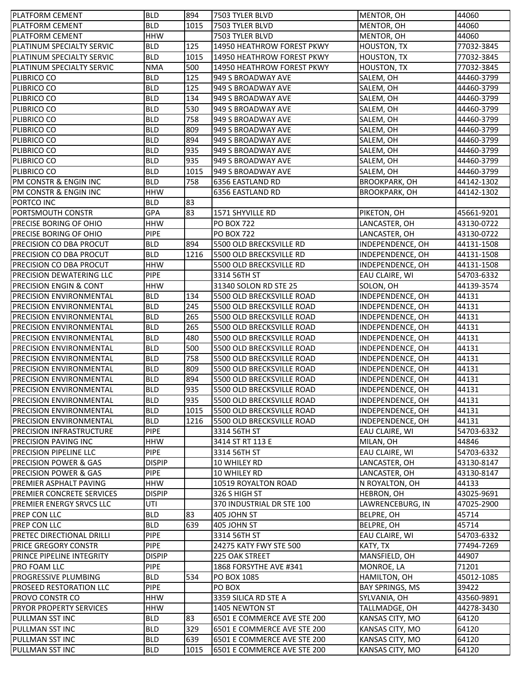| PLATFORM CEMENT                   | <b>BLD</b>    | 894  | 7503 TYLER BLVD             | MENTOR, OH           | 44060      |
|-----------------------------------|---------------|------|-----------------------------|----------------------|------------|
| <b>PLATFORM CEMENT</b>            | <b>BLD</b>    | 1015 | 7503 TYLER BLVD             | MENTOR, OH           | 44060      |
| <b>PLATFORM CEMENT</b>            | <b>HHW</b>    |      | 7503 TYLER BLVD             | MENTOR, OH           | 44060      |
| PLATINUM SPECIALTY SERVIC         | <b>BLD</b>    | 125  | 14950 HEATHROW FOREST PKWY  | <b>HOUSTON, TX</b>   | 77032-3845 |
| PLATINUM SPECIALTY SERVIC         | <b>BLD</b>    | 1015 | 14950 HEATHROW FOREST PKWY  | HOUSTON, TX          | 77032-3845 |
| PLATINUM SPECIALTY SERVIC         | <b>NMA</b>    | 500  | 14950 HEATHROW FOREST PKWY  | HOUSTON, TX          | 77032-3845 |
| PLIBRICO CO                       | <b>BLD</b>    | 125  | 949 S BROADWAY AVE          | SALEM, OH            | 44460-3799 |
| PLIBRICO CO                       | <b>BLD</b>    | 125  | 949 S BROADWAY AVE          | SALEM, OH            | 44460-3799 |
| PLIBRICO CO                       | <b>BLD</b>    | 134  | 949 S BROADWAY AVE          | SALEM, OH            | 44460-3799 |
| PLIBRICO CO                       | <b>BLD</b>    | 530  | 949 S BROADWAY AVE          | SALEM, OH            | 44460-3799 |
| PLIBRICO CO                       | <b>BLD</b>    | 758  | 949 S BROADWAY AVE          | SALEM, OH            | 44460-3799 |
| PLIBRICO CO                       | <b>BLD</b>    | 809  | 949 S BROADWAY AVE          | SALEM, OH            | 44460-3799 |
| PLIBRICO CO                       | <b>BLD</b>    | 894  | 949 S BROADWAY AVE          | SALEM, OH            | 44460-3799 |
| PLIBRICO CO                       | <b>BLD</b>    | 935  | 949 S BROADWAY AVE          | SALEM, OH            | 44460-3799 |
| PLIBRICO CO                       | <b>BLD</b>    | 935  | 949 S BROADWAY AVE          | SALEM, OH            | 44460-3799 |
| PLIBRICO CO                       | <b>BLD</b>    | 1015 | 949 S BROADWAY AVE          | SALEM, OH            | 44460-3799 |
| PM CONSTR & ENGIN INC             | <b>BLD</b>    | 758  | 6356 EASTLAND RD            | <b>BROOKPARK, OH</b> | 44142-1302 |
| PM CONSTR & ENGIN INC             | <b>HHW</b>    |      | 6356 EASTLAND RD            | <b>BROOKPARK, OH</b> | 44142-1302 |
| PORTCO INC                        | <b>BLD</b>    | 83   |                             |                      |            |
| PORTSMOUTH CONSTR                 | <b>GPA</b>    | 83   | 1571 SHYVILLE RD            | PIKETON, OH          | 45661-9201 |
| <b>PRECISE BORING OF OHIO</b>     | <b>HHW</b>    |      | <b>PO BOX 722</b>           | LANCASTER, OH        | 43130-0722 |
| <b>PRECISE BORING OF OHIO</b>     | PIPE          |      | <b>PO BOX 722</b>           | LANCASTER, OH        | 43130-0722 |
| <b>PRECISION CO DBA PROCUT</b>    | <b>BLD</b>    | 894  | 5500 OLD BRECKSVILLE RD     | INDEPENDENCE, OH     | 44131-1508 |
| PRECISION CO DBA PROCUT           | <b>BLD</b>    | 1216 | 5500 OLD BRECKSVILLE RD     | INDEPENDENCE, OH     | 44131-1508 |
| <b>PRECISION CO DBA PROCUT</b>    | <b>HHW</b>    |      | 5500 OLD BRECKSVILLE RD     | INDEPENDENCE, OH     | 44131-1508 |
| <b>PRECISION DEWATERING LLC</b>   | <b>PIPE</b>   |      | 3314 56TH ST                | EAU CLAIRE, WI       | 54703-6332 |
| <b>PRECISION ENGIN &amp; CONT</b> | <b>HHW</b>    |      | 31340 SOLON RD STE 25       | SOLON, OH            | 44139-3574 |
| PRECISION ENVIRONMENTAL           | <b>BLD</b>    | 134  | 5500 OLD BRECKSVILLE ROAD   | INDEPENDENCE, OH     | 44131      |
| PRECISION ENVIRONMENTAL           | <b>BLD</b>    | 245  | 5500 OLD BRECKSVILLE ROAD   | INDEPENDENCE, OH     | 44131      |
| PRECISION ENVIRONMENTAL           | <b>BLD</b>    | 265  | 5500 OLD BRECKSVILLE ROAD   | INDEPENDENCE, OH     | 44131      |
| <b>PRECISION ENVIRONMENTAL</b>    | <b>BLD</b>    | 265  | 5500 OLD BRECKSVILLE ROAD   | INDEPENDENCE, OH     | 44131      |
| <b>PRECISION ENVIRONMENTAL</b>    | <b>BLD</b>    | 480  | 5500 OLD BRECKSVILLE ROAD   | INDEPENDENCE, OH     | 44131      |
| <b>PRECISION ENVIRONMENTAL</b>    | <b>BLD</b>    | 500  | 5500 OLD BRECKSVILLE ROAD   | INDEPENDENCE, OH     | 44131      |
| <b>PRECISION ENVIRONMENTAL</b>    | <b>BLD</b>    | 758  | 5500 OLD BRECKSVILLE ROAD   | INDEPENDENCE, OH     | 44131      |
| <b>PRECISION ENVIRONMENTAL</b>    | <b>BLD</b>    | 809  | 5500 OLD BRECKSVILLE ROAD   | INDEPENDENCE, OH     | 44131      |
| PRECISION ENVIRONMENTAL           | <b>BLD</b>    | 894  | 5500 OLD BRECKSVILLE ROAD   | INDEPENDENCE, OH     | 44131      |
| <b>PRECISION ENVIRONMENTAL</b>    | <b>BLD</b>    | 935  | 5500 OLD BRECKSVILLE ROAD   | INDEPENDENCE, OH     | 44131      |
| <b>PRECISION ENVIRONMENTAL</b>    | <b>BLD</b>    | 935  | 5500 OLD BRECKSVILLE ROAD   | INDEPENDENCE, OH     | 44131      |
| PRECISION ENVIRONMENTAL           | <b>BLD</b>    | 1015 | 5500 OLD BRECKSVILLE ROAD   | INDEPENDENCE, OH     | 44131      |
| PRECISION ENVIRONMENTAL           | <b>BLD</b>    | 1216 | 5500 OLD BRECKSVILLE ROAD   | INDEPENDENCE, OH     | 44131      |
| PRECISION INFRASTRUCTURE          | PIPE          |      | 3314 56TH ST                | EAU CLAIRE, WI       | 54703-6332 |
| PRECISION PAVING INC              | <b>HHW</b>    |      | 3414 ST RT 113 E            | MILAN, OH            | 44846      |
| PRECISION PIPELINE LLC            | <b>PIPE</b>   |      | 3314 56TH ST                | EAU CLAIRE, WI       | 54703-6332 |
| <b>PRECISION POWER &amp; GAS</b>  | <b>DISPIP</b> |      | 10 WHILEY RD                | LANCASTER, OH        | 43130-8147 |
| <b>PRECISION POWER &amp; GAS</b>  | <b>PIPE</b>   |      | 10 WHILEY RD                | LANCASTER, OH        | 43130-8147 |
| PREMIER ASPHALT PAVING            | <b>HHW</b>    |      | 10519 ROYALTON ROAD         | N ROYALTON, OH       | 44133      |
| PREMIER CONCRETE SERVICES         | <b>DISPIP</b> |      | 326 S HIGH ST               | HEBRON, OH           | 43025-9691 |
| <b>PREMIER ENERGY SRVCS LLC</b>   | UTI           |      | 370 INDUSTRIAL DR STE 100   | LAWRENCEBURG, IN     | 47025-2900 |
| PREP CON LLC                      | <b>BLD</b>    | 83   | 405 JOHN ST                 | BELPRE, OH           | 45714      |
| <b>PREP CON LLC</b>               | <b>BLD</b>    | 639  | 405 JOHN ST                 | BELPRE, OH           | 45714      |
| <b>PRETEC DIRECTIONAL DRILLI</b>  | <b>PIPE</b>   |      | 3314 56TH ST                | EAU CLAIRE, WI       | 54703-6332 |
| <b>PRICE GREGORY CONSTR</b>       | <b>PIPE</b>   |      | 24275 KATY FWY STE 500      | KATY, TX             | 77494-7269 |
| PRINCE PIPELINE INTEGRITY         | <b>DISPIP</b> |      | 225 OAK STREET              | MANSFIELD, OH        | 44907      |
| PRO FOAM LLC                      | <b>PIPE</b>   |      | 1868 FORSYTHE AVE #341      | MONROE, LA           | 71201      |
| PROGRESSIVE PLUMBING              | <b>BLD</b>    | 534  | PO BOX 1085                 | HAMILTON, OH         | 45012-1085 |
| <b>PROSEED RESTORATION LLC</b>    | <b>PIPE</b>   |      | PO BOX                      | BAY SPRINGS, MS      | 39422      |
| <b>PROVO CONSTR CO</b>            | <b>HHW</b>    |      | 3359 SILICA RD STE A        | SYLVANIA, OH         | 43560-9891 |
| <b>PRYOR PROPERTY SERVICES</b>    | <b>HHW</b>    |      | 1405 NEWTON ST              | TALLMADGE, OH        | 44278-3430 |
| PULLMAN SST INC                   | <b>BLD</b>    | 83   | 6501 E COMMERCE AVE STE 200 | KANSAS CITY, MO      | 64120      |
| PULLMAN SST INC                   | <b>BLD</b>    | 329  | 6501 E COMMERCE AVE STE 200 | KANSAS CITY, MO      | 64120      |
| PULLMAN SST INC                   | <b>BLD</b>    | 639  | 6501 E COMMERCE AVE STE 200 | KANSAS CITY, MO      | 64120      |
| PULLMAN SST INC                   | <b>BLD</b>    | 1015 | 6501 E COMMERCE AVE STE 200 | KANSAS CITY, MO      | 64120      |
|                                   |               |      |                             |                      |            |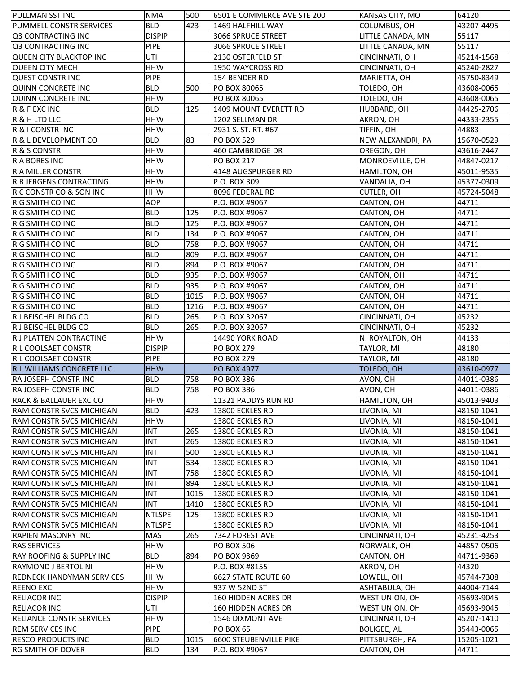| PULLMAN SST INC                     | <b>NMA</b>    | 500  | 6501 E COMMERCE AVE STE 200 | KANSAS CITY, MO    | 64120      |
|-------------------------------------|---------------|------|-----------------------------|--------------------|------------|
| PUMMELL CONSTR SERVICES             | <b>BLD</b>    | 423  | 1469 HALFHILL WAY           | COLUMBUS, OH       | 43207-4495 |
| Q3 CONTRACTING INC                  | <b>DISPIP</b> |      | 3066 SPRUCE STREET          | LITTLE CANADA, MN  | 55117      |
| Q3 CONTRACTING INC                  | <b>PIPE</b>   |      | 3066 SPRUCE STREET          | LITTLE CANADA, MN  | 55117      |
| QUEEN CITY BLACKTOP INC             | UTI           |      | 2130 OSTERFELD ST           | CINCINNATI, OH     | 45214-1568 |
| <b>QUEEN CITY MECH</b>              | <b>HHW</b>    |      | 1950 WAYCROSS RD            | CINCINNATI, OH     | 45240-2827 |
| <b>QUEST CONSTR INC</b>             | <b>PIPE</b>   |      | 154 BENDER RD               | MARIETTA, OH       | 45750-8349 |
| <b>QUINN CONCRETE INC</b>           | <b>BLD</b>    | 500  | PO BOX 80065                | TOLEDO, OH         | 43608-0065 |
| <b>QUINN CONCRETE INC</b>           | <b>HHW</b>    |      | PO BOX 80065                | TOLEDO, OH         | 43608-0065 |
| R & F EXC INC                       | <b>BLD</b>    | 125  | 1409 MOUNT EVERETT RD       | HUBBARD, OH        | 44425-2706 |
| R & H LTD LLC                       | <b>HHW</b>    |      | 1202 SELLMAN DR             | AKRON, OH          | 44333-2355 |
| R & I CONSTR INC                    | <b>HHW</b>    |      | 2931 S. ST. RT. #67         | TIFFIN, OH         | 44883      |
| R & L DEVELOPMENT CO                | <b>BLD</b>    | 83   | <b>PO BOX 529</b>           | NEW ALEXANDRI, PA  | 15670-0529 |
| R & S CONSTR                        | <b>HHW</b>    |      | 460 CAMBRIDGE DR            | OREGON, OH         | 43616-2447 |
| R A BORES INC                       | <b>HHW</b>    |      | <b>PO BOX 217</b>           | MONROEVILLE, OH    | 44847-0217 |
| R A MILLER CONSTR                   | <b>HHW</b>    |      | 4148 AUGSPURGER RD          | HAMILTON, OH       | 45011-9535 |
| R B JERGENS CONTRACTING             | <b>HHW</b>    |      | P.O. BOX 309                | VANDALIA, OH       | 45377-0309 |
| R C CONSTR CO & SON INC             | <b>HHW</b>    |      | 8096 FEDERAL RD             | CUTLER, OH         | 45724-5048 |
| R G SMITH CO INC                    | <b>AOP</b>    |      | P.O. BOX #9067              | CANTON, OH         | 44711      |
| R G SMITH CO INC                    | <b>BLD</b>    | 125  | P.O. BOX #9067              | CANTON, OH         | 44711      |
| R G SMITH CO INC                    | <b>BLD</b>    | 125  | P.O. BOX #9067              | CANTON, OH         | 44711      |
| R G SMITH CO INC                    | <b>BLD</b>    | 134  | P.O. BOX #9067              | CANTON, OH         | 44711      |
| R G SMITH CO INC                    | <b>BLD</b>    | 758  | P.O. BOX #9067              | CANTON, OH         | 44711      |
| R G SMITH CO INC                    | <b>BLD</b>    | 809  | P.O. BOX #9067              | CANTON, OH         | 44711      |
| R G SMITH CO INC                    | <b>BLD</b>    | 894  | P.O. BOX #9067              | CANTON, OH         | 44711      |
| R G SMITH CO INC                    | <b>BLD</b>    | 935  | P.O. BOX #9067              | CANTON, OH         | 44711      |
| R G SMITH CO INC                    | <b>BLD</b>    | 935  | P.O. BOX #9067              | CANTON, OH         | 44711      |
| R G SMITH CO INC                    | <b>BLD</b>    | 1015 | P.O. BOX #9067              | CANTON, OH         | 44711      |
| R G SMITH CO INC                    | <b>BLD</b>    | 1216 | P.O. BOX #9067              | CANTON, OH         | 44711      |
| R J BEISCHEL BLDG CO                | <b>BLD</b>    | 265  | P.O. BOX 32067              | CINCINNATI, OH     | 45232      |
| R J BEISCHEL BLDG CO                | <b>BLD</b>    | 265  | P.O. BOX 32067              | CINCINNATI, OH     | 45232      |
| R J PLATTEN CONTRACTING             | <b>HHW</b>    |      | 14490 YORK ROAD             | N. ROYALTON, OH    | 44133      |
| R L COOLSAET CONSTR                 | <b>DISPIP</b> |      | <b>PO BOX 279</b>           | TAYLOR, MI         | 48180      |
| R L COOLSAET CONSTR                 | <b>PIPE</b>   |      | <b>PO BOX 279</b>           | TAYLOR, MI         | 48180      |
| R L WILLIAMS CONCRETE LLC           | <b>HHW</b>    |      | <b>PO BOX 4977</b>          | TOLEDO, OH         | 43610-0977 |
| RA JOSEPH CONSTR INC                | <b>BLD</b>    | 758  | <b>PO BOX 386</b>           | AVON, OH           | 44011-0386 |
| RA JOSEPH CONSTR INC                | <b>BLD</b>    | 758  | <b>PO BOX 386</b>           | AVON, OH           | 44011-0386 |
| RACK & BALLAUER EXC CO              | <b>HHW</b>    |      | 11321 PADDYS RUN RD         | HAMILTON, OH       | 45013-9403 |
| <b>RAM CONSTR SVCS MICHIGAN</b>     | <b>BLD</b>    | 423  | 13800 ECKLES RD             | LIVONIA, MI        | 48150-1041 |
| <b>RAM CONSTR SVCS MICHIGAN</b>     | <b>HHW</b>    |      | 13800 ECKLES RD             | LIVONIA, MI        | 48150-1041 |
| RAM CONSTR SVCS MICHIGAN            | <b>INT</b>    | 265  | 13800 ECKLES RD             | LIVONIA, MI        | 48150-1041 |
| RAM CONSTR SVCS MICHIGAN            | <b>INT</b>    | 265  | 13800 ECKLES RD             | LIVONIA, MI        | 48150-1041 |
| RAM CONSTR SVCS MICHIGAN            | INT           | 500  | 13800 ECKLES RD             | LIVONIA, MI        | 48150-1041 |
| RAM CONSTR SVCS MICHIGAN            | <b>INT</b>    | 534  | 13800 ECKLES RD             | LIVONIA, MI        | 48150-1041 |
| RAM CONSTR SVCS MICHIGAN            | <b>INT</b>    | 758  | 13800 ECKLES RD             | LIVONIA, MI        | 48150-1041 |
| RAM CONSTR SVCS MICHIGAN            | <b>INT</b>    | 894  | 13800 ECKLES RD             | LIVONIA, MI        | 48150-1041 |
| <b>RAM CONSTR SVCS MICHIGAN</b>     | <b>INT</b>    | 1015 | 13800 ECKLES RD             | LIVONIA, MI        | 48150-1041 |
| RAM CONSTR SVCS MICHIGAN            | <b>INT</b>    | 1410 | 13800 ECKLES RD             | LIVONIA, MI        | 48150-1041 |
| RAM CONSTR SVCS MICHIGAN            | <b>NTLSPE</b> | 125  | 13800 ECKLES RD             | LIVONIA, MI        | 48150-1041 |
| RAM CONSTR SVCS MICHIGAN            | <b>NTLSPE</b> |      | 13800 ECKLES RD             | LIVONIA, MI        | 48150-1041 |
| <b>RAPIEN MASONRY INC</b>           | MAS           | 265  | 7342 FOREST AVE             | CINCINNATI, OH     | 45231-4253 |
| <b>RAS SERVICES</b>                 | <b>HHW</b>    |      | <b>PO BOX 506</b>           | NORWALK, OH        | 44857-0506 |
| <b>RAY ROOFING &amp; SUPPLY INC</b> | <b>BLD</b>    | 894  | PO BOX 9369                 | CANTON, OH         | 44711-9369 |
| RAYMOND J BERTOLINI                 | <b>HHW</b>    |      | P.O. BOX #8155              | AKRON, OH          | 44320      |
| <b>REDNECK HANDYMAN SERVICES</b>    | <b>HHW</b>    |      | 6627 STATE ROUTE 60         | LOWELL, OH         | 45744-7308 |
| <b>REENO EXC</b>                    | <b>HHW</b>    |      | 937 W 52ND ST               | ASHTABULA, OH      | 44004-7144 |
| <b>RELIACOR INC</b>                 | <b>DISPIP</b> |      | 160 HIDDEN ACRES DR         | WEST UNION, OH     | 45693-9045 |
| <b>RELIACOR INC</b>                 | UTI           |      | 160 HIDDEN ACRES DR         | WEST UNION, OH     | 45693-9045 |
| <b>RELIANCE CONSTR SERVICES</b>     | <b>HHW</b>    |      | 1546 DIXMONT AVE            | CINCINNATI, OH     | 45207-1410 |
| <b>REM SERVICES INC</b>             | <b>PIPE</b>   |      | PO BOX 65                   | <b>BOLIGEE, AL</b> | 35443-0065 |
| <b>RESCO PRODUCTS INC</b>           | <b>BLD</b>    | 1015 | 6600 STEUBENVILLE PIKE      | PITTSBURGH, PA     | 15205-1021 |
| <b>RG SMITH OF DOVER</b>            | <b>BLD</b>    | 134  | P.O. BOX #9067              | CANTON, OH         | 44711      |
|                                     |               |      |                             |                    |            |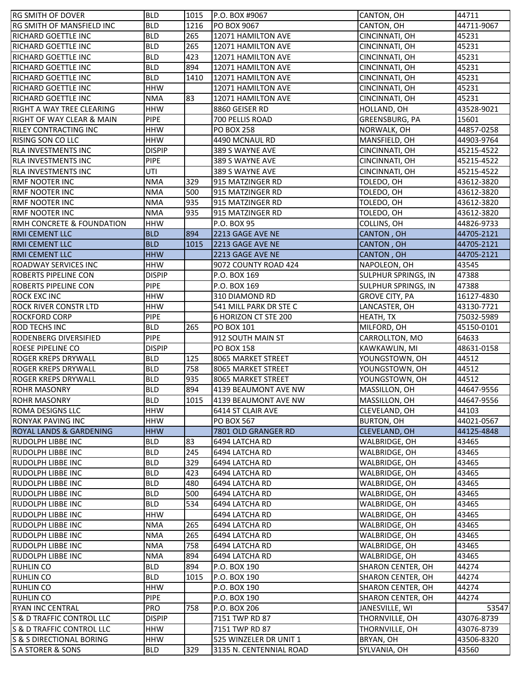| <b>RG SMITH OF DOVER</b>                             | <b>BLD</b>               | 1015        | P.O. BOX #9067                                    | CANTON, OH                | 44711                        |
|------------------------------------------------------|--------------------------|-------------|---------------------------------------------------|---------------------------|------------------------------|
| RG SMITH OF MANSFIELD INC                            | <b>BLD</b>               | 1216        | PO BOX 9067                                       | CANTON, OH                | 44711-9067                   |
| RICHARD GOETTLE INC                                  | <b>BLD</b>               | 265         | 12071 HAMILTON AVE                                | CINCINNATI, OH            | 45231                        |
| <b>RICHARD GOETTLE INC</b>                           | <b>BLD</b>               | 265         | 12071 HAMILTON AVE                                | CINCINNATI, OH            | 45231                        |
| <b>RICHARD GOETTLE INC</b>                           | <b>BLD</b>               | 423         | 12071 HAMILTON AVE                                | CINCINNATI, OH            | 45231                        |
| <b>RICHARD GOETTLE INC</b>                           | <b>BLD</b>               | 894         | 12071 HAMILTON AVE                                | CINCINNATI, OH            | 45231                        |
| <b>RICHARD GOETTLE INC</b>                           | <b>BLD</b>               | 1410        | 12071 HAMILTON AVE                                | CINCINNATI, OH            | 45231                        |
| <b>RICHARD GOETTLE INC</b>                           | <b>HHW</b>               |             | 12071 HAMILTON AVE                                | CINCINNATI, OH            | 45231                        |
| <b>RICHARD GOETTLE INC</b>                           | <b>NMA</b>               | 83          | 12071 HAMILTON AVE                                | CINCINNATI, OH            | 45231                        |
| RIGHT A WAY TREE CLEARING                            | <b>HHW</b>               |             | 8860 GEISER RD                                    | HOLLAND, OH               | 43528-9021                   |
| <b>RIGHT OF WAY CLEAR &amp; MAIN</b>                 | <b>PIPE</b>              |             | 700 PELLIS ROAD                                   | GREENSBURG, PA            | 15601                        |
| <b>RILEY CONTRACTING INC</b>                         | <b>HHW</b>               |             | <b>PO BOX 258</b>                                 | NORWALK, OH               | 44857-0258                   |
| RISING SON CO LLC                                    | <b>HHW</b>               |             | 4490 MCNAUL RD                                    | MANSFIELD, OH             | 44903-9764                   |
| <b>RLA INVESTMENTS INC</b>                           | <b>DISPIP</b>            |             | 389 S WAYNE AVE                                   | CINCINNATI, OH            | 45215-4522                   |
| <b>RLA INVESTMENTS INC</b>                           | <b>PIPE</b>              |             | 389 S WAYNE AVE                                   | CINCINNATI, OH            | 45215-4522                   |
| <b>RLA INVESTMENTS INC</b>                           | UTI                      |             | 389 S WAYNE AVE                                   | CINCINNATI, OH            | 45215-4522                   |
| <b>RMF NOOTER INC</b>                                | <b>NMA</b>               | 329         | 915 MATZINGER RD                                  | TOLEDO, OH                | 43612-3820                   |
| <b>RMF NOOTER INC</b>                                | <b>NMA</b>               | 500         | 915 MATZINGER RD                                  | TOLEDO, OH                | 43612-3820                   |
| <b>RMF NOOTER INC</b>                                | <b>NMA</b>               | 935         | 915 MATZINGER RD                                  | TOLEDO, OH                | 43612-3820                   |
| <b>RMF NOOTER INC</b>                                | <b>NMA</b>               | 935         | 915 MATZINGER RD                                  | TOLEDO, OH                | 43612-3820                   |
| RMH CONCRETE & FOUNDATION                            | <b>HHW</b>               |             | P.O. BOX 95                                       | COLLINS, OH               | 44826-9733                   |
| <b>RMI CEMENT LLC</b>                                | <b>BLD</b>               | 894         | 2213 GAGE AVE NE                                  | CANTON, OH                | 44705-2121                   |
| <b>RMI CEMENT LLC</b>                                | <b>BLD</b>               | 1015        | 2213 GAGE AVE NE                                  | CANTON, OH                | 44705-2121                   |
| <b>RMI CEMENT LLC</b>                                | <b>HHW</b>               |             | 2213 GAGE AVE NE                                  | CANTON, OH                | 44705-2121                   |
| <b>ROADWAY SERVICES INC</b>                          | <b>HHW</b>               |             | 9072 COUNTY ROAD 424                              | NAPOLEON, OH              | 43545                        |
| <b>ROBERTS PIPELINE CON</b>                          | <b>DISPIP</b>            |             | P.O. BOX 169                                      | SULPHUR SPRINGS, IN       | 47388                        |
| <b>ROBERTS PIPELINE CON</b>                          | <b>PIPE</b>              |             | P.O. BOX 169                                      | SULPHUR SPRINGS, IN       | 47388                        |
| ROCK EXC INC                                         | <b>HHW</b>               |             | 310 DIAMOND RD                                    | <b>GROVE CITY, PA</b>     | 16127-4830                   |
| <b>ROCK RIVER CONSTR LTD</b>                         | <b>HHW</b>               |             | 541 MILL PARK DR STE C                            | LANCASTER, OH             | 43130-7721                   |
| <b>ROCKFORD CORP</b>                                 | <b>PIPE</b>              |             | 6 HORIZON CT STE 200                              | HEATH, TX                 | 75032-5989                   |
| <b>ROD TECHS INC</b>                                 | <b>BLD</b>               | 265         | <b>PO BOX 101</b>                                 | MILFORD, OH               | 45150-0101                   |
| <b>RODENBERG DIVERSIFIED</b>                         | <b>PIPE</b>              |             | 912 SOUTH MAIN ST                                 | CARROLLTON, MO            | 64633                        |
| ROESE PIPELINE CO                                    | <b>DISPIP</b>            |             | <b>PO BOX 158</b>                                 | KAWKAWLIN, MI             | 48631-0158                   |
| <b>ROGER KREPS DRYWALL</b>                           | <b>BLD</b>               | 125         |                                                   |                           |                              |
|                                                      |                          |             |                                                   |                           |                              |
|                                                      |                          |             | 8065 MARKET STREET                                | YOUNGSTOWN, OH            | 44512                        |
| <b>ROGER KREPS DRYWALL</b>                           | <b>BLD</b>               | 758         | 8065 MARKET STREET                                | YOUNGSTOWN, OH            | 44512<br>44512               |
| <b>ROGER KREPS DRYWALL</b>                           | <b>BLD</b>               | 935         | 8065 MARKET STREET                                | YOUNGSTOWN, OH            |                              |
| <b>ROHR MASONRY</b>                                  | <b>BLD</b><br><b>BLD</b> | 894<br>1015 | 4139 BEAUMONT AVE NW                              | MASSILLON, OH             | 44647-9556                   |
| <b>ROHR MASONRY</b>                                  |                          |             | 4139 BEAUMONT AVE NW                              | MASSILLON, OH             | 44647-9556                   |
| <b>ROMA DESIGNS LLC</b>                              | <b>HHW</b>               |             | 6414 ST CLAIR AVE                                 | CLEVELAND, OH             | 44103                        |
| <b>RONYAK PAVING INC</b>                             | <b>HHW</b>               |             | PO BOX 567                                        | <b>BURTON, OH</b>         | 44021-0567                   |
| <b>ROYAL LANDS &amp; GARDENING</b>                   | <b>HHW</b>               |             | 7801 OLD GRANGER RD                               | CLEVELAND, OH             | 44125-4848                   |
| <b>RUDOLPH LIBBE INC</b>                             | <b>BLD</b>               | 83          | 6494 LATCHA RD                                    | WALBRIDGE, OH             | 43465                        |
| RUDOLPH LIBBE INC                                    | <b>BLD</b>               | 245         | 6494 LATCHA RD                                    | WALBRIDGE, OH             | 43465                        |
| <b>RUDOLPH LIBBE INC</b>                             | <b>BLD</b>               | 329         | 6494 LATCHA RD                                    | WALBRIDGE, OH             | 43465                        |
| <b>RUDOLPH LIBBE INC</b>                             | <b>BLD</b>               | 423         | 6494 LATCHA RD                                    | WALBRIDGE, OH             | 43465                        |
| <b>RUDOLPH LIBBE INC</b><br><b>RUDOLPH LIBBE INC</b> | <b>BLD</b>               | 480         | 6494 LATCHA RD                                    | WALBRIDGE, OH             | 43465                        |
|                                                      | <b>BLD</b>               | 500         | 6494 LATCHA RD                                    | WALBRIDGE, OH             | 43465                        |
| <b>RUDOLPH LIBBE INC</b>                             | <b>BLD</b>               | 534         | 6494 LATCHA RD                                    | WALBRIDGE, OH             | 43465                        |
| <b>RUDOLPH LIBBE INC</b>                             | <b>HHW</b>               |             | 6494 LATCHA RD                                    | WALBRIDGE, OH             | 43465                        |
| <b>RUDOLPH LIBBE INC</b>                             | <b>NMA</b>               | 265         | 6494 LATCHA RD                                    | WALBRIDGE, OH             | 43465                        |
| <b>RUDOLPH LIBBE INC</b>                             | <b>NMA</b>               | 265         | 6494 LATCHA RD                                    | WALBRIDGE, OH             | 43465                        |
| <b>RUDOLPH LIBBE INC</b>                             | <b>NMA</b>               | 758         | 6494 LATCHA RD                                    | WALBRIDGE, OH             | 43465                        |
| <b>RUDOLPH LIBBE INC</b>                             | <b>NMA</b>               | 894         | 6494 LATCHA RD                                    | WALBRIDGE, OH             | 43465                        |
| <b>RUHLIN CO</b>                                     | <b>BLD</b>               | 894         | P.O. BOX 190                                      | SHARON CENTER, OH         | 44274                        |
| <b>RUHLIN CO</b>                                     | <b>BLD</b>               | 1015        | P.O. BOX 190                                      | SHARON CENTER, OH         | 44274                        |
| <b>RUHLIN CO</b>                                     | <b>HHW</b>               |             | P.O. BOX 190                                      | SHARON CENTER, OH         | 44274                        |
| <b>RUHLIN CO</b>                                     | <b>PIPE</b>              |             | P.O. BOX 190                                      | SHARON CENTER, OH         | 44274                        |
| <b>RYAN INC CENTRAL</b>                              | <b>PRO</b>               | 758         | P.O. BOX 206                                      | JANESVILLE, WI            |                              |
| S & D TRAFFIC CONTROL LLC                            | <b>DISPIP</b>            |             | 7151 TWP RD 87                                    | THORNVILLE, OH            | 43076-8739                   |
| S & D TRAFFIC CONTROL LLC                            | <b>HHW</b>               |             | 7151 TWP RD 87                                    | THORNVILLE, OH            | 43076-8739                   |
| S & S DIRECTIONAL BORING<br>S A STORER & SONS        | <b>HHW</b><br><b>BLD</b> | 329         | 525 WINZELER DR UNIT 1<br>3135 N. CENTENNIAL ROAD | BRYAN, OH<br>SYLVANIA, OH | 53547<br>43506-8320<br>43560 |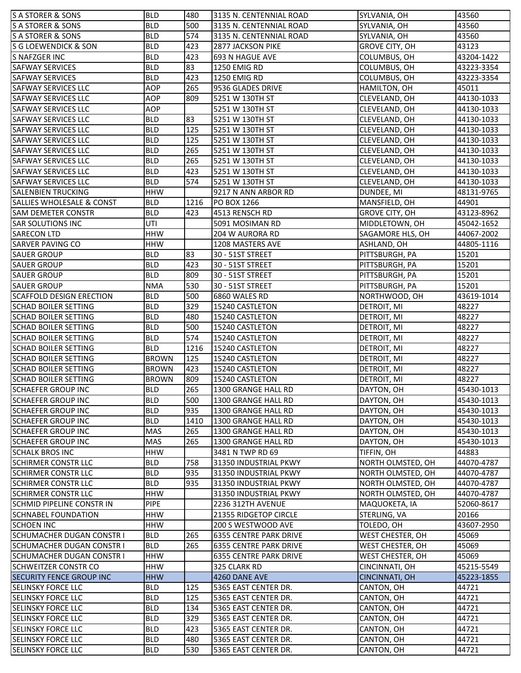| <b>S A STORER &amp; SONS</b>                                         | <b>BLD</b>               | 480        | 3135 N. CENTENNIAL ROAD                    | SYLVANIA, OH                  | 43560               |
|----------------------------------------------------------------------|--------------------------|------------|--------------------------------------------|-------------------------------|---------------------|
| <b>S A STORER &amp; SONS</b>                                         | <b>BLD</b>               | 500        | 3135 N. CENTENNIAL ROAD                    | SYLVANIA, OH                  | 43560               |
| S A STORER & SONS                                                    | <b>BLD</b>               | 574        | 3135 N. CENTENNIAL ROAD                    | SYLVANIA, OH                  | 43560               |
| S G LOEWENDICK & SON                                                 | <b>BLD</b>               | 423        | 2877 JACKSON PIKE                          | <b>GROVE CITY, OH</b>         | 43123               |
| S NAFZGER INC                                                        | <b>BLD</b>               | 423        | 693 N HAGUE AVE                            | COLUMBUS, OH                  | 43204-1422          |
| <b>SAFWAY SERVICES</b>                                               | <b>BLD</b>               | 83         | 1250 EMIG RD                               | COLUMBUS, OH                  | 43223-3354          |
| <b>SAFWAY SERVICES</b>                                               | <b>BLD</b>               | 423        | <b>1250 EMIG RD</b>                        | COLUMBUS, OH                  | 43223-3354          |
| <b>SAFWAY SERVICES LLC</b>                                           | <b>AOP</b>               | 265        | 9536 GLADES DRIVE                          | HAMILTON, OH                  | 45011               |
| <b>SAFWAY SERVICES LLC</b>                                           | <b>AOP</b>               | 809        | 5251 W 130TH ST                            | CLEVELAND, OH                 | 44130-1033          |
| <b>SAFWAY SERVICES LLC</b>                                           | AOP                      |            | 5251 W 130TH ST                            | CLEVELAND, OH                 | 44130-1033          |
| <b>SAFWAY SERVICES LLC</b>                                           | <b>BLD</b>               | 83         | 5251 W 130TH ST                            | CLEVELAND, OH                 | 44130-1033          |
| <b>SAFWAY SERVICES LLC</b>                                           | <b>BLD</b>               | 125        | 5251 W 130TH ST                            | CLEVELAND, OH                 | 44130-1033          |
| <b>SAFWAY SERVICES LLC</b>                                           | <b>BLD</b>               | 125        | 5251 W 130TH ST                            | CLEVELAND, OH                 | 44130-1033          |
| <b>SAFWAY SERVICES LLC</b>                                           | <b>BLD</b>               | 265        | 5251 W 130TH ST                            | CLEVELAND, OH                 | 44130-1033          |
| <b>SAFWAY SERVICES LLC</b>                                           | <b>BLD</b>               | 265        | 5251 W 130TH ST                            | CLEVELAND, OH                 | 44130-1033          |
| <b>SAFWAY SERVICES LLC</b>                                           | <b>BLD</b>               | 423        | 5251 W 130TH ST                            | CLEVELAND, OH                 | 44130-1033          |
| SAFWAY SERVICES LLC                                                  | <b>BLD</b>               | 574        | 5251 W 130TH ST                            | CLEVELAND, OH                 | 44130-1033          |
| <b>SALENBIEN TRUCKING</b>                                            | <b>HHW</b>               |            | 9217 N ANN ARBOR RD                        | DUNDEE, MI                    | 48131-9765          |
| <b>SALLIES WHOLESALE &amp; CONST</b>                                 | <b>BLD</b>               | 1216       | PO BOX 1266                                | MANSFIELD, OH                 | 44901               |
| <b>SAM DEMETER CONSTR</b>                                            | <b>BLD</b>               | 423        | 4513 RENSCH RD                             | <b>GROVE CITY, OH</b>         | 43123-8962          |
| <b>SAR SOLUTIONS INC</b>                                             | UTI                      |            | 5091 MOSIMAN RD                            | MIDDLETOWN, OH                | 45042-1652          |
| <b>SARECON LTD</b>                                                   | <b>HHW</b>               |            | 204 W AURORA RD                            | SAGAMORE HLS, OH              | 44067-2002          |
| <b>SARVER PAVING CO</b>                                              | <b>HHW</b>               |            | 1208 MASTERS AVE                           | ASHLAND, OH                   | 44805-1116          |
| <b>SAUER GROUP</b>                                                   | <b>BLD</b>               | 83         | 30 - 51ST STREET                           | PITTSBURGH, PA                | 15201               |
| <b>SAUER GROUP</b>                                                   | <b>BLD</b>               | 423        | 30 - 51ST STREET                           | PITTSBURGH, PA                | 15201               |
| <b>SAUER GROUP</b>                                                   | <b>BLD</b>               | 809        | 30 - 51ST STREET                           | PITTSBURGH, PA                | 15201               |
| <b>SAUER GROUP</b>                                                   | <b>NMA</b>               | 530        | 30 - 51ST STREET                           | PITTSBURGH, PA                | 15201               |
| <b>SCAFFOLD DESIGN ERECTION</b>                                      | <b>BLD</b>               | 500        | 6860 WALES RD                              | NORTHWOOD, OH                 | 43619-1014          |
| <b>SCHAD BOILER SETTING</b>                                          | <b>BLD</b>               | 329        | 15240 CASTLETON                            | DETROIT, MI                   | 48227               |
| <b>SCHAD BOILER SETTING</b>                                          | <b>BLD</b>               | 480        | 15240 CASTLETON                            | DETROIT, MI                   | 48227               |
| <b>SCHAD BOILER SETTING</b>                                          | <b>BLD</b>               | 500        | 15240 CASTLETON                            | DETROIT, MI                   | 48227               |
| <b>SCHAD BOILER SETTING</b>                                          | <b>BLD</b>               | 574        | 15240 CASTLETON                            | DETROIT, MI                   | 48227               |
| <b>SCHAD BOILER SETTING</b>                                          | <b>BLD</b>               | 1216       | 15240 CASTLETON                            | DETROIT, MI                   | 48227               |
| <b>SCHAD BOILER SETTING</b>                                          | <b>BROWN</b>             | 125        | 15240 CASTLETON                            | DETROIT, MI                   | 48227               |
| <b>SCHAD BOILER SETTING</b>                                          | <b>BROWN</b>             | 423        | 15240 CASTLETON                            | DETROIT, MI                   | 48227               |
| <b>SCHAD BOILER SETTING</b>                                          | <b>BROWN</b>             | 809        | 15240 CASTLETON                            | DETROIT, MI                   | 48227               |
| <b>SCHAEFER GROUP INC</b>                                            | <b>BLD</b>               | 265        | 1300 GRANGE HALL RD                        | DAYTON, OH                    | 45430-1013          |
| <b>SCHAEFER GROUP INC</b>                                            | <b>BLD</b>               | 500        | 1300 GRANGE HALL RD                        | DAYTON, OH                    | 45430-1013          |
| <b>SCHAEFER GROUP INC</b>                                            | <b>BLD</b>               | 935        | 1300 GRANGE HALL RD                        | DAYTON, OH                    | 45430-1013          |
| <b>SCHAEFER GROUP INC</b>                                            | <b>BLD</b>               | 1410       | 1300 GRANGE HALL RD                        | DAYTON, OH                    | 45430-1013          |
| <b>SCHAEFER GROUP INC</b>                                            | MAS                      | 265        | 1300 GRANGE HALL RD                        | DAYTON, OH                    | 45430-1013          |
| <b>SCHAEFER GROUP INC</b>                                            | MAS                      | 265        | 1300 GRANGE HALL RD                        | DAYTON, OH                    | 45430-1013          |
| <b>SCHALK BROS INC</b>                                               | <b>HHW</b>               |            | 3481 N TWP RD 69                           | TIFFIN, OH                    | 44883               |
| <b>SCHIRMER CONSTR LLC</b>                                           | <b>BLD</b>               | 758        | 31350 INDUSTRIAL PKWY                      | NORTH OLMSTED, OH             | 44070-4787          |
| <b>SCHIRMER CONSTR LLC</b>                                           | BLD                      | 935        | 31350 INDUSTRIAL PKWY                      | NORTH OLMSTED, OH             | 44070-4787          |
| <b>SCHIRMER CONSTR LLC</b>                                           | <b>BLD</b>               | 935        | 31350 INDUSTRIAL PKWY                      | NORTH OLMSTED, OH             | 44070-4787          |
| <b>SCHIRMER CONSTR LLC</b>                                           | <b>HHW</b>               |            | 31350 INDUSTRIAL PKWY                      | NORTH OLMSTED, OH             | 44070-4787          |
|                                                                      | <b>PIPE</b>              |            |                                            |                               |                     |
| <b>SCHMID PIPELINE CONSTR IN</b><br><b>SCHNABEL FOUNDATION</b>       | <b>HHW</b>               |            | 2236 312TH AVENUE<br>21355 RIDGETOP CIRCLE | MAQUOKETA, IA<br>STERLING, VA | 52060-8617<br>20166 |
| <b>SCHOEN INC</b>                                                    | <b>HHW</b>               |            | 200 S WESTWOOD AVE                         | TOLEDO, OH                    | 43607-2950          |
|                                                                      |                          |            |                                            |                               |                     |
| <b>SCHUMACHER DUGAN CONSTR I</b><br><b>SCHUMACHER DUGAN CONSTR I</b> | <b>BLD</b><br><b>BLD</b> | 265<br>265 | <b>6355 CENTRE PARK DRIVE</b>              | WEST CHESTER, OH              | 45069<br>45069      |
|                                                                      |                          |            | <b>6355 CENTRE PARK DRIVE</b>              | WEST CHESTER, OH              |                     |
| <b>SCHUMACHER DUGAN CONSTR I</b>                                     | <b>HHW</b>               |            | <b>6355 CENTRE PARK DRIVE</b>              | WEST CHESTER, OH              | 45069               |
| <b>SCHWEITZER CONSTR CO</b>                                          | <b>HHW</b>               |            | 325 CLARK RD                               | CINCINNATI, OH                | 45215-5549          |
| <b>SECURITY FENCE GROUP INC</b>                                      | <b>HHW</b>               |            | 4260 DANE AVE                              | CINCINNATI, OH                | 45223-1855          |
| <b>SELINSKY FORCE LLC</b>                                            | <b>BLD</b>               | 125        | 5365 EAST CENTER DR.                       | CANTON, OH                    | 44721               |
| <b>SELINSKY FORCE LLC</b>                                            | <b>BLD</b>               | 125        | 5365 EAST CENTER DR.                       | CANTON, OH                    | 44721               |
| <b>SELINSKY FORCE LLC</b>                                            | <b>BLD</b>               | 134        | 5365 EAST CENTER DR.                       | CANTON, OH                    | 44721               |
| <b>SELINSKY FORCE LLC</b>                                            | <b>BLD</b>               | 329        | 5365 EAST CENTER DR.                       | CANTON, OH                    | 44721               |
| <b>SELINSKY FORCE LLC</b>                                            | <b>BLD</b>               | 423        | 5365 EAST CENTER DR.                       | CANTON, OH                    | 44721               |
| <b>SELINSKY FORCE LLC</b>                                            | <b>BLD</b>               | 480        | 5365 EAST CENTER DR.                       | CANTON, OH                    | 44721               |
| <b>SELINSKY FORCE LLC</b>                                            | <b>BLD</b>               | 530        | 5365 EAST CENTER DR.                       | CANTON, OH                    | 44721               |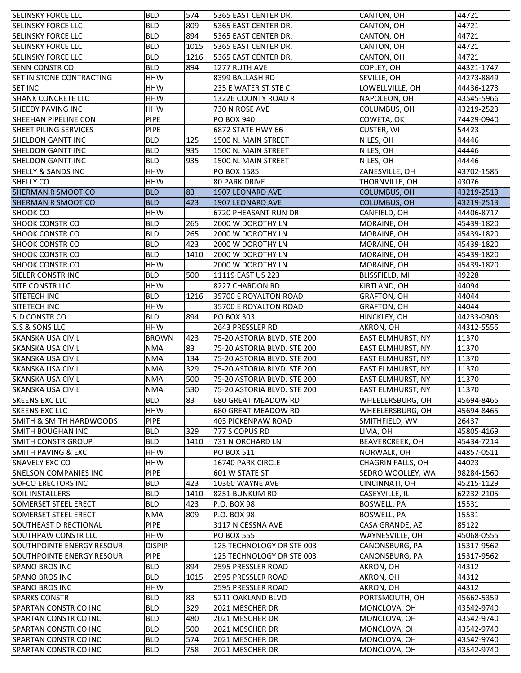| <b>SELINSKY FORCE LLC</b>                                    | <b>BLD</b>               | 574        | 5365 EAST CENTER DR.        | CANTON, OH               | 44721      |
|--------------------------------------------------------------|--------------------------|------------|-----------------------------|--------------------------|------------|
| <b>SELINSKY FORCE LLC</b>                                    | <b>BLD</b>               | 809        | 5365 EAST CENTER DR.        | CANTON, OH               | 44721      |
| <b>SELINSKY FORCE LLC</b>                                    | <b>BLD</b>               | 894        | 5365 EAST CENTER DR.        | CANTON, OH               | 44721      |
| <b>SELINSKY FORCE LLC</b>                                    | <b>BLD</b>               | 1015       | 5365 EAST CENTER DR.        | CANTON, OH               | 44721      |
| <b>SELINSKY FORCE LLC</b>                                    | <b>BLD</b>               | 1216       | 5365 EAST CENTER DR.        | CANTON, OH               | 44721      |
| <b>SENN CONSTR CO</b>                                        | <b>BLD</b>               | 894        | 1277 RUTH AVE               | COPLEY, OH               | 44321-1747 |
| <b>SET IN STONE CONTRACTING</b>                              | <b>HHW</b>               |            | 8399 BALLASH RD             | SEVILLE, OH              | 44273-8849 |
| <b>SET INC</b>                                               | <b>HHW</b>               |            | 235 E WATER ST STE C        | LOWELLVILLE, OH          | 44436-1273 |
| <b>SHANK CONCRETE LLC</b>                                    | <b>HHW</b>               |            | 13226 COUNTY ROAD R         | NAPOLEON, OH             | 43545-5966 |
| <b>SHEEDY PAVING INC</b>                                     | <b>HHW</b>               |            | 730 N ROSE AVE              | COLUMBUS, OH             | 43219-2523 |
| <b>SHEEHAN PIPELINE CON</b>                                  | <b>PIPE</b>              |            | <b>PO BOX 940</b>           | COWETA, OK               | 74429-0940 |
| SHEET PILING SERVICES                                        | <b>PIPE</b>              |            | 6872 STATE HWY 66           | CUSTER, WI               | 54423      |
| <b>SHELDON GANTT INC</b>                                     | <b>BLD</b>               | 125        | 1500 N. MAIN STREET         | NILES, OH                | 44446      |
| SHELDON GANTT INC                                            | <b>BLD</b>               | 935        | 1500 N. MAIN STREET         | NILES, OH                | 44446      |
| SHELDON GANTT INC                                            | <b>BLD</b>               | 935        | 1500 N. MAIN STREET         | NILES, OH                | 44446      |
| <b>SHELLY &amp; SANDS INC</b>                                | <b>HHW</b>               |            | PO BOX 1585                 | ZANESVILLE, OH           | 43702-1585 |
| SHELLY CO                                                    | <b>HHW</b>               |            | <b>80 PARK DRIVE</b>        | THORNVILLE, OH           | 43076      |
| <b>SHERMAN R SMOOT CO</b>                                    | <b>BLD</b>               | 83         | 1907 LEONARD AVE            | COLUMBUS, OH             | 43219-2513 |
| <b>SHERMAN R SMOOT CO</b>                                    | <b>BLD</b>               | 423        | 1907 LEONARD AVE            | COLUMBUS, OH             | 43219-2513 |
| <b>SHOOK CO</b>                                              | <b>HHW</b>               |            | 6720 PHEASANT RUN DR        | CANFIELD, OH             | 44406-8717 |
| <b>SHOOK CONSTR CO</b>                                       | <b>BLD</b>               | 265        | 2000 W DOROTHY LN           | MORAINE, OH              | 45439-1820 |
| <b>SHOOK CONSTR CO</b>                                       | <b>BLD</b>               | 265        | 2000 W DOROTHY LN           | MORAINE, OH              | 45439-1820 |
| <b>SHOOK CONSTR CO</b>                                       | <b>BLD</b>               | 423        | 2000 W DOROTHY LN           | MORAINE, OH              | 45439-1820 |
| <b>SHOOK CONSTR CO</b>                                       | <b>BLD</b>               | 1410       | 2000 W DOROTHY LN           | MORAINE, OH              | 45439-1820 |
| <b>SHOOK CONSTR CO</b>                                       | <b>HHW</b>               |            | 2000 W DOROTHY LN           | MORAINE, OH              | 45439-1820 |
| SIELER CONSTR INC                                            | <b>BLD</b>               | 500        | 11119 EAST US 223           | BLISSFIELD, MI           | 49228      |
| SITE CONSTR LLC                                              | <b>HHW</b>               |            | 8227 CHARDON RD             | KIRTLAND, OH             | 44094      |
| SITETECH INC                                                 | <b>BLD</b>               | 1216       | 35700 E ROYALTON ROAD       | GRAFTON, OH              | 44044      |
| <b>SITETECH INC</b>                                          | <b>HHW</b>               |            | 35700 E ROYALTON ROAD       | GRAFTON, OH              | 44044      |
| <b>SJD CONSTR CO</b>                                         | <b>BLD</b>               | 894        | <b>PO BOX 303</b>           | HINCKLEY, OH             | 44233-0303 |
| SJS & SONS LLC                                               | <b>HHW</b>               |            | 2643 PRESSLER RD            | AKRON, OH                | 44312-5555 |
| <b>SKANSKA USA CIVIL</b>                                     | <b>BROWN</b>             | 423        | 75-20 ASTORIA BLVD. STE 200 | EAST ELMHURST, NY        | 11370      |
| <b>SKANSKA USA CIVIL</b>                                     | <b>NMA</b>               | 83         | 75-20 ASTORIA BLVD. STE 200 | EAST ELMHURST, NY        | 11370      |
| <b>SKANSKA USA CIVIL</b>                                     | <b>NMA</b>               | 134        | 75-20 ASTORIA BLVD. STE 200 | <b>EAST ELMHURST, NY</b> | 11370      |
| <b>SKANSKA USA CIVIL</b>                                     | <b>NMA</b>               | 329        | 75-20 ASTORIA BLVD. STE 200 | <b>EAST ELMHURST, NY</b> | 11370      |
| SKANSKA USA CIVIL                                            | <b>NMA</b>               | 500        | 75-20 ASTORIA BLVD. STE 200 | EAST ELMHURST, NY        | 11370      |
| SKANSKA USA CIVIL                                            | <b>NMA</b>               | 530        | 75-20 ASTORIA BLVD. STE 200 | <b>EAST ELMHURST, NY</b> | 11370      |
| <b>SKEENS EXC LLC</b>                                        | <b>BLD</b>               | 83         | 680 GREAT MEADOW RD         | WHEELERSBURG, OH         | 45694-8465 |
| SKEENS EXC LLC                                               | <b>HHW</b>               |            | 680 GREAT MEADOW RD         | WHEELERSBURG, OH         | 45694-8465 |
| <b>SMITH &amp; SMITH HARDWOODS</b>                           | <b>PIPE</b>              |            | 403 PICKENPAW ROAD          | SMITHFIELD, WV           | 26437      |
| <b>SMITH BOUGHAN INC</b>                                     | <b>BLD</b>               | 329        | 777 S COPUS RD              | LIMA, OH                 | 45805-4169 |
| <b>SMITH CONSTR GROUP</b>                                    | <b>BLD</b>               | 1410       | 731 N ORCHARD LN            | BEAVERCREEK, OH          | 45434-7214 |
| <b>SMITH PAVING &amp; EXC</b>                                | HHW                      |            | <b>PO BOX 511</b>           | NORWALK, OH              | 44857-0511 |
| SNAVELY EXC CO                                               | <b>HHW</b>               |            | 16740 PARK CIRCLE           | CHAGRIN FALLS, OH        | 44023      |
| <b>ISNELSON COMPANIES INC</b>                                | <b>PIPE</b>              |            | 601 W STATE ST              | SEDRO WOOLLEY, WA        | 98284-1560 |
| <b>SOFCO ERECTORS INC</b>                                    | <b>BLD</b>               | 423        | 10360 WAYNE AVE             | CINCINNATI, OH           | 45215-1129 |
| <b>SOIL INSTALLERS</b>                                       | <b>BLD</b>               | 1410       | 8251 BUNKUM RD              | CASEYVILLE, IL           | 62232-2105 |
| <b>SOMERSET STEEL ERECT</b>                                  | <b>BLD</b>               | 423        | P.O. BOX 98                 | BOSWELL, PA              | 15531      |
| <b>SOMERSET STEEL ERECT</b>                                  | <b>NMA</b>               | 809        | P.O. BOX 98                 | BOSWELL, PA              | 15531      |
| SOUTHEAST DIRECTIONAL                                        | <b>PIPE</b>              |            | 3117 N CESSNA AVE           | CASA GRANDE, AZ          | 85122      |
| <b>SOUTHPAW CONSTR LLC</b>                                   | HHW                      |            | <b>PO BOX 555</b>           | WAYNESVILLE, OH          | 45068-0555 |
| SOUTHPOINTE ENERGY RESOUR                                    | <b>DISPIP</b>            |            | 125 TECHNOLOGY DR STE 003   | CANONSBURG, PA           | 15317-9562 |
| SOUTHPOINTE ENERGY RESOUR                                    | <b>PIPE</b>              |            | 125 TECHNOLOGY DR STE 003   | CANONSBURG, PA           | 15317-9562 |
| <b>SPANO BROS INC</b>                                        | <b>BLD</b>               | 894        | 2595 PRESSLER ROAD          | AKRON, OH                | 44312      |
| <b>SPANO BROS INC</b>                                        | <b>BLD</b>               | 1015       | 2595 PRESSLER ROAD          | AKRON, OH                | 44312      |
| <b>SPANO BROS INC</b>                                        | <b>HHW</b>               |            | 2595 PRESSLER ROAD          | AKRON, OH                | 44312      |
| <b>SPARKS CONSTR</b>                                         | <b>BLD</b>               | 83         | 5211 OAKLAND BLVD           | PORTSMOUTH, OH           | 45662-5359 |
|                                                              | <b>BLD</b>               | 329        | 2021 MESCHER DR             | MONCLOVA, OH             | 43542-9740 |
| <b>SPARTAN CONSTR CO INC</b><br><b>SPARTAN CONSTR CO INC</b> | <b>BLD</b>               | 480        | 2021 MESCHER DR             | MONCLOVA, OH             | 43542-9740 |
|                                                              |                          |            | 2021 MESCHER DR             |                          |            |
| <b>SPARTAN CONSTR CO INC</b>                                 | <b>BLD</b><br><b>BLD</b> | 500<br>574 |                             | MONCLOVA, OH             | 43542-9740 |
| SPARTAN CONSTR CO INC                                        |                          |            | 2021 MESCHER DR             | MONCLOVA, OH             | 43542-9740 |
| SPARTAN CONSTR CO INC                                        | <b>BLD</b>               | 758        | 2021 MESCHER DR             | MONCLOVA, OH             | 43542-9740 |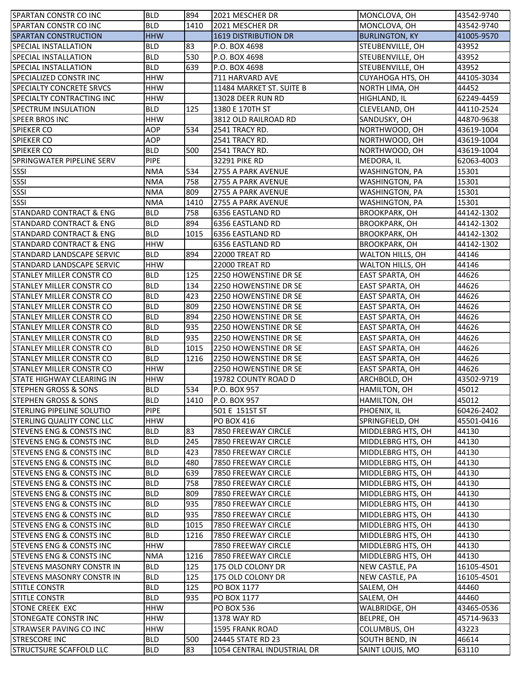| SPARTAN CONSTR CO INC               | <b>BLD</b>  | 894  | 2021 MESCHER DR             | MONCLOVA, OH           | 43542-9740 |
|-------------------------------------|-------------|------|-----------------------------|------------------------|------------|
| <b>SPARTAN CONSTR CO INC</b>        | <b>BLD</b>  | 1410 | 2021 MESCHER DR             | MONCLOVA, OH           | 43542-9740 |
| <b>SPARTAN CONSTRUCTION</b>         | <b>HHW</b>  |      | <b>1619 DISTRIBUTION DR</b> | <b>BURLINGTON, KY</b>  | 41005-9570 |
| SPECIAL INSTALLATION                | <b>BLD</b>  | 83   | P.O. BOX 4698               | STEUBENVILLE, OH       | 43952      |
| <b>SPECIAL INSTALLATION</b>         | <b>BLD</b>  | 530  | P.O. BOX 4698               | STEUBENVILLE, OH       | 43952      |
| <b>SPECIAL INSTALLATION</b>         | <b>BLD</b>  | 639  | P.O. BOX 4698               | STEUBENVILLE, OH       | 43952      |
| <b>SPECIALIZED CONSTRINC</b>        | <b>HHW</b>  |      | 711 HARVARD AVE             | CUYAHOGA HTS, OH       | 44105-3034 |
| <b>SPECIALTY CONCRETE SRVCS</b>     | <b>HHW</b>  |      | 11484 MARKET ST. SUITE B    | NORTH LIMA, OH         | 44452      |
| <b>I</b> SPECIALTY CONTRACTING INC  | <b>HHW</b>  |      | 13028 DEER RUN RD           | HIGHLAND, IL           | 62249-4459 |
| <b>SPECTRUM INSULATION</b>          | <b>BLD</b>  | 125  | 1380 E 170TH ST             | CLEVELAND, OH          | 44110-2524 |
| <b>SPEER BROS INC</b>               | <b>HHW</b>  |      | 3812 OLD RAILROAD RD        | SANDUSKY, OH           | 44870-9638 |
| <b>SPIEKER CO</b>                   | <b>AOP</b>  | 534  | 2541 TRACY RD.              | NORTHWOOD, OH          | 43619-1004 |
| <b>SPIEKER CO</b>                   | <b>AOP</b>  |      | 2541 TRACY RD.              | NORTHWOOD, OH          | 43619-1004 |
| <b>SPIEKER CO</b>                   | <b>BLD</b>  | 500  | 2541 TRACY RD.              | NORTHWOOD, OH          | 43619-1004 |
| <b>SPRINGWATER PIPELINE SERV</b>    | <b>PIPE</b> |      | 32291 PIKE RD               | MEDORA, IL             | 62063-4003 |
| SSSI                                | <b>NMA</b>  | 534  | 2755 A PARK AVENUE          | WASHINGTON, PA         | 15301      |
| SSSI                                | <b>NMA</b>  | 758  | 2755 A PARK AVENUE          | WASHINGTON, PA         | 15301      |
| SSSI                                | <b>NMA</b>  | 809  | 2755 A PARK AVENUE          | WASHINGTON, PA         | 15301      |
| SSSI                                | <b>NMA</b>  | 1410 | 2755 A PARK AVENUE          | WASHINGTON, PA         | 15301      |
| <b>STANDARD CONTRACT &amp; ENG</b>  | <b>BLD</b>  | 758  | 6356 EASTLAND RD            | <b>BROOKPARK, OH</b>   | 44142-1302 |
| <b>STANDARD CONTRACT &amp; ENG</b>  | <b>BLD</b>  | 894  | 6356 EASTLAND RD            | <b>BROOKPARK, OH</b>   | 44142-1302 |
| <b>STANDARD CONTRACT &amp; ENG</b>  | <b>BLD</b>  | 1015 | 6356 EASTLAND RD            | <b>BROOKPARK, OH</b>   | 44142-1302 |
| <b>STANDARD CONTRACT &amp; ENG</b>  | <b>HHW</b>  |      | 6356 EASTLAND RD            | <b>BROOKPARK, OH</b>   | 44142-1302 |
| <b>STANDARD LANDSCAPE SERVIC</b>    | <b>BLD</b>  | 894  | 22000 TREAT RD              | WALTON HILLS, OH       | 44146      |
| <b>STANDARD LANDSCAPE SERVIC</b>    | <b>HHW</b>  |      | 22000 TREAT RD              | WALTON HILLS, OH       | 44146      |
| <b>STANLEY MILLER CONSTR CO</b>     | <b>BLD</b>  | 125  | 2250 HOWENSTINE DR SE       | <b>EAST SPARTA, OH</b> | 44626      |
| <b>STANLEY MILLER CONSTR CO</b>     | <b>BLD</b>  | 134  | 2250 HOWENSTINE DR SE       | EAST SPARTA, OH        | 44626      |
| <b>STANLEY MILLER CONSTR CO</b>     | <b>BLD</b>  | 423  | 2250 HOWENSTINE DR SE       | EAST SPARTA, OH        | 44626      |
| <b>STANLEY MILLER CONSTR CO</b>     | <b>BLD</b>  | 809  | 2250 HOWENSTINE DR SE       | EAST SPARTA, OH        | 44626      |
| <b>STANLEY MILLER CONSTR CO</b>     | <b>BLD</b>  | 894  | 2250 HOWENSTINE DR SE       | EAST SPARTA, OH        | 44626      |
| <b>STANLEY MILLER CONSTR CO</b>     | <b>BLD</b>  | 935  | 2250 HOWENSTINE DR SE       | EAST SPARTA, OH        | 44626      |
| <b>STANLEY MILLER CONSTR CO</b>     | <b>BLD</b>  | 935  | 2250 HOWENSTINE DR SE       | EAST SPARTA, OH        | 44626      |
| <b>STANLEY MILLER CONSTR CO</b>     | <b>BLD</b>  | 1015 | 2250 HOWENSTINE DR SE       | EAST SPARTA, OH        | 44626      |
| STANLEY MILLER CONSTR CO            | <b>BLD</b>  | 1216 | 2250 HOWENSTINE DR SE       | EAST SPARTA, OH        | 44626      |
| <b>STANLEY MILLER CONSTR CO</b>     | <b>HHW</b>  |      | 2250 HOWENSTINE DR SE       | EAST SPARTA, OH        | 44626      |
| <b>STATE HIGHWAY CLEARING IN</b>    | <b>HHW</b>  |      | 19782 COUNTY ROAD D         | ARCHBOLD, OH           | 43502-9719 |
| <b>STEPHEN GROSS &amp; SONS</b>     | <b>BLD</b>  | 534  | P.O. BOX 957                | HAMILTON, OH           | 45012      |
| <b>STEPHEN GROSS &amp; SONS</b>     | <b>BLD</b>  | 1410 | P.O. BOX 957                | <b>HAMILTON, OH</b>    | 45012      |
| <b>STERLING PIPELINE SOLUTIO</b>    | <b>PIPE</b> |      | 501 E 151ST ST              | PHOENIX, IL            | 60426-2402 |
| <b>STERLING QUALITY CONC LLC</b>    | <b>HHW</b>  |      | PO BOX 416                  | SPRINGFIELD, OH        | 45501-0416 |
| <b>STEVENS ENG &amp; CONSTS INC</b> | <b>BLD</b>  | 83   | 7850 FREEWAY CIRCLE         | MIDDLEBRG HTS, OH      | 44130      |
| <b>STEVENS ENG &amp; CONSTS INC</b> | <b>BLD</b>  | 245  | 7850 FREEWAY CIRCLE         | MIDDLEBRG HTS, OH      | 44130      |
| <b>STEVENS ENG &amp; CONSTS INC</b> | <b>BLD</b>  | 423  | 7850 FREEWAY CIRCLE         | MIDDLEBRG HTS, OH      | 44130      |
| <b>STEVENS ENG &amp; CONSTS INC</b> | <b>BLD</b>  | 480  | 7850 FREEWAY CIRCLE         | MIDDLEBRG HTS, OH      | 44130      |
| <b>STEVENS ENG &amp; CONSTS INC</b> | <b>BLD</b>  | 639  | 7850 FREEWAY CIRCLE         | MIDDLEBRG HTS, OH      | 44130      |
| <b>STEVENS ENG &amp; CONSTS INC</b> | <b>BLD</b>  | 758  | 7850 FREEWAY CIRCLE         | MIDDLEBRG HTS, OH      | 44130      |
| <b>STEVENS ENG &amp; CONSTS INC</b> | <b>BLD</b>  | 809  | 7850 FREEWAY CIRCLE         | MIDDLEBRG HTS, OH      | 44130      |
| <b>STEVENS ENG &amp; CONSTS INC</b> | <b>BLD</b>  | 935  | 7850 FREEWAY CIRCLE         | MIDDLEBRG HTS, OH      | 44130      |
| <b>STEVENS ENG &amp; CONSTS INC</b> | <b>BLD</b>  | 935  | 7850 FREEWAY CIRCLE         | MIDDLEBRG HTS, OH      | 44130      |
| <b>STEVENS ENG &amp; CONSTS INC</b> | <b>BLD</b>  | 1015 | 7850 FREEWAY CIRCLE         | MIDDLEBRG HTS, OH      | 44130      |
| <b>STEVENS ENG &amp; CONSTS INC</b> | <b>BLD</b>  | 1216 | <b>7850 FREEWAY CIRCLE</b>  | MIDDLEBRG HTS, OH      | 44130      |
| <b>STEVENS ENG &amp; CONSTS INC</b> | <b>HHW</b>  |      | 7850 FREEWAY CIRCLE         | MIDDLEBRG HTS, OH      | 44130      |
| <b>STEVENS ENG &amp; CONSTS INC</b> | <b>NMA</b>  | 1216 | 7850 FREEWAY CIRCLE         | MIDDLEBRG HTS, OH      | 44130      |
| STEVENS MASONRY CONSTR IN           | <b>BLD</b>  | 125  | 175 OLD COLONY DR           | NEW CASTLE, PA         | 16105-4501 |
| <b>STEVENS MASONRY CONSTR IN</b>    | <b>BLD</b>  | 125  | 175 OLD COLONY DR           | NEW CASTLE, PA         | 16105-4501 |
| <b>STITLE CONSTR</b>                | <b>BLD</b>  | 125  | PO BOX 1177                 | SALEM, OH              | 44460      |
| <b>STITLE CONSTR</b>                | <b>BLD</b>  | 935  | PO BOX 1177                 | SALEM, OH              | 44460      |
| <b>STONE CREEK EXC</b>              | <b>HHW</b>  |      | <b>PO BOX 536</b>           | WALBRIDGE, OH          | 43465-0536 |
| <b>STONEGATE CONSTR INC</b>         | <b>HHW</b>  |      | <b>1378 WAY RD</b>          | BELPRE, OH             | 45714-9633 |
| <b>STRAWSER PAVING CO INC</b>       | <b>HHW</b>  |      | <b>1595 FRANK ROAD</b>      | COLUMBUS, OH           | 43223      |
| <b>STRESCORE INC</b>                | <b>BLD</b>  | 500  | 24445 STATE RD 23           | SOUTH BEND, IN         | 46614      |
| <b>STRUCTSURE SCAFFOLD LLC</b>      | <b>BLD</b>  | 83   | 1054 CENTRAL INDUSTRIAL DR  | SAINT LOUIS, MO        | 63110      |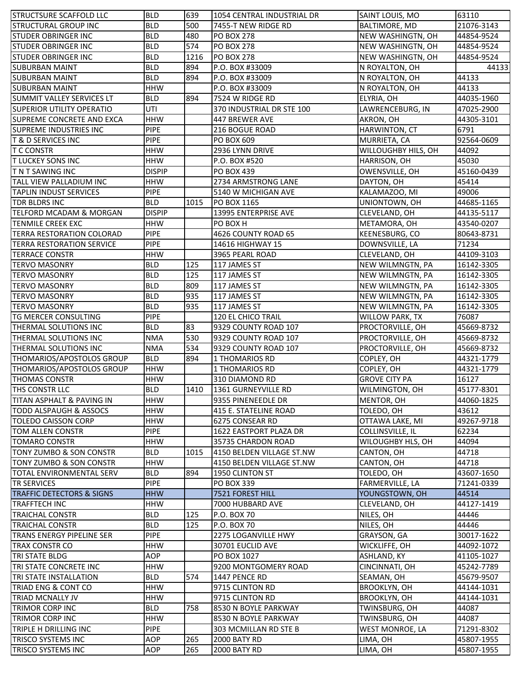| <b>STRUCTSURE SCAFFOLD LLC</b>       | <b>BLD</b>    | 639  | 1054 CENTRAL INDUSTRIAL DR | SAINT LOUIS, MO        | 63110      |
|--------------------------------------|---------------|------|----------------------------|------------------------|------------|
| <b>STRUCTURAL GROUP INC</b>          | <b>BLD</b>    | 500  | 7455-T NEW RIDGE RD        | BALTIMORE, MD          | 21076-3143 |
| <b>STUDER OBRINGER INC</b>           | <b>BLD</b>    | 480  | <b>PO BOX 278</b>          | NEW WASHINGTN, OH      | 44854-9524 |
| <b>STUDER OBRINGER INC</b>           | <b>BLD</b>    | 574  | <b>PO BOX 278</b>          | NEW WASHINGTN, OH      | 44854-9524 |
| <b>STUDER OBRINGER INC</b>           | <b>BLD</b>    | 1216 | <b>PO BOX 278</b>          | NEW WASHINGTN, OH      | 44854-9524 |
| <b>SUBURBAN MAINT</b>                | <b>BLD</b>    | 894  | P.O. BOX #33009            | N ROYALTON, OH         | 44133      |
| <b>SUBURBAN MAINT</b>                | <b>BLD</b>    | 894  | P.O. BOX #33009            | N ROYALTON, OH         | 44133      |
| <b>SUBURBAN MAINT</b>                | <b>HHW</b>    |      | P.O. BOX #33009            | N ROYALTON, OH         | 44133      |
| <b>SUMMIT VALLEY SERVICES LT</b>     | <b>BLD</b>    | 894  | 7524 W RIDGE RD            | ELYRIA, OH             | 44035-1960 |
| <b>SUPERIOR UTILITY OPERATIO</b>     | UTI           |      | 370 INDUSTRIAL DR STE 100  | LAWRENCEBURG, IN       | 47025-2900 |
| SUPREME CONCRETE AND EXCA            | <b>HHW</b>    |      | 447 BREWER AVE             | AKRON, OH              | 44305-3101 |
| <b>SUPREME INDUSTRIES INC</b>        | PIPE          |      | 216 BOGUE ROAD             | HARWINTON, CT          | 6791       |
| <b>T &amp; D SERVICES INC</b>        | <b>PIPE</b>   |      | PO BOX 609                 | MURRIETA, CA           | 92564-0609 |
| <b>T C CONSTR</b>                    | <b>HHW</b>    |      | 2936 LYNN DRIVE            | WILLOUGHBY HILS, OH    | 44092      |
|                                      |               |      |                            |                        |            |
| <b>T LUCKEY SONS INC</b>             | <b>HHW</b>    |      | P.O. BOX #520              | HARRISON, OH           | 45030      |
| <b>TNT SAWING INC</b>                | <b>DISPIP</b> |      | <b>PO BOX 439</b>          | OWENSVILLE, OH         | 45160-0439 |
| <b>TALL VIEW PALLADIUM INC</b>       | <b>HHW</b>    |      | 2734 ARMSTRONG LANE        | DAYTON, OH             | 45414      |
| <b>TAPLIN INDUST SERVICES</b>        | <b>PIPE</b>   |      | 5140 W MICHIGAN AVE        | KALAMAZOO, MI          | 49006      |
| <b>TDR BLDRS INC</b>                 | <b>BLD</b>    | 1015 | PO BOX 1165                | UNIONTOWN, OH          | 44685-1165 |
| TELFORD MCADAM & MORGAN              | <b>DISPIP</b> |      | 13995 ENTERPRISE AVE       | CLEVELAND, OH          | 44135-5117 |
| <b>TENMILE CREEK EXC</b>             | <b>HHW</b>    |      | PO BOX H                   | METAMORA, OH           | 43540-0207 |
| <b>TERRA RESTORATION COLORAD</b>     | <b>PIPE</b>   |      | 4626 COUNTY ROAD 65        | KEENESBURG, CO         | 80643-8731 |
| <b>TERRA RESTORATION SERVICE</b>     | PIPE          |      | 14616 HIGHWAY 15           | DOWNSVILLE, LA         | 71234      |
| <b>TERRACE CONSTR</b>                | <b>HHW</b>    |      | 3965 PEARL ROAD            | CLEVELAND, OH          | 44109-3103 |
| <b>TERVO MASONRY</b>                 | <b>BLD</b>    | 125  | 117 JAMES ST               | NEW WILMNGTN, PA       | 16142-3305 |
| <b>TERVO MASONRY</b>                 | <b>BLD</b>    | 125  | 117 JAMES ST               | NEW WILMNGTN, PA       | 16142-3305 |
| <b>TERVO MASONRY</b>                 | <b>BLD</b>    | 809  | 117 JAMES ST               | NEW WILMNGTN, PA       | 16142-3305 |
| <b>TERVO MASONRY</b>                 | <b>BLD</b>    | 935  | 117 JAMES ST               | NEW WILMNGTN, PA       | 16142-3305 |
| <b>TERVO MASONRY</b>                 | <b>BLD</b>    | 935  | 117 JAMES ST               | NEW WILMNGTN, PA       | 16142-3305 |
| <b>TG MERCER CONSULTING</b>          | <b>PIPE</b>   |      | 120 EL CHICO TRAIL         | <b>WILLOW PARK, TX</b> | 76087      |
| THERMAL SOLUTIONS INC                | <b>BLD</b>    | 83   | 9329 COUNTY ROAD 107       | PROCTORVILLE, OH       | 45669-8732 |
| THERMAL SOLUTIONS INC                | <b>NMA</b>    | 530  | 9329 COUNTY ROAD 107       | PROCTORVILLE, OH       | 45669-8732 |
| <b>THERMAL SOLUTIONS INC</b>         | <b>NMA</b>    | 534  | 9329 COUNTY ROAD 107       | PROCTORVILLE, OH       | 45669-8732 |
| THOMARIOS/APOSTOLOS GROUP            | <b>BLD</b>    | 894  | 1 THOMARIOS RD             | COPLEY, OH             | 44321-1779 |
| THOMARIOS/APOSTOLOS GROUP            | <b>HHW</b>    |      | 1 THOMARIOS RD             | COPLEY, OH             | 44321-1779 |
| <b>THOMAS CONSTR</b>                 | <b>HHW</b>    |      | 310 DIAMOND RD             | <b>GROVE CITY PA</b>   | 16127      |
| THS CONSTR LLC                       | <b>BLD</b>    | 1410 | 1361 GURNEYVILLE RD        | WILMINGTON, OH         | 45177-8301 |
| TITAN ASPHALT & PAVING IN            | <b>HHW</b>    |      | 9355 PINENEEDLE DR         | MENTOR, OH             | 44060-1825 |
| TODD ALSPAUGH & ASSOCS               | <b>HHW</b>    |      | 415 E. STATELINE ROAD      | TOLEDO, OH             | 43612      |
| <b>TOLEDO CAISSON CORP</b>           | <b>HHW</b>    |      | 6275 CONSEAR RD            | OTTAWA LAKE, MI        | 49267-9718 |
| <b>TOM ALLEN CONSTR</b>              | <b>PIPE</b>   |      | 1622 EASTPORT PLAZA DR     | COLLINSVILLE, IL       | 62234      |
| <b>TOMARO CONSTR</b>                 | <b>HHW</b>    |      | 35735 CHARDON ROAD         | WILOUGHBY HLS, OH      | 44094      |
| TONY ZUMBO & SON CONSTR              | <b>BLD</b>    | 1015 | 4150 BELDEN VILLAGE ST.NW  | CANTON, OH             | 44718      |
| TONY ZUMBO & SON CONSTR              | <b>HHW</b>    |      | 4150 BELDEN VILLAGE ST.NW  | CANTON, OH             | 44718      |
| <b>TOTAL ENVIRONMENTAL SERV</b>      | <b>BLD</b>    | 894  | 1950 CLINTON ST            | TOLEDO, OH             | 43607-1650 |
| <b>TR SERVICES</b>                   | <b>PIPE</b>   |      | <b>PO BOX 339</b>          | FARMERVILLE, LA        | 71241-0339 |
| <b>TRAFFIC DETECTORS &amp; SIGNS</b> | <b>HHW</b>    |      | 7521 FOREST HILL           | YOUNGSTOWN, OH         | 44514      |
|                                      |               |      |                            |                        |            |
| <b>TRAFFTECH INC</b>                 | <b>HHW</b>    |      | 7000 HUBBARD AVE           | CLEVELAND, OH          | 44127-1419 |
| <b>TRAICHAL CONSTR</b>               | <b>BLD</b>    | 125  | P.O. BOX 70                | NILES, OH              | 44446      |
| <b>TRAICHAL CONSTR</b>               | <b>BLD</b>    | 125  | P.O. BOX 70                | NILES, OH              | 44446      |
| <b>TRANS ENERGY PIPELINE SER</b>     | <b>PIPE</b>   |      | 2275 LOGANVILLE HWY        | GRAYSON, GA            | 30017-1622 |
| TRAX CONSTR CO                       | <b>HHW</b>    |      | 30701 EUCLID AVE           | WICKLIFFE, OH          | 44092-1072 |
| <b>TRI STATE BLDG</b>                | AOP           |      | PO BOX 1027                | ASHLAND, KY            | 41105-1027 |
| <b>TRI STATE CONCRETE INC</b>        | <b>HHW</b>    |      | 9200 MONTGOMERY ROAD       | CINCINNATI, OH         | 45242-7789 |
| TRI STATE INSTALLATION               | <b>BLD</b>    | 574  | 1447 PENCE RD              | SEAMAN, OH             | 45679-9507 |
| TRIAD ENG & CONT CO                  | <b>HHW</b>    |      | 9715 CLINTON RD            | <b>BROOKLYN, OH</b>    | 44144-1031 |
| <b>TRIAD MCNALLY JV</b>              | <b>HHW</b>    |      | 9715 CLINTON RD            | <b>BROOKLYN, OH</b>    | 44144-1031 |
| TRIMOR CORP INC                      | <b>BLD</b>    | 758  | 8530 N BOYLE PARKWAY       | TWINSBURG, OH          | 44087      |
| TRIMOR CORP INC                      | <b>HHW</b>    |      | 8530 N BOYLE PARKWAY       | TWINSBURG, OH          | 44087      |
| TRIPLE H DRILLING INC                | <b>PIPE</b>   |      | 303 MCMILLAN RD STE B      | <b>WEST MONROE, LA</b> | 71291-8302 |
| TRISCO SYSTEMS INC                   | AOP           | 265  | 2000 BATY RD               | LIMA, OH               | 45807-1955 |
| TRISCO SYSTEMS INC                   | <b>AOP</b>    | 265  | 2000 BATY RD               | LIMA, OH               | 45807-1955 |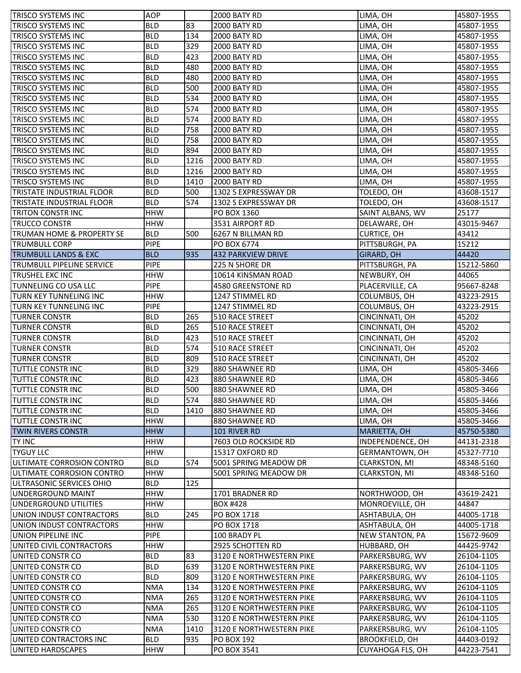| <b>TRISCO SYSTEMS INC</b>            | <b>AOP</b>  |      | 2000 BATY RD             | LIMA, OH              | 45807-1955 |
|--------------------------------------|-------------|------|--------------------------|-----------------------|------------|
| <b>TRISCO SYSTEMS INC</b>            | <b>BLD</b>  | 83   | <b>2000 BATY RD</b>      | LIMA, OH              | 45807-1955 |
| <b>TRISCO SYSTEMS INC</b>            | <b>BLD</b>  | 134  | 2000 BATY RD             | LIMA, OH              | 45807-1955 |
| <b>TRISCO SYSTEMS INC</b>            | <b>BLD</b>  | 329  | 2000 BATY RD             | LIMA, OH              | 45807-1955 |
| <b>TRISCO SYSTEMS INC</b>            | <b>BLD</b>  | 423  | 2000 BATY RD             | LIMA, OH              | 45807-1955 |
| <b>TRISCO SYSTEMS INC</b>            | <b>BLD</b>  | 480  | 2000 BATY RD             | LIMA, OH              | 45807-1955 |
| TRISCO SYSTEMS INC                   | <b>BLD</b>  | 480  | 2000 BATY RD             | LIMA, OH              | 45807-1955 |
| TRISCO SYSTEMS INC                   | <b>BLD</b>  | 500  | 2000 BATY RD             | LIMA, OH              | 45807-1955 |
| TRISCO SYSTEMS INC                   | <b>BLD</b>  | 534  | 2000 BATY RD             | LIMA, OH              | 45807-1955 |
| TRISCO SYSTEMS INC                   | <b>BLD</b>  | 574  | 2000 BATY RD             | LIMA, OH              | 45807-1955 |
| <b>TRISCO SYSTEMS INC</b>            | <b>BLD</b>  | 574  | 2000 BATY RD             | LIMA, OH              | 45807-1955 |
| TRISCO SYSTEMS INC                   | <b>BLD</b>  | 758  | 2000 BATY RD             | LIMA, OH              | 45807-1955 |
| <b>TRISCO SYSTEMS INC</b>            | <b>BLD</b>  | 758  | 2000 BATY RD             | LIMA, OH              | 45807-1955 |
| <b>TRISCO SYSTEMS INC</b>            | <b>BLD</b>  | 894  | 2000 BATY RD             | LIMA, OH              | 45807-1955 |
| <b>TRISCO SYSTEMS INC</b>            | <b>BLD</b>  | 1216 | <b>2000 BATY RD</b>      | LIMA, OH              | 45807-1955 |
| <b>TRISCO SYSTEMS INC</b>            | <b>BLD</b>  | 1216 | <b>2000 BATY RD</b>      | LIMA, OH              | 45807-1955 |
| TRISCO SYSTEMS INC                   | <b>BLD</b>  | 1410 | <b>2000 BATY RD</b>      | LIMA, OH              | 45807-1955 |
| <b>TRISTATE INDUSTRIAL FLOOR</b>     | <b>BLD</b>  | 500  | 1302 S EXPRESSWAY DR     | TOLEDO, OH            | 43608-1517 |
| <b>TRISTATE INDUSTRIAL FLOOR</b>     | <b>BLD</b>  | 574  | 1302 S EXPRESSWAY DR     | TOLEDO, OH            | 43608-1517 |
| <b>TRITON CONSTRINC</b>              | <b>HHW</b>  |      | PO BOX 1360              | SAINT ALBANS, WV      | 25177      |
| <b>TRUCCO CONSTR</b>                 | <b>HHW</b>  |      | 3531 AIRPORT RD          | DELAWARE, OH          | 43015-9467 |
| <b>TRUMAN HOME &amp; PROPERTY SE</b> | <b>BLD</b>  | 500  | 6267 N BILLMAN RD        | CURTICE, OH           | 43412      |
| <b>TRUMBULL CORP</b>                 | <b>PIPE</b> |      | PO BOX 6774              | PITTSBURGH, PA        | 15212      |
| <b>TRUMBULL LANDS &amp; EXC</b>      | <b>BLD</b>  | 935  | 432 PARKVIEW DRIVE       | GIRARD, OH            | 44420      |
| <b>TRUMBULL PIPELINE SERVICE</b>     | <b>PIPE</b> |      | 225 N SHORE DR           | PITTSBURGH, PA        | 15212-5860 |
| <b>TRUSHEL EXC INC</b>               | <b>HHW</b>  |      | 10614 KINSMAN ROAD       | NEWBURY, OH           | 44065      |
| TUNNELING CO USA LLC                 | <b>PIPE</b> |      | 4580 GREENSTONE RD       | PLACERVILLE, CA       | 95667-8248 |
| TURN KEY TUNNELING INC               | <b>HHW</b>  |      | 1247 STIMMEL RD          | COLUMBUS, OH          | 43223-2915 |
| <b>TURN KEY TUNNELING INC</b>        | <b>PIPE</b> |      | 1247 STIMMEL RD          | COLUMBUS, OH          | 43223-2915 |
| <b>TURNER CONSTR</b>                 | <b>BLD</b>  | 265  | 510 RACE STREET          | CINCINNATI, OH        | 45202      |
| <b>TURNER CONSTR</b>                 | <b>BLD</b>  | 265  | 510 RACE STREET          | CINCINNATI, OH        | 45202      |
| <b>TURNER CONSTR</b>                 | <b>BLD</b>  | 423  | 510 RACE STREET          | CINCINNATI, OH        | 45202      |
| <b>TURNER CONSTR</b>                 | <b>BLD</b>  | 574  | 510 RACE STREET          | CINCINNATI, OH        | 45202      |
| <b>TURNER CONSTR</b>                 | <b>BLD</b>  | 809  | 510 RACE STREET          | CINCINNATI, OH        | 45202      |
| <b>TUTTLE CONSTR INC</b>             | <b>BLD</b>  | 329  | 880 SHAWNEE RD           | LIMA, OH              | 45805-3466 |
| <b>TUTTLE CONSTR INC</b>             | <b>BLD</b>  | 423  | 880 SHAWNEE RD           | LIMA, OH              | 45805-3466 |
| TUTTLE CONSTR INC                    | <b>BLD</b>  | 500  | 880 SHAWNEE RD           | LIMA, OH              | 45805-3466 |
| <b>TUTTLE CONSTR INC</b>             | <b>BLD</b>  | 574  | 880 SHAWNEE RD           | LIMA, OH              | 45805-3466 |
| <b>TUTTLE CONSTR INC</b>             | <b>BLD</b>  | 1410 | 880 SHAWNEE RD           | LIMA, OH              | 45805-3466 |
| <b>TUTTLE CONSTR INC</b>             | <b>HHW</b>  |      | 880 SHAWNEE RD           | LIMA, OH              | 45805-3466 |
| <b>TWIN RIVERS CONSTR</b>            | <b>HHW</b>  |      | 101 RIVER RD             | MARIETTA, OH          | 45750-5380 |
| TY INC                               | <b>HHW</b>  |      | 7603 OLD ROCKSIDE RD     | INDEPENDENCE, OH      | 44131-2318 |
| <b>TYGUY LLC</b>                     | <b>HHW</b>  |      | 15317 OXFORD RD          | GERMANTOWN, OH        | 45327-7710 |
| ULTIMATE CORROSION CONTRO            | <b>BLD</b>  | 574  | 5001 SPRING MEADOW DR    | CLARKSTON, MI         | 48348-5160 |
| ULTIMATE CORROSION CONTRO            | <b>HHW</b>  |      | 5001 SPRING MEADOW DR    | CLARKSTON, MI         | 48348-5160 |
| ULTRASONIC SERVICES OHIO             | <b>BLD</b>  | 125  |                          |                       |            |
| <b>UNDERGROUND MAINT</b>             | <b>HHW</b>  |      | 1701 BRADNER RD          | NORTHWOOD, OH         | 43619-2421 |
| UNDERGROUND UTILITIES                | <b>HHW</b>  |      | <b>BOX #428</b>          | MONROEVILLE, OH       | 44847      |
| UNION INDUST CONTRACTORS             | <b>BLD</b>  | 245  | PO BOX 1718              | ASHTABULA, OH         | 44005-1718 |
| UNION INDUST CONTRACTORS             | <b>HHW</b>  |      | PO BOX 1718              | ASHTABULA, OH         | 44005-1718 |
| UNION PIPELINE INC                   | <b>PIPE</b> |      | 100 BRADY PL             | NEW STANTON, PA       | 15672-9609 |
| UNITED CIVIL CONTRACTORS             | <b>HHW</b>  |      | 2925 SCHOTTEN RD         | HUBBARD, OH           | 44425-9742 |
| UNITED CONSTR CO                     | <b>BLD</b>  | 83   | 3120 E NORTHWESTERN PIKE | PARKERSBURG, WV       | 26104-1105 |
| UNITED CONSTR CO                     | <b>BLD</b>  | 639  | 3120 E NORTHWESTERN PIKE | PARKERSBURG, WV       | 26104-1105 |
| UNITED CONSTR CO                     | <b>BLD</b>  | 809  | 3120 E NORTHWESTERN PIKE | PARKERSBURG, WV       | 26104-1105 |
| UNITED CONSTR CO                     | <b>NMA</b>  | 134  | 3120 E NORTHWESTERN PIKE | PARKERSBURG, WV       | 26104-1105 |
| UNITED CONSTR CO                     | <b>NMA</b>  | 265  | 3120 E NORTHWESTERN PIKE | PARKERSBURG, WV       | 26104-1105 |
| UNITED CONSTR CO                     | <b>NMA</b>  | 265  | 3120 E NORTHWESTERN PIKE | PARKERSBURG, WV       | 26104-1105 |
| UNITED CONSTR CO                     | <b>NMA</b>  | 530  | 3120 E NORTHWESTERN PIKE | PARKERSBURG, WV       | 26104-1105 |
| UNITED CONSTR CO                     | <b>NMA</b>  | 1410 | 3120 E NORTHWESTERN PIKE | PARKERSBURG, WV       | 26104-1105 |
| UNITED CONTRACTORS INC               | <b>BLD</b>  | 935  | PO BOX 192               | <b>BROOKFIELD, OH</b> | 44403-0192 |
| UNITED HARDSCAPES                    | <b>HHW</b>  |      | PO BOX 3541              | CUYAHOGA FLS, OH      | 44223-7541 |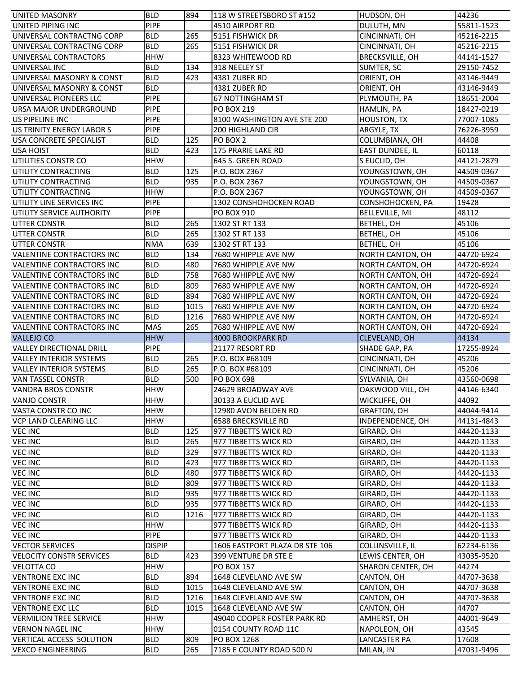| <b>UNITED MASONRY</b>                                         | <b>BLD</b>    | 894         | 118 W STREETSBORO ST #152                  | HUDSON, OH             | 44236      |
|---------------------------------------------------------------|---------------|-------------|--------------------------------------------|------------------------|------------|
| UNITED PIPING INC                                             | PIPE          |             | 4510 AIRPORT RD                            | DULUTH, MN             | 55811-1523 |
| UNIVERSAL CONTRACTNG CORP                                     | <b>BLD</b>    | 265         | 5151 FISHWICK DR                           | CINCINNATI, OH         | 45216-2215 |
| UNIVERSAL CONTRACTNG CORP                                     | <b>BLD</b>    | 265         | 5151 FISHWICK DR                           | CINCINNATI, OH         | 45216-2215 |
| UNIVERSAL CONTRACTORS                                         | HHW           |             | 8323 WHITEWOOD RD                          | <b>BRECKSVILLE, OH</b> | 44141-1527 |
| UNIVERSAL INC                                                 | <b>BLD</b>    | 134         | 318 NEELEY ST                              | SUMTER, SC             | 29150-7452 |
| UNIVERSAL MASONRY & CONST                                     | <b>BLD</b>    | 423         | 4381 ZUBER RD                              | ORIENT, OH             | 43146-9449 |
| UNIVERSAL MASONRY & CONST                                     | <b>BLD</b>    |             | 4381 ZUBER RD                              | ORIENT, OH             | 43146-9449 |
| UNIVERSAL PIONEERS LLC                                        | <b>PIPE</b>   |             | 67 NOTTINGHAM ST                           | PLYMOUTH, PA           | 18651-2004 |
| URSA MAJOR UNDERGROUND                                        | <b>PIPE</b>   |             | <b>PO BOX 219</b>                          | HAMLIN, PA             | 18427-0219 |
| US PIPELINE INC                                               | <b>PIPE</b>   |             | 8100 WASHINGTON AVE STE 200                | HOUSTON, TX            | 77007-1085 |
| US TRINITY ENERGY LABOR S                                     | <b>PIPE</b>   |             | 200 HIGHLAND CIR                           | ARGYLE, TX             | 76226-3959 |
| USA CONCRETE SPECIALIST                                       | <b>BLD</b>    | 125         | PO BOX 2                                   | COLUMBIANA, OH         | 44408      |
| <b>USA HOIST</b>                                              | <b>BLD</b>    | 423         | 175 PRARIE LAKE RD                         | EAST DUNDEE, IL        | 60118      |
| UTILITIES CONSTR CO                                           | <b>HHW</b>    |             | 645 S. GREEN ROAD                          | S EUCLID, OH           | 44121-2879 |
| UTILITY CONTRACTING                                           | <b>BLD</b>    | 125         | P.O. BOX 2367                              | YOUNGSTOWN, OH         | 44509-0367 |
| UTILITY CONTRACTING                                           | <b>BLD</b>    | 935         | P.O. BOX 2367                              | YOUNGSTOWN, OH         | 44509-0367 |
| UTILITY CONTRACTING                                           | <b>HHW</b>    |             | P.O. BOX 2367                              | YOUNGSTOWN, OH         | 44509-0367 |
| UTILITY LINE SERVICES INC                                     | <b>PIPE</b>   |             | 1302 CONSHOHOCKEN ROAD                     | CONSHOHOCKEN, PA       | 19428      |
| UTILITY SERVICE AUTHORITY                                     | <b>PIPE</b>   |             | <b>PO BOX 910</b>                          | BELLEVILLE, MI         | 48112      |
| UTTER CONSTR                                                  | <b>BLD</b>    | 265         | 1302 ST RT 133                             | BETHEL, OH             | 45106      |
| UTTER CONSTR                                                  | <b>BLD</b>    | 265         | 1302 ST RT 133                             | BETHEL, OH             | 45106      |
| UTTER CONSTR                                                  | <b>NMA</b>    | 639         | 1302 ST RT 133                             | BETHEL, OH             | 45106      |
| VALENTINE CONTRACTORS INC                                     | <b>BLD</b>    | 134         | 7680 WHIPPLE AVE NW                        | NORTH CANTON, OH       | 44720-6924 |
|                                                               | <b>BLD</b>    | 480         | 7680 WHIPPLE AVE NW                        |                        |            |
| VALENTINE CONTRACTORS INC<br>VALENTINE CONTRACTORS INC        | <b>BLD</b>    | 758         | 7680 WHIPPLE AVE NW                        | NORTH CANTON, OH       | 44720-6924 |
|                                                               |               |             |                                            | NORTH CANTON, OH       | 44720-6924 |
| VALENTINE CONTRACTORS INC                                     | <b>BLD</b>    | 809         | 7680 WHIPPLE AVE NW                        | NORTH CANTON, OH       | 44720-6924 |
| VALENTINE CONTRACTORS INC                                     | <b>BLD</b>    | 894         | 7680 WHIPPLE AVE NW                        | NORTH CANTON, OH       | 44720-6924 |
| VALENTINE CONTRACTORS INC                                     | <b>BLD</b>    | 1015        | 7680 WHIPPLE AVE NW                        | NORTH CANTON, OH       | 44720-6924 |
| <b>VALENTINE CONTRACTORS INC</b><br>VALENTINE CONTRACTORS INC | <b>BLD</b>    | 1216<br>265 | 7680 WHIPPLE AVE NW<br>7680 WHIPPLE AVE NW | NORTH CANTON, OH       | 44720-6924 |
|                                                               | <b>MAS</b>    |             |                                            |                        |            |
|                                                               |               |             |                                            | NORTH CANTON, OH       | 44720-6924 |
| <b>VALLEJO CO</b>                                             | <b>HHW</b>    |             | 4000 BROOKPARK RD                          | CLEVELAND, OH          | 44134      |
| <b>VALLEY DIRECTIONAL DRILL</b>                               | <b>PIPE</b>   |             | 21177 RESORT RD                            | SHADE GAP, PA          | 17255-8924 |
| <b>VALLEY INTERIOR SYSTEMS</b>                                | <b>BLD</b>    | 265         | P.O. BOX #68109                            | CINCINNATI, OH         | 45206      |
| <b>VALLEY INTERIOR SYSTEMS</b>                                | <b>BLD</b>    | 265         | P.O. BOX #68109                            | CINCINNATI, OH         | 45206      |
| <b>VAN TASSEL CONSTR</b>                                      | <b>BLD</b>    | 500         | <b>PO BOX 698</b>                          | SYLVANIA, OH           | 43560-0698 |
| <b>VANDRA BROS CONSTR</b>                                     | <b>HHW</b>    |             | 24629 BROADWAY AVE                         | OAKWOOD VILL, OH       | 44146-6340 |
| VANJO CONSTR                                                  | <b>HHW</b>    |             | 30133 A EUCLID AVE                         | WICKLIFFE, OH          | 44092      |
| VASTA CONSTR CO INC                                           | <b>HHW</b>    |             | 12980 AVON BELDEN RD                       | GRAFTON, OH            | 44044-9414 |
| <b>VCP LAND CLEARING LLC</b>                                  | <b>HHW</b>    |             | 6588 BRECKSVILLE RD                        | INDEPENDENCE, OH       | 44131-4843 |
| <b>VEC INC</b>                                                | <b>BLD</b>    | 125         | 977 TIBBETTS WICK RD                       | GIRARD, OH             | 44420-1133 |
| <b>VEC INC</b>                                                | <b>BLD</b>    | 265         | 977 TIBBETTS WICK RD                       | GIRARD, OH             | 44420-1133 |
| <b>VEC INC</b>                                                | <b>BLD</b>    | 329         | 977 TIBBETTS WICK RD                       | GIRARD, OH             | 44420-1133 |
| <b>VEC INC</b>                                                | <b>BLD</b>    | 423         | 977 TIBBETTS WICK RD                       | GIRARD, OH             | 44420-1133 |
| <b>VEC INC</b>                                                | <b>BLD</b>    | 480         | 977 TIBBETTS WICK RD                       | GIRARD, OH             | 44420-1133 |
| <b>VEC INC</b>                                                | <b>BLD</b>    | 809         | 977 TIBBETTS WICK RD                       | GIRARD, OH             | 44420-1133 |
| <b>VEC INC</b>                                                | <b>BLD</b>    | 935         | 977 TIBBETTS WICK RD                       | GIRARD, OH             | 44420-1133 |
| <b>VEC INC</b>                                                | <b>BLD</b>    | 935         | 977 TIBBETTS WICK RD                       | GIRARD, OH             | 44420-1133 |
| <b>VEC INC</b>                                                | <b>BLD</b>    | 1216        | 977 TIBBETTS WICK RD                       | GIRARD, OH             | 44420-1133 |
| <b>VEC INC</b>                                                | <b>HHW</b>    |             | 977 TIBBETTS WICK RD                       | GIRARD, OH             | 44420-1133 |
| <b>VEC INC</b>                                                | <b>PIPE</b>   |             | 977 TIBBETTS WICK RD                       | GIRARD, OH             | 44420-1133 |
| <b>VECTOR SERVICES</b>                                        | <b>DISPIP</b> |             | 1606 EASTPORT PLAZA DR STE 106             | COLLINSVILLE, IL       | 62234-6136 |
| <b>VELOCITY CONSTR SERVICES</b>                               | <b>BLD</b>    | 423         | 399 VENTURE DR STE E                       | LEWIS CENTER, OH       | 43035-9520 |
| <b>VELOTTA CO</b>                                             | <b>HHW</b>    |             | <b>PO BOX 157</b>                          | SHARON CENTER, OH      | 44274      |
| <b>VENTRONE EXC INC</b>                                       | <b>BLD</b>    | 894         | 1648 CLEVELAND AVE SW                      | CANTON, OH             | 44707-3638 |
| <b>VENTRONE EXC INC</b>                                       | <b>BLD</b>    | 1015        | 1648 CLEVELAND AVE SW                      | CANTON, OH             | 44707-3638 |
| <b>VENTRONE EXC INC</b>                                       | <b>BLD</b>    | 1216        | 1648 CLEVELAND AVE SW                      | CANTON, OH             | 44707-3638 |
| <b>VENTRONE EXC LLC</b>                                       | <b>BLD</b>    | 1015        | 1648 CLEVELAND AVE SW                      | CANTON, OH             | 44707      |
| <b>VERMILION TREE SERVICE</b>                                 | <b>HHW</b>    |             | 49040 COOPER FOSTER PARK RD                | AMHERST, OH            | 44001-9649 |
| <b>VERNON NAGEL INC</b>                                       | <b>HHW</b>    |             | 0154 COUNTY ROAD 11C                       | NAPOLEON, OH           | 43545      |
| VERTICAL ACCESS SOLUTION                                      | <b>BLD</b>    | 809         | PO BOX 1268                                | LANCASTER PA           | 17608      |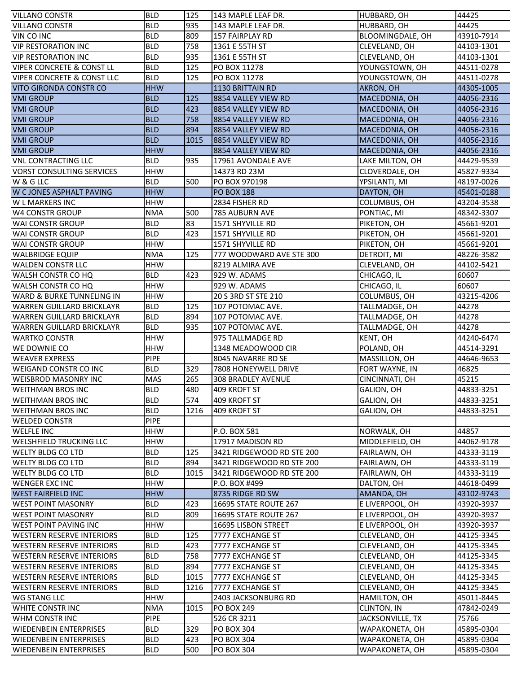| <b>VILLANO CONSTR</b>                 | <b>BLD</b>  | 125  | 143 MAPLE LEAF DR.        | HUBBARD, OH      | 44425      |
|---------------------------------------|-------------|------|---------------------------|------------------|------------|
| <b>VILLANO CONSTR</b>                 | <b>BLD</b>  | 935  | 143 MAPLE LEAF DR.        | HUBBARD, OH      | 44425      |
| VIN CO INC                            | <b>BLD</b>  | 809  | 157 FAIRPLAY RD           | BLOOMINGDALE, OH | 43910-7914 |
| <b>VIP RESTORATION INC</b>            | <b>BLD</b>  | 758  | 1361 E 55TH ST            | CLEVELAND, OH    | 44103-1301 |
| <b>VIP RESTORATION INC</b>            | <b>BLD</b>  | 935  | 1361 E 55TH ST            | CLEVELAND, OH    | 44103-1301 |
| <b>VIPER CONCRETE &amp; CONST LL</b>  | <b>BLD</b>  | 125  | PO BOX 11278              | YOUNGSTOWN, OH   | 44511-0278 |
| <b>VIPER CONCRETE &amp; CONST LLC</b> | <b>BLD</b>  | 125  | PO BOX 11278              | YOUNGSTOWN, OH   | 44511-0278 |
| <b>VITO GIRONDA CONSTR CO</b>         | <b>HHW</b>  |      | 1130 BRITTAIN RD          | <b>AKRON, OH</b> | 44305-1005 |
| <b>VMI GROUP</b>                      | <b>BLD</b>  | 125  | 8854 VALLEY VIEW RD       | MACEDONIA, OH    | 44056-2316 |
| <b>VMI GROUP</b>                      | <b>BLD</b>  | 423  | 8854 VALLEY VIEW RD       | MACEDONIA, OH    | 44056-2316 |
| <b>VMI GROUP</b>                      | <b>BLD</b>  | 758  | 8854 VALLEY VIEW RD       | MACEDONIA, OH    | 44056-2316 |
| <b>VMI GROUP</b>                      | <b>BLD</b>  | 894  | 8854 VALLEY VIEW RD       | MACEDONIA, OH    | 44056-2316 |
| <b>VMI GROUP</b>                      | <b>BLD</b>  | 1015 |                           | MACEDONIA, OH    | 44056-2316 |
|                                       |             |      | 8854 VALLEY VIEW RD       |                  |            |
| <b>VMI GROUP</b>                      | <b>HHW</b>  |      | 8854 VALLEY VIEW RD       | MACEDONIA, OH    | 44056-2316 |
| <b>VNL CONTRACTING LLC</b>            | <b>BLD</b>  | 935  | 17961 AVONDALE AVE        | LAKE MILTON, OH  | 44429-9539 |
| <b>VORST CONSULTING SERVICES</b>      | <b>HHW</b>  |      | 14373 RD 23M              | CLOVERDALE, OH   | 45827-9334 |
| W & G LLC                             | <b>BLD</b>  | 500  | PO BOX 970198             | YPSILANTI, MI    | 48197-0026 |
| W CJONES ASPHALT PAVING               | <b>HHW</b>  |      | <b>PO BOX 188</b>         | DAYTON, OH       | 45401-0188 |
| <b>W L MARKERS INC</b>                | <b>HHW</b>  |      | 2834 FISHER RD            | COLUMBUS, OH     | 43204-3538 |
| <b>W4 CONSTR GROUP</b>                | <b>NMA</b>  | 500  | <b>785 AUBURN AVE</b>     | PONTIAC, MI      | 48342-3307 |
| <b>WAI CONSTR GROUP</b>               | <b>BLD</b>  | 83   | 1571 SHYVILLE RD          | PIKETON, OH      | 45661-9201 |
| <b>WAI CONSTR GROUP</b>               | <b>BLD</b>  | 423  | 1571 SHYVILLE RD          | PIKETON, OH      | 45661-9201 |
| <b>WAI CONSTR GROUP</b>               | <b>HHW</b>  |      | 1571 SHYVILLE RD          | PIKETON, OH      | 45661-9201 |
| <b>WALBRIDGE EQUIP</b>                | <b>NMA</b>  | 125  | 777 WOODWARD AVE STE 300  | DETROIT, MI      | 48226-3582 |
| <b>WALDEN CONSTR LLC</b>              | <b>HHW</b>  |      | 8219 ALMIRA AVE           | CLEVELAND, OH    | 44102-5421 |
| WALSH CONSTR CO HQ                    | <b>BLD</b>  | 423  | 929 W. ADAMS              | CHICAGO, IL      | 60607      |
| <b>WALSH CONSTR CO HQ</b>             | <b>HHW</b>  |      | 929 W. ADAMS              | CHICAGO, IL      | 60607      |
| <b>WARD &amp; BURKE TUNNELING IN</b>  | <b>HHW</b>  |      | 20 S 3RD ST STE 210       | COLUMBUS, OH     | 43215-4206 |
| WARREN GUILLARD BRICKLAYR             | <b>BLD</b>  | 125  | 107 POTOMAC AVE.          | TALLMADGE, OH    | 44278      |
| WARREN GUILLARD BRICKLAYR             | <b>BLD</b>  | 894  | 107 POTOMAC AVE.          | TALLMADGE, OH    | 44278      |
| WARREN GUILLARD BRICKLAYR             | <b>BLD</b>  | 935  | 107 POTOMAC AVE.          | TALLMADGE, OH    | 44278      |
|                                       |             |      |                           |                  |            |
| <b>WARTKO CONSTR</b>                  | <b>HHW</b>  |      | 975 TALLMADGE RD          | KENT, OH         | 44240-6474 |
|                                       | <b>HHW</b>  |      |                           |                  | 44514-3291 |
| WE DOWNIE CO                          | <b>PIPE</b> |      | 1348 MEADOWOOD CIR        | POLAND, OH       | 44646-9653 |
| <b>WEAVER EXPRESS</b>                 | <b>BLD</b>  |      | 8045 NAVARRE RD SE        | MASSILLON, OH    | 46825      |
| <b>WEIGAND CONSTR CO INC</b>          |             | 329  | 7808 HONEYWELL DRIVE      | FORT WAYNE, IN   |            |
| <b>WEISBROD MASONRY INC</b>           | <b>MAS</b>  | 265  | <b>308 BRADLEY AVENUE</b> | CINCINNATI, OH   | 45215      |
| <b>WEITHMAN BROS INC</b>              | <b>BLD</b>  | 480  | 409 KROFT ST              | GALION, OH       | 44833-3251 |
| <b>WEITHMAN BROS INC</b>              | <b>BLD</b>  | 574  | 409 KROFT ST              | GALION, OH       | 44833-3251 |
| <b>WEITHMAN BROS INC</b>              | <b>BLD</b>  | 1216 | 409 KROFT ST              | GALION, OH       | 44833-3251 |
| <b>WELDED CONSTR</b>                  | <b>PIPE</b> |      |                           |                  |            |
| <b>WELFLE INC</b>                     | <b>HHW</b>  |      | P.O. BOX 581              | NORWALK, OH      | 44857      |
| <b>WELSHFIELD TRUCKING LLC</b>        | <b>HHW</b>  |      | 17917 MADISON RD          | MIDDLEFIELD, OH  | 44062-9178 |
| <b>WELTY BLDG CO LTD</b>              | <b>BLD</b>  | 125  | 3421 RIDGEWOOD RD STE 200 | FAIRLAWN, OH     | 44333-3119 |
| <b>WELTY BLDG CO LTD</b>              | <b>BLD</b>  | 894  | 3421 RIDGEWOOD RD STE 200 | FAIRLAWN, OH     | 44333-3119 |
| <b>WELTY BLDG CO LTD</b>              | <b>BLD</b>  | 1015 | 3421 RIDGEWOOD RD STE 200 | FAIRLAWN, OH     | 44333-3119 |
| <b>WENGER EXC INC</b>                 | <b>HHW</b>  |      | P.O. BOX #499             | DALTON, OH       | 44618-0499 |
| <b>WEST FAIRFIELD INC</b>             | <b>HHW</b>  |      | 8735 RIDGE RD SW          | AMANDA, OH       | 43102-9743 |
| <b>WEST POINT MASONRY</b>             | <b>BLD</b>  | 423  | 16695 STATE ROUTE 267     | E LIVERPOOL, OH  | 43920-3937 |
| <b>WEST POINT MASONRY</b>             | <b>BLD</b>  | 809  | 16695 STATE ROUTE 267     | E LIVERPOOL, OH  | 43920-3937 |
| <b>WEST POINT PAVING INC</b>          | <b>HHW</b>  |      | 16695 LISBON STREET       | E LIVERPOOL, OH  | 43920-3937 |
| <b>WESTERN RESERVE INTERIORS</b>      | <b>BLD</b>  | 125  | 7777 EXCHANGE ST          | CLEVELAND, OH    | 44125-3345 |
| <b>WESTERN RESERVE INTERIORS</b>      | <b>BLD</b>  | 423  | 7777 EXCHANGE ST          | CLEVELAND, OH    | 44125-3345 |
| <b>WESTERN RESERVE INTERIORS</b>      | <b>BLD</b>  | 758  | 7777 EXCHANGE ST          | CLEVELAND, OH    | 44125-3345 |
| <b>WESTERN RESERVE INTERIORS</b>      | <b>BLD</b>  | 894  | 7777 EXCHANGE ST          | CLEVELAND, OH    | 44125-3345 |
| <b>WESTERN RESERVE INTERIORS</b>      | <b>BLD</b>  | 1015 | 7777 EXCHANGE ST          | CLEVELAND, OH    | 44125-3345 |
| <b>WESTERN RESERVE INTERIORS</b>      | <b>BLD</b>  | 1216 | 7777 EXCHANGE ST          | CLEVELAND, OH    | 44125-3345 |
| <b>WG STANG LLC</b>                   | <b>HHW</b>  |      | 2403 JACKSONBURG RD       | HAMILTON, OH     | 45011-8445 |
| WHITE CONSTR INC                      | <b>NMA</b>  | 1015 | <b>PO BOX 249</b>         | CLINTON, IN      | 47842-0249 |
| WHM CONSTR INC                        | <b>PIPE</b> |      | 526 CR 3211               | JACKSONVILLE, TX | 75766      |
| <b>WIEDENBEIN ENTERPRISES</b>         | <b>BLD</b>  | 329  | <b>PO BOX 304</b>         | WAPAKONETA, OH   | 45895-0304 |
| <b>WIEDENBEIN ENTERPRISES</b>         | <b>BLD</b>  | 423  | <b>PO BOX 304</b>         | WAPAKONETA, OH   | 45895-0304 |